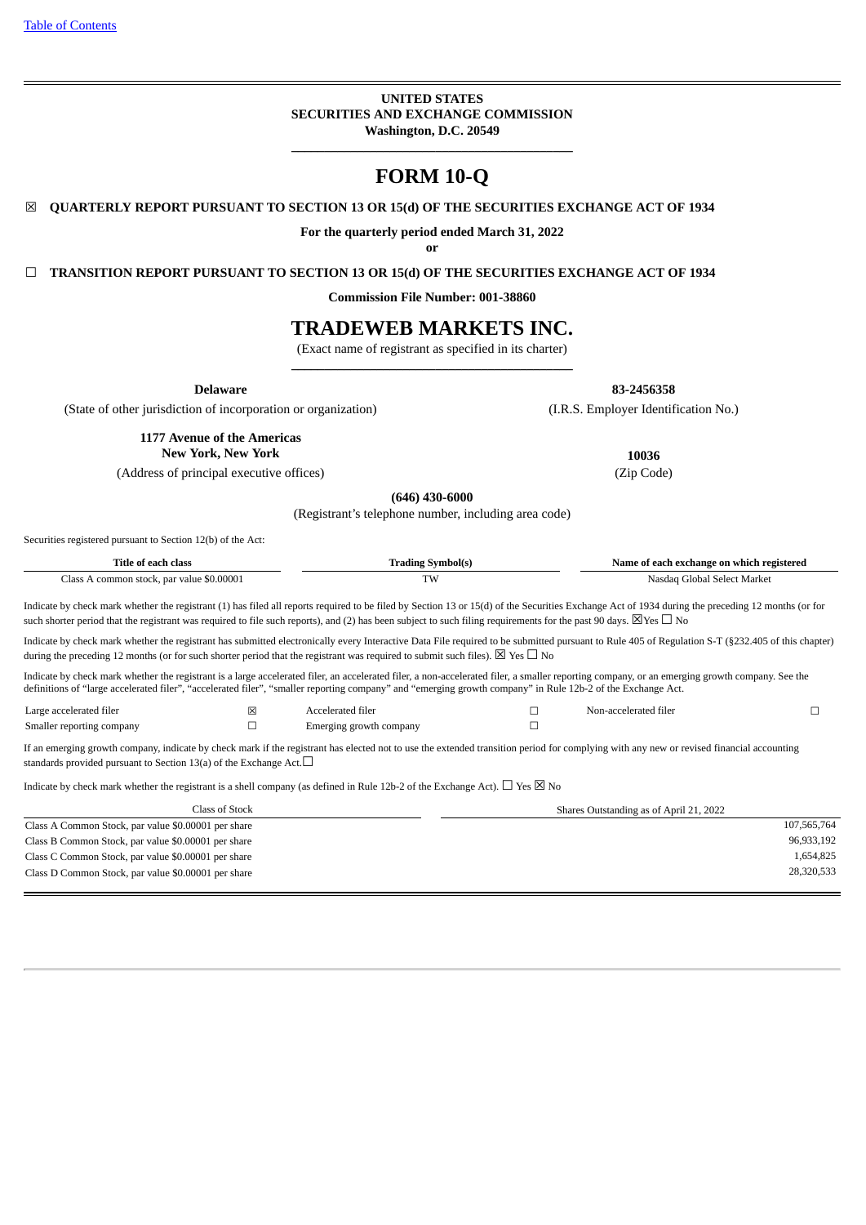# **UNITED STATES SECURITIES AND EXCHANGE COMMISSION Washington, D.C. 20549**

# **FORM 10-Q**

**\_\_\_\_\_\_\_\_\_\_\_\_\_\_\_\_\_\_\_\_\_\_\_\_\_\_\_\_\_\_\_\_\_\_\_\_\_\_\_\_\_\_\_**

☒ **QUARTERLY REPORT PURSUANT TO SECTION 13 OR 15(d) OF THE SECURITIES EXCHANGE ACT OF 1934**

**For the quarterly period ended March 31, 2022**

**or**

☐ **TRANSITION REPORT PURSUANT TO SECTION 13 OR 15(d) OF THE SECURITIES EXCHANGE ACT OF 1934**

**Commission File Number: 001-38860**

# **TRADEWEB MARKETS INC.**

(Exact name of registrant as specified in its charter) **\_\_\_\_\_\_\_\_\_\_\_\_\_\_\_\_\_\_\_\_\_\_\_\_\_\_\_\_\_\_\_\_\_\_\_\_\_\_\_\_\_\_\_**

**Delaware 83-2456358**

(State of other jurisdiction of incorporation or organization) (I.R.S. Employer Identification No.)

**1177 Avenue of the Americas New York, New York 10036**

(Address of principal executive offices) (Zip Code)

**(646) 430-6000**

(Registrant's telephone number, including area code)

Securities registered pursuant to Section 12(b) of the Act:

<span id="page-0-0"></span>

| Title of each class                                                                                                                                                                                                                                                                                                                                                                   |                        | <b>Trading Symbol(s)</b> |   | Name of each exchange on which registered |             |  |  |  |  |  |
|---------------------------------------------------------------------------------------------------------------------------------------------------------------------------------------------------------------------------------------------------------------------------------------------------------------------------------------------------------------------------------------|------------------------|--------------------------|---|-------------------------------------------|-------------|--|--|--|--|--|
| Class A common stock, par value \$0.00001                                                                                                                                                                                                                                                                                                                                             |                        | TW                       |   | Nasdaq Global Select Market               |             |  |  |  |  |  |
| Indicate by check mark whether the registrant (1) has filed all reports required to be filed by Section 13 or 15(d) of the Securities Exchange Act of 1934 during the preceding 12 months (or for<br>such shorter period that the registrant was required to file such reports), and (2) has been subject to such filing requirements for the past 90 days. $\boxtimes$ Yes $\Box$ No |                        |                          |   |                                           |             |  |  |  |  |  |
| Indicate by check mark whether the registrant has submitted electronically every Interactive Data File required to be submitted pursuant to Rule 405 of Regulation S-T (§232.405 of this chapter)<br>during the preceding 12 months (or for such shorter period that the registrant was required to submit such files). $\boxtimes$ Yes $\Box$ No                                     |                        |                          |   |                                           |             |  |  |  |  |  |
| Indicate by check mark whether the registrant is a large accelerated filer, an accelerated filer, a non-accelerated filer, a smaller reporting company, or an emerging growth company. See the<br>definitions of "large accelerated filer", "accelerated filer", "smaller reporting company" and "emerging growth company" in Rule 12b-2 of the Exchange Act.                         |                        |                          |   |                                           |             |  |  |  |  |  |
| Large accelerated filer                                                                                                                                                                                                                                                                                                                                                               | Accelerated filer<br>X |                          | □ | Non-accelerated filer                     | П           |  |  |  |  |  |
| Smaller reporting company                                                                                                                                                                                                                                                                                                                                                             | □                      | Emerging growth company  | □ |                                           |             |  |  |  |  |  |
| If an emerging growth company, indicate by check mark if the registrant has elected not to use the extended transition period for complying with any new or revised financial accounting<br>standards provided pursuant to Section 13(a) of the Exchange Act. $\Box$                                                                                                                  |                        |                          |   |                                           |             |  |  |  |  |  |
| Indicate by check mark whether the registrant is a shell company (as defined in Rule 12b-2 of the Exchange Act). $\Box$ Yes $\boxtimes$ No                                                                                                                                                                                                                                            |                        |                          |   |                                           |             |  |  |  |  |  |
|                                                                                                                                                                                                                                                                                                                                                                                       | Class of Stock         |                          |   | Shares Outstanding as of April 21, 2022   |             |  |  |  |  |  |
| Class A Common Stock, par value \$0.00001 per share                                                                                                                                                                                                                                                                                                                                   |                        |                          |   |                                           | 107,565,764 |  |  |  |  |  |
| Class B Common Stock, par value \$0.00001 per share                                                                                                                                                                                                                                                                                                                                   |                        |                          |   |                                           | 96,933,192  |  |  |  |  |  |
| Class C Common Stock, par value \$0.00001 per share                                                                                                                                                                                                                                                                                                                                   |                        |                          |   |                                           | 1,654,825   |  |  |  |  |  |
| Class D Common Stock, par value \$0.00001 per share                                                                                                                                                                                                                                                                                                                                   |                        |                          |   |                                           | 28,320,533  |  |  |  |  |  |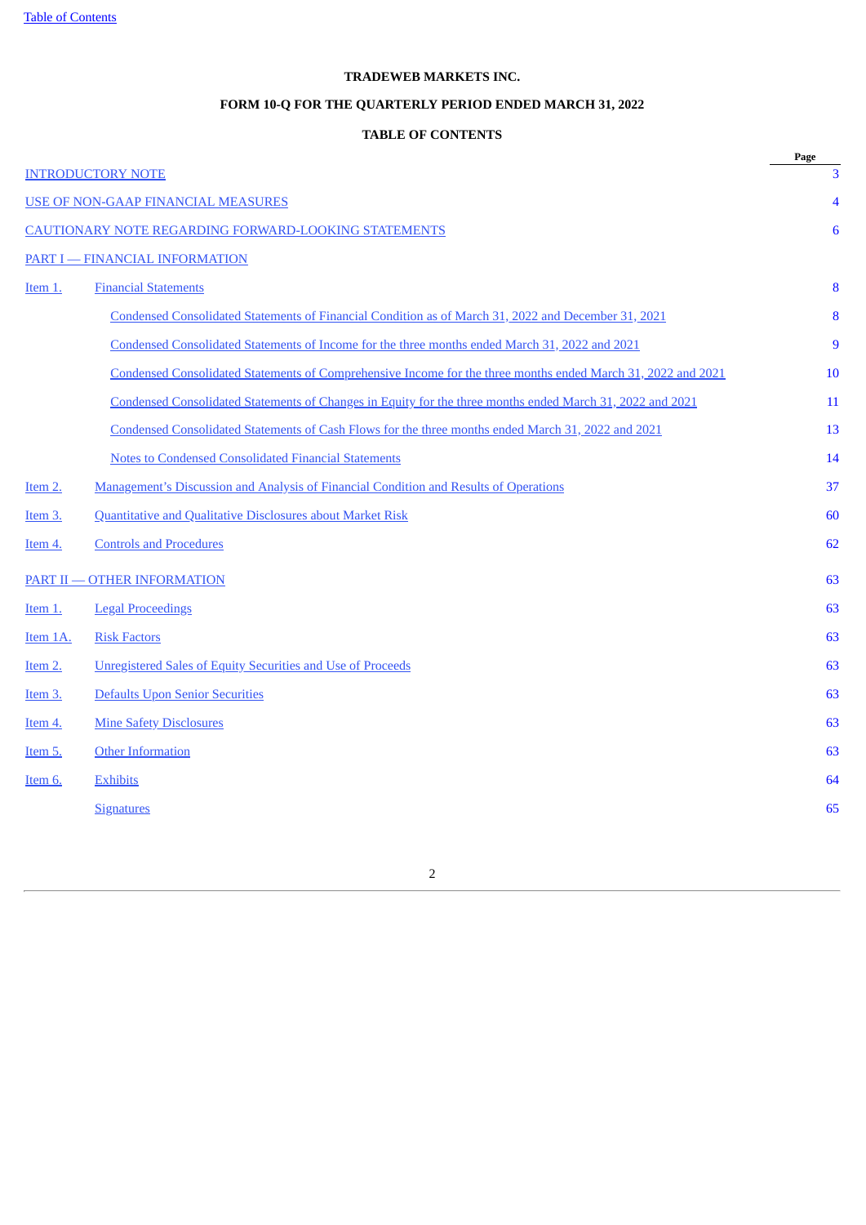|  | <b>Table of Contents</b> |
|--|--------------------------|
|  |                          |

# **TRADEWEB MARKETS INC.**

# **FORM 10-Q FOR THE QUARTERLY PERIOD ENDED MARCH 31, 2022**

# **TABLE OF CONTENTS**

<span id="page-1-0"></span>

|          |                                                                                                              | Page      |
|----------|--------------------------------------------------------------------------------------------------------------|-----------|
|          | <b>INTRODUCTORY NOTE</b>                                                                                     | 3         |
|          | USE OF NON-GAAP FINANCIAL MEASURES                                                                           | 4         |
|          | CAUTIONARY NOTE REGARDING FORWARD-LOOKING STATEMENTS                                                         | 6         |
|          | <b>PART I - FINANCIAL INFORMATION</b>                                                                        |           |
| Item 1.  | <b>Financial Statements</b>                                                                                  | 8         |
|          | Condensed Consolidated Statements of Financial Condition as of March 31, 2022 and December 31, 2021          | 8         |
|          | Condensed Consolidated Statements of Income for the three months ended March 31, 2022 and 2021               | 9         |
|          | Condensed Consolidated Statements of Comprehensive Income for the three months ended March 31, 2022 and 2021 | <b>10</b> |
|          | Condensed Consolidated Statements of Changes in Equity for the three months ended March 31, 2022 and 2021    | 11        |
|          | Condensed Consolidated Statements of Cash Flows for the three months ended March 31, 2022 and 2021           | 13        |
|          | <b>Notes to Condensed Consolidated Financial Statements</b>                                                  | 14        |
| Item 2.  | <b>Management's Discussion and Analysis of Financial Condition and Results of Operations</b>                 | 37        |
| Item 3.  | <b>Quantitative and Qualitative Disclosures about Market Risk</b>                                            | 60        |
| Item 4.  | <b>Controls and Procedures</b>                                                                               | 62        |
|          | <b>PART II - OTHER INFORMATION</b>                                                                           | 63        |
| Item 1.  | <b>Legal Proceedings</b>                                                                                     | 63        |
| Item 1A. | <b>Risk Factors</b>                                                                                          | 63        |
| Item 2.  | <b>Unregistered Sales of Equity Securities and Use of Proceeds</b>                                           | 63        |
| Item 3.  | <b>Defaults Upon Senior Securities</b>                                                                       | 63        |
| Item 4.  | <b>Mine Safety Disclosures</b>                                                                               | 63        |
| Item 5.  | <b>Other Information</b>                                                                                     | 63        |
| Item 6.  | <b>Exhibits</b>                                                                                              | 64        |
|          | <b>Signatures</b>                                                                                            | 65        |
|          |                                                                                                              |           |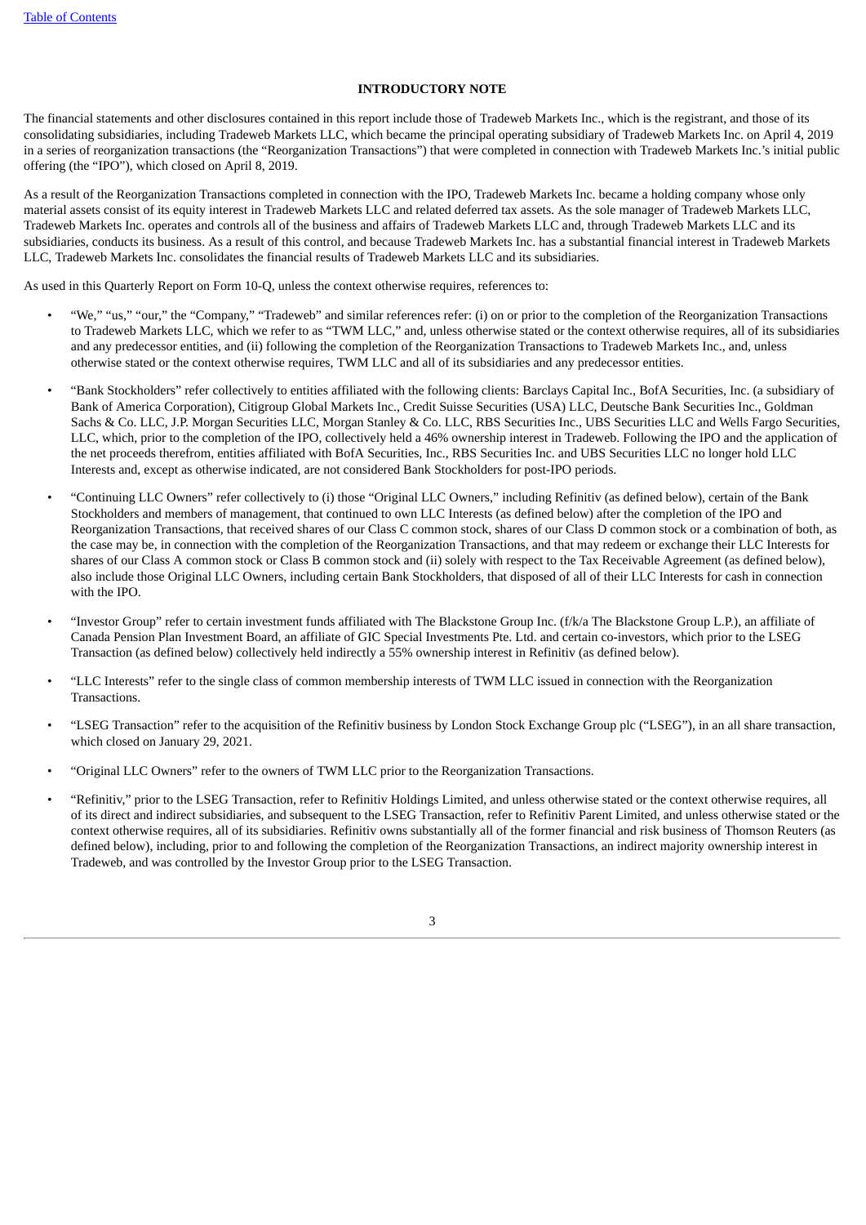# **INTRODUCTORY NOTE**

The financial statements and other disclosures contained in this report include those of Tradeweb Markets Inc., which is the registrant, and those of its consolidating subsidiaries, including Tradeweb Markets LLC, which became the principal operating subsidiary of Tradeweb Markets Inc. on April 4, 2019 in a series of reorganization transactions (the "Reorganization Transactions") that were completed in connection with Tradeweb Markets Inc.'s initial public offering (the "IPO"), which closed on April 8, 2019.

As a result of the Reorganization Transactions completed in connection with the IPO, Tradeweb Markets Inc. became a holding company whose only material assets consist of its equity interest in Tradeweb Markets LLC and related deferred tax assets. As the sole manager of Tradeweb Markets LLC, Tradeweb Markets Inc. operates and controls all of the business and affairs of Tradeweb Markets LLC and, through Tradeweb Markets LLC and its subsidiaries, conducts its business. As a result of this control, and because Tradeweb Markets Inc. has a substantial financial interest in Tradeweb Markets LLC, Tradeweb Markets Inc. consolidates the financial results of Tradeweb Markets LLC and its subsidiaries.

As used in this Quarterly Report on Form 10-Q, unless the context otherwise requires, references to:

- "We," "us," "our," the "Company," "Tradeweb" and similar references refer: (i) on or prior to the completion of the Reorganization Transactions to Tradeweb Markets LLC, which we refer to as "TWM LLC," and, unless otherwise stated or the context otherwise requires, all of its subsidiaries and any predecessor entities, and (ii) following the completion of the Reorganization Transactions to Tradeweb Markets Inc., and, unless otherwise stated or the context otherwise requires, TWM LLC and all of its subsidiaries and any predecessor entities.
- "Bank Stockholders" refer collectively to entities affiliated with the following clients: Barclays Capital Inc., BofA Securities, Inc. (a subsidiary of Bank of America Corporation), Citigroup Global Markets Inc., Credit Suisse Securities (USA) LLC, Deutsche Bank Securities Inc., Goldman Sachs & Co. LLC, J.P. Morgan Securities LLC, Morgan Stanley & Co. LLC, RBS Securities Inc., UBS Securities LLC and Wells Fargo Securities, LLC, which, prior to the completion of the IPO, collectively held a 46% ownership interest in Tradeweb. Following the IPO and the application of the net proceeds therefrom, entities affiliated with BofA Securities, Inc., RBS Securities Inc. and UBS Securities LLC no longer hold LLC Interests and, except as otherwise indicated, are not considered Bank Stockholders for post-IPO periods.
- "Continuing LLC Owners" refer collectively to (i) those "Original LLC Owners," including Refinitiv (as defined below), certain of the Bank Stockholders and members of management, that continued to own LLC Interests (as defined below) after the completion of the IPO and Reorganization Transactions, that received shares of our Class C common stock, shares of our Class D common stock or a combination of both, as the case may be, in connection with the completion of the Reorganization Transactions, and that may redeem or exchange their LLC Interests for shares of our Class A common stock or Class B common stock and (ii) solely with respect to the Tax Receivable Agreement (as defined below), also include those Original LLC Owners, including certain Bank Stockholders, that disposed of all of their LLC Interests for cash in connection with the IPO.
- "Investor Group" refer to certain investment funds affiliated with The Blackstone Group Inc. (f/k/a The Blackstone Group L.P.), an affiliate of Canada Pension Plan Investment Board, an affiliate of GIC Special Investments Pte. Ltd. and certain co-investors, which prior to the LSEG Transaction (as defined below) collectively held indirectly a 55% ownership interest in Refinitiv (as defined below).
- "LLC Interests" refer to the single class of common membership interests of TWM LLC issued in connection with the Reorganization Transactions.
- "LSEG Transaction" refer to the acquisition of the Refinitiv business by London Stock Exchange Group plc ("LSEG"), in an all share transaction, which closed on January 29, 2021.
- "Original LLC Owners" refer to the owners of TWM LLC prior to the Reorganization Transactions.
- "Refinitiv," prior to the LSEG Transaction, refer to Refinitiv Holdings Limited, and unless otherwise stated or the context otherwise requires, all of its direct and indirect subsidiaries, and subsequent to the LSEG Transaction, refer to Refinitiv Parent Limited, and unless otherwise stated or the context otherwise requires, all of its subsidiaries. Refinitiv owns substantially all of the former financial and risk business of Thomson Reuters (as defined below), including, prior to and following the completion of the Reorganization Transactions, an indirect majority ownership interest in Tradeweb, and was controlled by the Investor Group prior to the LSEG Transaction.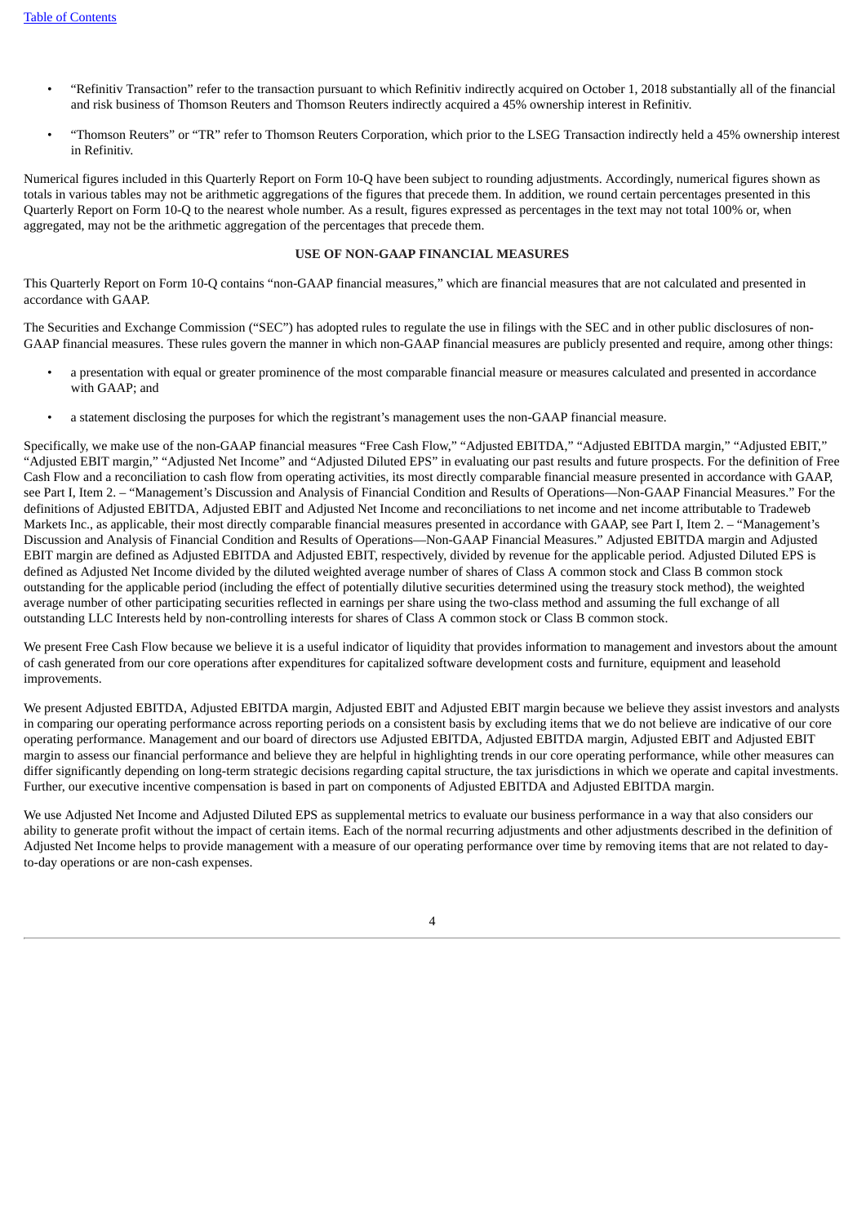- "Refinitiv Transaction" refer to the transaction pursuant to which Refinitiv indirectly acquired on October 1, 2018 substantially all of the financial and risk business of Thomson Reuters and Thomson Reuters indirectly acquired a 45% ownership interest in Refinitiv.
- "Thomson Reuters" or "TR" refer to Thomson Reuters Corporation, which prior to the LSEG Transaction indirectly held a 45% ownership interest in Refinitiv.

Numerical figures included in this Quarterly Report on Form 10-Q have been subject to rounding adjustments. Accordingly, numerical figures shown as totals in various tables may not be arithmetic aggregations of the figures that precede them. In addition, we round certain percentages presented in this Quarterly Report on Form 10-Q to the nearest whole number. As a result, figures expressed as percentages in the text may not total 100% or, when aggregated, may not be the arithmetic aggregation of the percentages that precede them.

### **USE OF NON-GAAP FINANCIAL MEASURES**

<span id="page-3-0"></span>This Quarterly Report on Form 10-Q contains "non-GAAP financial measures," which are financial measures that are not calculated and presented in accordance with GAAP.

The Securities and Exchange Commission ("SEC") has adopted rules to regulate the use in filings with the SEC and in other public disclosures of non-GAAP financial measures. These rules govern the manner in which non-GAAP financial measures are publicly presented and require, among other things:

- a presentation with equal or greater prominence of the most comparable financial measure or measures calculated and presented in accordance with GAAP; and
- a statement disclosing the purposes for which the registrant's management uses the non-GAAP financial measure.

Specifically, we make use of the non-GAAP financial measures "Free Cash Flow," "Adjusted EBITDA," "Adjusted EBITDA margin," "Adjusted EBIT," "Adjusted EBIT margin," "Adjusted Net Income" and "Adjusted Diluted EPS" in evaluating our past results and future prospects. For the definition of Free Cash Flow and a reconciliation to cash flow from operating activities, its most directly comparable financial measure presented in accordance with GAAP, see Part I, Item 2. – "Management's Discussion and Analysis of Financial Condition and Results of Operations—Non-GAAP Financial Measures." For the definitions of Adjusted EBITDA, Adjusted EBIT and Adjusted Net Income and reconciliations to net income and net income attributable to Tradeweb Markets Inc., as applicable, their most directly comparable financial measures presented in accordance with GAAP, see Part I, Item 2. – "Management's Discussion and Analysis of Financial Condition and Results of Operations—Non-GAAP Financial Measures." Adjusted EBITDA margin and Adjusted EBIT margin are defined as Adjusted EBITDA and Adjusted EBIT, respectively, divided by revenue for the applicable period. Adjusted Diluted EPS is defined as Adjusted Net Income divided by the diluted weighted average number of shares of Class A common stock and Class B common stock outstanding for the applicable period (including the effect of potentially dilutive securities determined using the treasury stock method), the weighted average number of other participating securities reflected in earnings per share using the two-class method and assuming the full exchange of all outstanding LLC Interests held by non-controlling interests for shares of Class A common stock or Class B common stock.

We present Free Cash Flow because we believe it is a useful indicator of liquidity that provides information to management and investors about the amount of cash generated from our core operations after expenditures for capitalized software development costs and furniture, equipment and leasehold improvements.

We present Adjusted EBITDA, Adjusted EBITDA margin, Adjusted EBIT and Adjusted EBIT margin because we believe they assist investors and analysts in comparing our operating performance across reporting periods on a consistent basis by excluding items that we do not believe are indicative of our core operating performance. Management and our board of directors use Adjusted EBITDA, Adjusted EBITDA margin, Adjusted EBIT and Adjusted EBIT margin to assess our financial performance and believe they are helpful in highlighting trends in our core operating performance, while other measures can differ significantly depending on long-term strategic decisions regarding capital structure, the tax jurisdictions in which we operate and capital investments. Further, our executive incentive compensation is based in part on components of Adjusted EBITDA and Adjusted EBITDA margin.

We use Adjusted Net Income and Adjusted Diluted EPS as supplemental metrics to evaluate our business performance in a way that also considers our ability to generate profit without the impact of certain items. Each of the normal recurring adjustments and other adjustments described in the definition of Adjusted Net Income helps to provide management with a measure of our operating performance over time by removing items that are not related to dayto-day operations or are non-cash expenses.

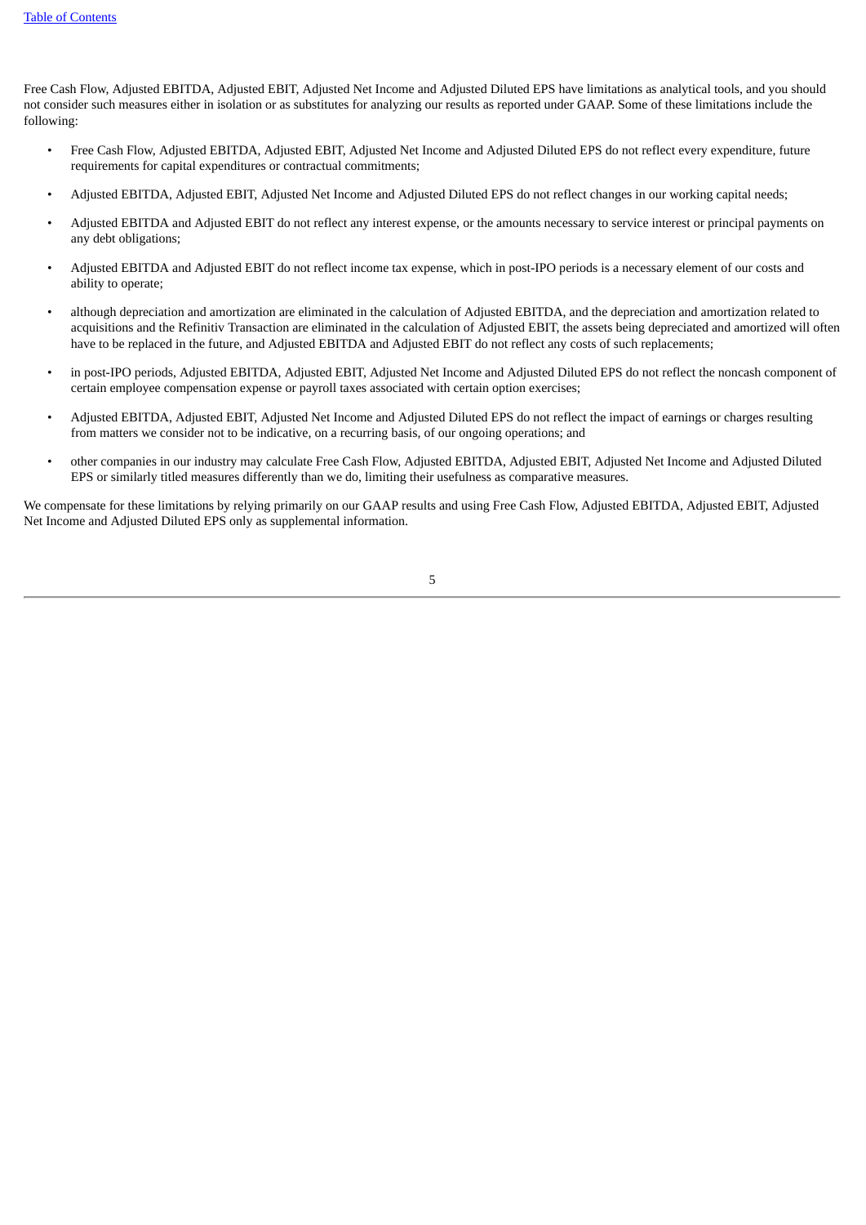Free Cash Flow, Adjusted EBITDA, Adjusted EBIT, Adjusted Net Income and Adjusted Diluted EPS have limitations as analytical tools, and you should not consider such measures either in isolation or as substitutes for analyzing our results as reported under GAAP. Some of these limitations include the following:

- Free Cash Flow, Adjusted EBITDA, Adjusted EBIT, Adjusted Net Income and Adjusted Diluted EPS do not reflect every expenditure, future requirements for capital expenditures or contractual commitments;
- Adjusted EBITDA, Adjusted EBIT, Adjusted Net Income and Adjusted Diluted EPS do not reflect changes in our working capital needs;
- Adjusted EBITDA and Adjusted EBIT do not reflect any interest expense, or the amounts necessary to service interest or principal payments on any debt obligations;
- Adjusted EBITDA and Adjusted EBIT do not reflect income tax expense, which in post-IPO periods is a necessary element of our costs and ability to operate;
- although depreciation and amortization are eliminated in the calculation of Adjusted EBITDA, and the depreciation and amortization related to acquisitions and the Refinitiv Transaction are eliminated in the calculation of Adjusted EBIT, the assets being depreciated and amortized will often have to be replaced in the future, and Adjusted EBITDA and Adjusted EBIT do not reflect any costs of such replacements;
- in post-IPO periods, Adjusted EBITDA, Adjusted EBIT, Adjusted Net Income and Adjusted Diluted EPS do not reflect the noncash component of certain employee compensation expense or payroll taxes associated with certain option exercises;
- Adjusted EBITDA, Adjusted EBIT, Adjusted Net Income and Adjusted Diluted EPS do not reflect the impact of earnings or charges resulting from matters we consider not to be indicative, on a recurring basis, of our ongoing operations; and
- other companies in our industry may calculate Free Cash Flow, Adjusted EBITDA, Adjusted EBIT, Adjusted Net Income and Adjusted Diluted EPS or similarly titled measures differently than we do, limiting their usefulness as comparative measures.

<span id="page-4-0"></span>We compensate for these limitations by relying primarily on our GAAP results and using Free Cash Flow, Adjusted EBITDA, Adjusted EBIT, Adjusted Net Income and Adjusted Diluted EPS only as supplemental information.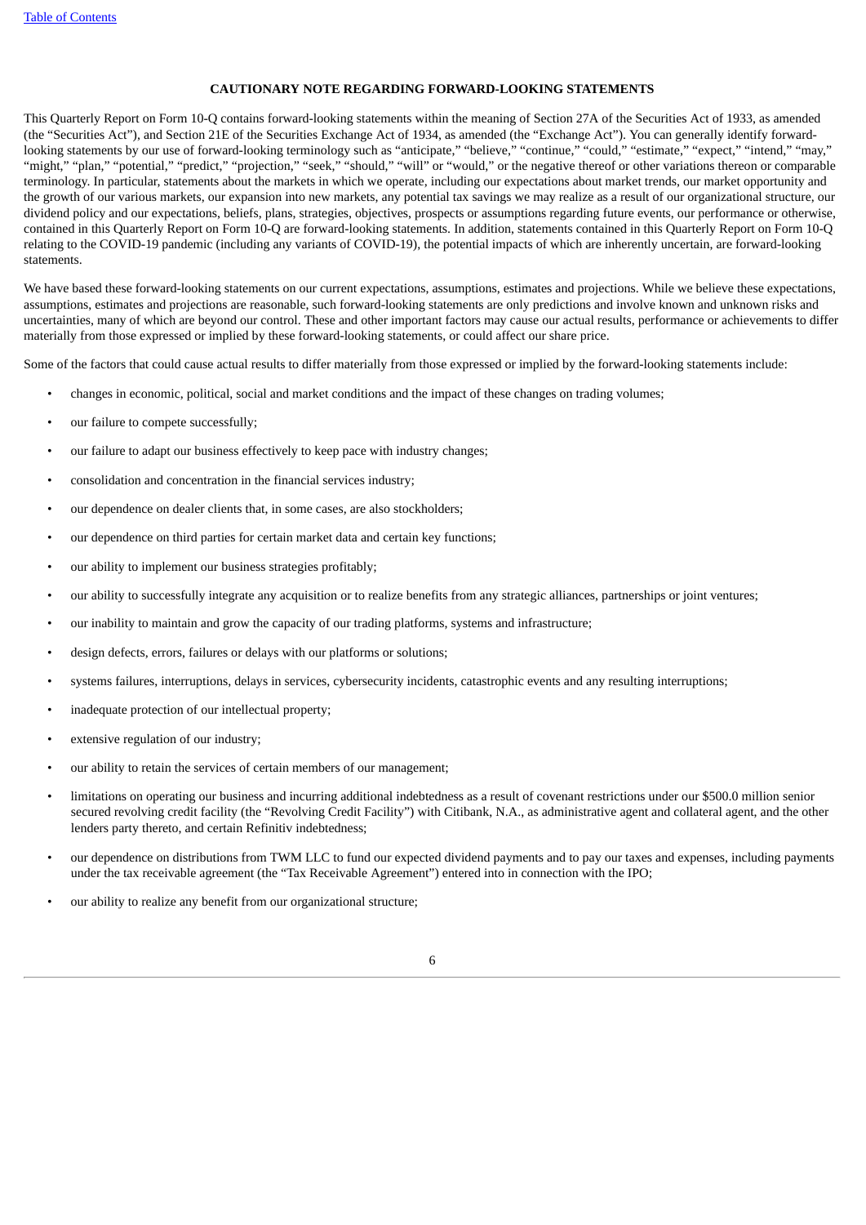# **CAUTIONARY NOTE REGARDING FORWARD-LOOKING STATEMENTS**

This Quarterly Report on Form 10-Q contains forward-looking statements within the meaning of Section 27A of the Securities Act of 1933, as amended (the "Securities Act"), and Section 21E of the Securities Exchange Act of 1934, as amended (the "Exchange Act"). You can generally identify forwardlooking statements by our use of forward-looking terminology such as "anticipate," "believe," "continue," "could," "estimate," "expect," "intend," "may," "might," "plan," "potential," "predict," "projection," "seek," "should," "will" or "would," or the negative thereof or other variations thereon or comparable terminology. In particular, statements about the markets in which we operate, including our expectations about market trends, our market opportunity and the growth of our various markets, our expansion into new markets, any potential tax savings we may realize as a result of our organizational structure, our dividend policy and our expectations, beliefs, plans, strategies, objectives, prospects or assumptions regarding future events, our performance or otherwise, contained in this Quarterly Report on Form 10-Q are forward-looking statements. In addition, statements contained in this Quarterly Report on Form 10-Q relating to the COVID-19 pandemic (including any variants of COVID-19), the potential impacts of which are inherently uncertain, are forward-looking statements.

We have based these forward-looking statements on our current expectations, assumptions, estimates and projections. While we believe these expectations, assumptions, estimates and projections are reasonable, such forward-looking statements are only predictions and involve known and unknown risks and uncertainties, many of which are beyond our control. These and other important factors may cause our actual results, performance or achievements to differ materially from those expressed or implied by these forward-looking statements, or could affect our share price.

Some of the factors that could cause actual results to differ materially from those expressed or implied by the forward-looking statements include:

- changes in economic, political, social and market conditions and the impact of these changes on trading volumes;
- our failure to compete successfully;
- our failure to adapt our business effectively to keep pace with industry changes;
- consolidation and concentration in the financial services industry;
- our dependence on dealer clients that, in some cases, are also stockholders;
- our dependence on third parties for certain market data and certain key functions;
- our ability to implement our business strategies profitably;
- our ability to successfully integrate any acquisition or to realize benefits from any strategic alliances, partnerships or joint ventures;
- our inability to maintain and grow the capacity of our trading platforms, systems and infrastructure;
- design defects, errors, failures or delays with our platforms or solutions;
- systems failures, interruptions, delays in services, cybersecurity incidents, catastrophic events and any resulting interruptions;
- inadequate protection of our intellectual property;
- extensive regulation of our industry;
- our ability to retain the services of certain members of our management;
- limitations on operating our business and incurring additional indebtedness as a result of covenant restrictions under our \$500.0 million senior secured revolving credit facility (the "Revolving Credit Facility") with Citibank, N.A., as administrative agent and collateral agent, and the other lenders party thereto, and certain Refinitiv indebtedness;
- our dependence on distributions from TWM LLC to fund our expected dividend payments and to pay our taxes and expenses, including payments under the tax receivable agreement (the "Tax Receivable Agreement") entered into in connection with the IPO;
- our ability to realize any benefit from our organizational structure;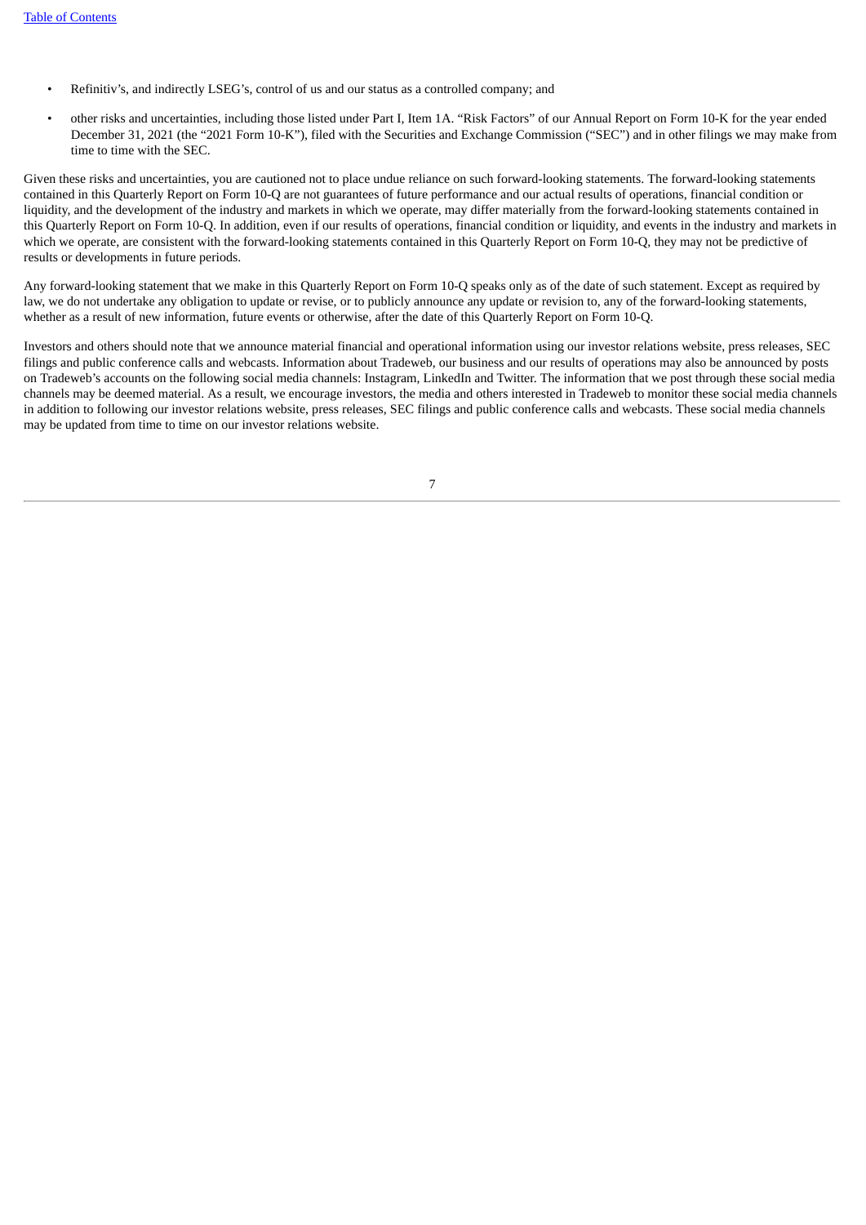- Refinitiv's, and indirectly LSEG's, control of us and our status as a controlled company; and
- other risks and uncertainties, including those listed under Part I, Item 1A. "Risk Factors" of our Annual Report on Form 10-K for the year ended December 31, 2021 (the "2021 Form 10-K"), filed with the Securities and Exchange Commission ("SEC") and in other filings we may make from time to time with the SEC.

Given these risks and uncertainties, you are cautioned not to place undue reliance on such forward-looking statements. The forward-looking statements contained in this Quarterly Report on Form 10-Q are not guarantees of future performance and our actual results of operations, financial condition or liquidity, and the development of the industry and markets in which we operate, may differ materially from the forward-looking statements contained in this Quarterly Report on Form 10-Q. In addition, even if our results of operations, financial condition or liquidity, and events in the industry and markets in which we operate, are consistent with the forward-looking statements contained in this Quarterly Report on Form 10-Q, they may not be predictive of results or developments in future periods.

Any forward-looking statement that we make in this Quarterly Report on Form 10-Q speaks only as of the date of such statement. Except as required by law, we do not undertake any obligation to update or revise, or to publicly announce any update or revision to, any of the forward-looking statements, whether as a result of new information, future events or otherwise, after the date of this Quarterly Report on Form 10-Q.

<span id="page-6-0"></span>Investors and others should note that we announce material financial and operational information using our investor relations website, press releases, SEC filings and public conference calls and webcasts. Information about Tradeweb, our business and our results of operations may also be announced by posts on Tradeweb's accounts on the following social media channels: Instagram, LinkedIn and Twitter. The information that we post through these social media channels may be deemed material. As a result, we encourage investors, the media and others interested in Tradeweb to monitor these social media channels in addition to following our investor relations website, press releases, SEC filings and public conference calls and webcasts. These social media channels may be updated from time to time on our investor relations website.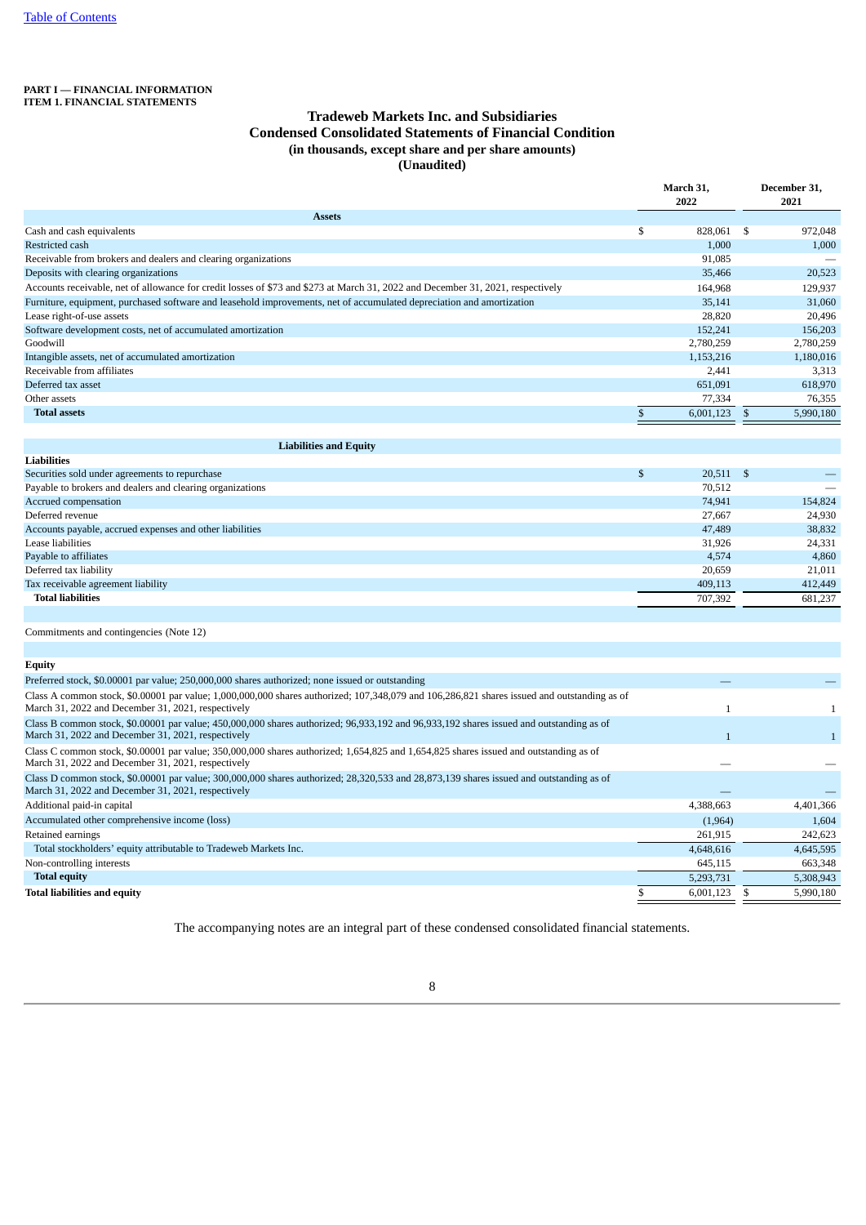#### <span id="page-7-1"></span><span id="page-7-0"></span>**PART I — FINANCIAL INFORMATION ITEM 1. FINANCIAL STATEMENTS**

# **Tradeweb Markets Inc. and Subsidiaries Condensed Consolidated Statements of Financial Condition (in thousands, except share and per share amounts) (Unaudited)**

|                                                                                                                                                                                                   |                | March 31,<br>2022 |               | December 31,<br>2021 |
|---------------------------------------------------------------------------------------------------------------------------------------------------------------------------------------------------|----------------|-------------------|---------------|----------------------|
| <b>Assets</b>                                                                                                                                                                                     |                |                   |               |                      |
| Cash and cash equivalents                                                                                                                                                                         | \$             | 828,061           | -\$           | 972,048              |
| Restricted cash                                                                                                                                                                                   |                | 1,000             |               | 1,000                |
| Receivable from brokers and dealers and clearing organizations                                                                                                                                    |                | 91,085            |               |                      |
| Deposits with clearing organizations                                                                                                                                                              |                | 35,466            |               | 20,523               |
| Accounts receivable, net of allowance for credit losses of \$73 and \$273 at March 31, 2022 and December 31, 2021, respectively                                                                   |                | 164,968           |               | 129,937              |
| Furniture, equipment, purchased software and leasehold improvements, net of accumulated depreciation and amortization                                                                             |                | 35,141            |               | 31,060               |
| Lease right-of-use assets                                                                                                                                                                         |                | 28,820            |               | 20,496               |
| Software development costs, net of accumulated amortization                                                                                                                                       |                | 152,241           |               | 156,203              |
| Goodwill                                                                                                                                                                                          |                | 2,780,259         |               | 2,780,259            |
| Intangible assets, net of accumulated amortization                                                                                                                                                |                | 1,153,216         |               | 1,180,016            |
| Receivable from affiliates                                                                                                                                                                        |                | 2,441             |               | 3,313                |
| Deferred tax asset                                                                                                                                                                                |                | 651,091           |               | 618,970              |
| Other assets                                                                                                                                                                                      |                | 77,334            |               | 76,355               |
| <b>Total assets</b>                                                                                                                                                                               | $\mathbb{S}$   | 6,001,123         | \$            | 5,990,180            |
|                                                                                                                                                                                                   |                |                   |               |                      |
| <b>Liabilities and Equity</b>                                                                                                                                                                     |                |                   |               |                      |
| <b>Liabilities</b>                                                                                                                                                                                |                |                   |               |                      |
| Securities sold under agreements to repurchase                                                                                                                                                    | $\mathfrak{s}$ | 20,511            | <sup>\$</sup> |                      |
| Payable to brokers and dealers and clearing organizations                                                                                                                                         |                | 70,512            |               |                      |
| Accrued compensation                                                                                                                                                                              |                | 74,941            |               | 154,824              |
| Deferred revenue                                                                                                                                                                                  |                | 27,667            |               | 24,930               |
| Accounts payable, accrued expenses and other liabilities                                                                                                                                          |                | 47,489            |               | 38,832               |
| Lease liabilities                                                                                                                                                                                 |                | 31,926            |               | 24,331               |
| Payable to affiliates                                                                                                                                                                             |                | 4,574             |               | 4,860                |
| Deferred tax liability                                                                                                                                                                            |                | 20,659            |               | 21.011               |
| Tax receivable agreement liability                                                                                                                                                                |                | 409,113           |               | 412,449              |
| <b>Total liabilities</b>                                                                                                                                                                          |                | 707,392           |               | 681,237              |
| Commitments and contingencies (Note 12)                                                                                                                                                           |                |                   |               |                      |
| Equity                                                                                                                                                                                            |                |                   |               |                      |
|                                                                                                                                                                                                   |                |                   |               |                      |
| Preferred stock, \$0.00001 par value; 250,000,000 shares authorized; none issued or outstanding                                                                                                   |                |                   |               |                      |
| Class A common stock, \$0.00001 par value; 1,000,000,000 shares authorized; 107,348,079 and 106,286,821 shares issued and outstanding as of<br>March 31, 2022 and December 31, 2021, respectively |                | $\mathbf{1}$      |               | $\mathbf{1}$         |
| Class B common stock, \$0.00001 par value; 450,000,000 shares authorized; 96,933,192 and 96,933,192 shares issued and outstanding as of<br>March 31, 2022 and December 31, 2021, respectively     |                | $\overline{1}$    |               | $\mathbf{1}$         |
| Class C common stock, \$0.00001 par value; 350,000,000 shares authorized; 1,654,825 and 1,654,825 shares issued and outstanding as of<br>March 31, 2022 and December 31, 2021, respectively       |                |                   |               |                      |
| Class D common stock, \$0.00001 par value; 300,000,000 shares authorized; 28,320,533 and 28,873,139 shares issued and outstanding as of<br>March 31, 2022 and December 31, 2021, respectively     |                |                   |               |                      |
| Additional paid-in capital                                                                                                                                                                        |                | 4,388,663         |               | 4,401,366            |
| Accumulated other comprehensive income (loss)                                                                                                                                                     |                | (1,964)           |               | 1,604                |
| Retained earnings                                                                                                                                                                                 |                | 261,915           |               | 242,623              |
| Total stockholders' equity attributable to Tradeweb Markets Inc.                                                                                                                                  |                | 4,648,616         |               | 4,645,595            |
| Non-controlling interests                                                                                                                                                                         |                | 645,115           |               | 663,348              |
| <b>Total equity</b>                                                                                                                                                                               |                | 5,293,731         |               | 5,308,943            |
| <b>Total liabilities and equity</b>                                                                                                                                                               | \$             | 6,001,123         | \$            | 5,990,180            |
|                                                                                                                                                                                                   |                |                   |               |                      |

<span id="page-7-2"></span>The accompanying notes are an integral part of these condensed consolidated financial statements.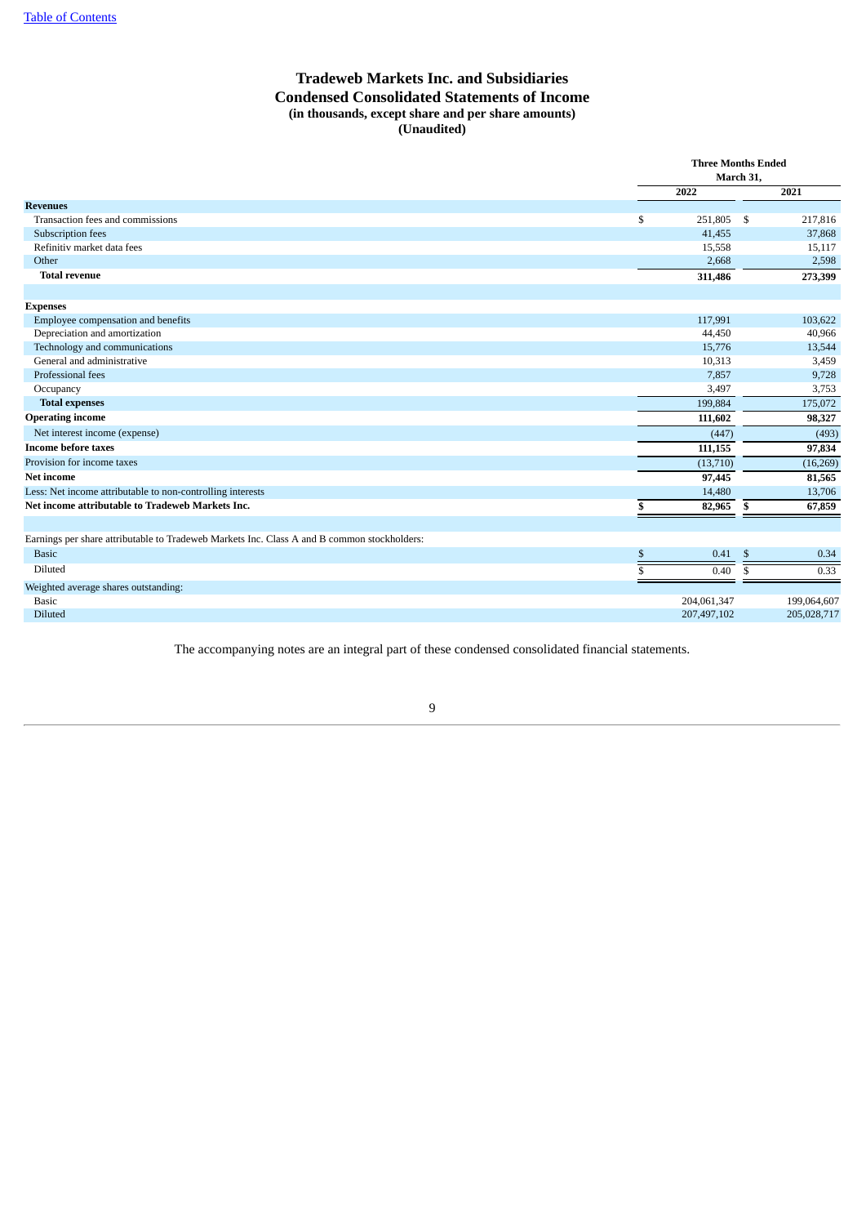# **Tradeweb Markets Inc. and Subsidiaries Condensed Consolidated Statements of Income (in thousands, except share and per share amounts) (Unaudited)**

|                                                                                             |     | <b>Three Months Ended</b><br>March 31, |    |             |  |  |
|---------------------------------------------------------------------------------------------|-----|----------------------------------------|----|-------------|--|--|
|                                                                                             |     | 2022                                   |    | 2021        |  |  |
| <b>Revenues</b>                                                                             |     |                                        |    |             |  |  |
| Transaction fees and commissions                                                            | \$  | 251,805                                | \$ | 217,816     |  |  |
| Subscription fees                                                                           |     | 41,455                                 |    | 37,868      |  |  |
| Refinitiv market data fees                                                                  |     | 15,558                                 |    | 15,117      |  |  |
| Other                                                                                       |     | 2,668                                  |    | 2,598       |  |  |
| <b>Total revenue</b>                                                                        |     | 311,486                                |    | 273,399     |  |  |
|                                                                                             |     |                                        |    |             |  |  |
| <b>Expenses</b>                                                                             |     |                                        |    |             |  |  |
| Employee compensation and benefits                                                          |     | 117,991                                |    | 103,622     |  |  |
| Depreciation and amortization                                                               |     | 44,450                                 |    | 40,966      |  |  |
| Technology and communications                                                               |     | 15,776                                 |    | 13,544      |  |  |
| General and administrative                                                                  |     | 10,313                                 |    | 3,459       |  |  |
| Professional fees                                                                           |     | 7,857                                  |    | 9,728       |  |  |
| Occupancy                                                                                   |     | 3,497                                  |    | 3,753       |  |  |
| <b>Total expenses</b>                                                                       |     | 199,884                                |    | 175,072     |  |  |
| <b>Operating income</b>                                                                     |     | 111,602                                |    | 98,327      |  |  |
| Net interest income (expense)                                                               |     | (447)                                  |    | (493)       |  |  |
| <b>Income before taxes</b>                                                                  |     | 111,155                                |    | 97,834      |  |  |
| Provision for income taxes                                                                  |     | (13,710)                               |    | (16, 269)   |  |  |
| <b>Net income</b>                                                                           |     | 97,445                                 |    | 81,565      |  |  |
| Less: Net income attributable to non-controlling interests                                  |     | 14,480                                 |    | 13,706      |  |  |
| Net income attributable to Tradeweb Markets Inc.                                            | S   | 82,965                                 | \$ | 67,859      |  |  |
|                                                                                             |     |                                        |    |             |  |  |
| Earnings per share attributable to Tradeweb Markets Inc. Class A and B common stockholders: |     |                                        |    |             |  |  |
| <b>Basic</b>                                                                                | \$  | 0.41                                   | \$ | 0.34        |  |  |
| Diluted                                                                                     | \$. | 0.40                                   | \$ | 0.33        |  |  |
| Weighted average shares outstanding:                                                        |     |                                        |    |             |  |  |
| <b>Basic</b>                                                                                |     | 204,061,347                            |    | 199,064,607 |  |  |
| Diluted                                                                                     |     | 207,497,102                            |    | 205,028,717 |  |  |
|                                                                                             |     |                                        |    |             |  |  |

<span id="page-8-0"></span>The accompanying notes are an integral part of these condensed consolidated financial statements.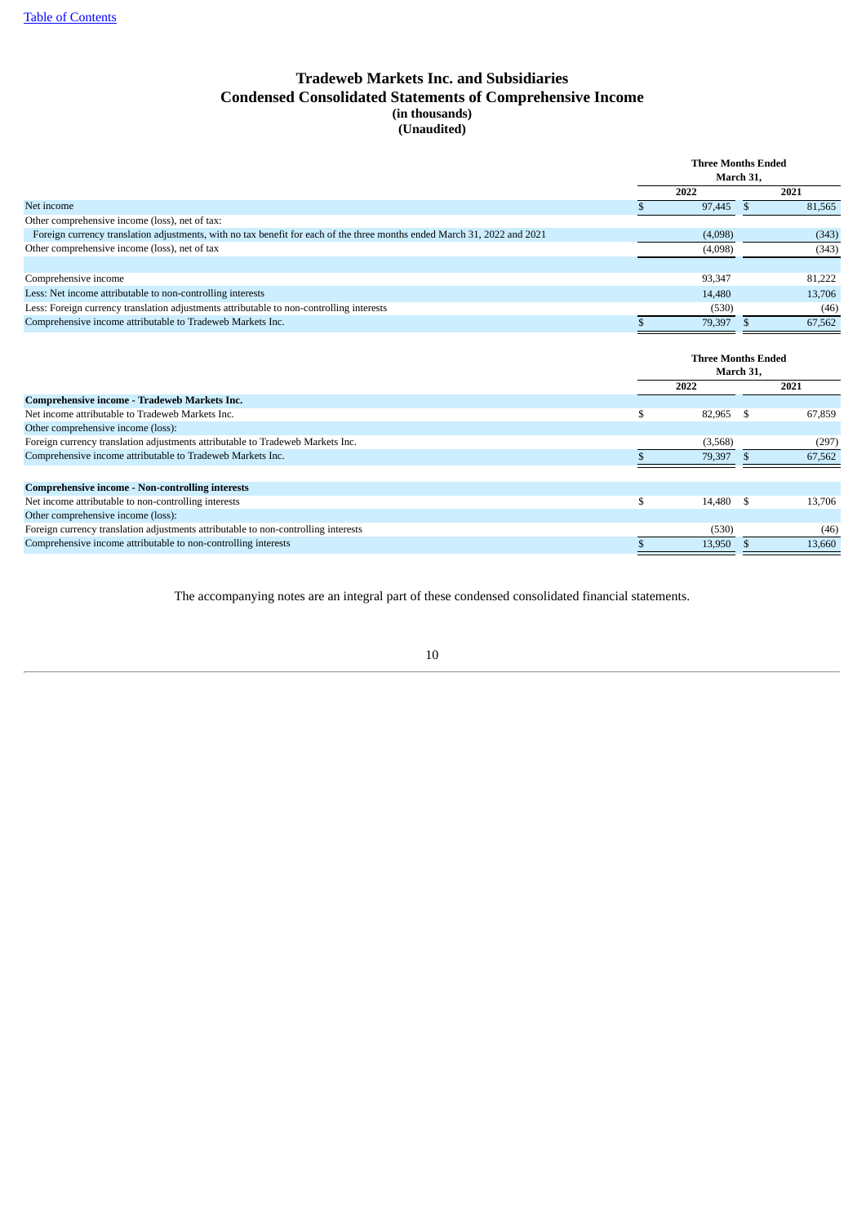# **Tradeweb Markets Inc. and Subsidiaries Condensed Consolidated Statements of Comprehensive Income (in thousands) (Unaudited)**

| 2022    | 2021                                   |
|---------|----------------------------------------|
| 97,445  | 81,565                                 |
|         |                                        |
| (4,098) | (343)                                  |
| (4,098) | (343)                                  |
|         |                                        |
| 93.347  | 81,222                                 |
| 14,480  | 13,706                                 |
| (530)   | (46)                                   |
| 79.397  | 67,562                                 |
|         | <b>Three Months Ended</b><br>March 31. |

|                                                                                    | <b>Three Months Ended</b><br>March 31, |           |  |        |  |  |
|------------------------------------------------------------------------------------|----------------------------------------|-----------|--|--------|--|--|
|                                                                                    |                                        | 2022      |  | 2021   |  |  |
| Comprehensive income - Tradeweb Markets Inc.                                       |                                        |           |  |        |  |  |
| Net income attributable to Tradeweb Markets Inc.                                   |                                        | 82,965 \$ |  | 67,859 |  |  |
| Other comprehensive income (loss):                                                 |                                        |           |  |        |  |  |
| Foreign currency translation adjustments attributable to Tradeweb Markets Inc.     |                                        | (3,568)   |  | (297)  |  |  |
| Comprehensive income attributable to Tradeweb Markets Inc.                         |                                        | 79,397    |  | 67,562 |  |  |
|                                                                                    |                                        |           |  |        |  |  |
| <b>Comprehensive income - Non-controlling interests</b>                            |                                        |           |  |        |  |  |
| Net income attributable to non-controlling interests                               |                                        | 14,480 \$ |  | 13,706 |  |  |
| Other comprehensive income (loss):                                                 |                                        |           |  |        |  |  |
| Foreign currency translation adjustments attributable to non-controlling interests |                                        | (530)     |  | (46)   |  |  |
| Comprehensive income attributable to non-controlling interests                     |                                        | 13,950    |  | 13,660 |  |  |

<span id="page-9-0"></span>The accompanying notes are an integral part of these condensed consolidated financial statements.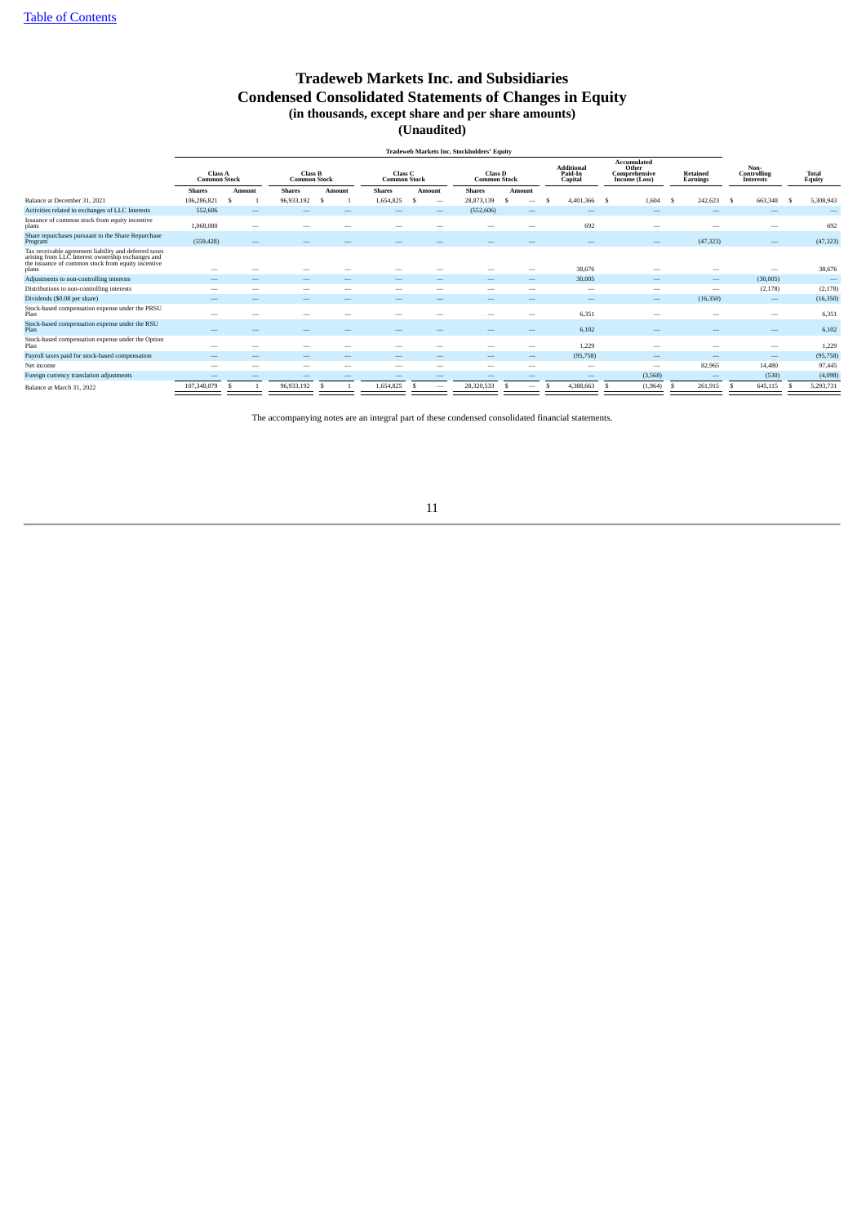# **Tradeweb Markets Inc. and Subsidiaries Condensed Consolidated Statements of Changes in Equity (in thousands, except share and per share amounts) (Unaudited)**

|                                                                                                                                                                           | Tradeweb Markets Inc. Stockholders' Equity |    |                          |                                       |  |                          |                                            |        |                                 |                                       |   |                          |                                         |     |                                                               |      |                                    |     |                                                |    |                                 |  |
|---------------------------------------------------------------------------------------------------------------------------------------------------------------------------|--------------------------------------------|----|--------------------------|---------------------------------------|--|--------------------------|--------------------------------------------|--------|---------------------------------|---------------------------------------|---|--------------------------|-----------------------------------------|-----|---------------------------------------------------------------|------|------------------------------------|-----|------------------------------------------------|----|---------------------------------|--|
|                                                                                                                                                                           | Class A<br><b>Common Stock</b>             |    |                          | <b>Class B</b><br><b>Common Stock</b> |  |                          | Class C<br><b>Common Stock</b>             |        |                                 | <b>Class D</b><br><b>Common Stock</b> |   |                          | <b>Additional</b><br>Paid-In<br>Capital |     | <b>Accumulated</b><br>Other<br>Comprehensive<br>Income (Loss) |      | <b>Retained</b><br><b>Earnings</b> |     | Non-<br><b>Controlling</b><br><b>Interests</b> |    | <b>Total</b><br>Equity          |  |
|                                                                                                                                                                           | <b>Shares</b>                              |    | Amount                   | <b>Shares</b>                         |  | <b>Amount</b>            | <b>Shares</b>                              | Amount |                                 | <b>Shares</b>                         |   | Amount                   |                                         |     |                                                               |      |                                    |     |                                                |    |                                 |  |
| Balance at December 31, 2021                                                                                                                                              | 106,286,821                                |    |                          | 96,933,192                            |  |                          | 1.654.825                                  |        | $\hspace{0.05cm}$               | 28,873,139                            | s | $\overline{\phantom{a}}$ | 4.401.366                               | -S  | 1.604                                                         | - S  | 242,623                            | - S | 663,348                                        | -9 | 5,308,943                       |  |
| Activities related to exchanges of LLC Interests                                                                                                                          | 552,606                                    |    | $\qquad \qquad$          |                                       |  |                          | $\qquad \qquad \overline{\qquad \qquad }%$ |        | $\hspace{0.05cm}$               | (552, 606)                            |   |                          | $\overline{\phantom{a}}$                |     | $\qquad \qquad$                                               |      | $\overline{\phantom{a}}$           |     | -                                              |    | $\hspace{0.1mm}-\hspace{0.1mm}$ |  |
| Issuance of common stock from equity incentive<br>plans                                                                                                                   | 1,068,080                                  |    | $\sim$                   |                                       |  |                          |                                            |        |                                 | -                                     |   | $\overline{\phantom{a}}$ | 692                                     |     | $\overline{\phantom{a}}$                                      |      | $\sim$                             |     | $\overline{\phantom{a}}$                       |    | 692                             |  |
| Share repurchases pursuant to the Share Repurchase<br>Program                                                                                                             | (559, 428)                                 |    | $\sim$                   |                                       |  |                          |                                            |        |                                 |                                       |   |                          |                                         |     | $\qquad \qquad - \qquad$                                      |      | (47, 323)                          |     | -                                              |    | (47, 323)                       |  |
| Tax receivable agreement liability and deferred taxes<br>arising from LLC Interest ownership exchanges and<br>the issuance of common stock from equity incentive<br>plans | $\sim$                                     |    |                          |                                       |  |                          | -                                          |        |                                 |                                       |   |                          | 38,676                                  |     |                                                               |      | $\sim$                             |     | $\overline{\phantom{a}}$                       |    | 38,676                          |  |
| Adjustments to non-controlling interests                                                                                                                                  | $\overline{\phantom{a}}$                   |    |                          | $\overline{\phantom{a}}$              |  | $\overline{\phantom{a}}$ | $\hspace{0.1mm}-\hspace{0.1mm}$            |        | $\hspace{0.1mm}-\hspace{0.1mm}$ | -                                     |   | $\qquad \qquad$          | 30,005                                  |     |                                                               |      | $\hspace{0.1mm}-\hspace{0.1mm}$    |     | (30,005)                                       |    | $\hspace{0.1mm}-\hspace{0.1mm}$ |  |
| Distributions to non-controlling interests                                                                                                                                | $\overline{\phantom{a}}$                   |    |                          | -                                     |  |                          | $\overline{\phantom{a}}$                   |        | -                               |                                       |   | $\overline{\phantom{a}}$ | $\hspace{0.05cm}$                       |     | $\overline{\phantom{a}}$                                      |      | $\hspace{0.05cm}$                  |     | (2, 178)                                       |    | (2, 178)                        |  |
| Dividends (\$0.08 per share)                                                                                                                                              | $\hspace{0.1mm}-\hspace{0.1mm}$            |    | $\overline{\phantom{a}}$ | $\overline{\phantom{a}}$              |  | $\sim$                   | $\hspace{0.1mm}-\hspace{0.1mm}$            |        | $\hspace{0.1mm}-\hspace{0.1mm}$ | $\overline{\phantom{a}}$              |   | $\qquad \qquad$          | $\hspace{0.1mm}-\hspace{0.1mm}$         |     | $\hspace{0.1mm}-\hspace{0.1mm}$                               |      | (16, 350)                          |     | $\hspace{0.1mm}-\hspace{0.1mm}$                |    | (16, 350)                       |  |
| Stock-based compensation expense under the PRSU Plan                                                                                                                      | $\overline{\phantom{a}}$                   |    |                          |                                       |  |                          | $\overline{\phantom{a}}$                   |        |                                 | -                                     |   | $\overline{\phantom{a}}$ | 6,351                                   |     | $\overline{\phantom{a}}$                                      |      | $\overline{\phantom{a}}$           |     | $\overline{\phantom{a}}$                       |    | 6,351                           |  |
| Stock-based compensation expense under the RSU Plan                                                                                                                       | $\overline{\phantom{a}}$                   |    |                          |                                       |  |                          |                                            |        |                                 |                                       |   | -                        | 6,102                                   |     |                                                               |      |                                    |     | -                                              |    | 6,102                           |  |
| Stock-based compensation expense under the Option<br>Plan                                                                                                                 | $\hspace{0.05cm}$                          |    |                          |                                       |  |                          |                                            |        |                                 |                                       |   |                          | 1,229                                   |     | -                                                             |      | $\sim$                             |     |                                                |    | 1,229                           |  |
| Payroll taxes paid for stock-based compensation                                                                                                                           | $\hspace{0.1mm}-\hspace{0.1mm}$            |    | -                        | $\overline{\phantom{a}}$              |  |                          | $\hspace{0.1mm}-\hspace{0.1mm}$            |        | $\hspace{0.1mm}-\hspace{0.1mm}$ | -                                     |   |                          | (95, 758)                               |     | $\qquad \qquad - \qquad$                                      |      | $\hspace{0.1mm}-\hspace{0.1mm}$    |     | $\hspace{0.05cm}$                              |    | (95, 758)                       |  |
| Net income                                                                                                                                                                | $\sim$                                     |    |                          | $\overline{\phantom{a}}$              |  |                          | $\hspace{0.05cm}$                          |        |                                 |                                       |   | $\overline{\phantom{a}}$ | $\hspace{0.05cm}$                       |     |                                                               |      | 82,965                             |     | 14,480                                         |    | 97,445                          |  |
| Foreign currency translation adjustments                                                                                                                                  | $\hspace{0.1mm}-\hspace{0.1mm}$            |    | $\overline{\phantom{a}}$ | $\overline{\phantom{a}}$              |  | $\overline{\phantom{a}}$ | $\hspace{0.1mm}-\hspace{0.1mm}$            |        | $\hspace{0.1mm}-\hspace{0.1mm}$ | -                                     |   |                          | $\qquad \qquad - \qquad$                |     | (3, 568)                                                      |      | $\hspace{0.1mm}-\hspace{0.1mm}$    |     | (530)                                          |    | (4,098)                         |  |
| Balance at March 31, 2022                                                                                                                                                 | 107,348,079                                | -5 |                          | 96,933,192                            |  |                          | 1,654,825                                  |        | $\hspace{0.05cm}$               | 28,320,533                            |   |                          | 4,388,663                               | - 5 | (1,964)                                                       | - \$ | 261,915                            |     | 645,115                                        |    | 5,293,731                       |  |

The accompanying notes are an integral part of these condensed consolidated financial statements.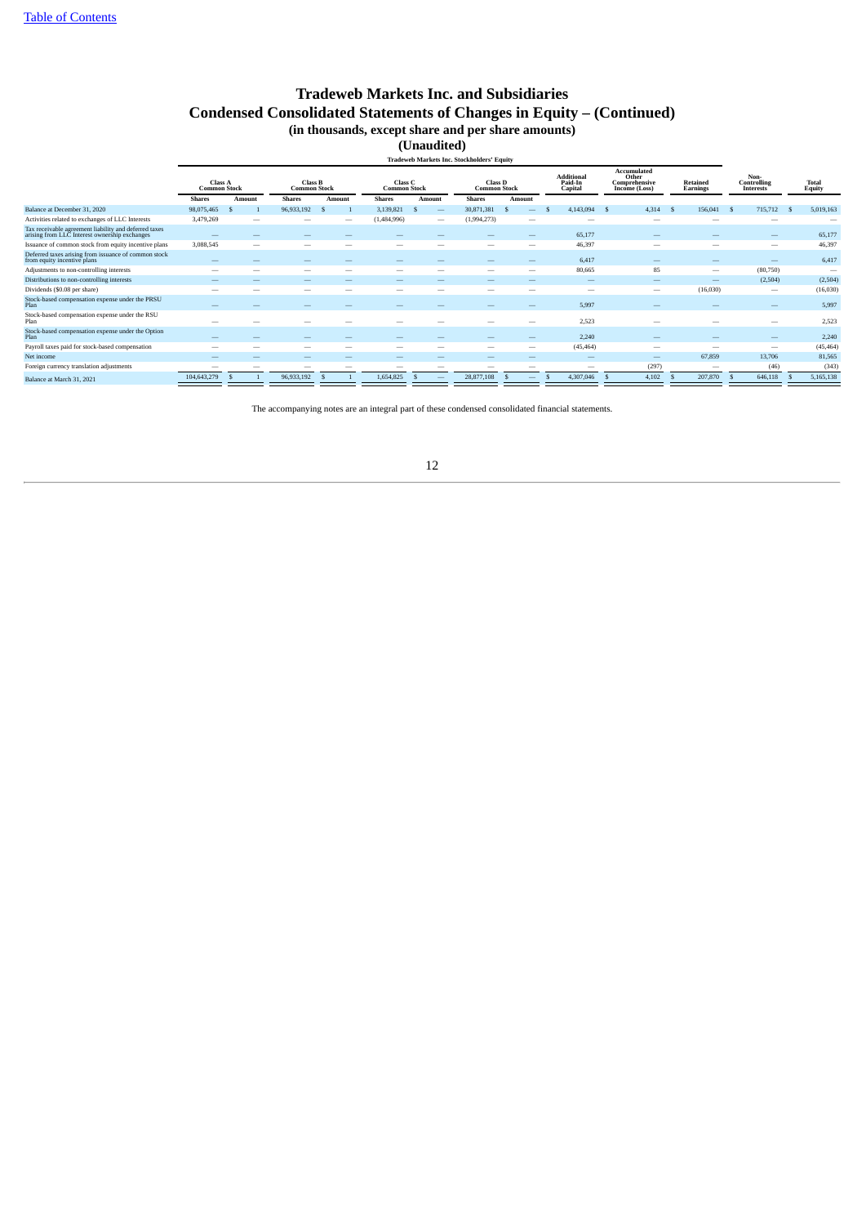# **Tradeweb Markets Inc. and Subsidiaries Condensed Consolidated Statements of Changes in Equity – (Continued) (in thousands, except share and per share amounts)**

# **(Unaudited)**

**Tradeweb Markets Inc. Stockholders' Equity**

|                                                                                                        | Class A<br><b>Common Stock</b> |                          | Class B<br><b>Common Stock</b> |                          | Class C<br><b>Common Stock</b> |                   | <b>Class D</b><br><b>Common Stock</b> |                          | <b>Additional</b><br>Paid-In<br>Capital | <b>Accumulated</b><br>Other<br>Comprehensive<br>Income (Loss) | <b>Retained</b><br><b>Earnings</b> | Non-<br><b>Controlling</b><br><b>Interests</b> | <b>Total</b><br>Equity   |  |
|--------------------------------------------------------------------------------------------------------|--------------------------------|--------------------------|--------------------------------|--------------------------|--------------------------------|-------------------|---------------------------------------|--------------------------|-----------------------------------------|---------------------------------------------------------------|------------------------------------|------------------------------------------------|--------------------------|--|
|                                                                                                        | <b>Shares</b>                  | Amount                   | <b>Shares</b>                  | Amount                   | <b>Shares</b>                  | Amount            | <b>Shares</b>                         | Amount                   |                                         |                                                               |                                    |                                                |                          |  |
| Balance at December 31, 2020                                                                           | 98,075,465                     |                          | 96,933,192                     | s                        | 3,139,821                      | $\qquad \qquad$   | 30,871,381                            |                          | 4,143,094                               | 4,314<br>- S                                                  | 156,041<br>- \$                    | 715,712<br>- 5                                 | 5,019,163                |  |
| Activities related to exchanges of LLC Interests                                                       | 3,479,269                      | $\overline{\phantom{a}}$ | $\overline{\phantom{a}}$       | $\overline{\phantom{a}}$ | (1,484,996)                    | $\hspace{0.05cm}$ | (1,994,273)                           | $\overline{\phantom{a}}$ | $\overline{\phantom{a}}$                | -                                                             | $\sim$                             | $\overline{\phantom{a}}$                       | $\overline{\phantom{a}}$ |  |
| Tax receivable agreement liability and deferred taxes<br>arising from LLC Interest ownership exchanges | $\overline{\phantom{a}}$       |                          |                                |                          |                                |                   |                                       |                          | 65,177                                  |                                                               |                                    | $\overline{\phantom{a}}$                       | 65,177                   |  |
| Issuance of common stock from equity incentive plans                                                   | 3,088,545                      | $\sim$                   | $\overline{\phantom{a}}$       |                          | $\overline{\phantom{a}}$       |                   |                                       | $\sim$                   | 46,397                                  | -                                                             | $\sim$                             | $\sim$                                         | 46,397                   |  |
| Deferred taxes arising from issuance of common stock<br>from equity incentive plans                    | $\qquad \qquad$                |                          | $\overline{\phantom{a}}$       |                          | $\overline{\phantom{a}}$       | -                 |                                       | $\overline{\phantom{a}}$ | 6,417                                   | -                                                             | $\overline{\phantom{a}}$           | $\overline{\phantom{a}}$                       | 6,417                    |  |
| Adjustments to non-controlling interests                                                               | $\sim$                         |                          | $\overline{\phantom{a}}$       | --                       | $\overline{\phantom{a}}$       |                   |                                       | $\sim$                   | 80,665                                  | 85                                                            | $\hspace{0.05cm}$                  | (80, 750)                                      | $\sim$                   |  |
| Distributions to non-controlling interests                                                             | $-$                            |                          |                                | $-$                      | $\hspace{0.05cm}$              | -                 | $\overline{\phantom{a}}$              | $\overline{\phantom{a}}$ | $\qquad \qquad - \qquad$                | $\qquad \qquad \overline{\qquad \qquad }$                     | $\hspace{0.1mm}-\hspace{0.1mm}$    | (2,504)                                        | (2,504)                  |  |
| Dividends (\$0.08 per share)                                                                           | $\sim$                         |                          |                                |                          | -                              |                   |                                       |                          | $\overline{\phantom{a}}$                | $\hspace{0.05cm}$                                             | (16,030)                           | $\hspace{0.05cm}$                              | (16, 030)                |  |
| $\operatorname{\mathsf{Stock\text{-}based}}$ compensation expense under the PRSU Plan                  | $\overline{\phantom{a}}$       |                          |                                |                          |                                |                   |                                       |                          | 5,997                                   | -                                                             |                                    |                                                | 5,997                    |  |
| Stock-based compensation expense under the RSU<br>Plan                                                 | $\sim$                         |                          |                                |                          |                                |                   |                                       |                          | 2,523                                   |                                                               |                                    | $\overline{\phantom{a}}$                       | 2,523                    |  |
| Stock-based compensation expense under the Option<br>Plan                                              | $\qquad \qquad$                |                          |                                |                          | $\overline{\phantom{a}}$       |                   |                                       | $\overline{\phantom{a}}$ | 2,240                                   |                                                               | $\overline{\phantom{a}}$           | $\overline{\phantom{a}}$                       | 2,240                    |  |
| Payroll taxes paid for stock-based compensation                                                        | $\overline{\phantom{a}}$       |                          | $\overline{\phantom{a}}$       | $\sim$                   | $\overline{\phantom{a}}$       | -                 | $\sim$                                | $\hspace{0.05cm}$        | (45, 464)                               | -                                                             | $\overline{\phantom{a}}$           |                                                | (45, 464)                |  |
| Net income                                                                                             | $\overline{\phantom{a}}$       |                          | -                              |                          | $\overline{\phantom{a}}$       |                   |                                       |                          | $\qquad \qquad - \qquad$                | $\hspace{0.1mm}-\hspace{0.1mm}$                               | 67,859                             | 13,706                                         | 81,565                   |  |
| Foreign currency translation adjustments                                                               | $\hspace{0.05cm}$              | $\hspace{0.05cm}$        | $\hspace{0.05cm}$              | $\hspace{0.05cm}$        | $\hspace{0.05cm}$              |                   | $\hspace{0.05cm}$                     | $\hspace{0.05cm}$        | $\hspace{0.05cm}$                       | (297)                                                         | $\hspace{0.05cm}$                  | (46)                                           | (343)                    |  |
| Balance at March 31, 2021                                                                              | 104,643,279                    |                          | 96,933,192                     |                          | 1,654,825                      | -                 | 28,877,108                            | $\qquad \qquad$          | 4,307,046                               | 4,102                                                         | 207,870                            | 646,118                                        | 5,165,138                |  |

<span id="page-11-0"></span>The accompanying notes are an integral part of these condensed consolidated financial statements.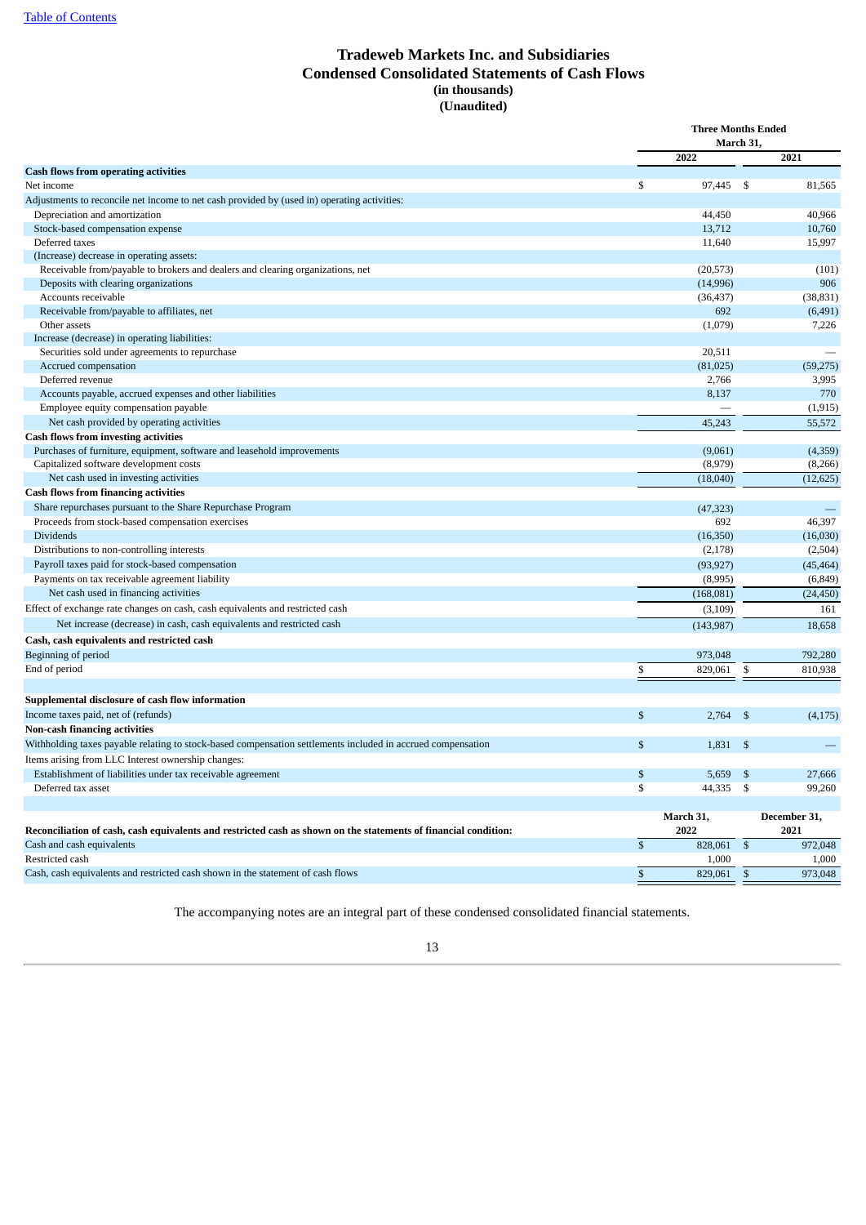# **Tradeweb Markets Inc. and Subsidiaries Condensed Consolidated Statements of Cash Flows (in thousands) (Unaudited)**

|                                                                                                                                              |                | <b>Three Months Ended</b><br>March 31, |                |              |  |
|----------------------------------------------------------------------------------------------------------------------------------------------|----------------|----------------------------------------|----------------|--------------|--|
|                                                                                                                                              |                | 2022                                   |                | 2021         |  |
| <b>Cash flows from operating activities</b>                                                                                                  |                |                                        |                |              |  |
| Net income                                                                                                                                   | \$             | 97,445 \$                              |                | 81,565       |  |
| Adjustments to reconcile net income to net cash provided by (used in) operating activities:                                                  |                |                                        |                |              |  |
| Depreciation and amortization                                                                                                                |                | 44,450                                 |                | 40,966       |  |
| Stock-based compensation expense                                                                                                             |                | 13,712                                 |                | 10,760       |  |
| Deferred taxes                                                                                                                               |                | 11,640                                 |                | 15,997       |  |
| (Increase) decrease in operating assets:                                                                                                     |                |                                        |                |              |  |
| Receivable from/payable to brokers and dealers and clearing organizations, net                                                               |                | (20, 573)                              |                | (101)        |  |
| Deposits with clearing organizations                                                                                                         |                | (14,996)                               |                | 906          |  |
| Accounts receivable                                                                                                                          |                | (36, 437)                              |                | (38, 831)    |  |
| Receivable from/payable to affiliates, net                                                                                                   |                | 692                                    |                | (6, 491)     |  |
| Other assets                                                                                                                                 |                | (1,079)                                |                | 7,226        |  |
| Increase (decrease) in operating liabilities:                                                                                                |                |                                        |                |              |  |
| Securities sold under agreements to repurchase                                                                                               |                | 20,511                                 |                |              |  |
| Accrued compensation                                                                                                                         |                | (81, 025)                              |                | (59, 275)    |  |
| Deferred revenue                                                                                                                             |                | 2,766                                  |                | 3,995        |  |
| Accounts payable, accrued expenses and other liabilities                                                                                     |                | 8,137                                  |                | 770          |  |
| Employee equity compensation payable                                                                                                         |                |                                        |                | (1, 915)     |  |
| Net cash provided by operating activities                                                                                                    |                | 45,243                                 |                | 55,572       |  |
| Cash flows from investing activities                                                                                                         |                |                                        |                |              |  |
| Purchases of furniture, equipment, software and leasehold improvements                                                                       |                | (9,061)                                |                | (4,359)      |  |
| Capitalized software development costs                                                                                                       |                | (8,979)                                |                | (8,266)      |  |
| Net cash used in investing activities                                                                                                        |                | (18,040)                               |                | (12, 625)    |  |
| <b>Cash flows from financing activities</b>                                                                                                  |                |                                        |                |              |  |
| Share repurchases pursuant to the Share Repurchase Program                                                                                   |                | (47, 323)                              |                |              |  |
| Proceeds from stock-based compensation exercises                                                                                             |                | 692                                    |                | 46,397       |  |
| Dividends                                                                                                                                    |                | (16, 350)                              |                | (16,030)     |  |
| Distributions to non-controlling interests                                                                                                   |                | (2,178)                                |                | (2,504)      |  |
| Payroll taxes paid for stock-based compensation                                                                                              |                | (93, 927)                              |                | (45, 464)    |  |
| Payments on tax receivable agreement liability                                                                                               |                | (8,995)                                |                | (6, 849)     |  |
| Net cash used in financing activities                                                                                                        |                | (168,081)                              |                | (24, 450)    |  |
| Effect of exchange rate changes on cash, cash equivalents and restricted cash                                                                |                | (3,109)                                |                | 161          |  |
| Net increase (decrease) in cash, cash equivalents and restricted cash                                                                        |                | (143, 987)                             |                | 18,658       |  |
| Cash, cash equivalents and restricted cash                                                                                                   |                |                                        |                |              |  |
| <b>Beginning of period</b>                                                                                                                   |                | 973,048                                |                | 792,280      |  |
| End of period                                                                                                                                | \$             | 829,061 \$                             |                | 810,938      |  |
|                                                                                                                                              |                |                                        |                |              |  |
| Supplemental disclosure of cash flow information                                                                                             |                |                                        |                |              |  |
| Income taxes paid, net of (refunds)                                                                                                          | \$             | 2,764                                  | $\mathfrak{s}$ | (4, 175)     |  |
| <b>Non-cash financing activities</b>                                                                                                         |                |                                        |                |              |  |
| Withholding taxes payable relating to stock-based compensation settlements included in accrued compensation                                  |                |                                        |                |              |  |
|                                                                                                                                              | \$             | 1,831                                  | \$             |              |  |
| Items arising from LLC Interest ownership changes:                                                                                           |                |                                        |                |              |  |
| Establishment of liabilities under tax receivable agreement                                                                                  | $\mathbb{S}$   | 5,659 \$                               |                | 27,666       |  |
| Deferred tax asset                                                                                                                           | \$             | 44,335 \$                              |                | 99,260       |  |
|                                                                                                                                              |                |                                        |                |              |  |
|                                                                                                                                              |                | March 31,<br>2022                      |                | December 31, |  |
| Reconciliation of cash, cash equivalents and restricted cash as shown on the statements of financial condition:<br>Cash and cash equivalents |                |                                        |                | 2021         |  |
|                                                                                                                                              | $\mathfrak{s}$ | $828,061$ \$                           |                | 972,048      |  |
| Restricted cash                                                                                                                              |                | 1,000                                  |                | 1,000        |  |
| Cash, cash equivalents and restricted cash shown in the statement of cash flows                                                              | $\mathbb{S}$   | 829,061 \$                             |                | 973,048      |  |

<span id="page-12-0"></span>The accompanying notes are an integral part of these condensed consolidated financial statements.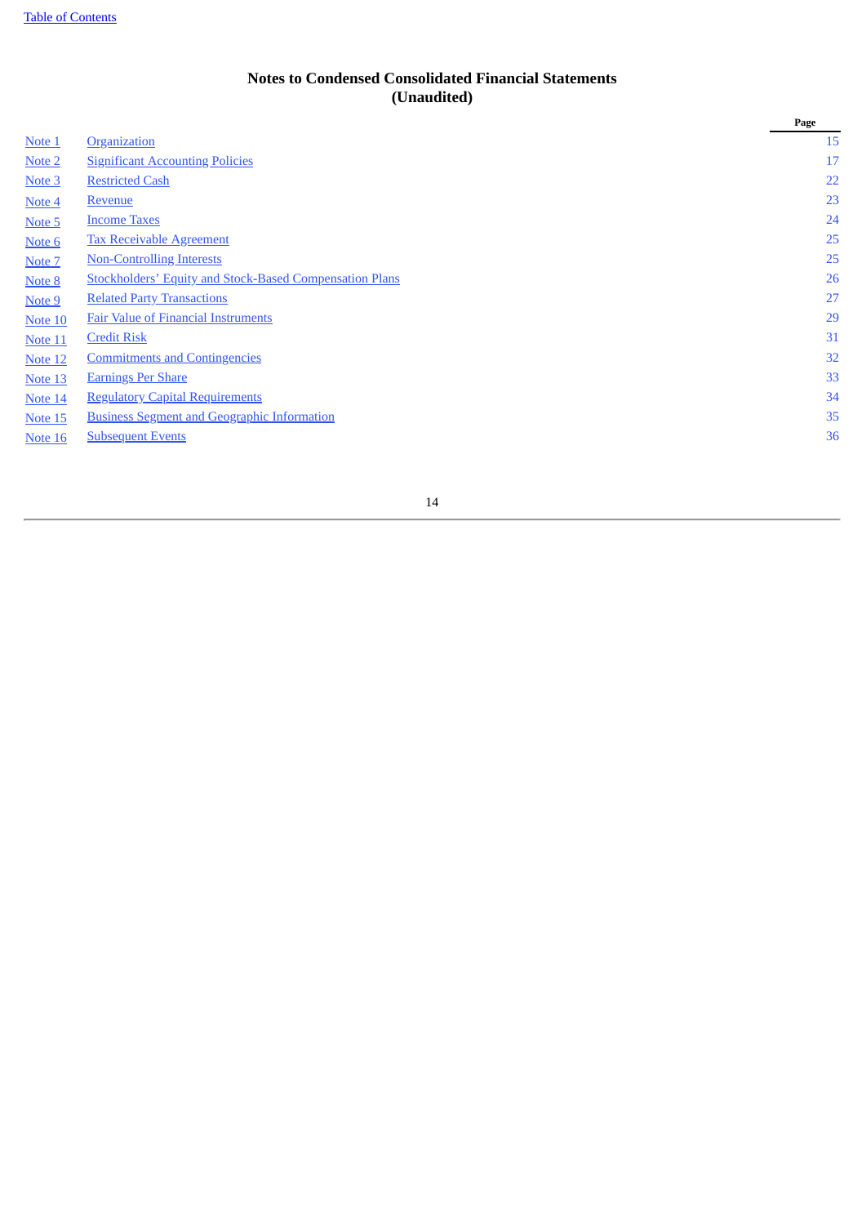# **Notes to Condensed Consolidated Financial Statements (Unaudited)**

<span id="page-13-0"></span>

|                |                                                                | Page |
|----------------|----------------------------------------------------------------|------|
| Note 1         | <b>Organization</b>                                            | 15   |
| Note 2         | <b>Significant Accounting Policies</b>                         | 17   |
| Note 3         | <b>Restricted Cash</b>                                         | 22   |
| Note 4         | Revenue                                                        | 23   |
| Note 5         | <b>Income Taxes</b>                                            | 24   |
| Note 6         | <b>Tax Receivable Agreement</b>                                | 25   |
| Note 7         | <b>Non-Controlling Interests</b>                               | 25   |
| Note 8         | <b>Stockholders' Equity and Stock-Based Compensation Plans</b> | 26   |
| Note 9         | <b>Related Party Transactions</b>                              | 27   |
| Note 10        | <b>Fair Value of Financial Instruments</b>                     | 29   |
| <b>Note 11</b> | <b>Credit Risk</b>                                             | 31   |
| Note 12        | <b>Commitments and Contingencies</b>                           | 32   |
| Note 13        | <b>Earnings Per Share</b>                                      | 33   |
| Note 14        | <b>Regulatory Capital Requirements</b>                         | 34   |
| Note 15        | <b>Business Segment and Geographic Information</b>             | 35   |
| Note 16        | <b>Subsequent Events</b>                                       | 36   |
|                |                                                                |      |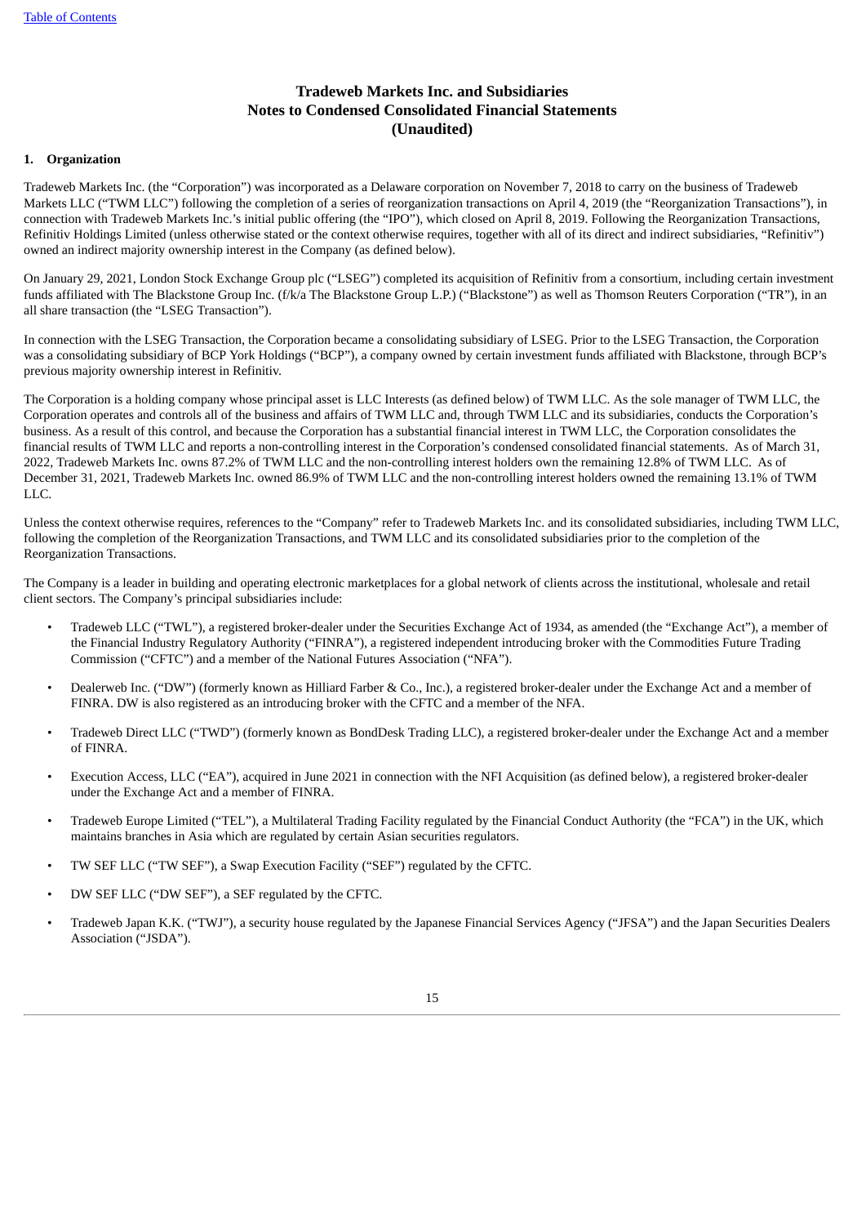# **Tradeweb Markets Inc. and Subsidiaries Notes to Condensed Consolidated Financial Statements (Unaudited)**

# **1. Organization**

Tradeweb Markets Inc. (the "Corporation") was incorporated as a Delaware corporation on November 7, 2018 to carry on the business of Tradeweb Markets LLC ("TWM LLC") following the completion of a series of reorganization transactions on April 4, 2019 (the "Reorganization Transactions"), in connection with Tradeweb Markets Inc.'s initial public offering (the "IPO"), which closed on April 8, 2019. Following the Reorganization Transactions, Refinitiv Holdings Limited (unless otherwise stated or the context otherwise requires, together with all of its direct and indirect subsidiaries, "Refinitiv") owned an indirect majority ownership interest in the Company (as defined below).

On January 29, 2021, London Stock Exchange Group plc ("LSEG") completed its acquisition of Refinitiv from a consortium, including certain investment funds affiliated with The Blackstone Group Inc. (f/k/a The Blackstone Group L.P.) ("Blackstone") as well as Thomson Reuters Corporation ("TR"), in an all share transaction (the "LSEG Transaction").

In connection with the LSEG Transaction, the Corporation became a consolidating subsidiary of LSEG. Prior to the LSEG Transaction, the Corporation was a consolidating subsidiary of BCP York Holdings ("BCP"), a company owned by certain investment funds affiliated with Blackstone, through BCP's previous majority ownership interest in Refinitiv.

The Corporation is a holding company whose principal asset is LLC Interests (as defined below) of TWM LLC. As the sole manager of TWM LLC, the Corporation operates and controls all of the business and affairs of TWM LLC and, through TWM LLC and its subsidiaries, conducts the Corporation's business. As a result of this control, and because the Corporation has a substantial financial interest in TWM LLC, the Corporation consolidates the financial results of TWM LLC and reports a non-controlling interest in the Corporation's condensed consolidated financial statements. As of March 31, 2022, Tradeweb Markets Inc. owns 87.2% of TWM LLC and the non-controlling interest holders own the remaining 12.8% of TWM LLC. As of December 31, 2021, Tradeweb Markets Inc. owned 86.9% of TWM LLC and the non-controlling interest holders owned the remaining 13.1% of TWM LLC.

Unless the context otherwise requires, references to the "Company" refer to Tradeweb Markets Inc. and its consolidated subsidiaries, including TWM LLC, following the completion of the Reorganization Transactions, and TWM LLC and its consolidated subsidiaries prior to the completion of the Reorganization Transactions.

The Company is a leader in building and operating electronic marketplaces for a global network of clients across the institutional, wholesale and retail client sectors. The Company's principal subsidiaries include:

- Tradeweb LLC ("TWL"), a registered broker-dealer under the Securities Exchange Act of 1934, as amended (the "Exchange Act"), a member of the Financial Industry Regulatory Authority ("FINRA"), a registered independent introducing broker with the Commodities Future Trading Commission ("CFTC") and a member of the National Futures Association ("NFA").
- Dealerweb Inc. ("DW") (formerly known as Hilliard Farber & Co., Inc.), a registered broker-dealer under the Exchange Act and a member of FINRA. DW is also registered as an introducing broker with the CFTC and a member of the NFA.
- Tradeweb Direct LLC ("TWD") (formerly known as BondDesk Trading LLC), a registered broker-dealer under the Exchange Act and a member of FINRA.
- Execution Access, LLC ("EA"), acquired in June 2021 in connection with the NFI Acquisition (as defined below), a registered broker-dealer under the Exchange Act and a member of FINRA.
- Tradeweb Europe Limited ("TEL"), a Multilateral Trading Facility regulated by the Financial Conduct Authority (the "FCA") in the UK, which maintains branches in Asia which are regulated by certain Asian securities regulators.
- TW SEF LLC ("TW SEF"), a Swap Execution Facility ("SEF") regulated by the CFTC.
- DW SEF LLC ("DW SEF"), a SEF regulated by the CFTC.
- Tradeweb Japan K.K. ("TWJ"), a security house regulated by the Japanese Financial Services Agency ("JFSA") and the Japan Securities Dealers Association ("JSDA").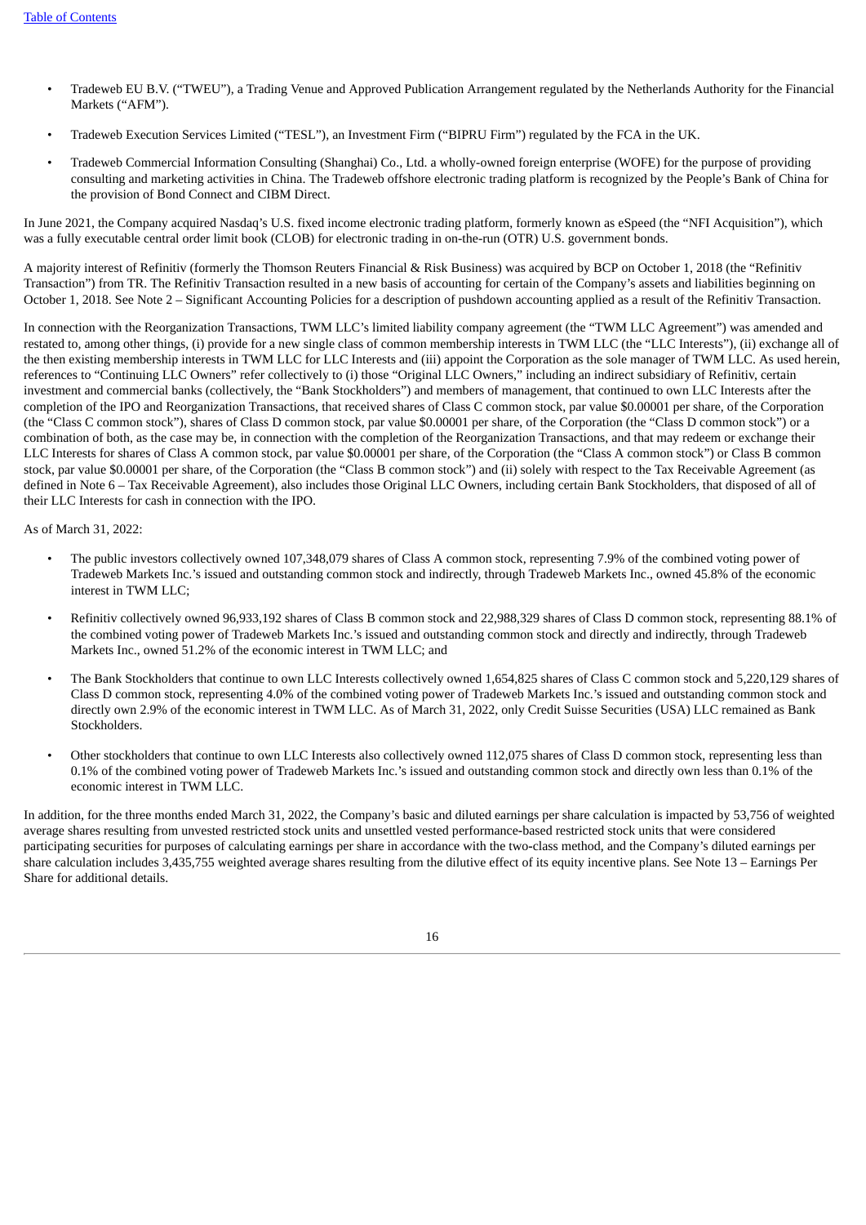- Tradeweb EU B.V. ("TWEU"), a Trading Venue and Approved Publication Arrangement regulated by the Netherlands Authority for the Financial Markets ("AFM").
- Tradeweb Execution Services Limited ("TESL"), an Investment Firm ("BIPRU Firm") regulated by the FCA in the UK.
- Tradeweb Commercial Information Consulting (Shanghai) Co., Ltd. a wholly-owned foreign enterprise (WOFE) for the purpose of providing consulting and marketing activities in China. The Tradeweb offshore electronic trading platform is recognized by the People's Bank of China for the provision of Bond Connect and CIBM Direct.

In June 2021, the Company acquired Nasdaq's U.S. fixed income electronic trading platform, formerly known as eSpeed (the "NFI Acquisition"), which was a fully executable central order limit book (CLOB) for electronic trading in on-the-run (OTR) U.S. government bonds.

A majority interest of Refinitiv (formerly the Thomson Reuters Financial & Risk Business) was acquired by BCP on October 1, 2018 (the "Refinitiv Transaction") from TR. The Refinitiv Transaction resulted in a new basis of accounting for certain of the Company's assets and liabilities beginning on October 1, 2018. See Note 2 – Significant Accounting Policies for a description of pushdown accounting applied as a result of the Refinitiv Transaction.

In connection with the Reorganization Transactions, TWM LLC's limited liability company agreement (the "TWM LLC Agreement") was amended and restated to, among other things, (i) provide for a new single class of common membership interests in TWM LLC (the "LLC Interests"), (ii) exchange all of the then existing membership interests in TWM LLC for LLC Interests and (iii) appoint the Corporation as the sole manager of TWM LLC. As used herein, references to "Continuing LLC Owners" refer collectively to (i) those "Original LLC Owners," including an indirect subsidiary of Refinitiv, certain investment and commercial banks (collectively, the "Bank Stockholders") and members of management, that continued to own LLC Interests after the completion of the IPO and Reorganization Transactions, that received shares of Class C common stock, par value \$0.00001 per share, of the Corporation (the "Class C common stock"), shares of Class D common stock, par value \$0.00001 per share, of the Corporation (the "Class D common stock") or a combination of both, as the case may be, in connection with the completion of the Reorganization Transactions, and that may redeem or exchange their LLC Interests for shares of Class A common stock, par value \$0.00001 per share, of the Corporation (the "Class A common stock") or Class B common stock, par value \$0.00001 per share, of the Corporation (the "Class B common stock") and (ii) solely with respect to the Tax Receivable Agreement (as defined in Note 6 – Tax Receivable Agreement), also includes those Original LLC Owners, including certain Bank Stockholders, that disposed of all of their LLC Interests for cash in connection with the IPO.

As of March 31, 2022:

- The public investors collectively owned 107,348,079 shares of Class A common stock, representing 7.9% of the combined voting power of Tradeweb Markets Inc.'s issued and outstanding common stock and indirectly, through Tradeweb Markets Inc., owned 45.8% of the economic interest in TWM LLC;
- Refinitiv collectively owned 96,933,192 shares of Class B common stock and 22,988,329 shares of Class D common stock, representing 88.1% of the combined voting power of Tradeweb Markets Inc.'s issued and outstanding common stock and directly and indirectly, through Tradeweb Markets Inc., owned 51.2% of the economic interest in TWM LLC; and
- The Bank Stockholders that continue to own LLC Interests collectively owned 1,654,825 shares of Class C common stock and 5,220,129 shares of Class D common stock, representing 4.0% of the combined voting power of Tradeweb Markets Inc.'s issued and outstanding common stock and directly own 2.9% of the economic interest in TWM LLC. As of March 31, 2022, only Credit Suisse Securities (USA) LLC remained as Bank Stockholders.
- Other stockholders that continue to own LLC Interests also collectively owned 112,075 shares of Class D common stock, representing less than 0.1% of the combined voting power of Tradeweb Markets Inc.'s issued and outstanding common stock and directly own less than 0.1% of the economic interest in TWM LLC.

<span id="page-15-0"></span>In addition, for the three months ended March 31, 2022, the Company's basic and diluted earnings per share calculation is impacted by 53,756 of weighted average shares resulting from unvested restricted stock units and unsettled vested performance**-**based restricted stock units that were considered participating securities for purposes of calculating earnings per share in accordance with the two**-**class method, and the Company's diluted earnings per share calculation includes 3,435,755 weighted average shares resulting from the dilutive effect of its equity incentive plans. See Note 13 – Earnings Per Share for additional details.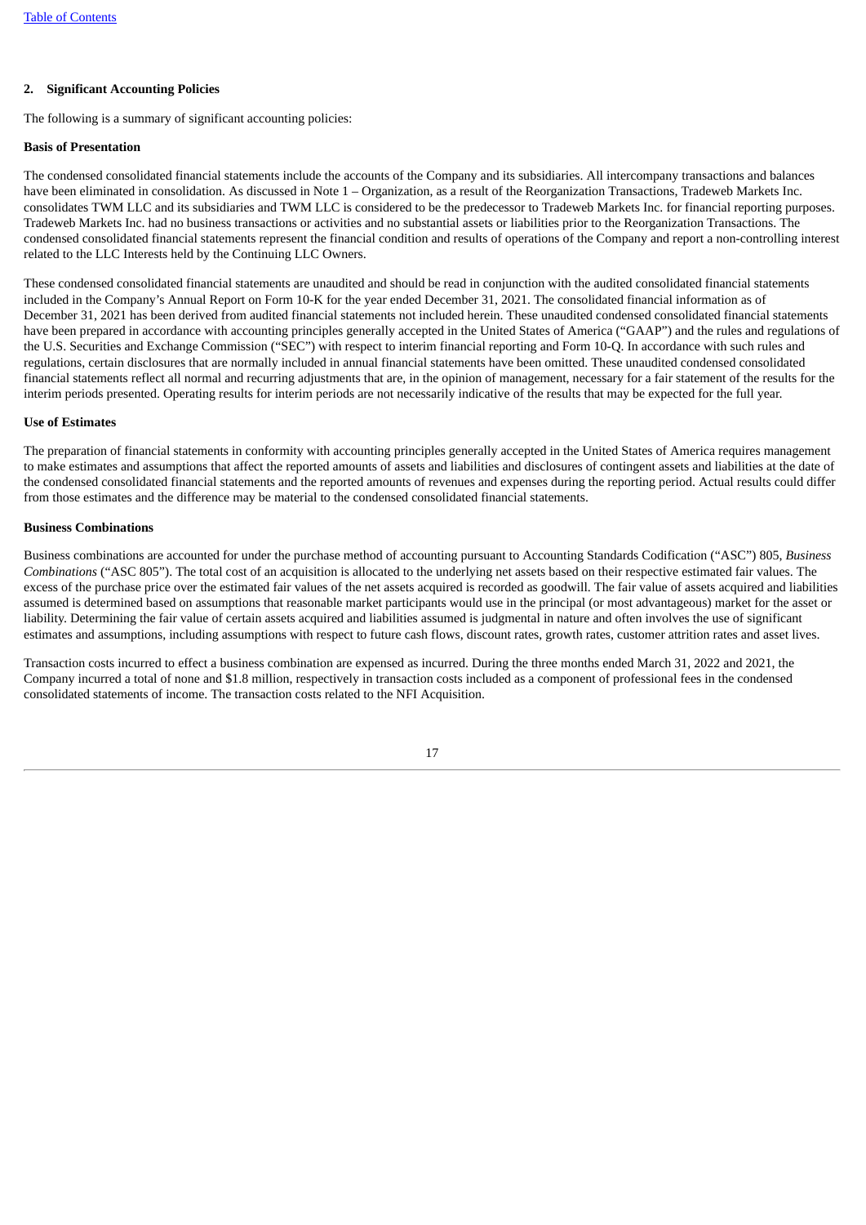# **2. Significant Accounting Policies**

The following is a summary of significant accounting policies:

### **Basis of Presentation**

The condensed consolidated financial statements include the accounts of the Company and its subsidiaries. All intercompany transactions and balances have been eliminated in consolidation. As discussed in Note 1 – Organization, as a result of the Reorganization Transactions, Tradeweb Markets Inc. consolidates TWM LLC and its subsidiaries and TWM LLC is considered to be the predecessor to Tradeweb Markets Inc. for financial reporting purposes. Tradeweb Markets Inc. had no business transactions or activities and no substantial assets or liabilities prior to the Reorganization Transactions. The condensed consolidated financial statements represent the financial condition and results of operations of the Company and report a non-controlling interest related to the LLC Interests held by the Continuing LLC Owners.

These condensed consolidated financial statements are unaudited and should be read in conjunction with the audited consolidated financial statements included in the Company's Annual Report on Form 10-K for the year ended December 31, 2021. The consolidated financial information as of December 31, 2021 has been derived from audited financial statements not included herein. These unaudited condensed consolidated financial statements have been prepared in accordance with accounting principles generally accepted in the United States of America ("GAAP") and the rules and regulations of the U.S. Securities and Exchange Commission ("SEC") with respect to interim financial reporting and Form 10-Q. In accordance with such rules and regulations, certain disclosures that are normally included in annual financial statements have been omitted. These unaudited condensed consolidated financial statements reflect all normal and recurring adjustments that are, in the opinion of management, necessary for a fair statement of the results for the interim periods presented. Operating results for interim periods are not necessarily indicative of the results that may be expected for the full year.

#### **Use of Estimates**

The preparation of financial statements in conformity with accounting principles generally accepted in the United States of America requires management to make estimates and assumptions that affect the reported amounts of assets and liabilities and disclosures of contingent assets and liabilities at the date of the condensed consolidated financial statements and the reported amounts of revenues and expenses during the reporting period. Actual results could differ from those estimates and the difference may be material to the condensed consolidated financial statements.

### **Business Combinations**

Business combinations are accounted for under the purchase method of accounting pursuant to Accounting Standards Codification ("ASC") 805, *Business Combinations* ("ASC 805"). The total cost of an acquisition is allocated to the underlying net assets based on their respective estimated fair values. The excess of the purchase price over the estimated fair values of the net assets acquired is recorded as goodwill. The fair value of assets acquired and liabilities assumed is determined based on assumptions that reasonable market participants would use in the principal (or most advantageous) market for the asset or liability. Determining the fair value of certain assets acquired and liabilities assumed is judgmental in nature and often involves the use of significant estimates and assumptions, including assumptions with respect to future cash flows, discount rates, growth rates, customer attrition rates and asset lives.

Transaction costs incurred to effect a business combination are expensed as incurred. During the three months ended March 31, 2022 and 2021, the Company incurred a total of none and \$1.8 million, respectively in transaction costs included as a component of professional fees in the condensed consolidated statements of income. The transaction costs related to the NFI Acquisition.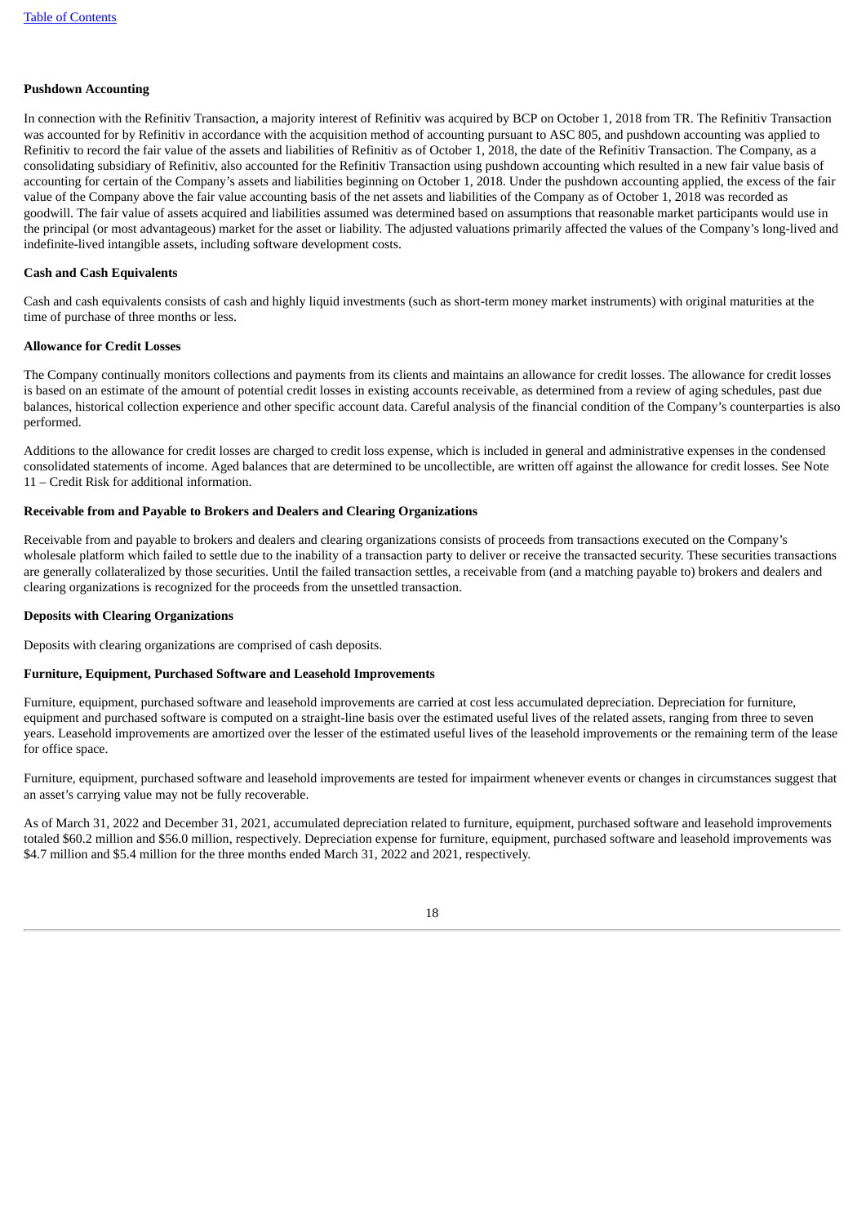# **Pushdown Accounting**

In connection with the Refinitiv Transaction, a majority interest of Refinitiv was acquired by BCP on October 1, 2018 from TR. The Refinitiv Transaction was accounted for by Refinitiv in accordance with the acquisition method of accounting pursuant to ASC 805*,* and pushdown accounting was applied to Refinitiv to record the fair value of the assets and liabilities of Refinitiv as of October 1, 2018, the date of the Refinitiv Transaction. The Company, as a consolidating subsidiary of Refinitiv, also accounted for the Refinitiv Transaction using pushdown accounting which resulted in a new fair value basis of accounting for certain of the Company's assets and liabilities beginning on October 1, 2018. Under the pushdown accounting applied, the excess of the fair value of the Company above the fair value accounting basis of the net assets and liabilities of the Company as of October 1, 2018 was recorded as goodwill. The fair value of assets acquired and liabilities assumed was determined based on assumptions that reasonable market participants would use in the principal (or most advantageous) market for the asset or liability. The adjusted valuations primarily affected the values of the Company's long-lived and indefinite-lived intangible assets, including software development costs.

### **Cash and Cash Equivalents**

Cash and cash equivalents consists of cash and highly liquid investments (such as short-term money market instruments) with original maturities at the time of purchase of three months or less.

## **Allowance for Credit Losses**

The Company continually monitors collections and payments from its clients and maintains an allowance for credit losses. The allowance for credit losses is based on an estimate of the amount of potential credit losses in existing accounts receivable, as determined from a review of aging schedules, past due balances, historical collection experience and other specific account data. Careful analysis of the financial condition of the Company's counterparties is also performed.

Additions to the allowance for credit losses are charged to credit loss expense, which is included in general and administrative expenses in the condensed consolidated statements of income. Aged balances that are determined to be uncollectible, are written off against the allowance for credit losses. See Note 11 – Credit Risk for additional information.

# **Receivable from and Payable to Brokers and Dealers and Clearing Organizations**

Receivable from and payable to brokers and dealers and clearing organizations consists of proceeds from transactions executed on the Company's wholesale platform which failed to settle due to the inability of a transaction party to deliver or receive the transacted security. These securities transactions are generally collateralized by those securities. Until the failed transaction settles, a receivable from (and a matching payable to) brokers and dealers and clearing organizations is recognized for the proceeds from the unsettled transaction.

### **Deposits with Clearing Organizations**

Deposits with clearing organizations are comprised of cash deposits.

# **Furniture, Equipment, Purchased Software and Leasehold Improvements**

Furniture, equipment, purchased software and leasehold improvements are carried at cost less accumulated depreciation. Depreciation for furniture, equipment and purchased software is computed on a straight-line basis over the estimated useful lives of the related assets, ranging from three to seven years. Leasehold improvements are amortized over the lesser of the estimated useful lives of the leasehold improvements or the remaining term of the lease for office space.

Furniture, equipment, purchased software and leasehold improvements are tested for impairment whenever events or changes in circumstances suggest that an asset's carrying value may not be fully recoverable.

As of March 31, 2022 and December 31, 2021, accumulated depreciation related to furniture, equipment, purchased software and leasehold improvements totaled \$60.2 million and \$56.0 million, respectively. Depreciation expense for furniture, equipment, purchased software and leasehold improvements was \$4.7 million and \$5.4 million for the three months ended March 31, 2022 and 2021, respectively.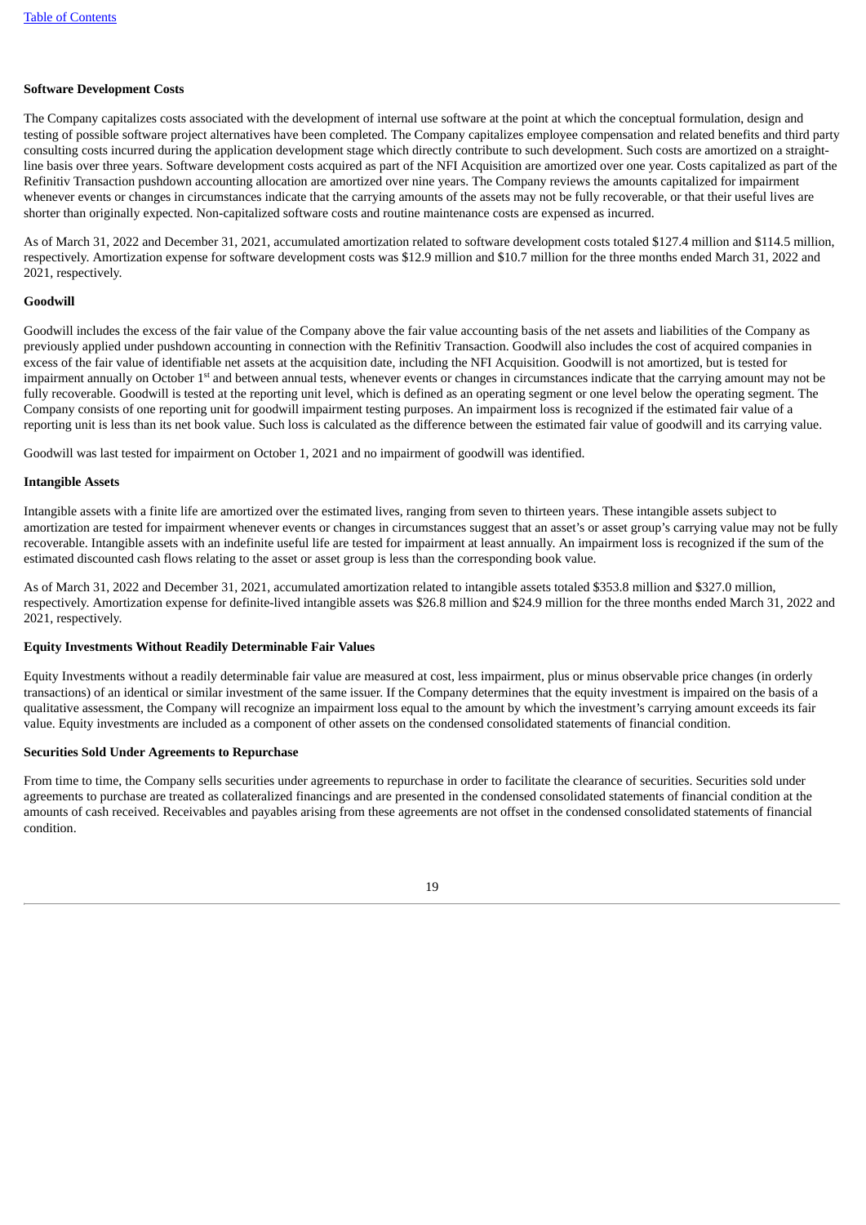# **Software Development Costs**

The Company capitalizes costs associated with the development of internal use software at the point at which the conceptual formulation, design and testing of possible software project alternatives have been completed. The Company capitalizes employee compensation and related benefits and third party consulting costs incurred during the application development stage which directly contribute to such development. Such costs are amortized on a straightline basis over three years. Software development costs acquired as part of the NFI Acquisition are amortized over one year. Costs capitalized as part of the Refinitiv Transaction pushdown accounting allocation are amortized over nine years. The Company reviews the amounts capitalized for impairment whenever events or changes in circumstances indicate that the carrying amounts of the assets may not be fully recoverable, or that their useful lives are shorter than originally expected. Non-capitalized software costs and routine maintenance costs are expensed as incurred.

As of March 31, 2022 and December 31, 2021, accumulated amortization related to software development costs totaled \$127.4 million and \$114.5 million, respectively. Amortization expense for software development costs was \$12.9 million and \$10.7 million for the three months ended March 31, 2022 and 2021, respectively.

### **Goodwill**

Goodwill includes the excess of the fair value of the Company above the fair value accounting basis of the net assets and liabilities of the Company as previously applied under pushdown accounting in connection with the Refinitiv Transaction. Goodwill also includes the cost of acquired companies in excess of the fair value of identifiable net assets at the acquisition date, including the NFI Acquisition. Goodwill is not amortized, but is tested for impairment annually on October 1<sup>st</sup> and between annual tests, whenever events or changes in circumstances indicate that the carrying amount may not be fully recoverable. Goodwill is tested at the reporting unit level, which is defined as an operating segment or one level below the operating segment. The Company consists of one reporting unit for goodwill impairment testing purposes. An impairment loss is recognized if the estimated fair value of a reporting unit is less than its net book value. Such loss is calculated as the difference between the estimated fair value of goodwill and its carrying value.

Goodwill was last tested for impairment on October 1, 2021 and no impairment of goodwill was identified.

#### **Intangible Assets**

Intangible assets with a finite life are amortized over the estimated lives, ranging from seven to thirteen years. These intangible assets subject to amortization are tested for impairment whenever events or changes in circumstances suggest that an asset's or asset group's carrying value may not be fully recoverable. Intangible assets with an indefinite useful life are tested for impairment at least annually. An impairment loss is recognized if the sum of the estimated discounted cash flows relating to the asset or asset group is less than the corresponding book value.

As of March 31, 2022 and December 31, 2021, accumulated amortization related to intangible assets totaled \$353.8 million and \$327.0 million, respectively. Amortization expense for definite-lived intangible assets was \$26.8 million and \$24.9 million for the three months ended March 31, 2022 and 2021, respectively.

## **Equity Investments Without Readily Determinable Fair Values**

Equity Investments without a readily determinable fair value are measured at cost, less impairment, plus or minus observable price changes (in orderly transactions) of an identical or similar investment of the same issuer. If the Company determines that the equity investment is impaired on the basis of a qualitative assessment, the Company will recognize an impairment loss equal to the amount by which the investment's carrying amount exceeds its fair value. Equity investments are included as a component of other assets on the condensed consolidated statements of financial condition.

### **Securities Sold Under Agreements to Repurchase**

From time to time, the Company sells securities under agreements to repurchase in order to facilitate the clearance of securities. Securities sold under agreements to purchase are treated as collateralized financings and are presented in the condensed consolidated statements of financial condition at the amounts of cash received. Receivables and payables arising from these agreements are not offset in the condensed consolidated statements of financial condition.

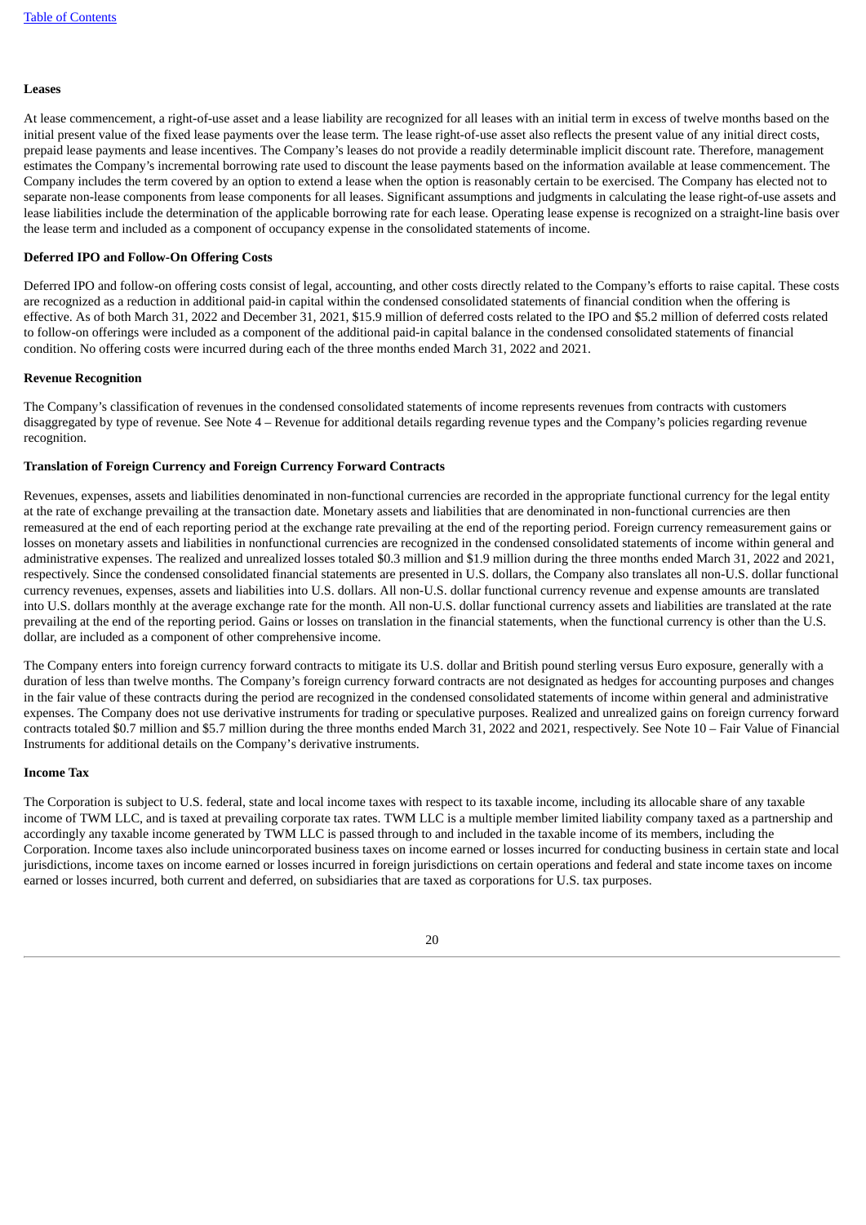# **Leases**

At lease commencement, a right-of-use asset and a lease liability are recognized for all leases with an initial term in excess of twelve months based on the initial present value of the fixed lease payments over the lease term. The lease right-of-use asset also reflects the present value of any initial direct costs, prepaid lease payments and lease incentives. The Company's leases do not provide a readily determinable implicit discount rate. Therefore, management estimates the Company's incremental borrowing rate used to discount the lease payments based on the information available at lease commencement. The Company includes the term covered by an option to extend a lease when the option is reasonably certain to be exercised. The Company has elected not to separate non-lease components from lease components for all leases. Significant assumptions and judgments in calculating the lease right-of-use assets and lease liabilities include the determination of the applicable borrowing rate for each lease. Operating lease expense is recognized on a straight-line basis over the lease term and included as a component of occupancy expense in the consolidated statements of income.

# **Deferred IPO and Follow-On Offering Costs**

Deferred IPO and follow-on offering costs consist of legal, accounting, and other costs directly related to the Company's efforts to raise capital. These costs are recognized as a reduction in additional paid-in capital within the condensed consolidated statements of financial condition when the offering is effective. As of both March 31, 2022 and December 31, 2021, \$15.9 million of deferred costs related to the IPO and \$5.2 million of deferred costs related to follow-on offerings were included as a component of the additional paid-in capital balance in the condensed consolidated statements of financial condition. No offering costs were incurred during each of the three months ended March 31, 2022 and 2021.

### **Revenue Recognition**

The Company's classification of revenues in the condensed consolidated statements of income represents revenues from contracts with customers disaggregated by type of revenue. See Note 4 – Revenue for additional details regarding revenue types and the Company's policies regarding revenue recognition.

# **Translation of Foreign Currency and Foreign Currency Forward Contracts**

Revenues, expenses, assets and liabilities denominated in non-functional currencies are recorded in the appropriate functional currency for the legal entity at the rate of exchange prevailing at the transaction date. Monetary assets and liabilities that are denominated in non-functional currencies are then remeasured at the end of each reporting period at the exchange rate prevailing at the end of the reporting period. Foreign currency remeasurement gains or losses on monetary assets and liabilities in nonfunctional currencies are recognized in the condensed consolidated statements of income within general and administrative expenses. The realized and unrealized losses totaled \$0.3 million and \$1.9 million during the three months ended March 31, 2022 and 2021, respectively. Since the condensed consolidated financial statements are presented in U.S. dollars, the Company also translates all non-U.S. dollar functional currency revenues, expenses, assets and liabilities into U.S. dollars. All non-U.S. dollar functional currency revenue and expense amounts are translated into U.S. dollars monthly at the average exchange rate for the month. All non-U.S. dollar functional currency assets and liabilities are translated at the rate prevailing at the end of the reporting period. Gains or losses on translation in the financial statements, when the functional currency is other than the U.S. dollar, are included as a component of other comprehensive income.

The Company enters into foreign currency forward contracts to mitigate its U.S. dollar and British pound sterling versus Euro exposure, generally with a duration of less than twelve months. The Company's foreign currency forward contracts are not designated as hedges for accounting purposes and changes in the fair value of these contracts during the period are recognized in the condensed consolidated statements of income within general and administrative expenses. The Company does not use derivative instruments for trading or speculative purposes. Realized and unrealized gains on foreign currency forward contracts totaled \$0.7 million and \$5.7 million during the three months ended March 31, 2022 and 2021, respectively. See Note 10 – Fair Value of Financial Instruments for additional details on the Company's derivative instruments.

### **Income Tax**

The Corporation is subject to U.S. federal, state and local income taxes with respect to its taxable income, including its allocable share of any taxable income of TWM LLC, and is taxed at prevailing corporate tax rates. TWM LLC is a multiple member limited liability company taxed as a partnership and accordingly any taxable income generated by TWM LLC is passed through to and included in the taxable income of its members, including the Corporation. Income taxes also include unincorporated business taxes on income earned or losses incurred for conducting business in certain state and local jurisdictions, income taxes on income earned or losses incurred in foreign jurisdictions on certain operations and federal and state income taxes on income earned or losses incurred, both current and deferred, on subsidiaries that are taxed as corporations for U.S. tax purposes.

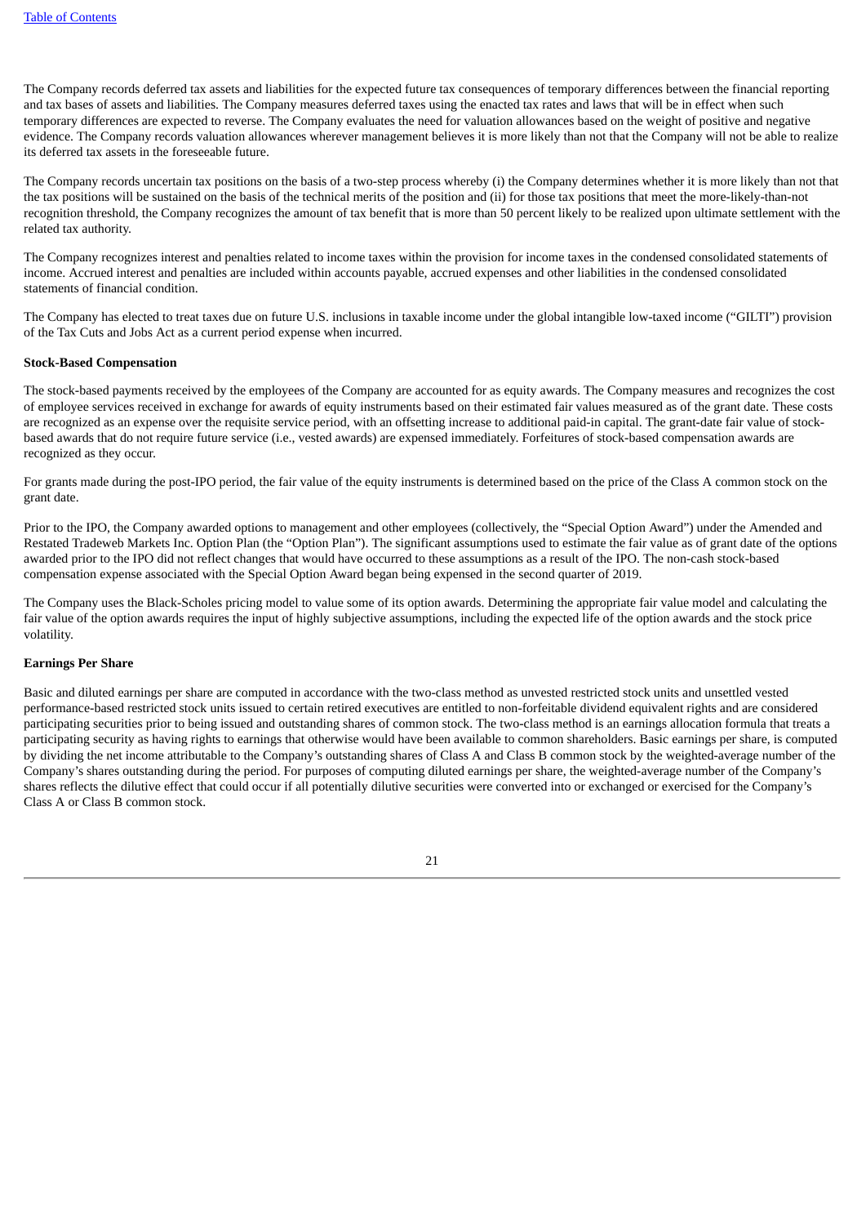The Company records deferred tax assets and liabilities for the expected future tax consequences of temporary differences between the financial reporting and tax bases of assets and liabilities. The Company measures deferred taxes using the enacted tax rates and laws that will be in effect when such temporary differences are expected to reverse. The Company evaluates the need for valuation allowances based on the weight of positive and negative evidence. The Company records valuation allowances wherever management believes it is more likely than not that the Company will not be able to realize its deferred tax assets in the foreseeable future.

The Company records uncertain tax positions on the basis of a two-step process whereby (i) the Company determines whether it is more likely than not that the tax positions will be sustained on the basis of the technical merits of the position and (ii) for those tax positions that meet the more-likely-than-not recognition threshold, the Company recognizes the amount of tax benefit that is more than 50 percent likely to be realized upon ultimate settlement with the related tax authority.

The Company recognizes interest and penalties related to income taxes within the provision for income taxes in the condensed consolidated statements of income. Accrued interest and penalties are included within accounts payable, accrued expenses and other liabilities in the condensed consolidated statements of financial condition.

The Company has elected to treat taxes due on future U.S. inclusions in taxable income under the global intangible low-taxed income ("GILTI") provision of the Tax Cuts and Jobs Act as a current period expense when incurred.

#### **Stock-Based Compensation**

The stock-based payments received by the employees of the Company are accounted for as equity awards. The Company measures and recognizes the cost of employee services received in exchange for awards of equity instruments based on their estimated fair values measured as of the grant date. These costs are recognized as an expense over the requisite service period, with an offsetting increase to additional paid-in capital. The grant-date fair value of stockbased awards that do not require future service (i.e., vested awards) are expensed immediately. Forfeitures of stock-based compensation awards are recognized as they occur.

For grants made during the post-IPO period, the fair value of the equity instruments is determined based on the price of the Class A common stock on the grant date.

Prior to the IPO, the Company awarded options to management and other employees (collectively, the "Special Option Award") under the Amended and Restated Tradeweb Markets Inc. Option Plan (the "Option Plan"). The significant assumptions used to estimate the fair value as of grant date of the options awarded prior to the IPO did not reflect changes that would have occurred to these assumptions as a result of the IPO. The non-cash stock-based compensation expense associated with the Special Option Award began being expensed in the second quarter of 2019.

The Company uses the Black-Scholes pricing model to value some of its option awards. Determining the appropriate fair value model and calculating the fair value of the option awards requires the input of highly subjective assumptions, including the expected life of the option awards and the stock price volatility.

### **Earnings Per Share**

Basic and diluted earnings per share are computed in accordance with the two-class method as unvested restricted stock units and unsettled vested performance-based restricted stock units issued to certain retired executives are entitled to non-forfeitable dividend equivalent rights and are considered participating securities prior to being issued and outstanding shares of common stock. The two-class method is an earnings allocation formula that treats a participating security as having rights to earnings that otherwise would have been available to common shareholders. Basic earnings per share, is computed by dividing the net income attributable to the Company's outstanding shares of Class A and Class B common stock by the weighted-average number of the Company's shares outstanding during the period. For purposes of computing diluted earnings per share, the weighted-average number of the Company's shares reflects the dilutive effect that could occur if all potentially dilutive securities were converted into or exchanged or exercised for the Company's Class A or Class B common stock.

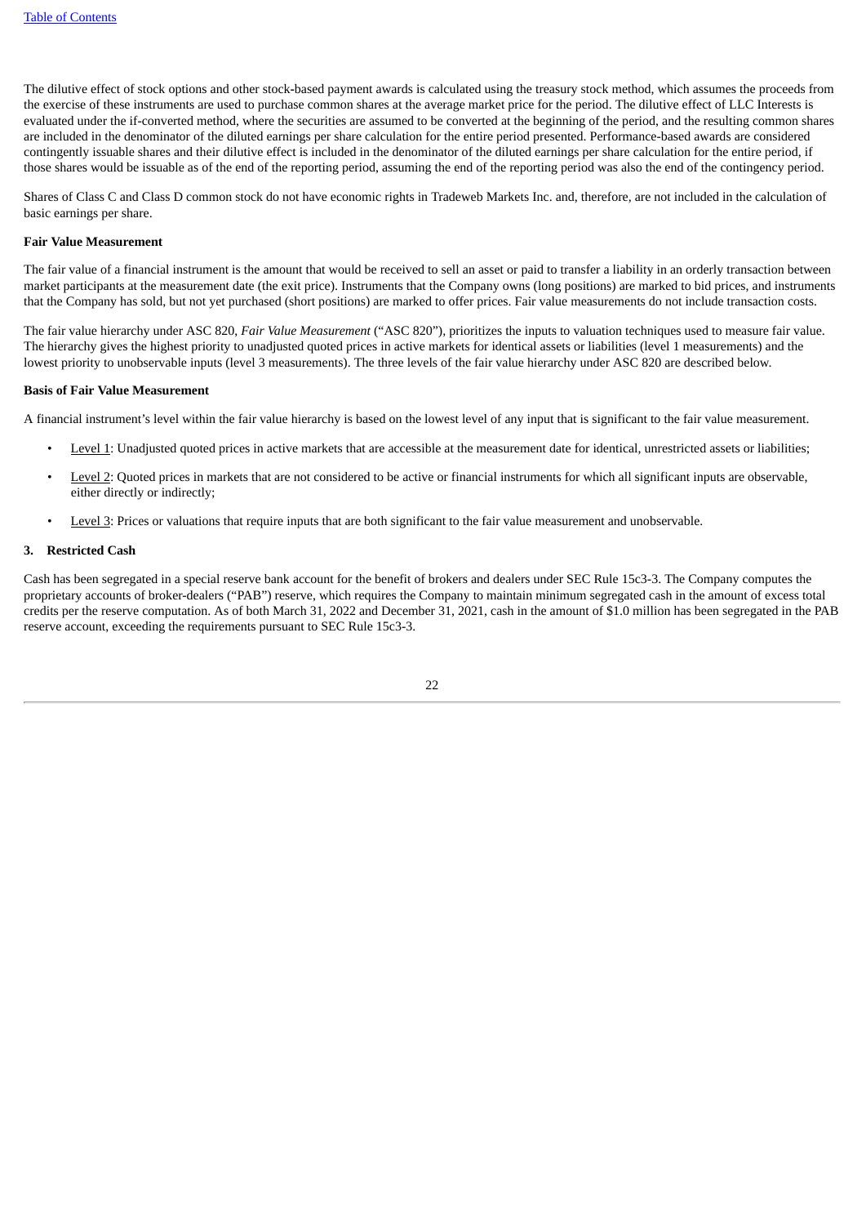The dilutive effect of stock options and other stock**-**based payment awards is calculated using the treasury stock method, which assumes the proceeds from the exercise of these instruments are used to purchase common shares at the average market price for the period. The dilutive effect of LLC Interests is evaluated under the if-converted method, where the securities are assumed to be converted at the beginning of the period, and the resulting common shares are included in the denominator of the diluted earnings per share calculation for the entire period presented. Performance-based awards are considered contingently issuable shares and their dilutive effect is included in the denominator of the diluted earnings per share calculation for the entire period, if those shares would be issuable as of the end of the reporting period, assuming the end of the reporting period was also the end of the contingency period.

Shares of Class C and Class D common stock do not have economic rights in Tradeweb Markets Inc. and, therefore, are not included in the calculation of basic earnings per share.

#### **Fair Value Measurement**

The fair value of a financial instrument is the amount that would be received to sell an asset or paid to transfer a liability in an orderly transaction between market participants at the measurement date (the exit price). Instruments that the Company owns (long positions) are marked to bid prices, and instruments that the Company has sold, but not yet purchased (short positions) are marked to offer prices. Fair value measurements do not include transaction costs.

The fair value hierarchy under ASC 820, *Fair Value Measurement* ("ASC 820")*,* prioritizes the inputs to valuation techniques used to measure fair value. The hierarchy gives the highest priority to unadjusted quoted prices in active markets for identical assets or liabilities (level 1 measurements) and the lowest priority to unobservable inputs (level 3 measurements). The three levels of the fair value hierarchy under ASC 820 are described below.

#### **Basis of Fair Value Measurement**

A financial instrument's level within the fair value hierarchy is based on the lowest level of any input that is significant to the fair value measurement.

- Level 1: Unadjusted quoted prices in active markets that are accessible at the measurement date for identical, unrestricted assets or liabilities;
- Level 2: Quoted prices in markets that are not considered to be active or financial instruments for which all significant inputs are observable, either directly or indirectly;
- Level 3: Prices or valuations that require inputs that are both significant to the fair value measurement and unobservable.

## <span id="page-21-0"></span>**3. Restricted Cash**

<span id="page-21-1"></span>Cash has been segregated in a special reserve bank account for the benefit of brokers and dealers under SEC Rule 15c3-3. The Company computes the proprietary accounts of broker-dealers ("PAB") reserve, which requires the Company to maintain minimum segregated cash in the amount of excess total credits per the reserve computation. As of both March 31, 2022 and December 31, 2021, cash in the amount of \$1.0 million has been segregated in the PAB reserve account, exceeding the requirements pursuant to SEC Rule 15c3-3.

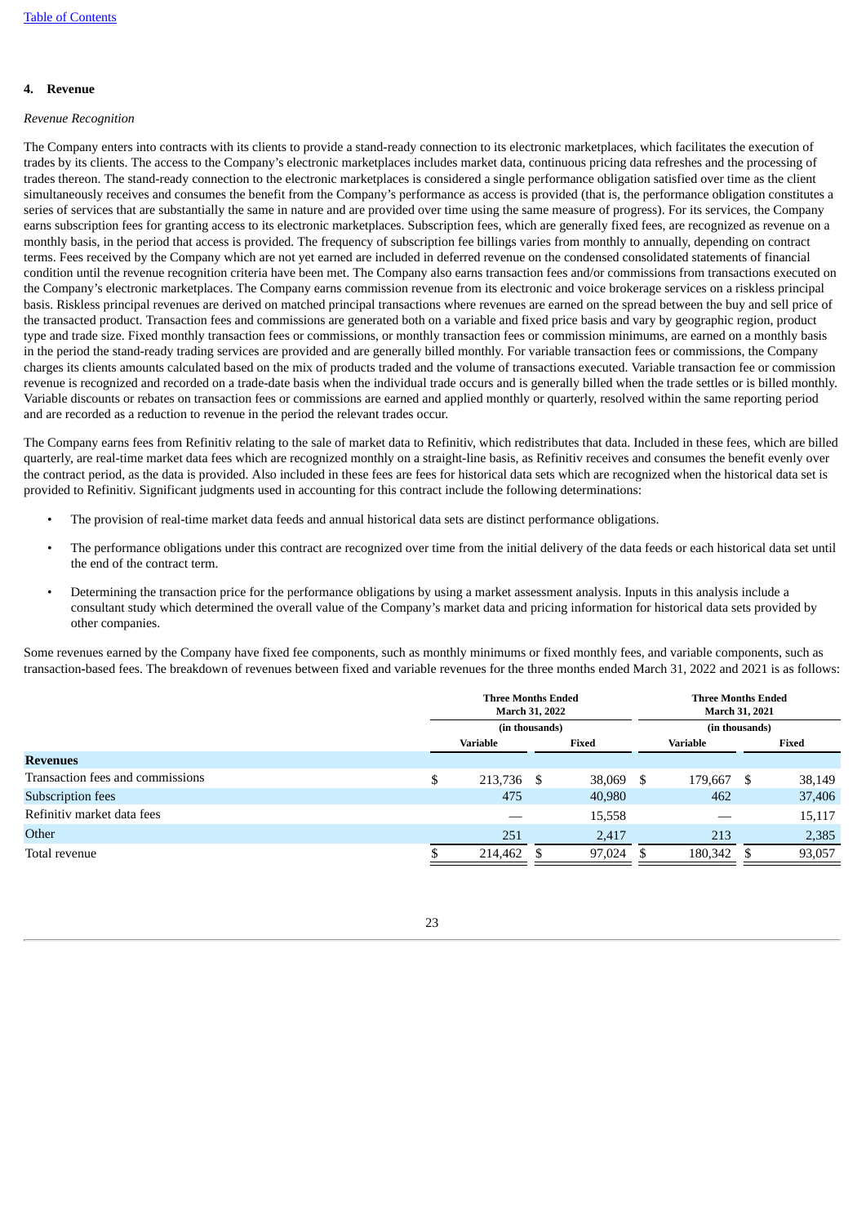# **4. Revenue**

## *Revenue Recognition*

The Company enters into contracts with its clients to provide a stand-ready connection to its electronic marketplaces, which facilitates the execution of trades by its clients. The access to the Company's electronic marketplaces includes market data, continuous pricing data refreshes and the processing of trades thereon. The stand-ready connection to the electronic marketplaces is considered a single performance obligation satisfied over time as the client simultaneously receives and consumes the benefit from the Company's performance as access is provided (that is, the performance obligation constitutes a series of services that are substantially the same in nature and are provided over time using the same measure of progress). For its services, the Company earns subscription fees for granting access to its electronic marketplaces. Subscription fees, which are generally fixed fees, are recognized as revenue on a monthly basis, in the period that access is provided. The frequency of subscription fee billings varies from monthly to annually, depending on contract terms. Fees received by the Company which are not yet earned are included in deferred revenue on the condensed consolidated statements of financial condition until the revenue recognition criteria have been met. The Company also earns transaction fees and/or commissions from transactions executed on the Company's electronic marketplaces. The Company earns commission revenue from its electronic and voice brokerage services on a riskless principal basis. Riskless principal revenues are derived on matched principal transactions where revenues are earned on the spread between the buy and sell price of the transacted product. Transaction fees and commissions are generated both on a variable and fixed price basis and vary by geographic region, product type and trade size. Fixed monthly transaction fees or commissions, or monthly transaction fees or commission minimums, are earned on a monthly basis in the period the stand-ready trading services are provided and are generally billed monthly. For variable transaction fees or commissions, the Company charges its clients amounts calculated based on the mix of products traded and the volume of transactions executed. Variable transaction fee or commission revenue is recognized and recorded on a trade-date basis when the individual trade occurs and is generally billed when the trade settles or is billed monthly. Variable discounts or rebates on transaction fees or commissions are earned and applied monthly or quarterly, resolved within the same reporting period and are recorded as a reduction to revenue in the period the relevant trades occur.

The Company earns fees from Refinitiv relating to the sale of market data to Refinitiv, which redistributes that data. Included in these fees, which are billed quarterly, are real-time market data fees which are recognized monthly on a straight-line basis, as Refinitiv receives and consumes the benefit evenly over the contract period, as the data is provided. Also included in these fees are fees for historical data sets which are recognized when the historical data set is provided to Refinitiv. Significant judgments used in accounting for this contract include the following determinations:

- The provision of real-time market data feeds and annual historical data sets are distinct performance obligations.
- The performance obligations under this contract are recognized over time from the initial delivery of the data feeds or each historical data set until the end of the contract term.
- Determining the transaction price for the performance obligations by using a market assessment analysis. Inputs in this analysis include a consultant study which determined the overall value of the Company's market data and pricing information for historical data sets provided by other companies.

Some revenues earned by the Company have fixed fee components, such as monthly minimums or fixed monthly fees, and variable components, such as transaction**-**based fees. The breakdown of revenues between fixed and variable revenues for the three months ended March 31, 2022 and 2021 is as follows:

| <b>Three Months Ended</b><br><b>March 31, 2022</b> |         |          |        |                         | <b>Three Months Ended</b><br>March 31, 2021 |          |                |  |  |  |
|----------------------------------------------------|---------|----------|--------|-------------------------|---------------------------------------------|----------|----------------|--|--|--|
|                                                    |         |          |        |                         |                                             |          | Fixed          |  |  |  |
|                                                    |         |          |        |                         |                                             |          |                |  |  |  |
| \$                                                 | 213,736 | - \$     |        |                         | 179,667                                     | S        | 38,149         |  |  |  |
|                                                    | 475     |          | 40,980 |                         | 462                                         |          | 37,406         |  |  |  |
|                                                    |         |          | 15,558 |                         |                                             |          | 15,117         |  |  |  |
|                                                    | 251     |          | 2,417  |                         | 213                                         |          | 2,385          |  |  |  |
|                                                    | 214,462 |          |        |                         | 180,342                                     |          | 93,057         |  |  |  |
|                                                    |         | Variable |        | (in thousands)<br>Fixed | 38,069 \$<br>97,024                         | Variable | (in thousands) |  |  |  |

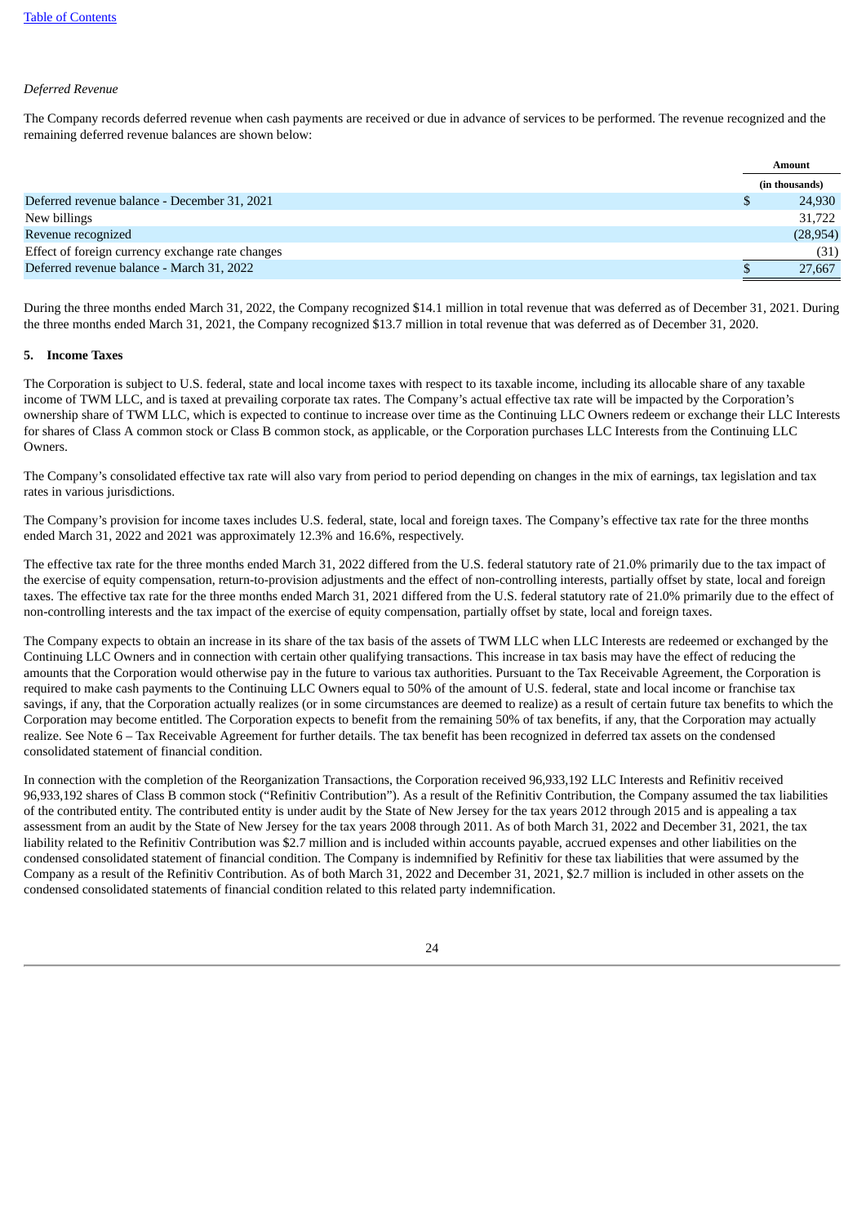### *Deferred Revenue*

The Company records deferred revenue when cash payments are received or due in advance of services to be performed. The revenue recognized and the remaining deferred revenue balances are shown below:

|                                                  |   | <b>Amount</b>  |
|--------------------------------------------------|---|----------------|
|                                                  |   | (in thousands) |
| Deferred revenue balance - December 31, 2021     | Ъ | 24,930         |
| New billings                                     |   | 31,722         |
| Revenue recognized                               |   | (28, 954)      |
| Effect of foreign currency exchange rate changes |   | (31)           |
| Deferred revenue balance - March 31, 2022        |   | 27,667         |

During the three months ended March 31, 2022, the Company recognized \$14.1 million in total revenue that was deferred as of December 31, 2021. During the three months ended March 31, 2021, the Company recognized \$13.7 million in total revenue that was deferred as of December 31, 2020.

### <span id="page-23-0"></span>**5. Income Taxes**

The Corporation is subject to U.S. federal, state and local income taxes with respect to its taxable income, including its allocable share of any taxable income of TWM LLC, and is taxed at prevailing corporate tax rates. The Company's actual effective tax rate will be impacted by the Corporation's ownership share of TWM LLC, which is expected to continue to increase over time as the Continuing LLC Owners redeem or exchange their LLC Interests for shares of Class A common stock or Class B common stock, as applicable, or the Corporation purchases LLC Interests from the Continuing LLC Owners.

The Company's consolidated effective tax rate will also vary from period to period depending on changes in the mix of earnings, tax legislation and tax rates in various jurisdictions.

The Company's provision for income taxes includes U.S. federal, state, local and foreign taxes. The Company's effective tax rate for the three months ended March 31, 2022 and 2021 was approximately 12.3% and 16.6%, respectively.

The effective tax rate for the three months ended March 31, 2022 differed from the U.S. federal statutory rate of 21.0% primarily due to the tax impact of the exercise of equity compensation, return-to-provision adjustments and the effect of non-controlling interests, partially offset by state, local and foreign taxes. The effective tax rate for the three months ended March 31, 2021 differed from the U.S. federal statutory rate of 21.0% primarily due to the effect of non-controlling interests and the tax impact of the exercise of equity compensation, partially offset by state, local and foreign taxes.

The Company expects to obtain an increase in its share of the tax basis of the assets of TWM LLC when LLC Interests are redeemed or exchanged by the Continuing LLC Owners and in connection with certain other qualifying transactions. This increase in tax basis may have the effect of reducing the amounts that the Corporation would otherwise pay in the future to various tax authorities. Pursuant to the Tax Receivable Agreement, the Corporation is required to make cash payments to the Continuing LLC Owners equal to 50% of the amount of U.S. federal, state and local income or franchise tax savings, if any, that the Corporation actually realizes (or in some circumstances are deemed to realize) as a result of certain future tax benefits to which the Corporation may become entitled. The Corporation expects to benefit from the remaining 50% of tax benefits, if any, that the Corporation may actually realize. See Note 6 – Tax Receivable Agreement for further details. The tax benefit has been recognized in deferred tax assets on the condensed consolidated statement of financial condition.

<span id="page-23-1"></span>In connection with the completion of the Reorganization Transactions, the Corporation received 96,933,192 LLC Interests and Refinitiv received 96,933,192 shares of Class B common stock ("Refinitiv Contribution"). As a result of the Refinitiv Contribution, the Company assumed the tax liabilities of the contributed entity. The contributed entity is under audit by the State of New Jersey for the tax years 2012 through 2015 and is appealing a tax assessment from an audit by the State of New Jersey for the tax years 2008 through 2011. As of both March 31, 2022 and December 31, 2021, the tax liability related to the Refinitiv Contribution was \$2.7 million and is included within accounts payable, accrued expenses and other liabilities on the condensed consolidated statement of financial condition. The Company is indemnified by Refinitiv for these tax liabilities that were assumed by the Company as a result of the Refinitiv Contribution. As of both March 31, 2022 and December 31, 2021, \$2.7 million is included in other assets on the condensed consolidated statements of financial condition related to this related party indemnification.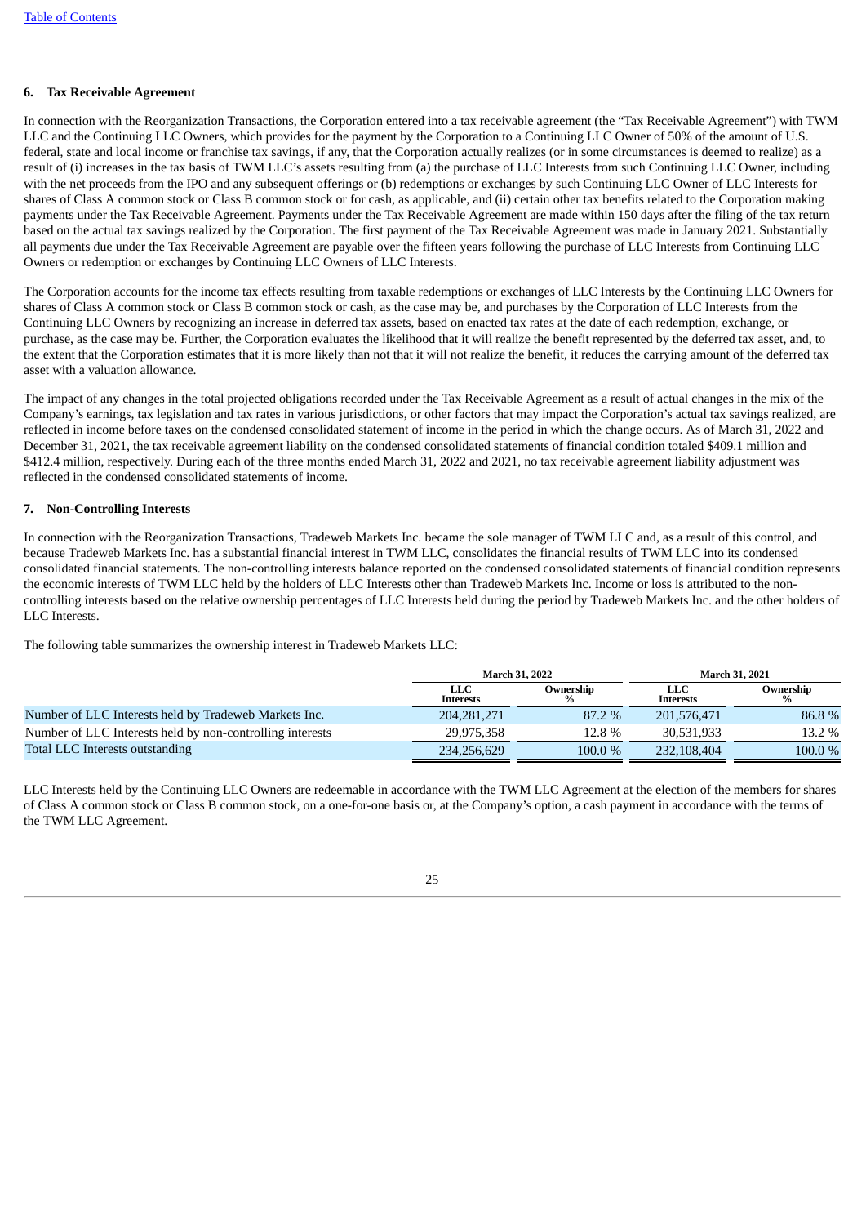# **6. Tax Receivable Agreement**

In connection with the Reorganization Transactions, the Corporation entered into a tax receivable agreement (the "Tax Receivable Agreement") with TWM LLC and the Continuing LLC Owners, which provides for the payment by the Corporation to a Continuing LLC Owner of 50% of the amount of U.S. federal, state and local income or franchise tax savings, if any, that the Corporation actually realizes (or in some circumstances is deemed to realize) as a result of (i) increases in the tax basis of TWM LLC's assets resulting from (a) the purchase of LLC Interests from such Continuing LLC Owner, including with the net proceeds from the IPO and any subsequent offerings or (b) redemptions or exchanges by such Continuing LLC Owner of LLC Interests for shares of Class A common stock or Class B common stock or for cash, as applicable, and (ii) certain other tax benefits related to the Corporation making payments under the Tax Receivable Agreement. Payments under the Tax Receivable Agreement are made within 150 days after the filing of the tax return based on the actual tax savings realized by the Corporation. The first payment of the Tax Receivable Agreement was made in January 2021. Substantially all payments due under the Tax Receivable Agreement are payable over the fifteen years following the purchase of LLC Interests from Continuing LLC Owners or redemption or exchanges by Continuing LLC Owners of LLC Interests.

The Corporation accounts for the income tax effects resulting from taxable redemptions or exchanges of LLC Interests by the Continuing LLC Owners for shares of Class A common stock or Class B common stock or cash, as the case may be, and purchases by the Corporation of LLC Interests from the Continuing LLC Owners by recognizing an increase in deferred tax assets, based on enacted tax rates at the date of each redemption, exchange, or purchase, as the case may be. Further, the Corporation evaluates the likelihood that it will realize the benefit represented by the deferred tax asset, and, to the extent that the Corporation estimates that it is more likely than not that it will not realize the benefit, it reduces the carrying amount of the deferred tax asset with a valuation allowance.

The impact of any changes in the total projected obligations recorded under the Tax Receivable Agreement as a result of actual changes in the mix of the Company's earnings, tax legislation and tax rates in various jurisdictions, or other factors that may impact the Corporation's actual tax savings realized, are reflected in income before taxes on the condensed consolidated statement of income in the period in which the change occurs. As of March 31, 2022 and December 31, 2021, the tax receivable agreement liability on the condensed consolidated statements of financial condition totaled \$409.1 million and \$412.4 million, respectively. During each of the three months ended March 31, 2022 and 2021, no tax receivable agreement liability adjustment was reflected in the condensed consolidated statements of income.

# <span id="page-24-0"></span>**7. Non-Controlling Interests**

In connection with the Reorganization Transactions, Tradeweb Markets Inc. became the sole manager of TWM LLC and, as a result of this control, and because Tradeweb Markets Inc. has a substantial financial interest in TWM LLC, consolidates the financial results of TWM LLC into its condensed consolidated financial statements. The non-controlling interests balance reported on the condensed consolidated statements of financial condition represents the economic interests of TWM LLC held by the holders of LLC Interests other than Tradeweb Markets Inc. Income or loss is attributed to the noncontrolling interests based on the relative ownership percentages of LLC Interests held during the period by Tradeweb Markets Inc. and the other holders of LLC Interests.

The following table summarizes the ownership interest in Tradeweb Markets LLC:

|                                                           |                  | <b>March 31, 2022</b> |                  | <b>March 31, 2021</b> |
|-----------------------------------------------------------|------------------|-----------------------|------------------|-----------------------|
|                                                           | LLC<br>Interests | Ownership             | LLC<br>Interests | Ownership             |
| Number of LLC Interests held by Tradeweb Markets Inc.     | 204, 281, 271    | 87.2 %                | 201,576,471      | 86.8 %                |
| Number of LLC Interests held by non-controlling interests | 29.975.358       | 12.8 %                | 30.531.933       | 13.2 %                |
| Total LLC Interests outstanding                           | 234,256,629      | 100.0 %               | 232,108,404      | 100.0 %               |

LLC Interests held by the Continuing LLC Owners are redeemable in accordance with the TWM LLC Agreement at the election of the members for shares of Class A common stock or Class B common stock, on a one-for-one basis or, at the Company's option, a cash payment in accordance with the terms of the TWM LLC Agreement.

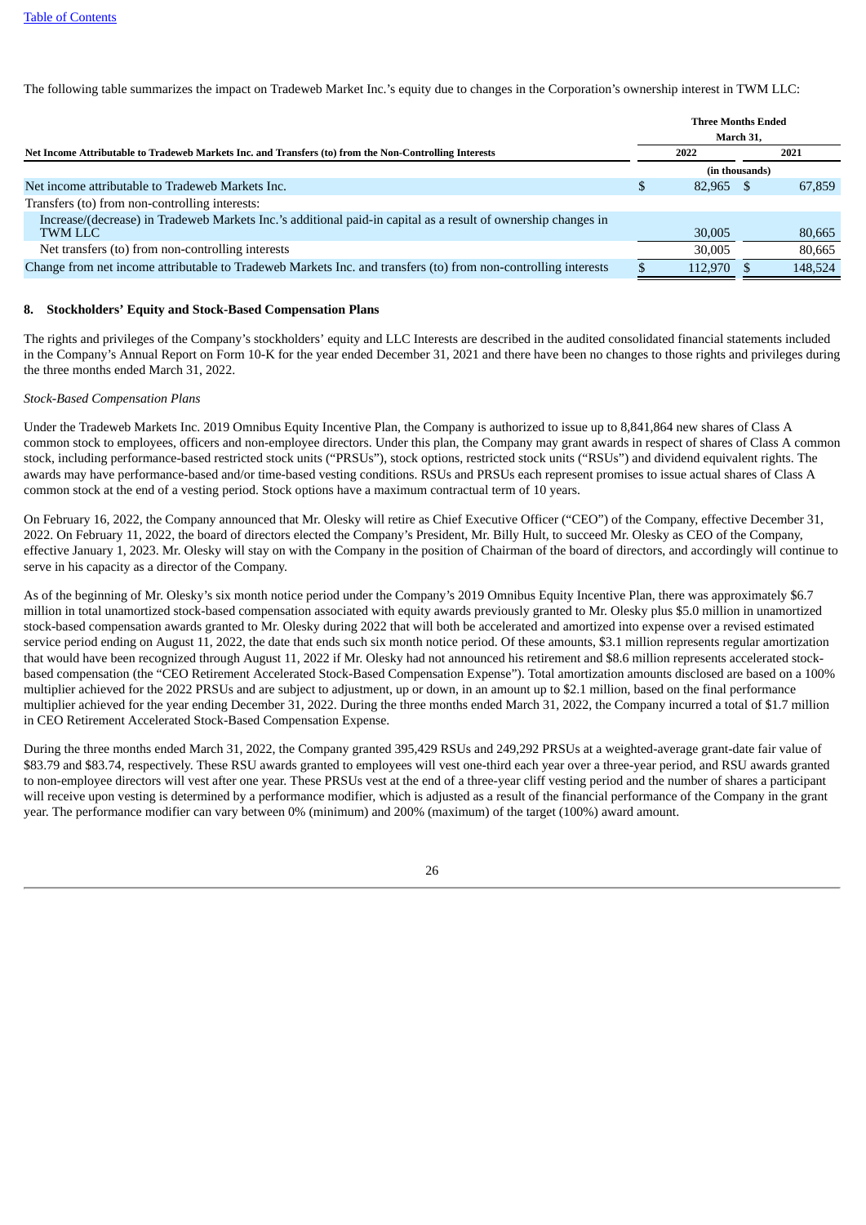The following table summarizes the impact on Tradeweb Market Inc.'s equity due to changes in the Corporation's ownership interest in TWM LLC:

|                                                                                                                          | <b>Three Months Ended</b><br>March 31,<br>2021<br>2022 |           |                |         |
|--------------------------------------------------------------------------------------------------------------------------|--------------------------------------------------------|-----------|----------------|---------|
| Net Income Attributable to Tradeweb Markets Inc. and Transfers (to) from the Non-Controlling Interests                   |                                                        |           |                |         |
|                                                                                                                          |                                                        |           | (in thousands) |         |
| Net income attributable to Tradeweb Markets Inc.                                                                         | \$                                                     | 82.965 \$ |                | 67,859  |
| Transfers (to) from non-controlling interests:                                                                           |                                                        |           |                |         |
| Increase/(decrease) in Tradeweb Markets Inc.'s additional paid-in capital as a result of ownership changes in<br>TWM LLC |                                                        | 30,005    |                | 80,665  |
| Net transfers (to) from non-controlling interests                                                                        |                                                        | 30,005    |                | 80,665  |
| Change from net income attributable to Tradeweb Markets Inc. and transfers (to) from non-controlling interests           |                                                        | 112,970   |                | 148,524 |

### <span id="page-25-0"></span>**8. Stockholders' Equity and Stock-Based Compensation Plans**

The rights and privileges of the Company's stockholders' equity and LLC Interests are described in the audited consolidated financial statements included in the Company's Annual Report on Form 10-K for the year ended December 31, 2021 and there have been no changes to those rights and privileges during the three months ended March 31, 2022.

#### *Stock-Based Compensation Plans*

Under the Tradeweb Markets Inc. 2019 Omnibus Equity Incentive Plan, the Company is authorized to issue up to 8,841,864 new shares of Class A common stock to employees, officers and non-employee directors. Under this plan, the Company may grant awards in respect of shares of Class A common stock, including performance-based restricted stock units ("PRSUs"), stock options, restricted stock units ("RSUs") and dividend equivalent rights. The awards may have performance-based and/or time-based vesting conditions. RSUs and PRSUs each represent promises to issue actual shares of Class A common stock at the end of a vesting period. Stock options have a maximum contractual term of 10 years.

On February 16, 2022, the Company announced that Mr. Olesky will retire as Chief Executive Officer ("CEO") of the Company, effective December 31, 2022. On February 11, 2022, the board of directors elected the Company's President, Mr. Billy Hult, to succeed Mr. Olesky as CEO of the Company, effective January 1, 2023. Mr. Olesky will stay on with the Company in the position of Chairman of the board of directors, and accordingly will continue to serve in his capacity as a director of the Company.

As of the beginning of Mr. Olesky's six month notice period under the Company's 2019 Omnibus Equity Incentive Plan, there was approximately \$6.7 million in total unamortized stock-based compensation associated with equity awards previously granted to Mr. Olesky plus \$5.0 million in unamortized stock-based compensation awards granted to Mr. Olesky during 2022 that will both be accelerated and amortized into expense over a revised estimated service period ending on August 11, 2022, the date that ends such six month notice period. Of these amounts, \$3.1 million represents regular amortization that would have been recognized through August 11, 2022 if Mr. Olesky had not announced his retirement and \$8.6 million represents accelerated stockbased compensation (the "CEO Retirement Accelerated Stock-Based Compensation Expense"). Total amortization amounts disclosed are based on a 100% multiplier achieved for the 2022 PRSUs and are subject to adjustment, up or down, in an amount up to \$2.1 million, based on the final performance multiplier achieved for the year ending December 31, 2022. During the three months ended March 31, 2022, the Company incurred a total of \$1.7 million in CEO Retirement Accelerated Stock-Based Compensation Expense.

During the three months ended March 31, 2022, the Company granted 395,429 RSUs and 249,292 PRSUs at a weighted-average grant-date fair value of \$83.79 and \$83.74, respectively. These RSU awards granted to employees will vest one-third each year over a three-year period, and RSU awards granted to non-employee directors will vest after one year. These PRSUs vest at the end of a three-year cliff vesting period and the number of shares a participant will receive upon vesting is determined by a performance modifier, which is adjusted as a result of the financial performance of the Company in the grant year. The performance modifier can vary between 0% (minimum) and 200% (maximum) of the target (100%) award amount.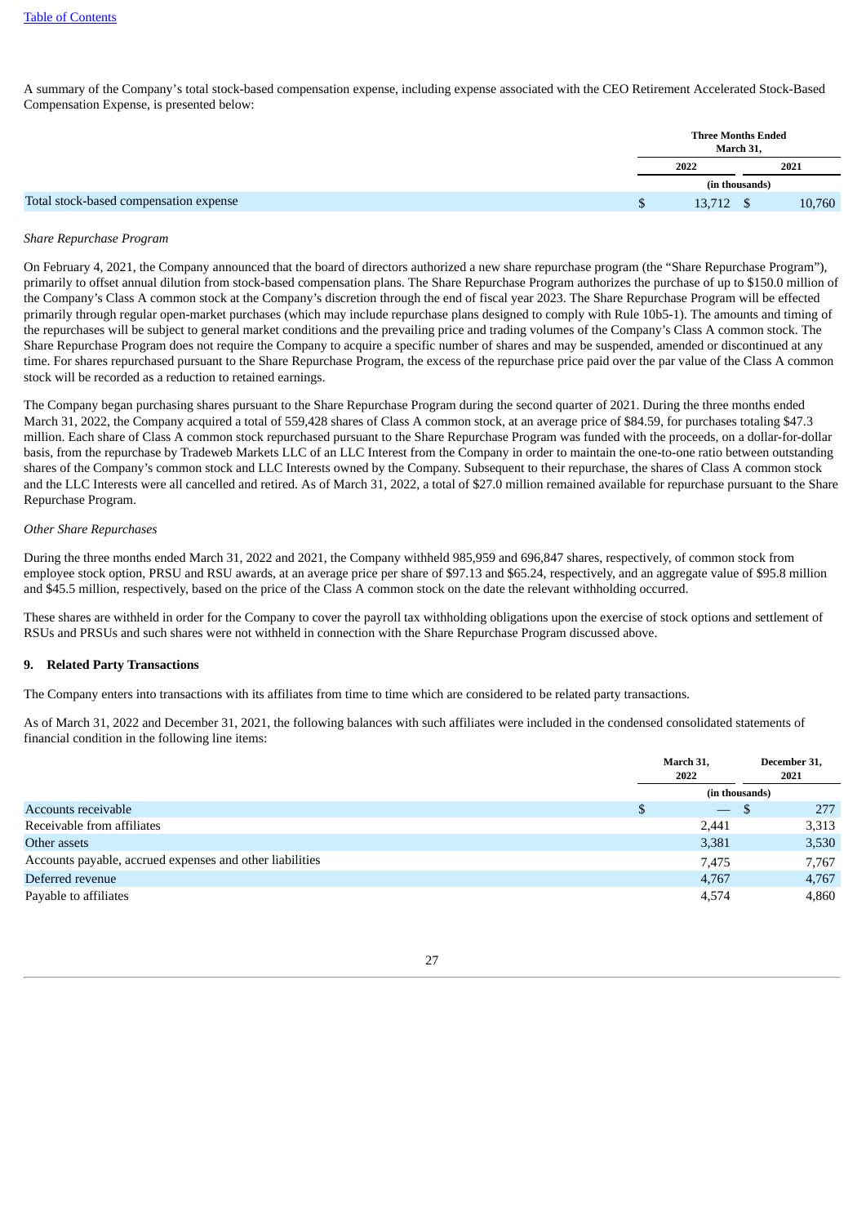A summary of the Company's total stock-based compensation expense, including expense associated with the CEO Retirement Accelerated Stock-Based Compensation Expense, is presented below:

|  | <b>Three Months Ended</b> | March 31,      |        |
|--|---------------------------|----------------|--------|
|  | 2022                      |                | 2021   |
|  |                           | (in thousands) |        |
|  | 13,712 \$                 |                | 10,760 |

### *Share Repurchase Program*

On February 4, 2021, the Company announced that the board of directors authorized a new share repurchase program (the "Share Repurchase Program"), primarily to offset annual dilution from stock-based compensation plans. The Share Repurchase Program authorizes the purchase of up to \$150.0 million of the Company's Class A common stock at the Company's discretion through the end of fiscal year 2023. The Share Repurchase Program will be effected primarily through regular open-market purchases (which may include repurchase plans designed to comply with Rule 10b5-1). The amounts and timing of the repurchases will be subject to general market conditions and the prevailing price and trading volumes of the Company's Class A common stock. The Share Repurchase Program does not require the Company to acquire a specific number of shares and may be suspended, amended or discontinued at any time. For shares repurchased pursuant to the Share Repurchase Program, the excess of the repurchase price paid over the par value of the Class A common stock will be recorded as a reduction to retained earnings.

The Company began purchasing shares pursuant to the Share Repurchase Program during the second quarter of 2021. During the three months ended March 31, 2022, the Company acquired a total of 559,428 shares of Class A common stock, at an average price of \$84.59, for purchases totaling \$47.3 million. Each share of Class A common stock repurchased pursuant to the Share Repurchase Program was funded with the proceeds, on a dollar-for-dollar basis, from the repurchase by Tradeweb Markets LLC of an LLC Interest from the Company in order to maintain the one-to-one ratio between outstanding shares of the Company's common stock and LLC Interests owned by the Company. Subsequent to their repurchase, the shares of Class A common stock and the LLC Interests were all cancelled and retired. As of March 31, 2022, a total of \$27.0 million remained available for repurchase pursuant to the Share Repurchase Program.

#### *Other Share Repurchases*

During the three months ended March 31, 2022 and 2021, the Company withheld 985,959 and 696,847 shares, respectively, of common stock from employee stock option, PRSU and RSU awards, at an average price per share of \$97.13 and \$65.24, respectively, and an aggregate value of \$95.8 million and \$45.5 million, respectively, based on the price of the Class A common stock on the date the relevant withholding occurred.

These shares are withheld in order for the Company to cover the payroll tax withholding obligations upon the exercise of stock options and settlement of RSUs and PRSUs and such shares were not withheld in connection with the Share Repurchase Program discussed above.

#### <span id="page-26-0"></span>**9. Related Party Transactions**

The Company enters into transactions with its affiliates from time to time which are considered to be related party transactions.

As of March 31, 2022 and December 31, 2021, the following balances with such affiliates were included in the condensed consolidated statements of financial condition in the following line items:

|                                                          | March 31,<br>2022                     | December 31,<br>2021 |
|----------------------------------------------------------|---------------------------------------|----------------------|
|                                                          | (in thousands)                        |                      |
| Accounts receivable                                      | \$<br>- S<br>$\overline{\phantom{0}}$ | 277                  |
| Receivable from affiliates                               | 2,441                                 | 3,313                |
| Other assets                                             | 3,381                                 | 3,530                |
| Accounts payable, accrued expenses and other liabilities | 7.475                                 | 7.767                |
| Deferred revenue                                         | 4,767                                 | 4,767                |
| Payable to affiliates                                    | 4,574                                 | 4,860                |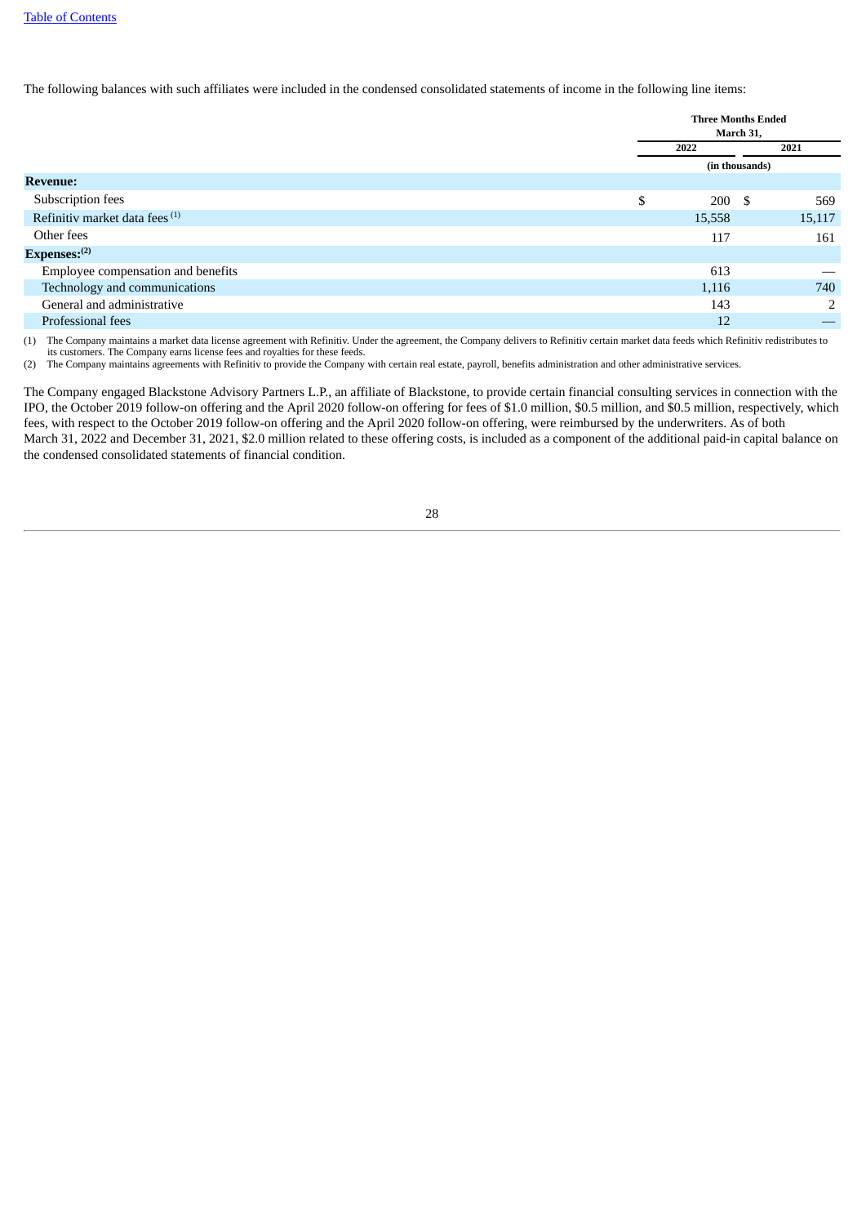The following balances with such affiliates were included in the condensed consolidated statements of income in the following line items:

|                                           | <b>Three Months Ended</b><br>March 31, |                |        |
|-------------------------------------------|----------------------------------------|----------------|--------|
|                                           | 2022                                   |                | 2021   |
|                                           |                                        | (in thousands) |        |
| <b>Revenue:</b>                           |                                        |                |        |
| Subscription fees                         | \$<br>200S                             |                | 569    |
| Refinitiv market data fees <sup>(1)</sup> | 15,558                                 |                | 15,117 |
| Other fees                                | 117                                    |                | 161    |
| Express: (2)                              |                                        |                |        |
| Employee compensation and benefits        | 613                                    |                |        |
| Technology and communications             | 1,116                                  |                | 740    |
| General and administrative                | 143                                    |                | 2      |
| Professional fees                         | 12                                     |                |        |

(1) The Company maintains a market data license agreement with Refinitiv. Under the agreement, the Company delivers to Refinitiv certain market data feeds which Refinitiv redistributes to its customers. The Company earns license fees and royalties for these feeds.

(2) The Company maintains agreements with Refinitiv to provide the Company with certain real estate, payroll, benefits administration and other administrative services.

<span id="page-27-0"></span>The Company engaged Blackstone Advisory Partners L.P., an affiliate of Blackstone, to provide certain financial consulting services in connection with the IPO, the October 2019 follow-on offering and the April 2020 follow-on offering for fees of \$1.0 million, \$0.5 million, and \$0.5 million, respectively, which fees, with respect to the October 2019 follow-on offering and the April 2020 follow-on offering, were reimbursed by the underwriters. As of both March 31, 2022 and December 31, 2021, \$2.0 million related to these offering costs, is included as a component of the additional paid-in capital balance on the condensed consolidated statements of financial condition.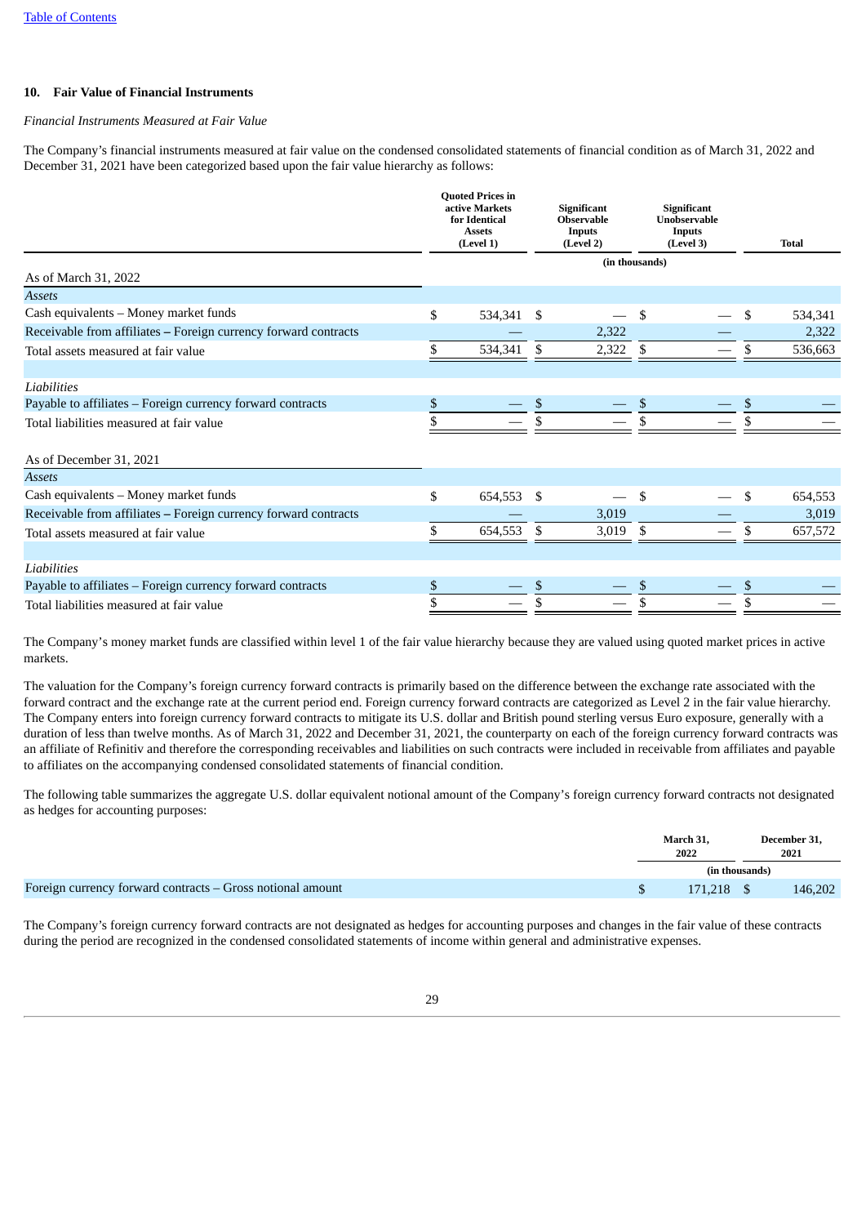# **10. Fair Value of Financial Instruments**

# *Financial Instruments Measured at Fair Value*

The Company's financial instruments measured at fair value on the condensed consolidated statements of financial condition as of March 31, 2022 and December 31, 2021 have been categorized based upon the fair value hierarchy as follows:

|                                                                 | <b>Quoted Prices in</b><br>active Markets<br>for Identical<br><b>Assets</b><br>(Level 1) |    | <b>Significant</b><br><b>Observable</b><br><b>Inputs</b><br>(Level 2) |      | <b>Significant</b><br><b>Unobservable</b><br><b>Inputs</b><br>(Level 3) |    | <b>Total</b> |
|-----------------------------------------------------------------|------------------------------------------------------------------------------------------|----|-----------------------------------------------------------------------|------|-------------------------------------------------------------------------|----|--------------|
|                                                                 |                                                                                          |    | (in thousands)                                                        |      |                                                                         |    |              |
| As of March 31, 2022                                            |                                                                                          |    |                                                                       |      |                                                                         |    |              |
| <b>Assets</b>                                                   |                                                                                          |    |                                                                       |      |                                                                         |    |              |
| Cash equivalents - Money market funds                           | \$<br>534,341                                                                            | \$ |                                                                       | \$   |                                                                         | \$ | 534,341      |
| Receivable from affiliates - Foreign currency forward contracts |                                                                                          |    | 2,322                                                                 |      |                                                                         |    | 2,322        |
| Total assets measured at fair value                             | \$<br>534,341                                                                            | -S | 2,322                                                                 | - \$ |                                                                         | \$ | 536,663      |
|                                                                 |                                                                                          |    |                                                                       |      |                                                                         |    |              |
| Liabilities                                                     |                                                                                          |    |                                                                       |      |                                                                         |    |              |
| Payable to affiliates - Foreign currency forward contracts      | \$                                                                                       |    |                                                                       |      |                                                                         |    |              |
| Total liabilities measured at fair value                        |                                                                                          |    |                                                                       |      |                                                                         | \$ |              |
| As of December 31, 2021                                         |                                                                                          |    |                                                                       |      |                                                                         |    |              |
| <b>Assets</b>                                                   |                                                                                          |    |                                                                       |      |                                                                         |    |              |
| Cash equivalents - Money market funds                           | \$<br>654,553                                                                            | \$ |                                                                       | \$   |                                                                         | \$ | 654,553      |
| Receivable from affiliates - Foreign currency forward contracts |                                                                                          |    | 3,019                                                                 |      |                                                                         |    | 3,019        |
| Total assets measured at fair value                             | \$<br>654,553                                                                            | S. | 3,019                                                                 | -\$  |                                                                         | \$ | 657,572      |
|                                                                 |                                                                                          |    |                                                                       |      |                                                                         |    |              |
| Liabilities                                                     |                                                                                          |    |                                                                       |      |                                                                         |    |              |
| Payable to affiliates - Foreign currency forward contracts      | \$                                                                                       | S  |                                                                       |      |                                                                         | \$ |              |
| Total liabilities measured at fair value                        | \$                                                                                       | \$ |                                                                       |      |                                                                         | \$ |              |

The Company's money market funds are classified within level 1 of the fair value hierarchy because they are valued using quoted market prices in active markets.

The valuation for the Company's foreign currency forward contracts is primarily based on the difference between the exchange rate associated with the forward contract and the exchange rate at the current period end. Foreign currency forward contracts are categorized as Level 2 in the fair value hierarchy. The Company enters into foreign currency forward contracts to mitigate its U.S. dollar and British pound sterling versus Euro exposure, generally with a duration of less than twelve months. As of March 31, 2022 and December 31, 2021, the counterparty on each of the foreign currency forward contracts was an affiliate of Refinitiv and therefore the corresponding receivables and liabilities on such contracts were included in receivable from affiliates and payable to affiliates on the accompanying condensed consolidated statements of financial condition.

The following table summarizes the aggregate U.S. dollar equivalent notional amount of the Company's foreign currency forward contracts not designated as hedges for accounting purposes:

|                                                            | March 31.<br>2022 |            |  | December 31,<br>2021 |
|------------------------------------------------------------|-------------------|------------|--|----------------------|
|                                                            | (in thousands)    |            |  |                      |
| Foreign currency forward contracts – Gross notional amount |                   | 171.218 \$ |  | 146,202              |

The Company's foreign currency forward contracts are not designated as hedges for accounting purposes and changes in the fair value of these contracts during the period are recognized in the condensed consolidated statements of income within general and administrative expenses.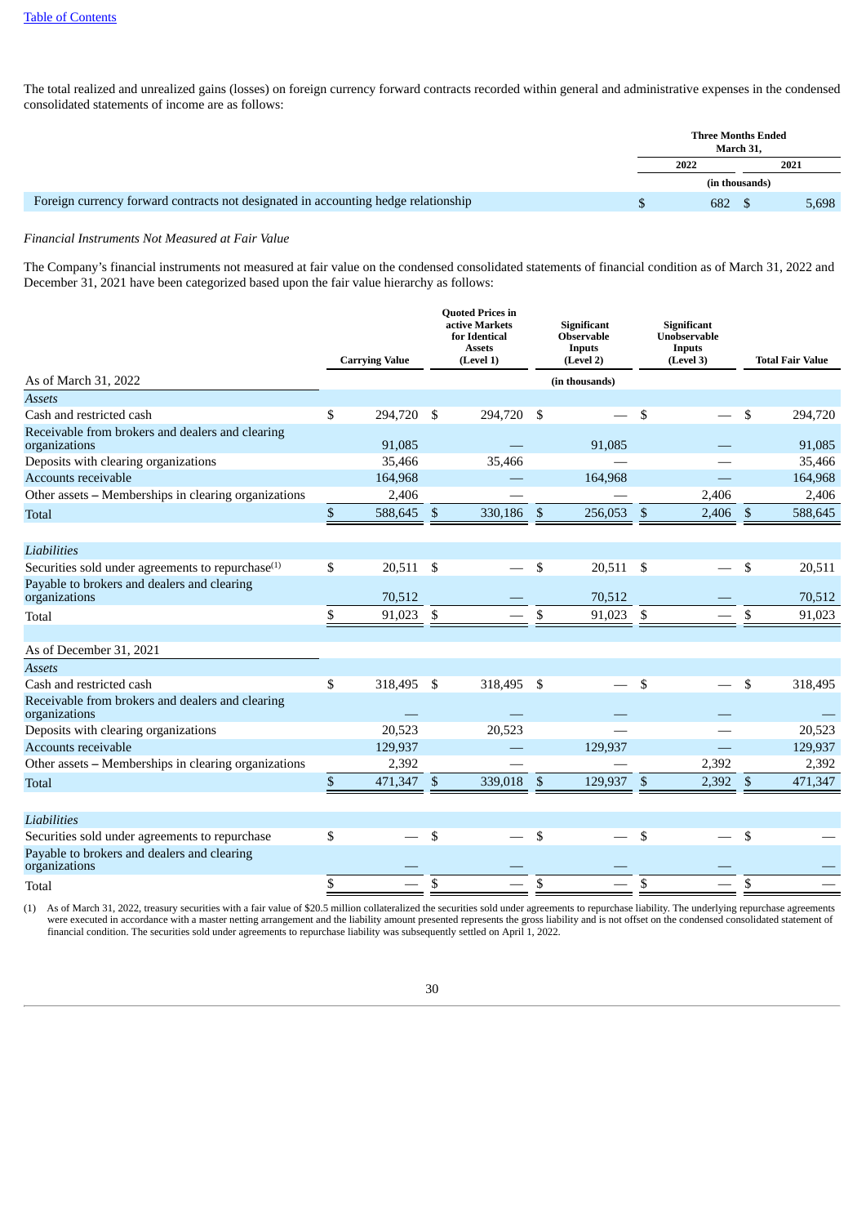The total realized and unrealized gains (losses) on foreign currency forward contracts recorded within general and administrative expenses in the condensed consolidated statements of income are as follows:

|                                                                                    |                | <b>Three Months Ended</b><br>March 31. |  |       |  |
|------------------------------------------------------------------------------------|----------------|----------------------------------------|--|-------|--|
|                                                                                    |                | 2022                                   |  | 2021  |  |
|                                                                                    | (in thousands) |                                        |  |       |  |
| Foreign currency forward contracts not designated in accounting hedge relationship |                | 682                                    |  | 5,698 |  |

# *Financial Instruments Not Measured at Fair Value*

The Company's financial instruments not measured at fair value on the condensed consolidated statements of financial condition as of March 31, 2022 and December 31, 2021 have been categorized based upon the fair value hierarchy as follows:

|                                                                   |              | <b>Carrying Value</b> |                           | <b>Quoted Prices in</b><br>active Markets<br>for Identical<br><b>Assets</b><br>(Level 1) |                | <b>Significant</b><br><b>Observable</b><br>Inputs<br>(Level 2) |                | <b>Significant</b><br>Unobservable<br><b>Inputs</b><br>(Level 3) |                           |         |  | <b>Total Fair Value</b> |
|-------------------------------------------------------------------|--------------|-----------------------|---------------------------|------------------------------------------------------------------------------------------|----------------|----------------------------------------------------------------|----------------|------------------------------------------------------------------|---------------------------|---------|--|-------------------------|
| As of March 31, 2022                                              |              |                       |                           |                                                                                          |                | (in thousands)                                                 |                |                                                                  |                           |         |  |                         |
| Assets                                                            |              |                       |                           |                                                                                          |                |                                                                |                |                                                                  |                           |         |  |                         |
| Cash and restricted cash                                          | \$           | 294,720               | -\$                       | 294,720                                                                                  | \$             |                                                                | \$             |                                                                  | \$                        | 294,720 |  |                         |
| Receivable from brokers and dealers and clearing<br>organizations |              | 91,085                |                           |                                                                                          |                | 91,085                                                         |                |                                                                  |                           | 91,085  |  |                         |
| Deposits with clearing organizations                              |              | 35,466                |                           | 35,466                                                                                   |                |                                                                |                |                                                                  |                           | 35,466  |  |                         |
| Accounts receivable                                               |              | 164,968               |                           |                                                                                          |                | 164,968                                                        |                |                                                                  |                           | 164,968 |  |                         |
| Other assets - Memberships in clearing organizations              |              | 2,406                 |                           |                                                                                          |                |                                                                |                | 2,406                                                            |                           | 2,406   |  |                         |
| <b>Total</b>                                                      | $\$$         | 588,645               | $\mathfrak{s}$            | 330,186                                                                                  | $\mathfrak{s}$ | 256,053                                                        | $\mathfrak{S}$ | 2,406                                                            | $\boldsymbol{\mathsf{S}}$ | 588,645 |  |                         |
| <b>Liabilities</b>                                                |              |                       |                           |                                                                                          |                |                                                                |                |                                                                  |                           |         |  |                         |
| Securities sold under agreements to repurchase $(1)$              | \$           | 20,511                | \$                        |                                                                                          | \$             | 20,511                                                         | $\mathfrak s$  |                                                                  | \$                        | 20,511  |  |                         |
| Payable to brokers and dealers and clearing<br>organizations      |              | 70,512                |                           |                                                                                          |                | 70,512                                                         |                |                                                                  |                           | 70,512  |  |                         |
| Total                                                             | \$           | 91,023                | $\mathfrak{S}$            |                                                                                          | \$             | 91,023                                                         | $\mathfrak s$  |                                                                  | \$                        | 91,023  |  |                         |
|                                                                   |              |                       |                           |                                                                                          |                |                                                                |                |                                                                  |                           |         |  |                         |
| As of December 31, 2021                                           |              |                       |                           |                                                                                          |                |                                                                |                |                                                                  |                           |         |  |                         |
| <b>Assets</b>                                                     |              |                       |                           |                                                                                          |                |                                                                |                |                                                                  |                           |         |  |                         |
| Cash and restricted cash                                          | \$           | 318,495               | -\$                       | 318,495                                                                                  | \$             |                                                                | \$             |                                                                  | \$                        | 318,495 |  |                         |
| Receivable from brokers and dealers and clearing<br>organizations |              |                       |                           |                                                                                          |                |                                                                |                |                                                                  |                           |         |  |                         |
| Deposits with clearing organizations                              |              | 20,523                |                           | 20,523                                                                                   |                |                                                                |                |                                                                  |                           | 20,523  |  |                         |
| Accounts receivable                                               |              | 129,937               |                           |                                                                                          |                | 129,937                                                        |                |                                                                  |                           | 129,937 |  |                         |
| Other assets - Memberships in clearing organizations              |              | 2,392                 |                           |                                                                                          |                |                                                                |                | 2,392                                                            |                           | 2,392   |  |                         |
| <b>Total</b>                                                      | $\mathbb{S}$ | 471,347               | $\boldsymbol{\mathsf{S}}$ | 339,018                                                                                  | $\$$           | 129,937                                                        | $\mathfrak{s}$ | 2,392                                                            | \$                        | 471,347 |  |                         |
| Liabilities                                                       |              |                       |                           |                                                                                          |                |                                                                |                |                                                                  |                           |         |  |                         |
|                                                                   |              |                       |                           |                                                                                          |                |                                                                |                |                                                                  |                           |         |  |                         |
| Securities sold under agreements to repurchase                    | \$           |                       | \$                        |                                                                                          | \$             |                                                                | \$             |                                                                  | \$                        |         |  |                         |
| Payable to brokers and dealers and clearing<br>organizations      |              |                       |                           |                                                                                          |                |                                                                |                |                                                                  |                           |         |  |                         |
| Total                                                             | \$           |                       | \$                        |                                                                                          | \$             |                                                                | \$             |                                                                  | \$                        |         |  |                         |

(1) As of March 31, 2022, treasury securities with a fair value of \$20.5 million collateralized the securities sold under agreements to repurchase liability. The underlying repurchase agreements were executed in accordance with a master netting arrangement and the liability amount presented represents the gross liability and is not offset on the condensed consolidated statement of financial condition. The securities sold under agreements to repurchase liability was subsequently settled on April 1, 2022.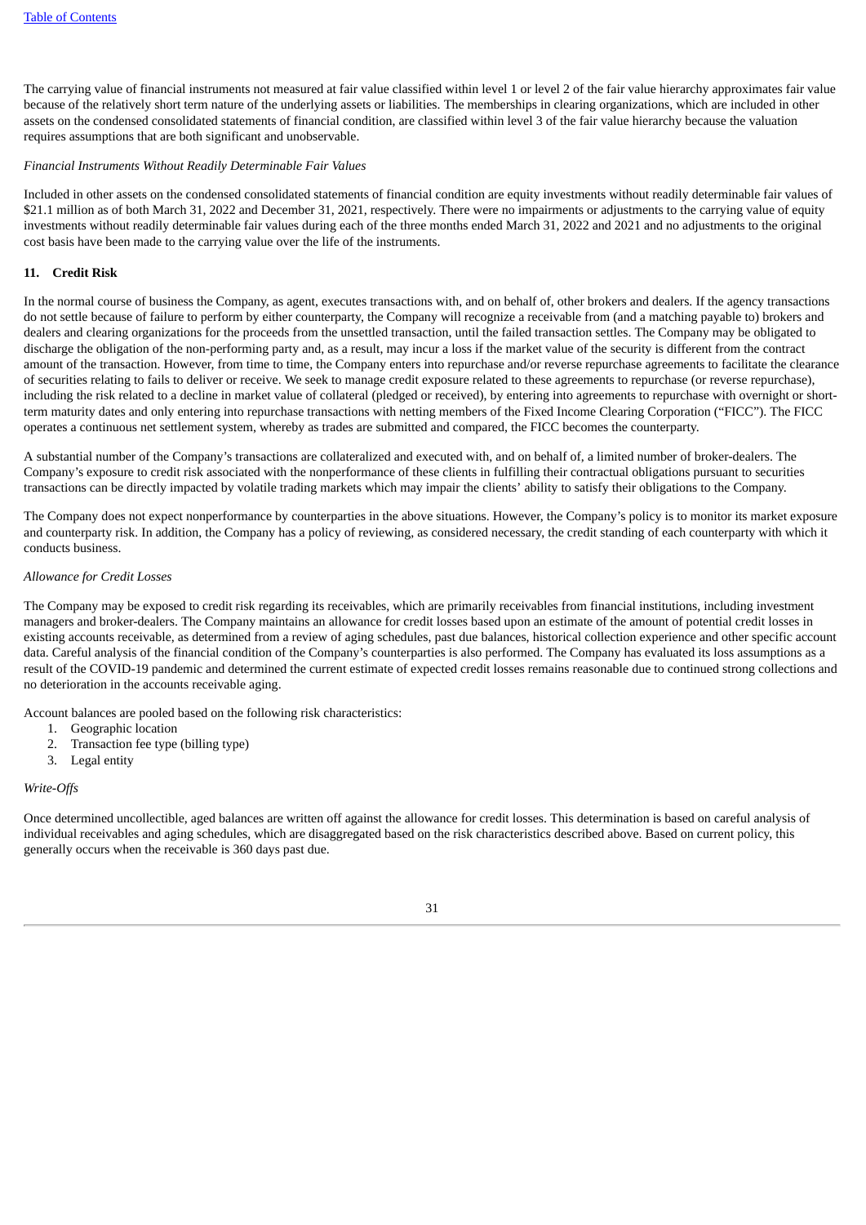The carrying value of financial instruments not measured at fair value classified within level 1 or level 2 of the fair value hierarchy approximates fair value because of the relatively short term nature of the underlying assets or liabilities. The memberships in clearing organizations, which are included in other assets on the condensed consolidated statements of financial condition, are classified within level 3 of the fair value hierarchy because the valuation requires assumptions that are both significant and unobservable.

### *Financial Instruments Without Readily Determinable Fair Values*

Included in other assets on the condensed consolidated statements of financial condition are equity investments without readily determinable fair values of \$21.1 million as of both March 31, 2022 and December 31, 2021, respectively. There were no impairments or adjustments to the carrying value of equity investments without readily determinable fair values during each of the three months ended March 31, 2022 and 2021 and no adjustments to the original cost basis have been made to the carrying value over the life of the instruments.

# <span id="page-30-0"></span>**11. Credit Risk**

In the normal course of business the Company, as agent, executes transactions with, and on behalf of, other brokers and dealers. If the agency transactions do not settle because of failure to perform by either counterparty, the Company will recognize a receivable from (and a matching payable to) brokers and dealers and clearing organizations for the proceeds from the unsettled transaction, until the failed transaction settles. The Company may be obligated to discharge the obligation of the non-performing party and, as a result, may incur a loss if the market value of the security is different from the contract amount of the transaction. However, from time to time, the Company enters into repurchase and/or reverse repurchase agreements to facilitate the clearance of securities relating to fails to deliver or receive. We seek to manage credit exposure related to these agreements to repurchase (or reverse repurchase), including the risk related to a decline in market value of collateral (pledged or received), by entering into agreements to repurchase with overnight or shortterm maturity dates and only entering into repurchase transactions with netting members of the Fixed Income Clearing Corporation ("FICC"). The FICC operates a continuous net settlement system, whereby as trades are submitted and compared, the FICC becomes the counterparty.

A substantial number of the Company's transactions are collateralized and executed with, and on behalf of, a limited number of broker-dealers. The Company's exposure to credit risk associated with the nonperformance of these clients in fulfilling their contractual obligations pursuant to securities transactions can be directly impacted by volatile trading markets which may impair the clients' ability to satisfy their obligations to the Company.

The Company does not expect nonperformance by counterparties in the above situations. However, the Company's policy is to monitor its market exposure and counterparty risk. In addition, the Company has a policy of reviewing, as considered necessary, the credit standing of each counterparty with which it conducts business.

#### *Allowance for Credit Losses*

The Company may be exposed to credit risk regarding its receivables, which are primarily receivables from financial institutions, including investment managers and broker-dealers. The Company maintains an allowance for credit losses based upon an estimate of the amount of potential credit losses in existing accounts receivable, as determined from a review of aging schedules, past due balances, historical collection experience and other specific account data. Careful analysis of the financial condition of the Company's counterparties is also performed. The Company has evaluated its loss assumptions as a result of the COVID-19 pandemic and determined the current estimate of expected credit losses remains reasonable due to continued strong collections and no deterioration in the accounts receivable aging.

Account balances are pooled based on the following risk characteristics:

- 1. Geographic location
- 2. Transaction fee type (billing type)
- 3. Legal entity

# *Write-Offs*

Once determined uncollectible, aged balances are written off against the allowance for credit losses. This determination is based on careful analysis of individual receivables and aging schedules, which are disaggregated based on the risk characteristics described above. Based on current policy, this generally occurs when the receivable is 360 days past due.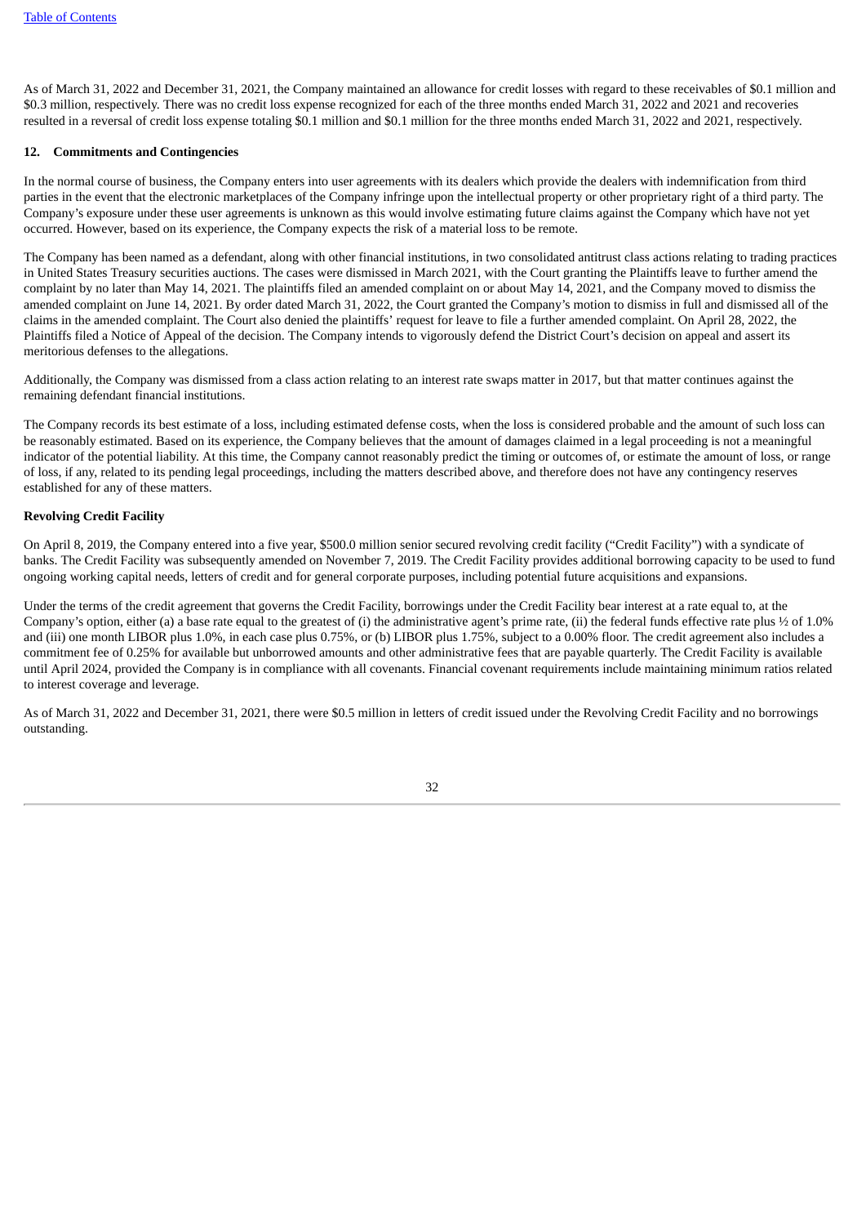As of March 31, 2022 and December 31, 2021, the Company maintained an allowance for credit losses with regard to these receivables of \$0.1 million and \$0.3 million, respectively. There was no credit loss expense recognized for each of the three months ended March 31, 2022 and 2021 and recoveries resulted in a reversal of credit loss expense totaling \$0.1 million and \$0.1 million for the three months ended March 31, 2022 and 2021, respectively.

## <span id="page-31-0"></span>**12. Commitments and Contingencies**

In the normal course of business, the Company enters into user agreements with its dealers which provide the dealers with indemnification from third parties in the event that the electronic marketplaces of the Company infringe upon the intellectual property or other proprietary right of a third party. The Company's exposure under these user agreements is unknown as this would involve estimating future claims against the Company which have not yet occurred. However, based on its experience, the Company expects the risk of a material loss to be remote.

The Company has been named as a defendant, along with other financial institutions, in two consolidated antitrust class actions relating to trading practices in United States Treasury securities auctions. The cases were dismissed in March 2021, with the Court granting the Plaintiffs leave to further amend the complaint by no later than May 14, 2021. The plaintiffs filed an amended complaint on or about May 14, 2021, and the Company moved to dismiss the amended complaint on June 14, 2021. By order dated March 31, 2022, the Court granted the Company's motion to dismiss in full and dismissed all of the claims in the amended complaint. The Court also denied the plaintiffs' request for leave to file a further amended complaint. On April 28, 2022, the Plaintiffs filed a Notice of Appeal of the decision. The Company intends to vigorously defend the District Court's decision on appeal and assert its meritorious defenses to the allegations.

Additionally, the Company was dismissed from a class action relating to an interest rate swaps matter in 2017, but that matter continues against the remaining defendant financial institutions.

The Company records its best estimate of a loss, including estimated defense costs, when the loss is considered probable and the amount of such loss can be reasonably estimated. Based on its experience, the Company believes that the amount of damages claimed in a legal proceeding is not a meaningful indicator of the potential liability. At this time, the Company cannot reasonably predict the timing or outcomes of, or estimate the amount of loss, or range of loss, if any, related to its pending legal proceedings, including the matters described above, and therefore does not have any contingency reserves established for any of these matters.

# **Revolving Credit Facility**

On April 8, 2019, the Company entered into a five year, \$500.0 million senior secured revolving credit facility ("Credit Facility") with a syndicate of banks. The Credit Facility was subsequently amended on November 7, 2019. The Credit Facility provides additional borrowing capacity to be used to fund ongoing working capital needs, letters of credit and for general corporate purposes, including potential future acquisitions and expansions.

Under the terms of the credit agreement that governs the Credit Facility, borrowings under the Credit Facility bear interest at a rate equal to, at the Company's option, either (a) a base rate equal to the greatest of (i) the administrative agent's prime rate, (ii) the federal funds effective rate plus  $\frac{1}{2}$  of 1.0% and (iii) one month LIBOR plus 1.0%, in each case plus 0.75%, or (b) LIBOR plus 1.75%, subject to a 0.00% floor. The credit agreement also includes a commitment fee of 0.25% for available but unborrowed amounts and other administrative fees that are payable quarterly. The Credit Facility is available until April 2024, provided the Company is in compliance with all covenants. Financial covenant requirements include maintaining minimum ratios related to interest coverage and leverage.

As of March 31, 2022 and December 31, 2021, there were \$0.5 million in letters of credit issued under the Revolving Credit Facility and no borrowings outstanding.

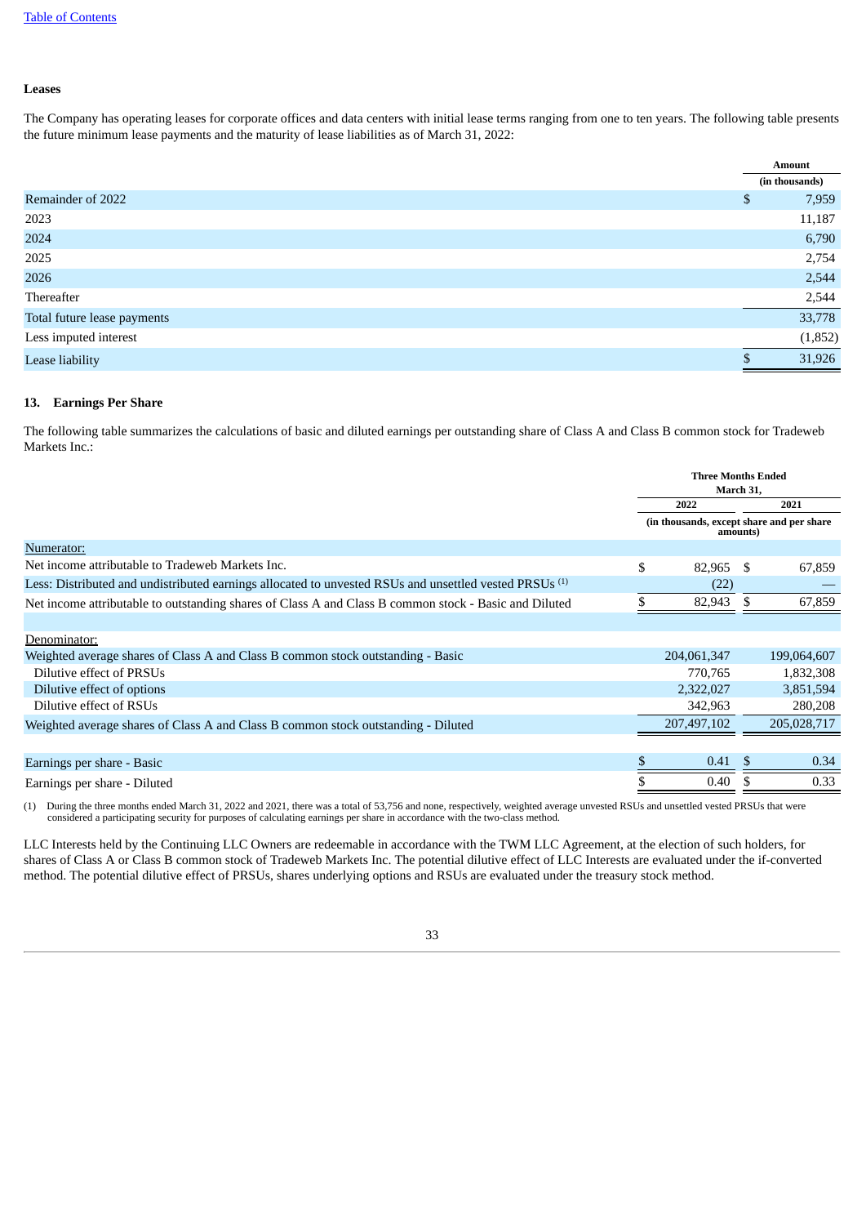## **Leases**

The Company has operating leases for corporate offices and data centers with initial lease terms ranging from one to ten years. The following table presents the future minimum lease payments and the maturity of lease liabilities as of March 31, 2022:

| <b>Amount</b>  |
|----------------|
| (in thousands) |
| \$<br>7,959    |
| 11,187         |
| 6,790          |
| 2,754          |
| 2,544          |
| 2,544          |
| 33,778         |
| (1,852)        |
| 31,926         |
|                |

## <span id="page-32-0"></span>**13. Earnings Per Share**

The following table summarizes the calculations of basic and diluted earnings per outstanding share of Class A and Class B common stock for Tradeweb Markets Inc.:

|                                                                                                        | <b>Three Months Ended</b><br>March 31, |                                                       |     |             |  |
|--------------------------------------------------------------------------------------------------------|----------------------------------------|-------------------------------------------------------|-----|-------------|--|
|                                                                                                        |                                        | 2022                                                  |     | 2021        |  |
|                                                                                                        |                                        | (in thousands, except share and per share<br>amounts) |     |             |  |
| Numerator:                                                                                             |                                        |                                                       |     |             |  |
| Net income attributable to Tradeweb Markets Inc.                                                       | \$                                     | 82,965 \$                                             |     | 67,859      |  |
| Less: Distributed and undistributed earnings allocated to unvested RSUs and unsettled vested PRSUs (1) |                                        | (22)                                                  |     |             |  |
| Net income attributable to outstanding shares of Class A and Class B common stock - Basic and Diluted  |                                        | 82,943                                                | \$. | 67,859      |  |
|                                                                                                        |                                        |                                                       |     |             |  |
| Denominator:                                                                                           |                                        |                                                       |     |             |  |
| Weighted average shares of Class A and Class B common stock outstanding - Basic                        |                                        | 204,061,347                                           |     | 199,064,607 |  |
| Dilutive effect of PRSUs                                                                               |                                        | 770,765                                               |     | 1,832,308   |  |
| Dilutive effect of options                                                                             |                                        | 2,322,027                                             |     | 3,851,594   |  |
| Dilutive effect of RSUs                                                                                |                                        | 342,963                                               |     | 280,208     |  |
| Weighted average shares of Class A and Class B common stock outstanding - Diluted                      |                                        | 207,497,102                                           |     | 205,028,717 |  |
|                                                                                                        |                                        |                                                       |     |             |  |
| Earnings per share - Basic                                                                             | \$                                     | $0.41 \quad$ \$                                       |     | 0.34        |  |
| Earnings per share - Diluted                                                                           |                                        | 0.40                                                  |     | 0.33        |  |
|                                                                                                        |                                        |                                                       |     |             |  |

(1) During the three months ended March 31, 2022 and 2021, there was a total of 53,756 and none, respectively, weighted average unvested RSUs and unsettled vested PRSUs that were considered a participating security for purposes of calculating earnings per share in accordance with the two-class method.

LLC Interests held by the Continuing LLC Owners are redeemable in accordance with the TWM LLC Agreement, at the election of such holders, for shares of Class A or Class B common stock of Tradeweb Markets Inc. The potential dilutive effect of LLC Interests are evaluated under the if-converted method. The potential dilutive effect of PRSUs, shares underlying options and RSUs are evaluated under the treasury stock method.

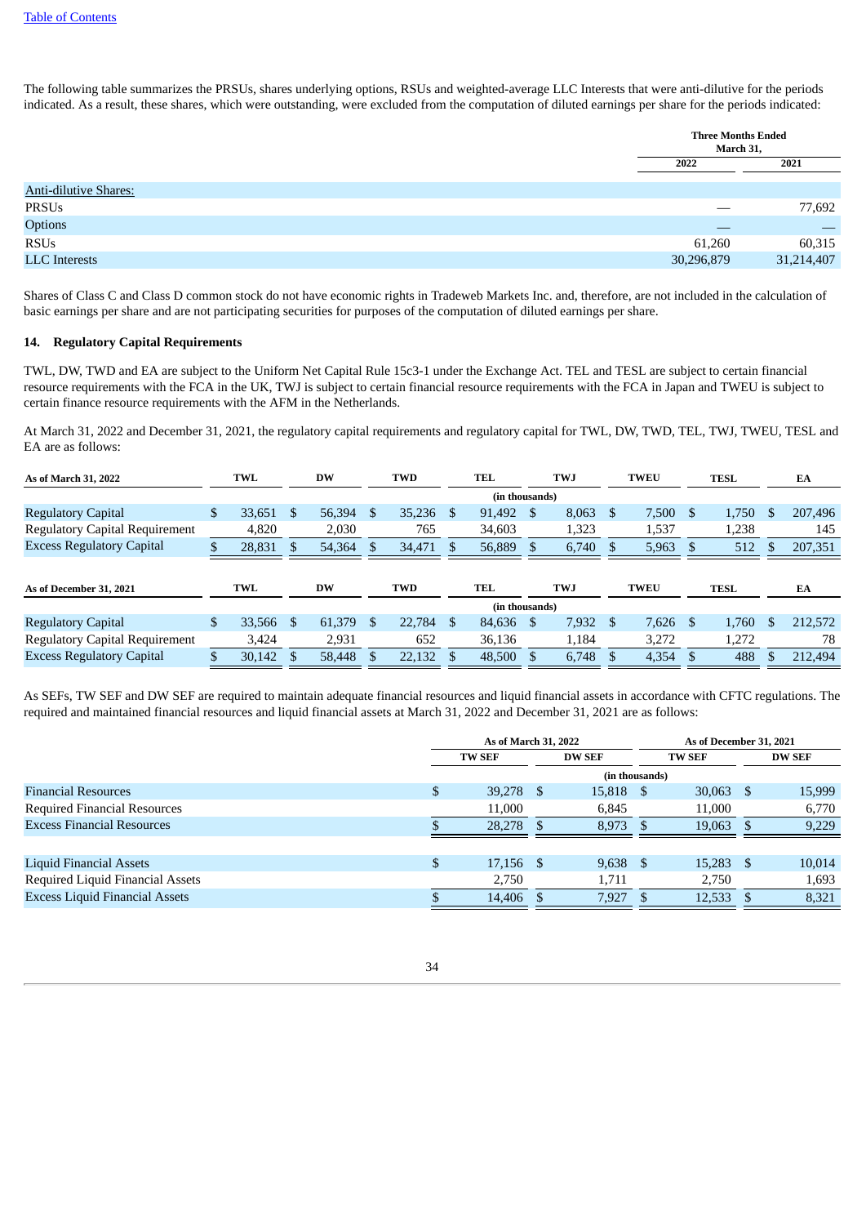The following table summarizes the PRSUs, shares underlying options, RSUs and weighted-average LLC Interests that were anti-dilutive for the periods indicated. As a result, these shares, which were outstanding, were excluded from the computation of diluted earnings per share for the periods indicated:

|                              | <b>Three Months Ended</b><br>March 31, |            |
|------------------------------|----------------------------------------|------------|
|                              | 2022                                   | 2021       |
| <b>Anti-dilutive Shares:</b> |                                        |            |
| PRSUs                        |                                        | 77,692     |
| Options                      |                                        |            |
| <b>RSUs</b>                  | 61,260                                 | 60,315     |
| <b>LLC</b> Interests         | 30,296,879                             | 31,214,407 |
|                              |                                        |            |

Shares of Class C and Class D common stock do not have economic rights in Tradeweb Markets Inc. and, therefore, are not included in the calculation of basic earnings per share and are not participating securities for purposes of the computation of diluted earnings per share.

# <span id="page-33-0"></span>**14. Regulatory Capital Requirements**

TWL, DW, TWD and EA are subject to the Uniform Net Capital Rule 15c3-1 under the Exchange Act. TEL and TESL are subject to certain financial resource requirements with the FCA in the UK, TWJ is subject to certain financial resource requirements with the FCA in Japan and TWEU is subject to certain finance resource requirements with the AFM in the Netherlands.

At March 31, 2022 and December 31, 2021, the regulatory capital requirements and regulatory capital for TWL, DW, TWD, TEL, TWJ, TWEU, TESL and EA are as follows:

| As of March 31, 2022                  |     | TWL       | DW     | <b>TWD</b> |            | TEL |                | <b>TWJ</b> |            | <b>TWEU</b> |             |   |             |     | EA      |
|---------------------------------------|-----|-----------|--------|------------|------------|-----|----------------|------------|------------|-------------|-------------|---|-------------|-----|---------|
|                                       |     |           |        |            |            |     | (in thousands) |            |            |             |             |   |             |     |         |
| <b>Regulatory Capital</b>             |     | 33,651 \$ | 56,394 | S          | 35,236     | S   | 91,492         |            | 8,063      | \$.         | 7,500       | S | 1,750       | .S  | 207,496 |
| <b>Regulatory Capital Requirement</b> |     | 4.820     | 2,030  |            | 765        |     | 34,603         |            | 1,323      |             | 1,537       |   | 1,238       |     | 145     |
| <b>Excess Regulatory Capital</b>      |     | 28,831 \$ | 54,364 |            | 34,471     |     | 56,889         |            | 6,740      |             | 5,963       |   | 512         |     | 207,351 |
|                                       |     |           |        |            |            |     |                |            |            |             |             |   |             |     |         |
| As of December 31, 2021               |     | TWL       | DW     |            | <b>TWD</b> |     | TEL            |            | <b>TWJ</b> |             | <b>TWEU</b> |   | <b>TESL</b> |     | EA      |
|                                       |     |           |        |            |            |     | (in thousands) |            |            |             |             |   |             |     |         |
| <b>Regulatory Capital</b>             | \$. | 33,566 \$ | 61,379 | -S         | 22,784     | S   | 84,636         | <b>S</b>   | 7,932      | \$          | 7,626       | S | 1,760       | \$. | 212,572 |
| <b>Regulatory Capital Requirement</b> |     | 3,424     | 2,931  |            | 652        |     | 36,136         |            | 1,184      |             | 3,272       |   | 1,272       |     | 78      |
| <b>Excess Regulatory Capital</b>      |     | 30,142    | 58,448 |            | 22,132     |     | 48,500         |            | 6,748      |             | 4,354       |   | 488         |     | 212,494 |

As SEFs, TW SEF and DW SEF are required to maintain adequate financial resources and liquid financial assets in accordance with CFTC regulations. The required and maintained financial resources and liquid financial assets at March 31, 2022 and December 31, 2021 are as follows:

<span id="page-33-1"></span>

|                                       |    | As of March 31, 2022 |      |                |               | As of December 31, 2021 |      |               |
|---------------------------------------|----|----------------------|------|----------------|---------------|-------------------------|------|---------------|
|                                       |    | <b>TW SEF</b>        |      | <b>DW SEF</b>  | <b>TW SEF</b> |                         |      | <b>DW SEF</b> |
|                                       |    |                      |      | (in thousands) |               |                         |      |               |
| <b>Financial Resources</b>            | \$ | 39,278               | - \$ | 15,818 \$      |               | 30,063                  | - S  | 15,999        |
| Required Financial Resources          |    | 11,000               |      | 6.845          |               | 11,000                  |      | 6,770         |
| <b>Excess Financial Resources</b>     |    | 28,278               |      | 8.973          |               | 19,063                  |      | 9,229         |
|                                       |    |                      |      |                |               |                         |      |               |
| <b>Liquid Financial Assets</b>        | \$ | 17,156 \$            |      | $9,638$ \$     |               | 15,283                  | - S  | 10,014        |
| Required Liquid Financial Assets      |    | 2,750                |      | 1,711          |               | 2,750                   |      | 1,693         |
| <b>Excess Liquid Financial Assets</b> |    | 14,406               | - \$ | 7,927          |               | 12,533                  | - \$ | 8,321         |
|                                       |    |                      |      |                |               |                         |      |               |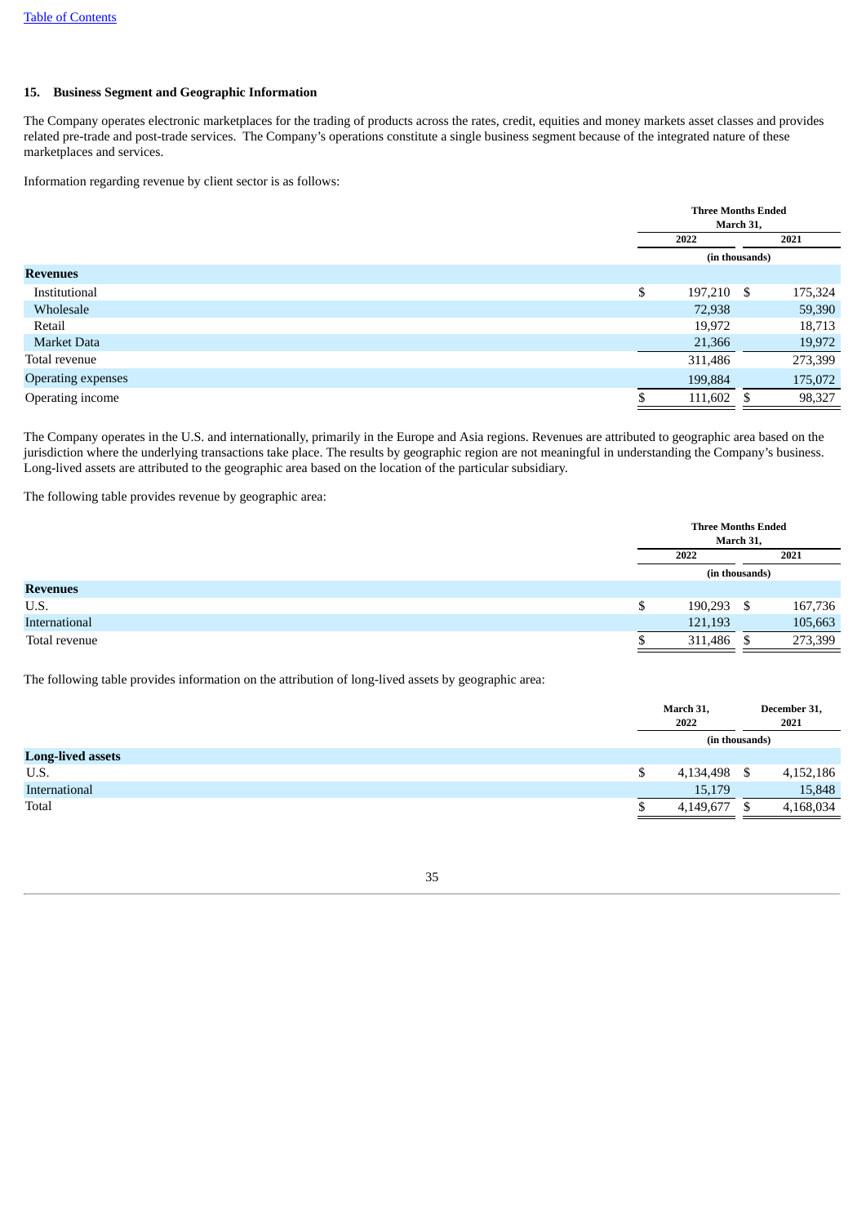# **15. Business Segment and Geographic Information**

The Company operates electronic marketplaces for the trading of products across the rates, credit, equities and money markets asset classes and provides related pre-trade and post-trade services. The Company's operations constitute a single business segment because of the integrated nature of these marketplaces and services.

Information regarding revenue by client sector is as follows:

|                           | <b>Three Months Ended</b> | March 31,      |         |
|---------------------------|---------------------------|----------------|---------|
|                           | 2022                      |                | 2021    |
|                           |                           | (in thousands) |         |
| <b>Revenues</b>           |                           |                |         |
| Institutional             | \$<br>197,210 \$          |                | 175,324 |
| Wholesale                 | 72,938                    |                | 59,390  |
| Retail                    | 19,972                    |                | 18,713  |
| Market Data               | 21,366                    |                | 19,972  |
| Total revenue             | 311,486                   |                | 273,399 |
| <b>Operating expenses</b> | 199,884                   |                | 175,072 |
| Operating income          | 111,602                   | S              | 98,327  |

The Company operates in the U.S. and internationally, primarily in the Europe and Asia regions. Revenues are attributed to geographic area based on the jurisdiction where the underlying transactions take place. The results by geographic region are not meaningful in understanding the Company's business. Long-lived assets are attributed to the geographic area based on the location of the particular subsidiary.

The following table provides revenue by geographic area:

|                 |   | <b>Three Months Ended</b> | March 31, |         |
|-----------------|---|---------------------------|-----------|---------|
|                 |   | 2021<br>2022              |           |         |
|                 |   | (in thousands)            |           |         |
| <b>Revenues</b> |   |                           |           |         |
| U.S.            | ъ | 190,293                   |           | 167,736 |
| International   |   | 121,193                   |           | 105,663 |
| Total revenue   |   | 311,486                   |           | 273,399 |

The following table provides information on the attribution of long-lived assets by geographic area:

<span id="page-34-0"></span>

|                          |   | March 31,<br>2022 |   | December 31,<br>2021 |
|--------------------------|---|-------------------|---|----------------------|
|                          |   | (in thousands)    |   |                      |
| <b>Long-lived assets</b> |   |                   |   |                      |
| U.S.                     | Φ | 4,134,498         | S | 4,152,186            |
| International            |   | 15,179            |   | 15,848               |
| Total                    |   | 4,149,677         |   | 4,168,034            |
|                          |   |                   |   |                      |

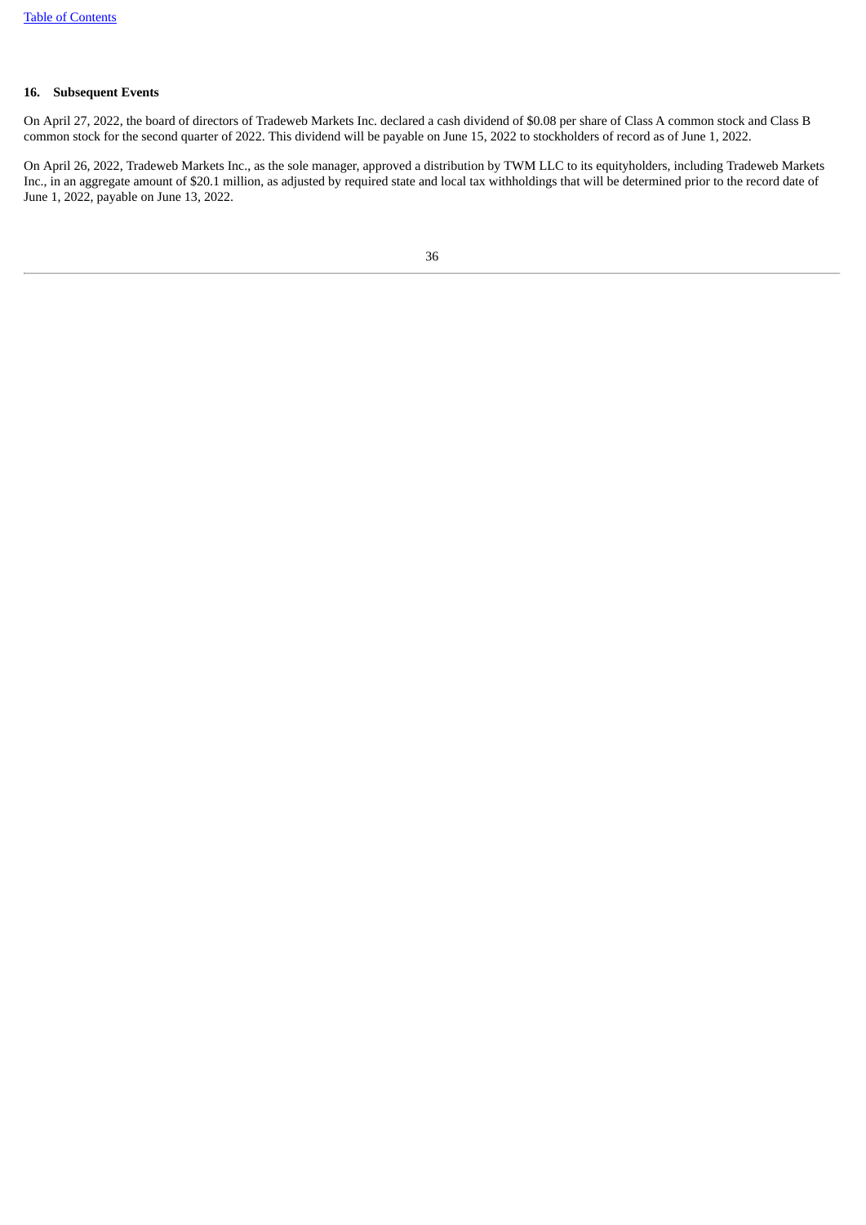# **16. Subsequent Events**

On April 27, 2022, the board of directors of Tradeweb Markets Inc. declared a cash dividend of \$0.08 per share of Class A common stock and Class B common stock for the second quarter of 2022. This dividend will be payable on June 15, 2022 to stockholders of record as of June 1, 2022.

<span id="page-35-0"></span>On April 26, 2022, Tradeweb Markets Inc., as the sole manager, approved a distribution by TWM LLC to its equityholders, including Tradeweb Markets Inc., in an aggregate amount of \$20.1 million, as adjusted by required state and local tax withholdings that will be determined prior to the record date of June 1, 2022, payable on June 13, 2022.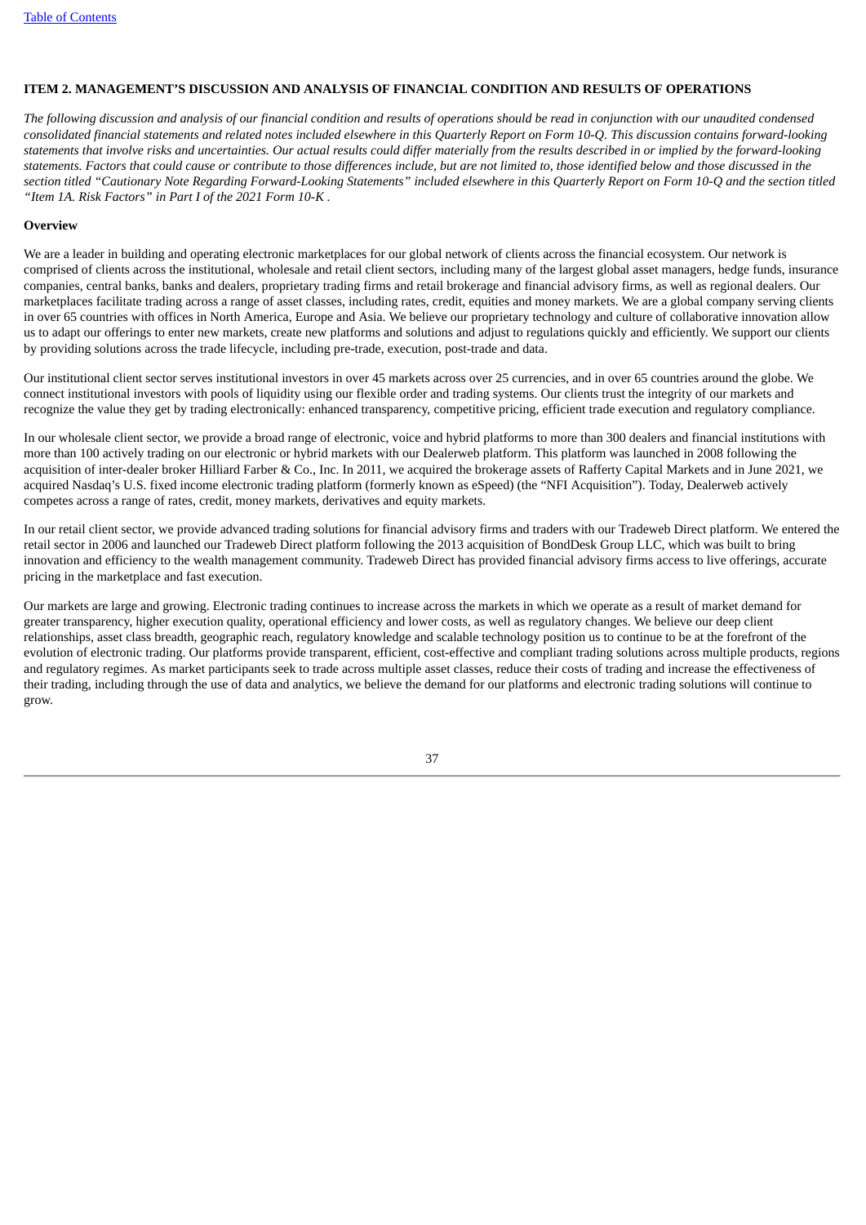# **ITEM 2. MANAGEMENT'S DISCUSSION AND ANALYSIS OF FINANCIAL CONDITION AND RESULTS OF OPERATIONS**

The following discussion and analysis of our financial condition and results of operations should be read in conjunction with our unaudited condensed consolidated financial statements and related notes included elsewhere in this Quarterly Report on Form 10-Q. This discussion contains forward-looking statements that involve risks and uncertainties. Our actual results could differ materially from the results described in or implied by the forward-looking statements. Factors that could cause or contribute to those differences include, but are not limited to, those identified below and those discussed in the section titled "Cautionary Note Regarding Forward-Looking Statements" included elsewhere in this Quarterly Report on Form 10-Q and the section titled *"Item 1A. Risk Factors" in Part I of the 2021 Form 10-K .*

# **Overview**

We are a leader in building and operating electronic marketplaces for our global network of clients across the financial ecosystem. Our network is comprised of clients across the institutional, wholesale and retail client sectors, including many of the largest global asset managers, hedge funds, insurance companies, central banks, banks and dealers, proprietary trading firms and retail brokerage and financial advisory firms, as well as regional dealers. Our marketplaces facilitate trading across a range of asset classes, including rates, credit, equities and money markets. We are a global company serving clients in over 65 countries with offices in North America, Europe and Asia. We believe our proprietary technology and culture of collaborative innovation allow us to adapt our offerings to enter new markets, create new platforms and solutions and adjust to regulations quickly and efficiently. We support our clients by providing solutions across the trade lifecycle, including pre-trade, execution, post-trade and data.

Our institutional client sector serves institutional investors in over 45 markets across over 25 currencies, and in over 65 countries around the globe. We connect institutional investors with pools of liquidity using our flexible order and trading systems. Our clients trust the integrity of our markets and recognize the value they get by trading electronically: enhanced transparency, competitive pricing, efficient trade execution and regulatory compliance.

In our wholesale client sector, we provide a broad range of electronic, voice and hybrid platforms to more than 300 dealers and financial institutions with more than 100 actively trading on our electronic or hybrid markets with our Dealerweb platform. This platform was launched in 2008 following the acquisition of inter-dealer broker Hilliard Farber & Co., Inc. In 2011, we acquired the brokerage assets of Rafferty Capital Markets and in June 2021, we acquired Nasdaq's U.S. fixed income electronic trading platform (formerly known as eSpeed) (the "NFI Acquisition"). Today, Dealerweb actively competes across a range of rates, credit, money markets, derivatives and equity markets.

In our retail client sector, we provide advanced trading solutions for financial advisory firms and traders with our Tradeweb Direct platform. We entered the retail sector in 2006 and launched our Tradeweb Direct platform following the 2013 acquisition of BondDesk Group LLC, which was built to bring innovation and efficiency to the wealth management community. Tradeweb Direct has provided financial advisory firms access to live offerings, accurate pricing in the marketplace and fast execution.

Our markets are large and growing. Electronic trading continues to increase across the markets in which we operate as a result of market demand for greater transparency, higher execution quality, operational efficiency and lower costs, as well as regulatory changes. We believe our deep client relationships, asset class breadth, geographic reach, regulatory knowledge and scalable technology position us to continue to be at the forefront of the evolution of electronic trading. Our platforms provide transparent, efficient, cost-effective and compliant trading solutions across multiple products, regions and regulatory regimes. As market participants seek to trade across multiple asset classes, reduce their costs of trading and increase the effectiveness of their trading, including through the use of data and analytics, we believe the demand for our platforms and electronic trading solutions will continue to grow.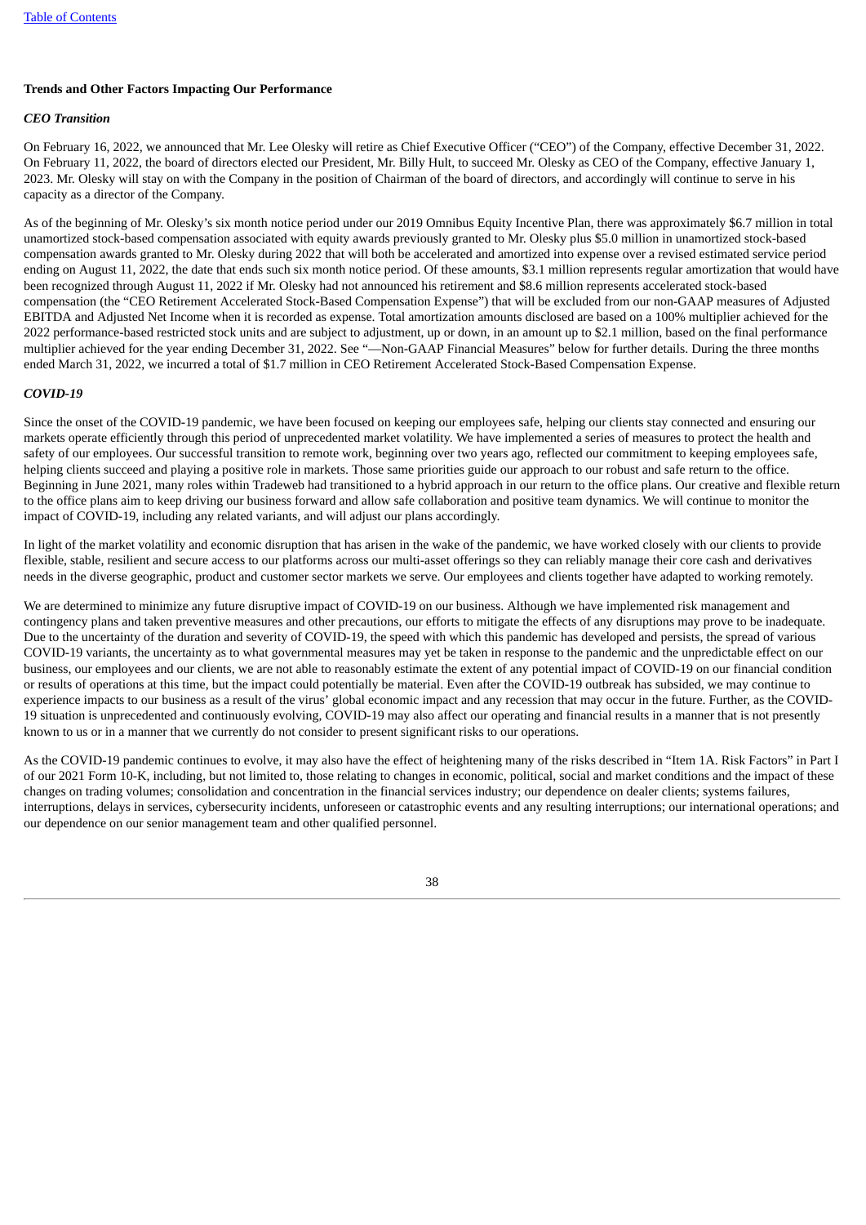# **Trends and Other Factors Impacting Our Performance**

### *CEO Transition*

On February 16, 2022, we announced that Mr. Lee Olesky will retire as Chief Executive Officer ("CEO") of the Company, effective December 31, 2022. On February 11, 2022, the board of directors elected our President, Mr. Billy Hult, to succeed Mr. Olesky as CEO of the Company, effective January 1, 2023. Mr. Olesky will stay on with the Company in the position of Chairman of the board of directors, and accordingly will continue to serve in his capacity as a director of the Company.

As of the beginning of Mr. Olesky's six month notice period under our 2019 Omnibus Equity Incentive Plan, there was approximately \$6.7 million in total unamortized stock-based compensation associated with equity awards previously granted to Mr. Olesky plus \$5.0 million in unamortized stock-based compensation awards granted to Mr. Olesky during 2022 that will both be accelerated and amortized into expense over a revised estimated service period ending on August 11, 2022, the date that ends such six month notice period. Of these amounts, \$3.1 million represents regular amortization that would have been recognized through August 11, 2022 if Mr. Olesky had not announced his retirement and \$8.6 million represents accelerated stock-based compensation (the "CEO Retirement Accelerated Stock-Based Compensation Expense") that will be excluded from our non-GAAP measures of Adjusted EBITDA and Adjusted Net Income when it is recorded as expense. Total amortization amounts disclosed are based on a 100% multiplier achieved for the 2022 performance-based restricted stock units and are subject to adjustment, up or down, in an amount up to \$2.1 million, based on the final performance multiplier achieved for the year ending December 31, 2022. See "—Non-GAAP Financial Measures" below for further details. During the three months ended March 31, 2022, we incurred a total of \$1.7 million in CEO Retirement Accelerated Stock-Based Compensation Expense.

# *COVID-19*

Since the onset of the COVID-19 pandemic, we have been focused on keeping our employees safe, helping our clients stay connected and ensuring our markets operate efficiently through this period of unprecedented market volatility. We have implemented a series of measures to protect the health and safety of our employees. Our successful transition to remote work, beginning over two years ago, reflected our commitment to keeping employees safe, helping clients succeed and playing a positive role in markets. Those same priorities guide our approach to our robust and safe return to the office. Beginning in June 2021, many roles within Tradeweb had transitioned to a hybrid approach in our return to the office plans. Our creative and flexible return to the office plans aim to keep driving our business forward and allow safe collaboration and positive team dynamics. We will continue to monitor the impact of COVID-19, including any related variants, and will adjust our plans accordingly.

In light of the market volatility and economic disruption that has arisen in the wake of the pandemic, we have worked closely with our clients to provide flexible, stable, resilient and secure access to our platforms across our multi-asset offerings so they can reliably manage their core cash and derivatives needs in the diverse geographic, product and customer sector markets we serve. Our employees and clients together have adapted to working remotely.

We are determined to minimize any future disruptive impact of COVID-19 on our business. Although we have implemented risk management and contingency plans and taken preventive measures and other precautions, our efforts to mitigate the effects of any disruptions may prove to be inadequate. Due to the uncertainty of the duration and severity of COVID-19, the speed with which this pandemic has developed and persists, the spread of various COVID-19 variants, the uncertainty as to what governmental measures may yet be taken in response to the pandemic and the unpredictable effect on our business, our employees and our clients, we are not able to reasonably estimate the extent of any potential impact of COVID-19 on our financial condition or results of operations at this time, but the impact could potentially be material. Even after the COVID-19 outbreak has subsided, we may continue to experience impacts to our business as a result of the virus' global economic impact and any recession that may occur in the future. Further, as the COVID-19 situation is unprecedented and continuously evolving, COVID-19 may also affect our operating and financial results in a manner that is not presently known to us or in a manner that we currently do not consider to present significant risks to our operations.

As the COVID-19 pandemic continues to evolve, it may also have the effect of heightening many of the risks described in "Item 1A. Risk Factors" in Part I of our 2021 Form 10-K, including, but not limited to, those relating to changes in economic, political, social and market conditions and the impact of these changes on trading volumes; consolidation and concentration in the financial services industry; our dependence on dealer clients; systems failures, interruptions, delays in services, cybersecurity incidents, unforeseen or catastrophic events and any resulting interruptions; our international operations; and our dependence on our senior management team and other qualified personnel.

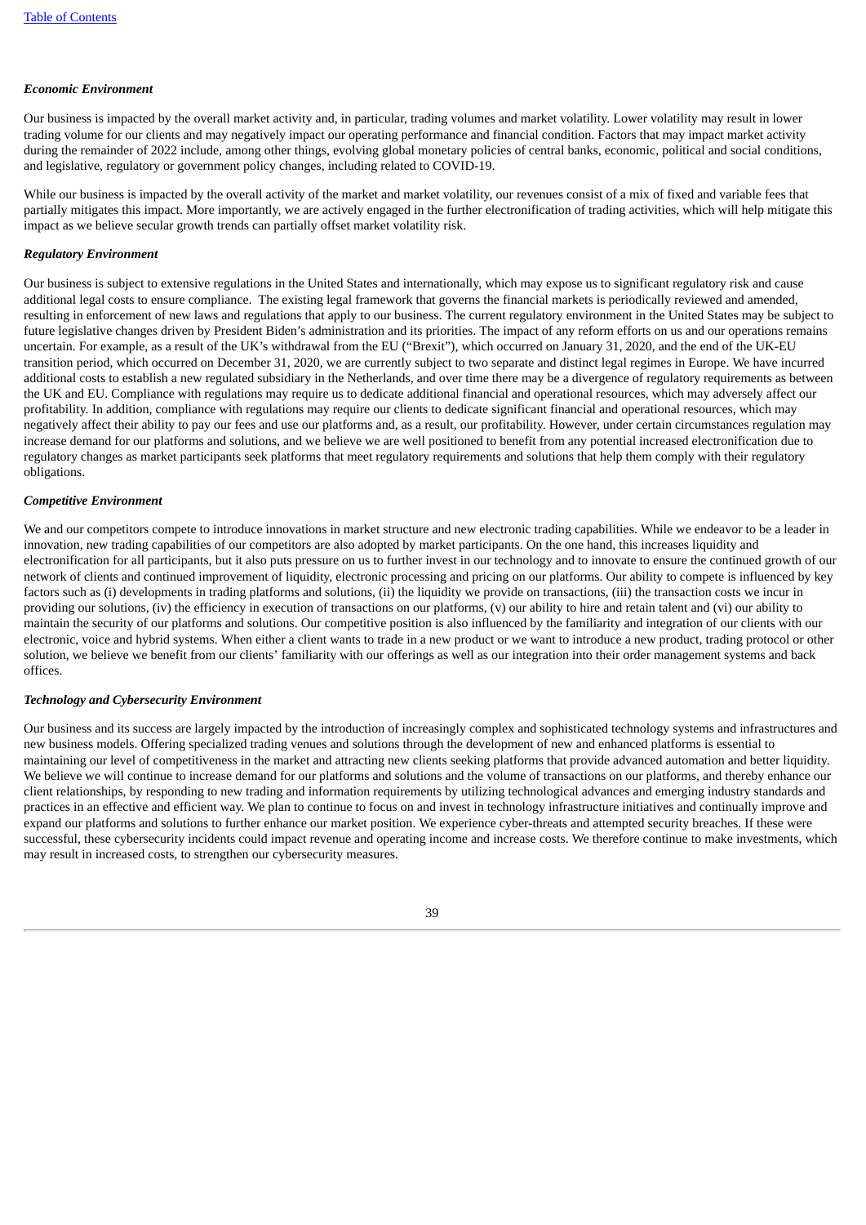# *Economic Environment*

Our business is impacted by the overall market activity and, in particular, trading volumes and market volatility. Lower volatility may result in lower trading volume for our clients and may negatively impact our operating performance and financial condition. Factors that may impact market activity during the remainder of 2022 include, among other things, evolving global monetary policies of central banks, economic, political and social conditions, and legislative, regulatory or government policy changes, including related to COVID-19.

While our business is impacted by the overall activity of the market and market volatility, our revenues consist of a mix of fixed and variable fees that partially mitigates this impact. More importantly, we are actively engaged in the further electronification of trading activities, which will help mitigate this impact as we believe secular growth trends can partially offset market volatility risk.

### *Regulatory Environment*

Our business is subject to extensive regulations in the United States and internationally, which may expose us to significant regulatory risk and cause additional legal costs to ensure compliance. The existing legal framework that governs the financial markets is periodically reviewed and amended, resulting in enforcement of new laws and regulations that apply to our business. The current regulatory environment in the United States may be subject to future legislative changes driven by President Biden's administration and its priorities. The impact of any reform efforts on us and our operations remains uncertain. For example, as a result of the UK's withdrawal from the EU ("Brexit"), which occurred on January 31, 2020, and the end of the UK-EU transition period, which occurred on December 31, 2020, we are currently subject to two separate and distinct legal regimes in Europe. We have incurred additional costs to establish a new regulated subsidiary in the Netherlands, and over time there may be a divergence of regulatory requirements as between the UK and EU. Compliance with regulations may require us to dedicate additional financial and operational resources, which may adversely affect our profitability. In addition, compliance with regulations may require our clients to dedicate significant financial and operational resources, which may negatively affect their ability to pay our fees and use our platforms and, as a result, our profitability. However, under certain circumstances regulation may increase demand for our platforms and solutions, and we believe we are well positioned to benefit from any potential increased electronification due to regulatory changes as market participants seek platforms that meet regulatory requirements and solutions that help them comply with their regulatory obligations.

# *Competitive Environment*

We and our competitors compete to introduce innovations in market structure and new electronic trading capabilities. While we endeavor to be a leader in innovation, new trading capabilities of our competitors are also adopted by market participants. On the one hand, this increases liquidity and electronification for all participants, but it also puts pressure on us to further invest in our technology and to innovate to ensure the continued growth of our network of clients and continued improvement of liquidity, electronic processing and pricing on our platforms. Our ability to compete is influenced by key factors such as (i) developments in trading platforms and solutions, (ii) the liquidity we provide on transactions, (iii) the transaction costs we incur in providing our solutions, (iv) the efficiency in execution of transactions on our platforms, (v) our ability to hire and retain talent and (vi) our ability to maintain the security of our platforms and solutions. Our competitive position is also influenced by the familiarity and integration of our clients with our electronic, voice and hybrid systems. When either a client wants to trade in a new product or we want to introduce a new product, trading protocol or other solution, we believe we benefit from our clients' familiarity with our offerings as well as our integration into their order management systems and back offices.

#### *Technology and Cybersecurity Environment*

Our business and its success are largely impacted by the introduction of increasingly complex and sophisticated technology systems and infrastructures and new business models. Offering specialized trading venues and solutions through the development of new and enhanced platforms is essential to maintaining our level of competitiveness in the market and attracting new clients seeking platforms that provide advanced automation and better liquidity. We believe we will continue to increase demand for our platforms and solutions and the volume of transactions on our platforms, and thereby enhance our client relationships, by responding to new trading and information requirements by utilizing technological advances and emerging industry standards and practices in an effective and efficient way. We plan to continue to focus on and invest in technology infrastructure initiatives and continually improve and expand our platforms and solutions to further enhance our market position. We experience cyber-threats and attempted security breaches. If these were successful, these cybersecurity incidents could impact revenue and operating income and increase costs. We therefore continue to make investments, which may result in increased costs, to strengthen our cybersecurity measures.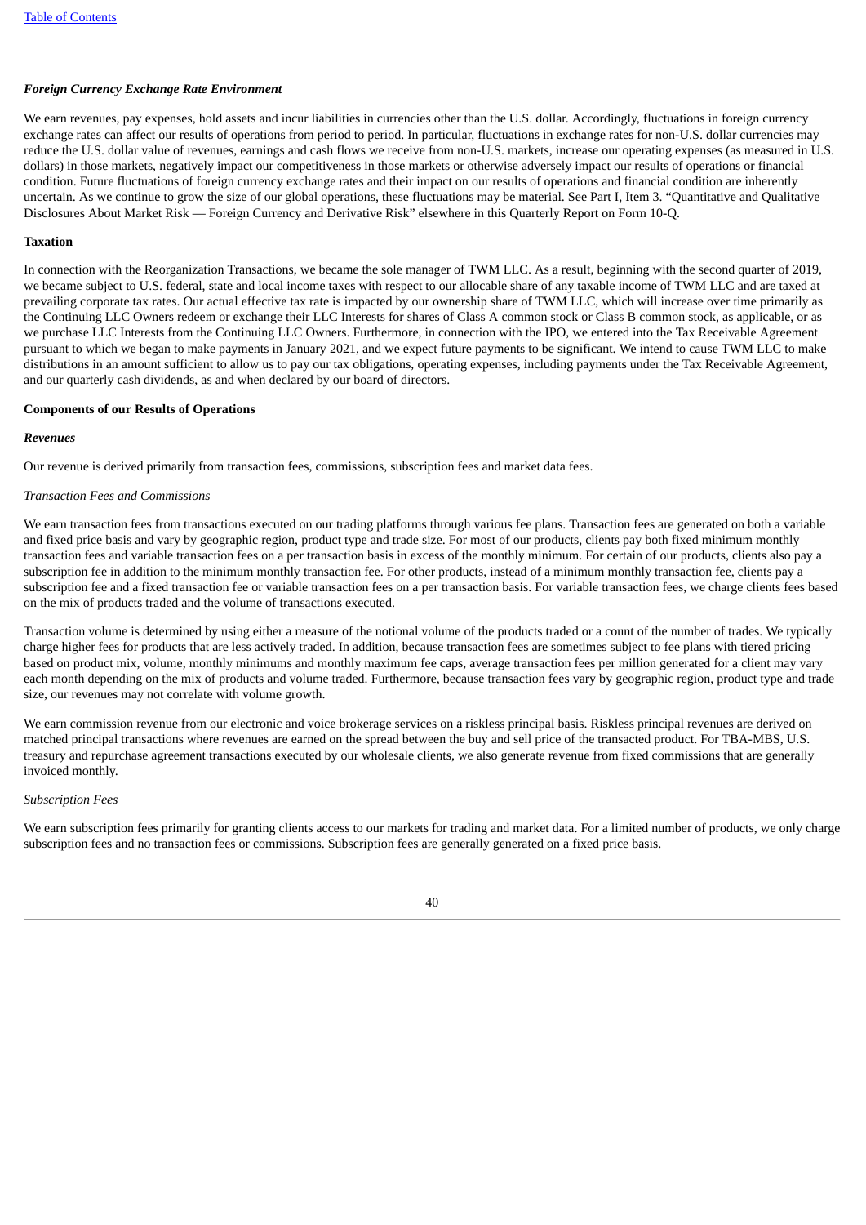# *Foreign Currency Exchange Rate Environment*

We earn revenues, pay expenses, hold assets and incur liabilities in currencies other than the U.S. dollar. Accordingly, fluctuations in foreign currency exchange rates can affect our results of operations from period to period. In particular, fluctuations in exchange rates for non-U.S. dollar currencies may reduce the U.S. dollar value of revenues, earnings and cash flows we receive from non-U.S. markets, increase our operating expenses (as measured in U.S. dollars) in those markets, negatively impact our competitiveness in those markets or otherwise adversely impact our results of operations or financial condition. Future fluctuations of foreign currency exchange rates and their impact on our results of operations and financial condition are inherently uncertain. As we continue to grow the size of our global operations, these fluctuations may be material. See Part I, Item 3. "Quantitative and Qualitative Disclosures About Market Risk — Foreign Currency and Derivative Risk" elsewhere in this Quarterly Report on Form 10-Q.

### **Taxation**

In connection with the Reorganization Transactions, we became the sole manager of TWM LLC. As a result, beginning with the second quarter of 2019, we became subject to U.S. federal, state and local income taxes with respect to our allocable share of any taxable income of TWM LLC and are taxed at prevailing corporate tax rates. Our actual effective tax rate is impacted by our ownership share of TWM LLC, which will increase over time primarily as the Continuing LLC Owners redeem or exchange their LLC Interests for shares of Class A common stock or Class B common stock, as applicable, or as we purchase LLC Interests from the Continuing LLC Owners. Furthermore, in connection with the IPO, we entered into the Tax Receivable Agreement pursuant to which we began to make payments in January 2021, and we expect future payments to be significant. We intend to cause TWM LLC to make distributions in an amount sufficient to allow us to pay our tax obligations, operating expenses, including payments under the Tax Receivable Agreement, and our quarterly cash dividends, as and when declared by our board of directors.

## **Components of our Results of Operations**

### *Revenues*

Our revenue is derived primarily from transaction fees, commissions, subscription fees and market data fees.

#### *Transaction Fees and Commissions*

We earn transaction fees from transactions executed on our trading platforms through various fee plans. Transaction fees are generated on both a variable and fixed price basis and vary by geographic region, product type and trade size. For most of our products, clients pay both fixed minimum monthly transaction fees and variable transaction fees on a per transaction basis in excess of the monthly minimum. For certain of our products, clients also pay a subscription fee in addition to the minimum monthly transaction fee. For other products, instead of a minimum monthly transaction fee, clients pay a subscription fee and a fixed transaction fee or variable transaction fees on a per transaction basis. For variable transaction fees, we charge clients fees based on the mix of products traded and the volume of transactions executed.

Transaction volume is determined by using either a measure of the notional volume of the products traded or a count of the number of trades. We typically charge higher fees for products that are less actively traded. In addition, because transaction fees are sometimes subject to fee plans with tiered pricing based on product mix, volume, monthly minimums and monthly maximum fee caps, average transaction fees per million generated for a client may vary each month depending on the mix of products and volume traded. Furthermore, because transaction fees vary by geographic region, product type and trade size, our revenues may not correlate with volume growth.

We earn commission revenue from our electronic and voice brokerage services on a riskless principal basis. Riskless principal revenues are derived on matched principal transactions where revenues are earned on the spread between the buy and sell price of the transacted product. For TBA-MBS, U.S. treasury and repurchase agreement transactions executed by our wholesale clients, we also generate revenue from fixed commissions that are generally invoiced monthly.

#### *Subscription Fees*

We earn subscription fees primarily for granting clients access to our markets for trading and market data. For a limited number of products, we only charge subscription fees and no transaction fees or commissions. Subscription fees are generally generated on a fixed price basis.

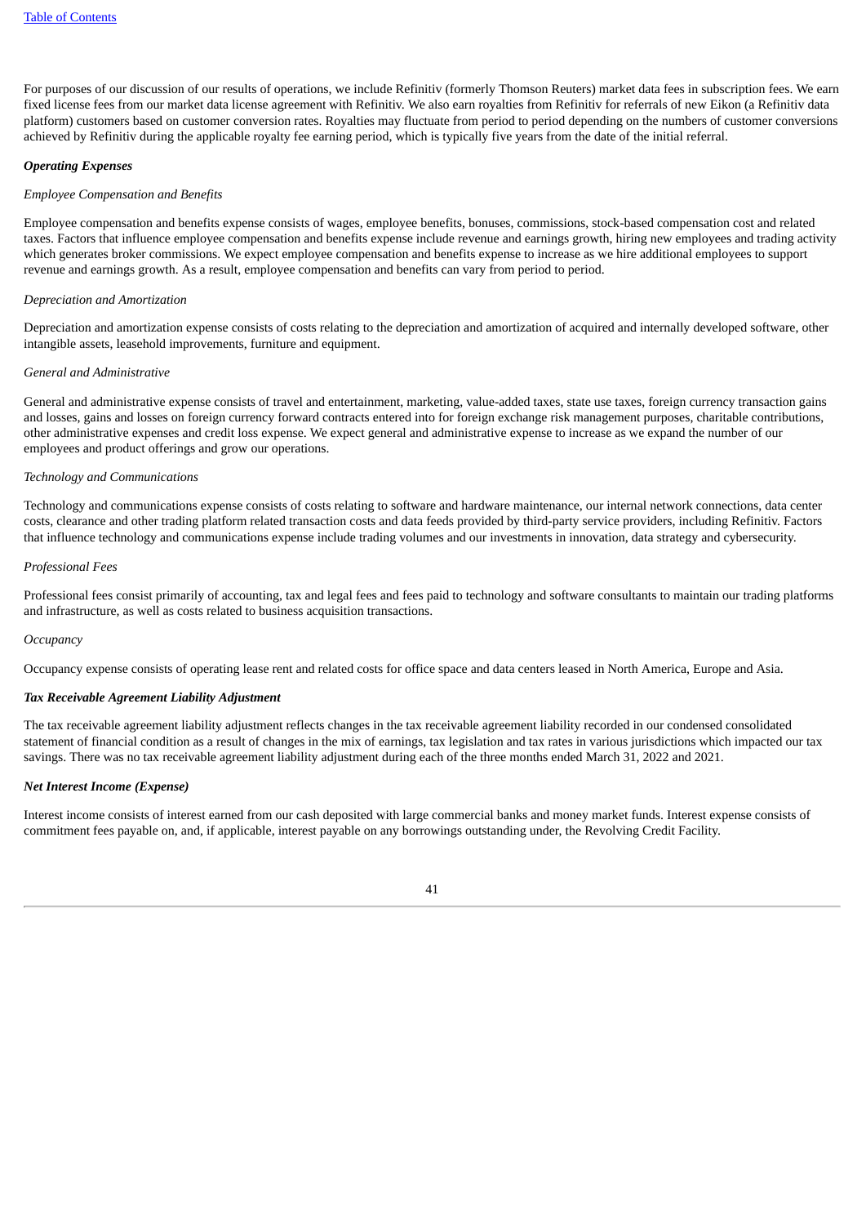For purposes of our discussion of our results of operations, we include Refinitiv (formerly Thomson Reuters) market data fees in subscription fees. We earn fixed license fees from our market data license agreement with Refinitiv. We also earn royalties from Refinitiv for referrals of new Eikon (a Refinitiv data platform) customers based on customer conversion rates. Royalties may fluctuate from period to period depending on the numbers of customer conversions achieved by Refinitiv during the applicable royalty fee earning period, which is typically five years from the date of the initial referral.

# *Operating Expenses*

### *Employee Compensation and Benefits*

Employee compensation and benefits expense consists of wages, employee benefits, bonuses, commissions, stock-based compensation cost and related taxes. Factors that influence employee compensation and benefits expense include revenue and earnings growth, hiring new employees and trading activity which generates broker commissions. We expect employee compensation and benefits expense to increase as we hire additional employees to support revenue and earnings growth. As a result, employee compensation and benefits can vary from period to period.

### *Depreciation and Amortization*

Depreciation and amortization expense consists of costs relating to the depreciation and amortization of acquired and internally developed software, other intangible assets, leasehold improvements, furniture and equipment.

## *General and Administrative*

General and administrative expense consists of travel and entertainment, marketing, value-added taxes, state use taxes, foreign currency transaction gains and losses, gains and losses on foreign currency forward contracts entered into for foreign exchange risk management purposes, charitable contributions, other administrative expenses and credit loss expense. We expect general and administrative expense to increase as we expand the number of our employees and product offerings and grow our operations.

### *Technology and Communications*

Technology and communications expense consists of costs relating to software and hardware maintenance, our internal network connections, data center costs, clearance and other trading platform related transaction costs and data feeds provided by third-party service providers, including Refinitiv. Factors that influence technology and communications expense include trading volumes and our investments in innovation, data strategy and cybersecurity.

# *Professional Fees*

Professional fees consist primarily of accounting, tax and legal fees and fees paid to technology and software consultants to maintain our trading platforms and infrastructure, as well as costs related to business acquisition transactions.

#### *Occupancy*

Occupancy expense consists of operating lease rent and related costs for office space and data centers leased in North America, Europe and Asia.

# *Tax Receivable Agreement Liability Adjustment*

The tax receivable agreement liability adjustment reflects changes in the tax receivable agreement liability recorded in our condensed consolidated statement of financial condition as a result of changes in the mix of earnings, tax legislation and tax rates in various jurisdictions which impacted our tax savings. There was no tax receivable agreement liability adjustment during each of the three months ended March 31, 2022 and 2021.

# *Net Interest Income (Expense)*

Interest income consists of interest earned from our cash deposited with large commercial banks and money market funds. Interest expense consists of commitment fees payable on, and, if applicable, interest payable on any borrowings outstanding under, the Revolving Credit Facility.

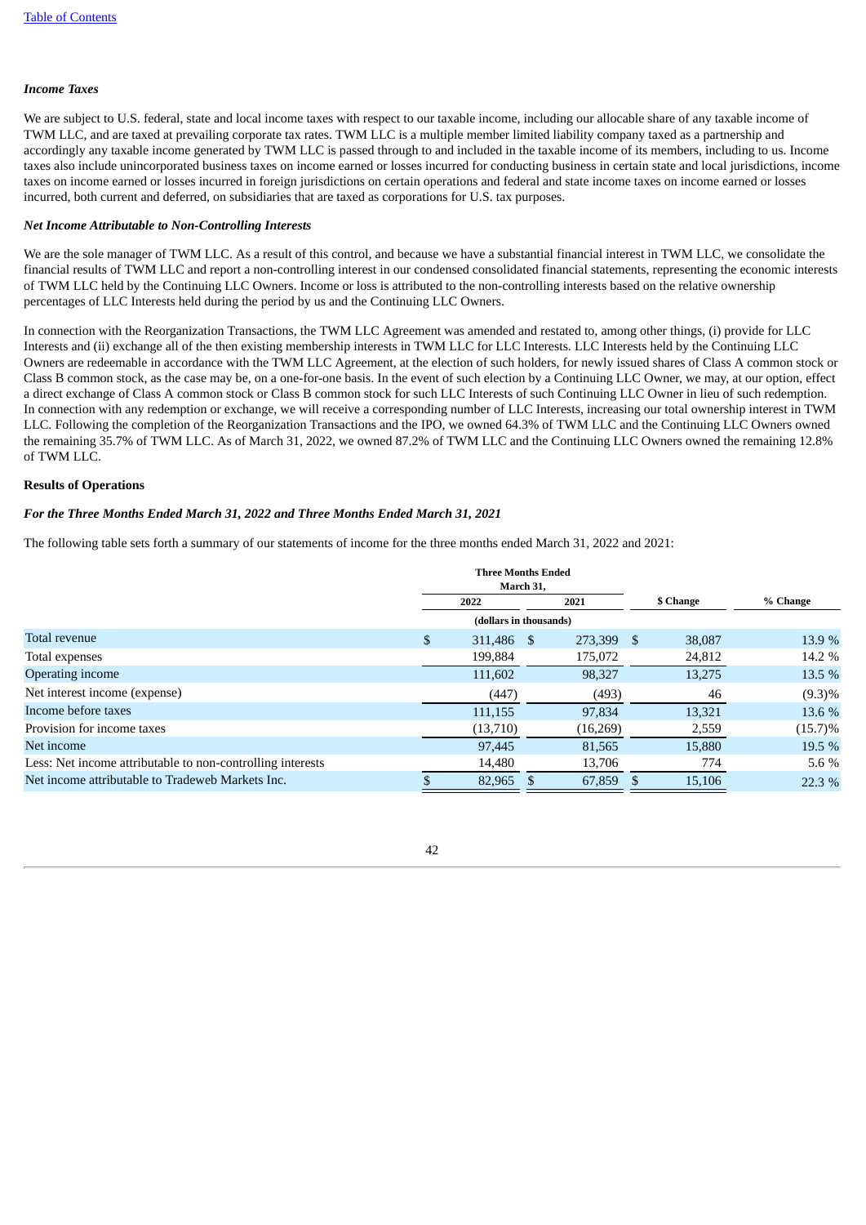### *Income Taxes*

We are subject to U.S. federal, state and local income taxes with respect to our taxable income, including our allocable share of any taxable income of TWM LLC, and are taxed at prevailing corporate tax rates. TWM LLC is a multiple member limited liability company taxed as a partnership and accordingly any taxable income generated by TWM LLC is passed through to and included in the taxable income of its members, including to us. Income taxes also include unincorporated business taxes on income earned or losses incurred for conducting business in certain state and local jurisdictions, income taxes on income earned or losses incurred in foreign jurisdictions on certain operations and federal and state income taxes on income earned or losses incurred, both current and deferred, on subsidiaries that are taxed as corporations for U.S. tax purposes.

### *Net Income Attributable to Non-Controlling Interests*

We are the sole manager of TWM LLC. As a result of this control, and because we have a substantial financial interest in TWM LLC, we consolidate the financial results of TWM LLC and report a non-controlling interest in our condensed consolidated financial statements, representing the economic interests of TWM LLC held by the Continuing LLC Owners. Income or loss is attributed to the non-controlling interests based on the relative ownership percentages of LLC Interests held during the period by us and the Continuing LLC Owners.

In connection with the Reorganization Transactions, the TWM LLC Agreement was amended and restated to, among other things, (i) provide for LLC Interests and (ii) exchange all of the then existing membership interests in TWM LLC for LLC Interests. LLC Interests held by the Continuing LLC Owners are redeemable in accordance with the TWM LLC Agreement, at the election of such holders, for newly issued shares of Class A common stock or Class B common stock, as the case may be, on a one-for-one basis. In the event of such election by a Continuing LLC Owner, we may, at our option, effect a direct exchange of Class A common stock or Class B common stock for such LLC Interests of such Continuing LLC Owner in lieu of such redemption. In connection with any redemption or exchange, we will receive a corresponding number of LLC Interests, increasing our total ownership interest in TWM LLC. Following the completion of the Reorganization Transactions and the IPO, we owned 64.3% of TWM LLC and the Continuing LLC Owners owned the remaining 35.7% of TWM LLC. As of March 31, 2022, we owned 87.2% of TWM LLC and the Continuing LLC Owners owned the remaining 12.8% of TWM LLC.

## **Results of Operations**

### *For the Three Months Ended March 31, 2022 and Three Months Ended March 31, 2021*

The following table sets forth a summary of our statements of income for the three months ended March 31, 2022 and 2021:

|                                                            |              | <b>Three Months Ended</b><br>March 31, |  |            |  |           |            |
|------------------------------------------------------------|--------------|----------------------------------------|--|------------|--|-----------|------------|
|                                                            | 2021<br>2022 |                                        |  |            |  | \$ Change | % Change   |
|                                                            |              | (dollars in thousands)                 |  |            |  |           |            |
| Total revenue                                              | \$           | 311,486 \$                             |  | 273,399 \$ |  | 38,087    | 13.9 %     |
| Total expenses                                             |              | 199,884                                |  | 175,072    |  | 24,812    | 14.2 %     |
| <b>Operating income</b>                                    |              | 111,602                                |  | 98,327     |  | 13,275    | 13.5 %     |
| Net interest income (expense)                              |              | (447)                                  |  | (493)      |  | 46        | $(9.3)\%$  |
| Income before taxes                                        |              | 111,155                                |  | 97,834     |  | 13,321    | 13.6 %     |
| Provision for income taxes                                 |              | (13,710)                               |  | (16,269)   |  | 2,559     | $(15.7)\%$ |
| Net income                                                 |              | 97,445                                 |  | 81,565     |  | 15,880    | 19.5 %     |
| Less: Net income attributable to non-controlling interests |              | 14,480                                 |  | 13,706     |  | 774       | 5.6 %      |
| Net income attributable to Tradeweb Markets Inc.           |              | 82,965                                 |  | 67,859     |  | 15,106    | 22.3 %     |

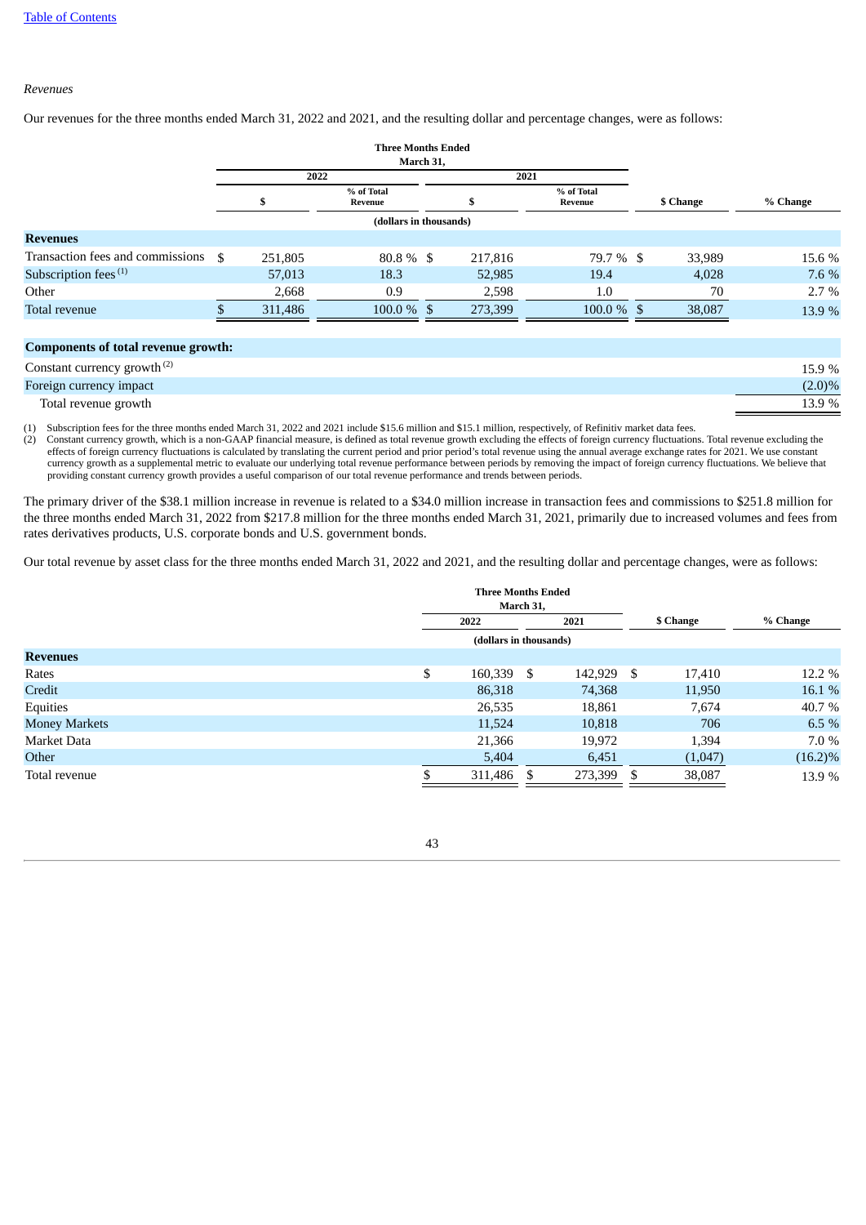### *Revenues*

Our revenues for the three months ended March 31, 2022 and 2021, and the resulting dollar and percentage changes, were as follows:

|                                  |               | <b>Three Months Ended</b><br>March 31, |  |         |                       |  |           |          |
|----------------------------------|---------------|----------------------------------------|--|---------|-----------------------|--|-----------|----------|
|                                  |               | 2022                                   |  |         |                       |  |           |          |
|                                  |               | % of Total<br>Revenue                  |  |         | % of Total<br>Revenue |  | \$ Change | % Change |
|                                  |               | (dollars in thousands)                 |  |         |                       |  |           |          |
| <b>Revenues</b>                  |               |                                        |  |         |                       |  |           |          |
| Transaction fees and commissions | \$<br>251,805 | $80.8\%$ \$                            |  | 217,816 | 79.7 % \$             |  | 33,989    | 15.6 %   |
| Subscription fees <sup>(1)</sup> | 57,013        | 18.3                                   |  | 52,985  | 19.4                  |  | 4,028     | 7.6 %    |
| Other                            | 2,668         | 0.9                                    |  | 2,598   | 1.0                   |  | 70        | $2.7\%$  |
| Total revenue                    | 311,486       | $100.0 \%$ \$                          |  | 273,399 | $100.0 \%$ \$         |  | 38,087    | 13.9 %   |

# **Components of total revenue growth:**

| Constant currency growth $(2)$ | 15.9 %    |
|--------------------------------|-----------|
| Foreign currency impact        | $(2.0)\%$ |
| Total revenue growth           | 13.9 %    |
|                                |           |

(1) Subscription fees for the three months ended March 31, 2022 and 2021 include \$15.6 million and \$15.1 million, respectively, of Refinitiv market data fees.<br>(2) Constant currency growth, which is a non-GAAP financial mea

(2) Constant currency growth, which is a non-GAAP financial measure, is defined as total revenue growth excluding the effects of foreign currency fluctuations. Total revenue excluding the effects of foreign currency fluctuations is calculated by translating the current period and prior period's total revenue using the annual average exchange rates for 2021. We use constant currency growth as a supplemental metric to evaluate our underlying total revenue performance between periods by removing the impact of foreign currency fluctuations. We believe that providing constant currency growth provides a useful comparison of our total revenue performance and trends between periods.

The primary driver of the \$38.1 million increase in revenue is related to a \$34.0 million increase in transaction fees and commissions to \$251.8 million for the three months ended March 31, 2022 from \$217.8 million for the three months ended March 31, 2021, primarily due to increased volumes and fees from rates derivatives products, U.S. corporate bonds and U.S. government bonds.

Our total revenue by asset class for the three months ended March 31, 2022 and 2021, and the resulting dollar and percentage changes, were as follows:

|                      |      | <b>Three Months Ended</b> | March 31, |         |      |           |            |  |
|----------------------|------|---------------------------|-----------|---------|------|-----------|------------|--|
|                      | 2022 |                           |           | 2021    |      | \$ Change | % Change   |  |
|                      |      | (dollars in thousands)    |           |         |      |           |            |  |
| <b>Revenues</b>      |      |                           |           |         |      |           |            |  |
| Rates                | \$   | 160,339                   | \$        | 142,929 | - \$ | 17,410    | 12.2 %     |  |
| Credit               |      | 86,318                    |           | 74,368  |      | 11,950    | 16.1 %     |  |
| Equities             |      | 26,535                    |           | 18,861  |      | 7,674     | 40.7 %     |  |
| <b>Money Markets</b> |      | 11,524                    |           | 10,818  |      | 706       | 6.5%       |  |
| Market Data          |      | 21,366                    |           | 19,972  |      | 1,394     | 7.0 %      |  |
| Other                |      | 5,404                     |           | 6,451   |      | (1,047)   | $(16.2)\%$ |  |
| Total revenue        |      | 311,486                   |           | 273,399 | - \$ | 38,087    | 13.9 %     |  |

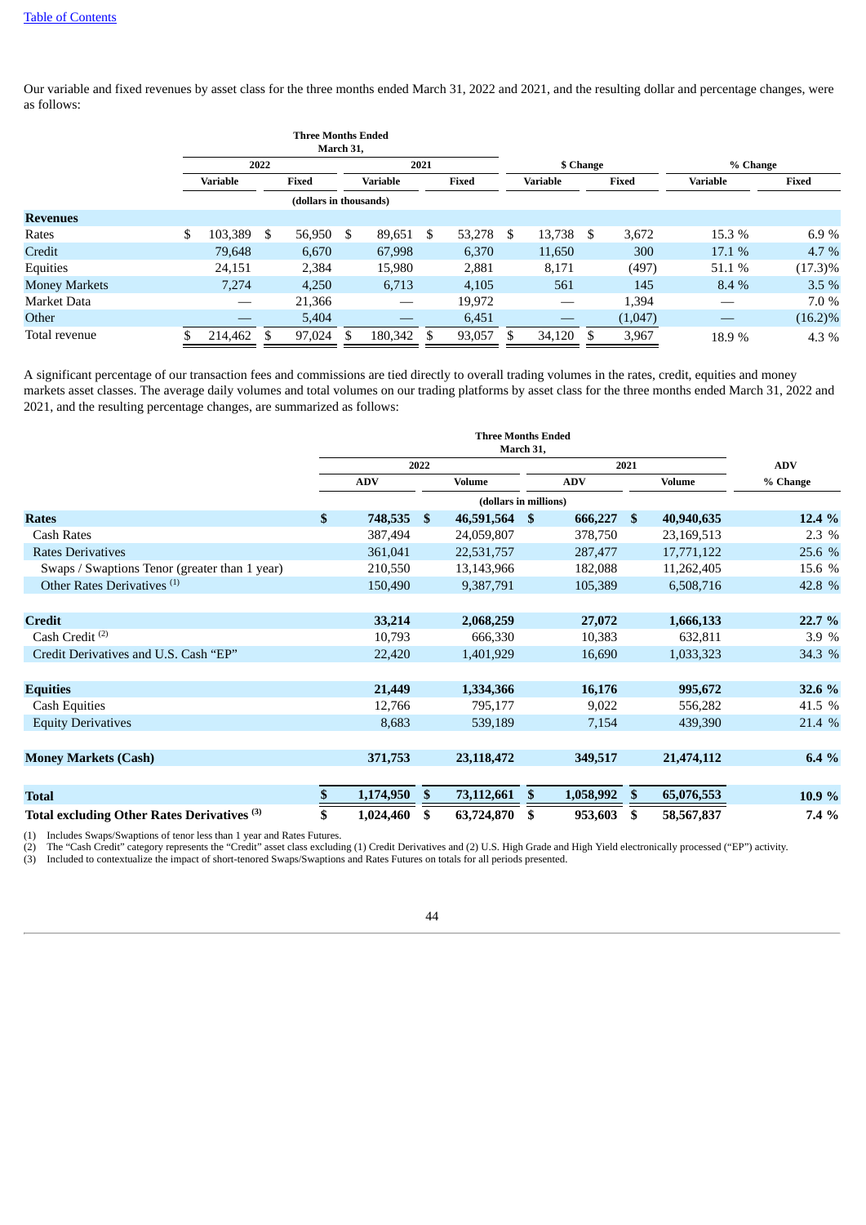Our variable and fixed revenues by asset class for the three months ended March 31, 2022 and 2021, and the resulting dollar and percentage changes, were as follows:

|                      |                 |         |       | <b>Three Months Ended</b> | March 31, |         |       |        |    |           |      |                 |          |            |  |
|----------------------|-----------------|---------|-------|---------------------------|-----------|---------|-------|--------|----|-----------|------|-----------------|----------|------------|--|
|                      |                 |         | 2022  |                           |           |         | 2021  |        |    | \$ Change |      |                 | % Change |            |  |
|                      | <b>Variable</b> |         | Fixed | <b>Variable</b>           |           |         | Fixed |        |    | Variable  |      | <b>Variable</b> | Fixed    |            |  |
|                      |                 |         |       | (dollars in thousands)    |           |         |       |        |    |           |      |                 |          |            |  |
| <b>Revenues</b>      |                 |         |       |                           |           |         |       |        |    |           |      |                 |          |            |  |
| Rates                | \$              | 103,389 | \$    | 56,950                    | - \$      | 89,651  | S     | 53,278 | S. | 13,738    | - \$ | 3,672           | 15.3 %   | 6.9%       |  |
| Credit               |                 | 79,648  |       | 6,670                     |           | 67,998  |       | 6,370  |    | 11,650    |      | 300             | 17.1 %   | 4.7 %      |  |
| Equities             |                 | 24,151  |       | 2,384                     |           | 15,980  |       | 2,881  |    | 8,171     |      | (497)           | 51.1 %   | $(17.3)\%$ |  |
| <b>Money Markets</b> |                 | 7,274   |       | 4,250                     |           | 6,713   |       | 4,105  |    | 561       |      | 145             | 8.4 %    | 3.5%       |  |
| Market Data          |                 |         |       | 21,366                    |           |         |       | 19,972 |    |           |      | 1,394           |          | 7.0 %      |  |
| Other                |                 | __      |       | 5,404                     |           | —       |       | 6,451  |    |           |      | (1,047)         | __       | $(16.2)\%$ |  |
| Total revenue        |                 | 214,462 | \$    | 97,024                    |           | 180,342 |       | 93,057 | \$ | 34,120    | - \$ | 3,967           | 18.9%    | 4.3 %      |  |

A significant percentage of our transaction fees and commissions are tied directly to overall trading volumes in the rates, credit, equities and money markets asset classes. The average daily volumes and total volumes on our trading platforms by asset class for the three months ended March 31, 2022 and 2021, and the resulting percentage changes, are summarized as follows:

|              |            |               |                    |              |               | <b>ADV</b>                                                      |            |          |
|--------------|------------|---------------|--------------------|--------------|---------------|-----------------------------------------------------------------|------------|----------|
|              | <b>ADV</b> | <b>Volume</b> |                    |              | <b>ADV</b>    |                                                                 | Volume     | % Change |
|              |            |               |                    |              |               |                                                                 |            |          |
| $\mathbf{s}$ |            |               |                    |              | 666,227       | -S                                                              | 40,940,635 | 12.4 %   |
|              | 387,494    |               | 24,059,807         |              | 378,750       |                                                                 | 23,169,513 | 2.3 %    |
|              | 361,041    |               | 22,531,757         |              | 287,477       |                                                                 | 17,771,122 | 25.6 %   |
|              | 210,550    |               | 13,143,966         |              | 182,088       |                                                                 | 11,262,405 | 15.6 %   |
|              | 150,490    |               | 9,387,791          |              | 105,389       |                                                                 | 6,508,716  | 42.8 %   |
|              |            |               |                    |              |               |                                                                 |            |          |
|              | 33,214     |               | 2,068,259          |              | 27,072        |                                                                 | 1,666,133  | 22.7 %   |
|              | 10,793     |               | 666,330            |              | 10,383        |                                                                 | 632,811    | 3.9 %    |
|              | 22,420     |               | 1,401,929          |              | 16,690        |                                                                 | 1,033,323  | 34.3 %   |
|              |            |               |                    |              |               |                                                                 |            |          |
|              | 21,449     |               | 1,334,366          |              | 16,176        |                                                                 | 995,672    | 32.6 %   |
|              | 12,766     |               | 795,177            |              | 9,022         |                                                                 | 556,282    | 41.5 %   |
|              | 8,683      |               | 539,189            |              | 7,154         |                                                                 | 439,390    | 21.4 %   |
|              |            |               |                    |              |               |                                                                 |            |          |
|              | 371,753    |               | 23,118,472         |              | 349,517       |                                                                 | 21,474,112 | 6.4%     |
|              |            |               |                    |              |               |                                                                 |            |          |
|              | 1,174,950  | <sup>\$</sup> | 73,112,661         | $\mathbf{s}$ | 1,058,992     | <sup>S</sup>                                                    | 65,076,553 | 10.9 %   |
| \$           | 1,024,460  | \$            | 63,724,870         | \$           | 953,603       | -\$                                                             | 58,567,837 | 7.4 %    |
|              |            |               | 2022<br>748,535 \$ |              | 46,591,564 \$ | <b>Three Months Ended</b><br>March 31,<br>(dollars in millions) | 2021       |          |

(1) Includes Swaps/Swaptions of tenor less than 1 year and Rates Futures.

(2) The "Cash Credit" category represents the "Credit" asset class excluding (1) Credit Derivatives and (2) U.S. High Grade and High Yield electronically processed ("EP") activity.

(2) The "Cash Credit" category represents the "Credit" asset class excluding (1) Credit Derivatives and (2) U.S. High Grade and (3) Included to contextualize the impact of short-tenored Swaps/Swaptions and Rates Futures on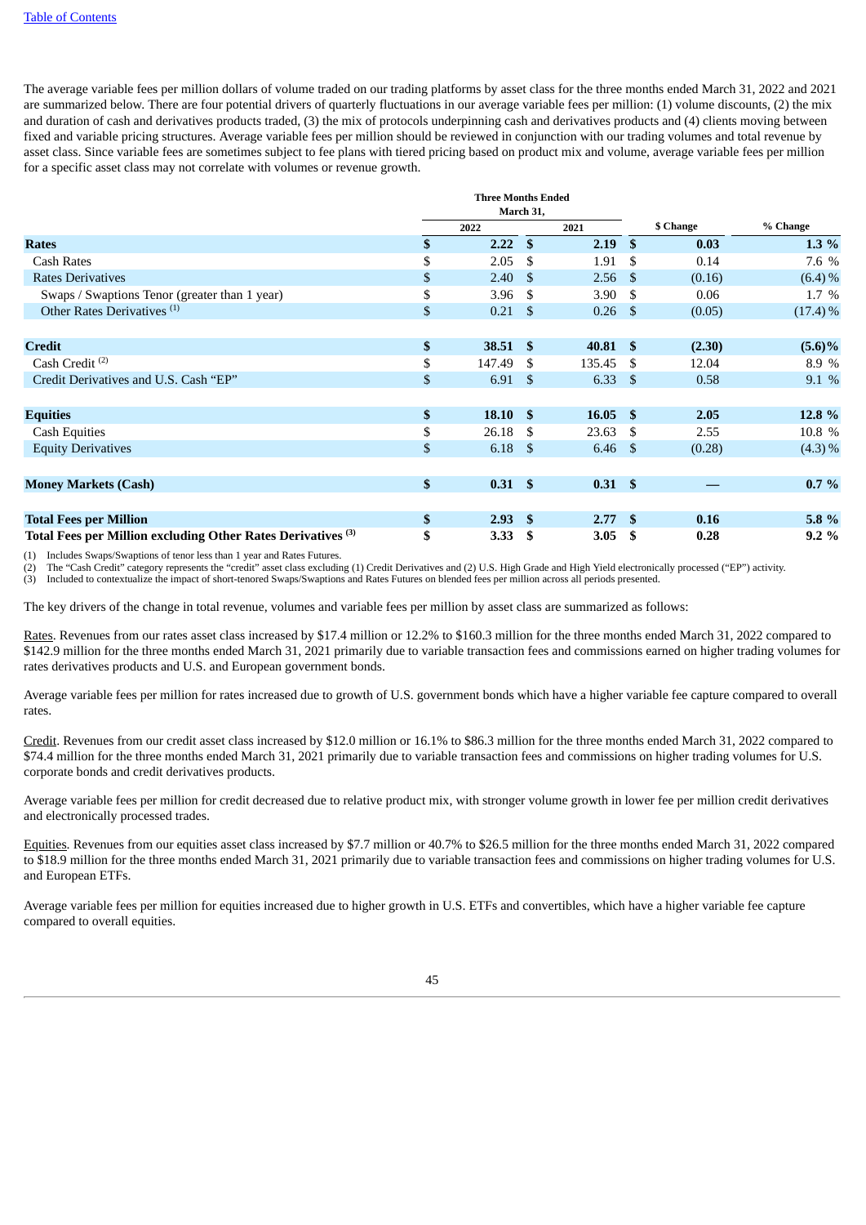The average variable fees per million dollars of volume traded on our trading platforms by asset class for the three months ended March 31, 2022 and 2021 are summarized below. There are four potential drivers of quarterly fluctuations in our average variable fees per million: (1) volume discounts, (2) the mix and duration of cash and derivatives products traded, (3) the mix of protocols underpinning cash and derivatives products and (4) clients moving between fixed and variable pricing structures. Average variable fees per million should be reviewed in conjunction with our trading volumes and total revenue by asset class. Since variable fees are sometimes subject to fee plans with tiered pricing based on product mix and volume, average variable fees per million for a specific asset class may not correlate with volumes or revenue growth.

|                                                                         |                | <b>Three Months Ended</b> | March 31, |                |              |           |             |
|-------------------------------------------------------------------------|----------------|---------------------------|-----------|----------------|--------------|-----------|-------------|
|                                                                         |                | 2022                      |           | 2021           |              | \$ Change | % Change    |
| <b>Rates</b>                                                            | \$             | 2.22                      | - \$      | 2.19           | $\mathbf{s}$ | 0.03      | 1.3%        |
| <b>Cash Rates</b>                                                       | \$             | 2.05                      | \$        | 1.91           | \$.          | 0.14      | 7.6 %       |
| <b>Rates Derivatives</b>                                                | \$             | 2.40                      | - \$      | 2.56           | - \$         | (0.16)    | $(6.4) \%$  |
| Swaps / Swaptions Tenor (greater than 1 year)                           | \$             | 3.96                      | -\$       | 3.90           | - \$         | 0.06      | 1.7 %       |
| Other Rates Derivatives <sup>(1)</sup>                                  | $\mathfrak{S}$ | $0.21 \quad$ \$           |           | 0.26           | - \$         | (0.05)    | $(17.4) \%$ |
|                                                                         |                |                           |           |                |              |           |             |
| <b>Credit</b>                                                           | $\mathbf{s}$   | 38.51 \$                  |           | 40.81          | - \$         | (2.30)    | $(5.6)\%$   |
| Cash Credit <sup>(2)</sup>                                              | \$             | 147.49                    | -S        | 135.45         | -S           | 12.04     | 8.9 %       |
| Credit Derivatives and U.S. Cash "EP"                                   | \$             | $6.91 \quad $$            |           | 6.33           | - \$         | 0.58      | 9.1 %       |
|                                                                         |                |                           |           |                |              |           |             |
| <b>Equities</b>                                                         | $\mathbf{s}$   | $18.10\quad$ \$           |           | 16.05          | - \$         | 2.05      | 12.8 %      |
| <b>Cash Equities</b>                                                    | \$             | $26.18$ \$                |           | 23.63          | -S           | 2.55      | 10.8 %      |
| <b>Equity Derivatives</b>                                               | $\mathbb{S}$   | 6.18 \$                   |           | 6.46           | -S           | (0.28)    | $(4.3)\%$   |
|                                                                         |                |                           |           |                |              |           |             |
| <b>Money Markets (Cash)</b>                                             | $\mathbf{s}$   | $0.31 \quad $$            |           | $0.31 \quad $$ |              |           | $0.7 \%$    |
|                                                                         |                |                           |           |                |              |           |             |
| <b>Total Fees per Million</b>                                           | \$             | 2.93 <sup>5</sup>         |           | 2.77           | -\$          | 0.16      | 5.8 %       |
| Total Fees per Million excluding Other Rates Derivatives <sup>(3)</sup> | \$             | 3.33 <sup>5</sup>         |           | 3.05           | \$           | 0.28      | 9.2%        |

(1) Includes Swaps/Swaptions of tenor less than 1 year and Rates Futures.

(2) The "Cash Credit" category represents the "credit" asset class excluding (1) Credit Derivatives and (2) U.S. High Grade and High Yield electronically processed ("EP") activity.<br>(3) Included to contextualize the impact

Included to contextualize the impact of short-tenored Swaps/Swaptions and Rates Futures on blended fees per million across all periods presented.

The key drivers of the change in total revenue, volumes and variable fees per million by asset class are summarized as follows:

Rates. Revenues from our rates asset class increased by \$17.4 million or 12.2% to \$160.3 million for the three months ended March 31, 2022 compared to \$142.9 million for the three months ended March 31, 2021 primarily due to variable transaction fees and commissions earned on higher trading volumes for rates derivatives products and U.S. and European government bonds.

Average variable fees per million for rates increased due to growth of U.S. government bonds which have a higher variable fee capture compared to overall rates.

Credit. Revenues from our credit asset class increased by \$12.0 million or 16.1% to \$86.3 million for the three months ended March 31, 2022 compared to \$74.4 million for the three months ended March 31, 2021 primarily due to variable transaction fees and commissions on higher trading volumes for U.S. corporate bonds and credit derivatives products.

Average variable fees per million for credit decreased due to relative product mix, with stronger volume growth in lower fee per million credit derivatives and electronically processed trades.

Equities. Revenues from our equities asset class increased by \$7.7 million or 40.7% to \$26.5 million for the three months ended March 31, 2022 compared to \$18.9 million for the three months ended March 31, 2021 primarily due to variable transaction fees and commissions on higher trading volumes for U.S. and European ETFs.

Average variable fees per million for equities increased due to higher growth in U.S. ETFs and convertibles, which have a higher variable fee capture compared to overall equities.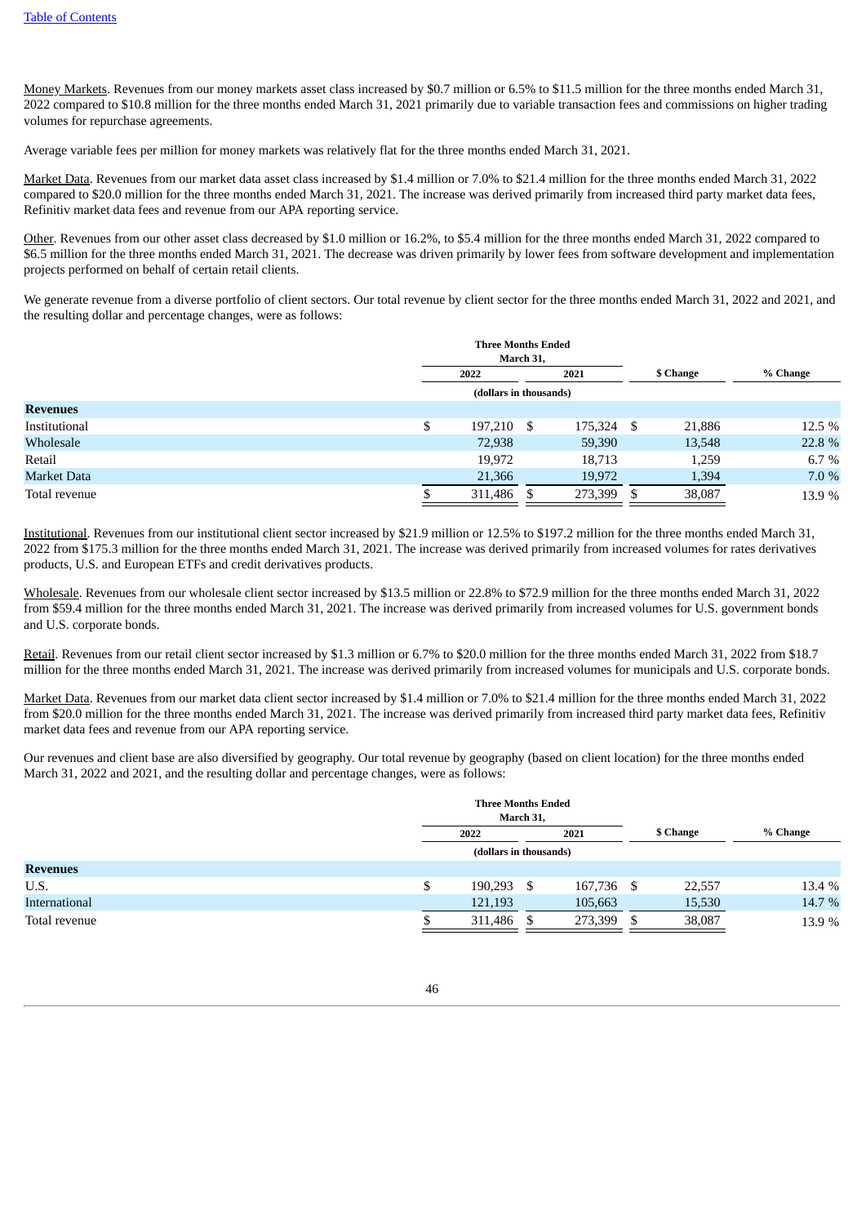Money Markets. Revenues from our money markets asset class increased by \$0.7 million or 6.5% to \$11.5 million for the three months ended March 31, 2022 compared to \$10.8 million for the three months ended March 31, 2021 primarily due to variable transaction fees and commissions on higher trading volumes for repurchase agreements.

Average variable fees per million for money markets was relatively flat for the three months ended March 31, 2021.

Market Data. Revenues from our market data asset class increased by \$1.4 million or 7.0% to \$21.4 million for the three months ended March 31, 2022 compared to \$20.0 million for the three months ended March 31, 2021. The increase was derived primarily from increased third party market data fees, Refinitiv market data fees and revenue from our APA reporting service.

Other. Revenues from our other asset class decreased by \$1.0 million or 16.2%, to \$5.4 million for the three months ended March 31, 2022 compared to \$6.5 million for the three months ended March 31, 2021. The decrease was driven primarily by lower fees from software development and implementation projects performed on behalf of certain retail clients.

We generate revenue from a diverse portfolio of client sectors. Our total revenue by client sector for the three months ended March 31, 2022 and 2021, and the resulting dollar and percentage changes, were as follows:

|                    |        | <b>Three Months Ended</b><br>March 31, |      |         |      |           |          |  |  |  |
|--------------------|--------|----------------------------------------|------|---------|------|-----------|----------|--|--|--|
|                    |        | 2022                                   | 2021 |         |      | \$ Change | % Change |  |  |  |
|                    |        | (dollars in thousands)                 |      |         |      |           |          |  |  |  |
| <b>Revenues</b>    |        |                                        |      |         |      |           |          |  |  |  |
| Institutional      | ¢<br>Œ | 197,210                                | \$   | 175,324 | - \$ | 21,886    | 12.5 %   |  |  |  |
| Wholesale          |        | 72,938                                 |      | 59,390  |      | 13,548    | 22.8 %   |  |  |  |
| Retail             |        | 19,972                                 |      | 18,713  |      | 1,259     | 6.7%     |  |  |  |
| <b>Market Data</b> |        | 21,366                                 |      | 19,972  |      | 1,394     | 7.0 %    |  |  |  |
| Total revenue      |        | 311,486                                |      | 273,399 | - \$ | 38,087    | 13.9 %   |  |  |  |

Institutional. Revenues from our institutional client sector increased by \$21.9 million or 12.5% to \$197.2 million for the three months ended March 31, 2022 from \$175.3 million for the three months ended March 31, 2021. The increase was derived primarily from increased volumes for rates derivatives products, U.S. and European ETFs and credit derivatives products.

Wholesale. Revenues from our wholesale client sector increased by \$13.5 million or 22.8% to \$72.9 million for the three months ended March 31, 2022 from \$59.4 million for the three months ended March 31, 2021. The increase was derived primarily from increased volumes for U.S. government bonds and U.S. corporate bonds.

Retail. Revenues from our retail client sector increased by \$1.3 million or 6.7% to \$20.0 million for the three months ended March 31, 2022 from \$18.7 million for the three months ended March 31, 2021. The increase was derived primarily from increased volumes for municipals and U.S. corporate bonds.

Market Data. Revenues from our market data client sector increased by \$1.4 million or 7.0% to \$21.4 million for the three months ended March 31, 2022 from \$20.0 million for the three months ended March 31, 2021. The increase was derived primarily from increased third party market data fees, Refinitiv market data fees and revenue from our APA reporting service.

Our revenues and client base are also diversified by geography. Our total revenue by geography (based on client location) for the three months ended March 31, 2022 and 2021, and the resulting dollar and percentage changes, were as follows:

|                 | <b>Three Months Ended</b><br>March 31, |                        |      |            |           |        |          |  |
|-----------------|----------------------------------------|------------------------|------|------------|-----------|--------|----------|--|
|                 |                                        | 2022                   | 2021 |            | \$ Change |        | % Change |  |
|                 |                                        | (dollars in thousands) |      |            |           |        |          |  |
| <b>Revenues</b> |                                        |                        |      |            |           |        |          |  |
| U.S.            |                                        | 190,293 \$             |      | 167,736 \$ |           | 22,557 | 13.4 %   |  |
| International   |                                        | 121,193                |      | 105,663    |           | 15,530 | 14.7 %   |  |
| Total revenue   |                                        | 311,486                |      | 273,399    |           | 38,087 | 13.9 %   |  |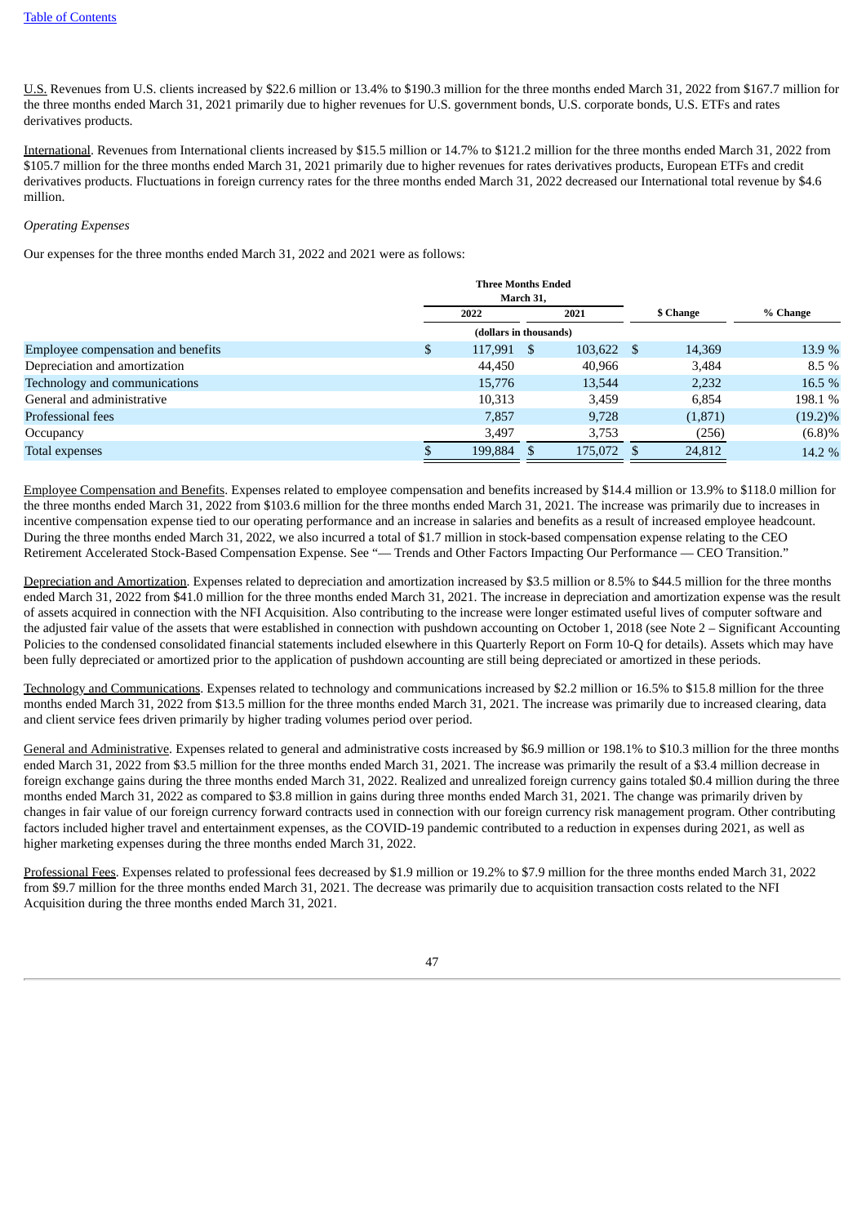U.S. Revenues from U.S. clients increased by \$22.6 million or 13.4% to \$190.3 million for the three months ended March 31, 2022 from \$167.7 million for the three months ended March 31, 2021 primarily due to higher revenues for U.S. government bonds, U.S. corporate bonds, U.S. ETFs and rates derivatives products.

International. Revenues from International clients increased by \$15.5 million or 14.7% to \$121.2 million for the three months ended March 31, 2022 from \$105.7 million for the three months ended March 31, 2021 primarily due to higher revenues for rates derivatives products, European ETFs and credit derivatives products. Fluctuations in foreign currency rates for the three months ended March 31, 2022 decreased our International total revenue by \$4.6 million.

### *Operating Expenses*

Our expenses for the three months ended March 31, 2022 and 2021 were as follows:

|                                    | <b>Three Months Ended</b><br>March 31, |      |            |      |           |            |  |  |
|------------------------------------|----------------------------------------|------|------------|------|-----------|------------|--|--|
|                                    | 2022                                   | 2021 |            |      | \$ Change | % Change   |  |  |
|                                    | (dollars in thousands)                 |      |            |      |           |            |  |  |
| Employee compensation and benefits | \$<br>117,991                          | - \$ | 103,622 \$ |      | 14,369    | 13.9 %     |  |  |
| Depreciation and amortization      | 44,450                                 |      | 40.966     |      | 3.484     | $8.5\%$    |  |  |
| Technology and communications      | 15,776                                 |      | 13,544     |      | 2,232     | 16.5 %     |  |  |
| General and administrative         | 10,313                                 |      | 3.459      |      | 6.854     | 198.1 %    |  |  |
| Professional fees                  | 7,857                                  |      | 9,728      |      | (1,871)   | $(19.2)\%$ |  |  |
| Occupancy                          | 3,497                                  |      | 3,753      |      | (256)     | (6.8)%     |  |  |
| Total expenses                     | 199,884                                |      | 175,072    | - \$ | 24,812    | 14.2 %     |  |  |

Employee Compensation and Benefits. Expenses related to employee compensation and benefits increased by \$14.4 million or 13.9% to \$118.0 million for the three months ended March 31, 2022 from \$103.6 million for the three months ended March 31, 2021. The increase was primarily due to increases in incentive compensation expense tied to our operating performance and an increase in salaries and benefits as a result of increased employee headcount. During the three months ended March 31, 2022, we also incurred a total of \$1.7 million in stock-based compensation expense relating to the CEO Retirement Accelerated Stock-Based Compensation Expense. See "— Trends and Other Factors Impacting Our Performance — CEO Transition."

Depreciation and Amortization. Expenses related to depreciation and amortization increased by \$3.5 million or 8.5% to \$44.5 million for the three months ended March 31, 2022 from \$41.0 million for the three months ended March 31, 2021. The increase in depreciation and amortization expense was the result of assets acquired in connection with the NFI Acquisition. Also contributing to the increase were longer estimated useful lives of computer software and the adjusted fair value of the assets that were established in connection with pushdown accounting on October 1, 2018 (see Note 2 – Significant Accounting Policies to the condensed consolidated financial statements included elsewhere in this Quarterly Report on Form 10-Q for details). Assets which may have been fully depreciated or amortized prior to the application of pushdown accounting are still being depreciated or amortized in these periods.

Technology and Communications. Expenses related to technology and communications increased by \$2.2 million or 16.5% to \$15.8 million for the three months ended March 31, 2022 from \$13.5 million for the three months ended March 31, 2021. The increase was primarily due to increased clearing, data and client service fees driven primarily by higher trading volumes period over period.

General and Administrative. Expenses related to general and administrative costs increased by \$6.9 million or 198.1% to \$10.3 million for the three months ended March 31, 2022 from \$3.5 million for the three months ended March 31, 2021. The increase was primarily the result of a \$3.4 million decrease in foreign exchange gains during the three months ended March 31, 2022. Realized and unrealized foreign currency gains totaled \$0.4 million during the three months ended March 31, 2022 as compared to \$3.8 million in gains during three months ended March 31, 2021. The change was primarily driven by changes in fair value of our foreign currency forward contracts used in connection with our foreign currency risk management program. Other contributing factors included higher travel and entertainment expenses, as the COVID-19 pandemic contributed to a reduction in expenses during 2021, as well as higher marketing expenses during the three months ended March 31, 2022.

Professional Fees. Expenses related to professional fees decreased by \$1.9 million or 19.2% to \$7.9 million for the three months ended March 31, 2022 from \$9.7 million for the three months ended March 31, 2021. The decrease was primarily due to acquisition transaction costs related to the NFI Acquisition during the three months ended March 31, 2021.

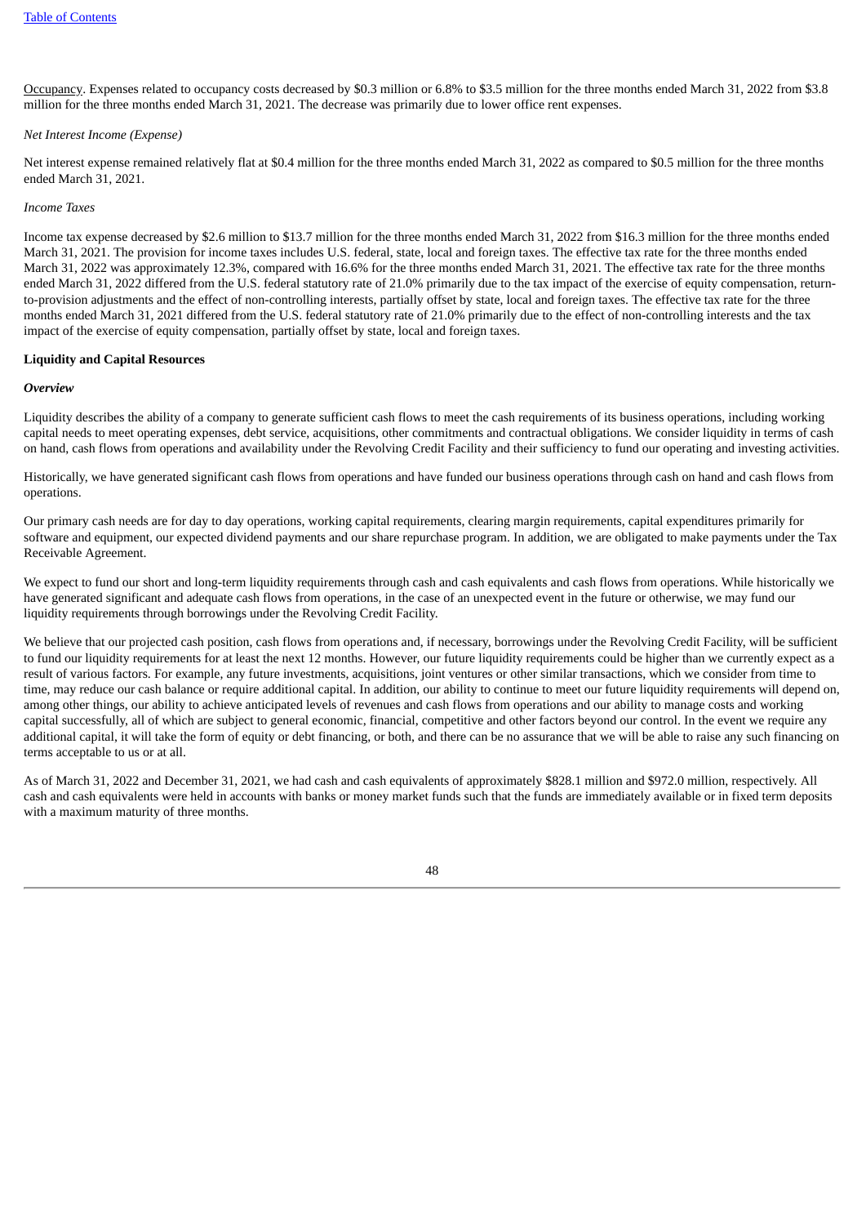Occupancy. Expenses related to occupancy costs decreased by \$0.3 million or 6.8% to \$3.5 million for the three months ended March 31, 2022 from \$3.8 million for the three months ended March 31, 2021. The decrease was primarily due to lower office rent expenses.

## *Net Interest Income (Expense)*

Net interest expense remained relatively flat at \$0.4 million for the three months ended March 31, 2022 as compared to \$0.5 million for the three months ended March 31, 2021.

#### *Income Taxes*

Income tax expense decreased by \$2.6 million to \$13.7 million for the three months ended March 31, 2022 from \$16.3 million for the three months ended March 31, 2021. The provision for income taxes includes U.S. federal, state, local and foreign taxes. The effective tax rate for the three months ended March 31, 2022 was approximately 12.3%, compared with 16.6% for the three months ended March 31, 2021. The effective tax rate for the three months ended March 31, 2022 differed from the U.S. federal statutory rate of 21.0% primarily due to the tax impact of the exercise of equity compensation, returnto-provision adjustments and the effect of non-controlling interests, partially offset by state, local and foreign taxes. The effective tax rate for the three months ended March 31, 2021 differed from the U.S. federal statutory rate of 21.0% primarily due to the effect of non-controlling interests and the tax impact of the exercise of equity compensation, partially offset by state, local and foreign taxes.

# **Liquidity and Capital Resources**

### *Overview*

Liquidity describes the ability of a company to generate sufficient cash flows to meet the cash requirements of its business operations, including working capital needs to meet operating expenses, debt service, acquisitions, other commitments and contractual obligations. We consider liquidity in terms of cash on hand, cash flows from operations and availability under the Revolving Credit Facility and their sufficiency to fund our operating and investing activities.

Historically, we have generated significant cash flows from operations and have funded our business operations through cash on hand and cash flows from operations.

Our primary cash needs are for day to day operations, working capital requirements, clearing margin requirements, capital expenditures primarily for software and equipment, our expected dividend payments and our share repurchase program. In addition, we are obligated to make payments under the Tax Receivable Agreement.

We expect to fund our short and long-term liquidity requirements through cash and cash equivalents and cash flows from operations. While historically we have generated significant and adequate cash flows from operations, in the case of an unexpected event in the future or otherwise, we may fund our liquidity requirements through borrowings under the Revolving Credit Facility.

We believe that our projected cash position, cash flows from operations and, if necessary, borrowings under the Revolving Credit Facility, will be sufficient to fund our liquidity requirements for at least the next 12 months. However, our future liquidity requirements could be higher than we currently expect as a result of various factors. For example, any future investments, acquisitions, joint ventures or other similar transactions, which we consider from time to time, may reduce our cash balance or require additional capital. In addition, our ability to continue to meet our future liquidity requirements will depend on, among other things, our ability to achieve anticipated levels of revenues and cash flows from operations and our ability to manage costs and working capital successfully, all of which are subject to general economic, financial, competitive and other factors beyond our control. In the event we require any additional capital, it will take the form of equity or debt financing, or both, and there can be no assurance that we will be able to raise any such financing on terms acceptable to us or at all.

As of March 31, 2022 and December 31, 2021, we had cash and cash equivalents of approximately \$828.1 million and \$972.0 million, respectively. All cash and cash equivalents were held in accounts with banks or money market funds such that the funds are immediately available or in fixed term deposits with a maximum maturity of three months.

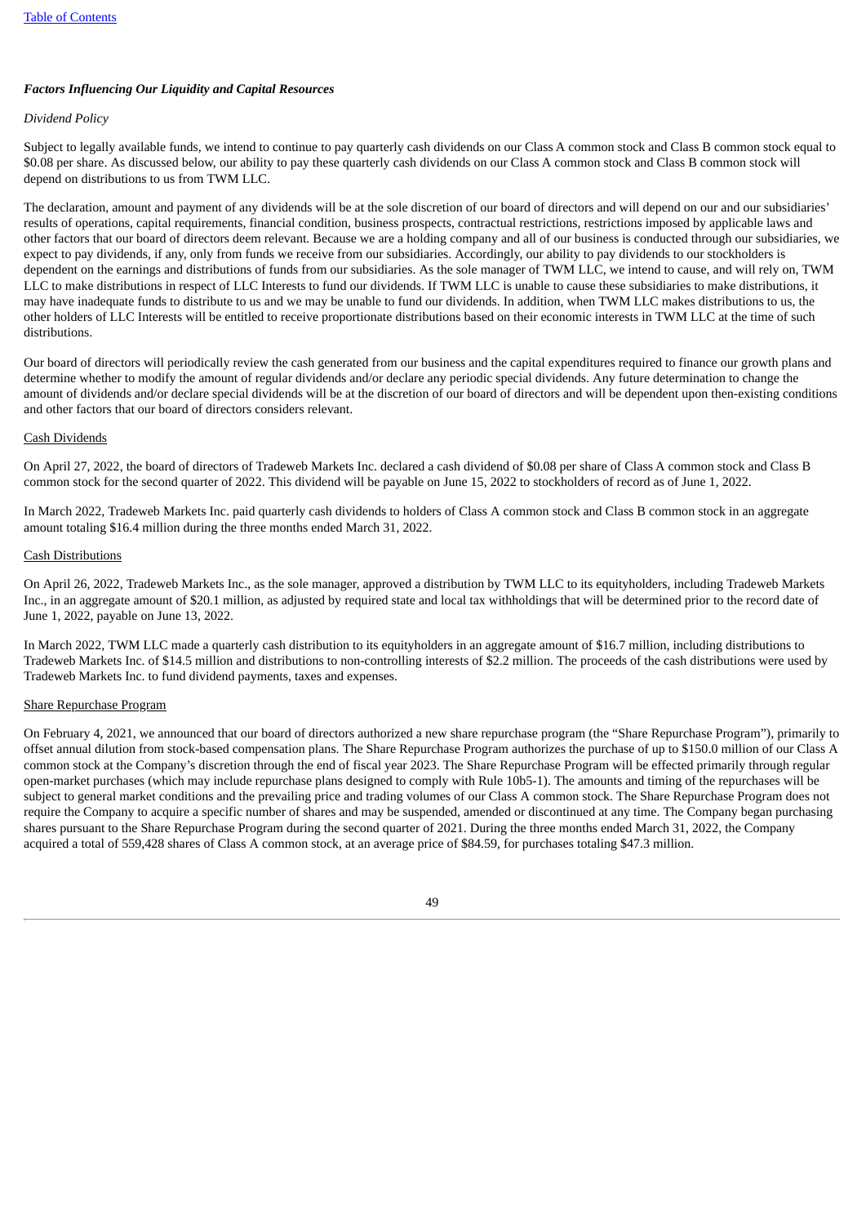# *Factors Influencing Our Liquidity and Capital Resources*

# *Dividend Policy*

Subject to legally available funds, we intend to continue to pay quarterly cash dividends on our Class A common stock and Class B common stock equal to \$0.08 per share. As discussed below, our ability to pay these quarterly cash dividends on our Class A common stock and Class B common stock will depend on distributions to us from TWM LLC.

The declaration, amount and payment of any dividends will be at the sole discretion of our board of directors and will depend on our and our subsidiaries' results of operations, capital requirements, financial condition, business prospects, contractual restrictions, restrictions imposed by applicable laws and other factors that our board of directors deem relevant. Because we are a holding company and all of our business is conducted through our subsidiaries, we expect to pay dividends, if any, only from funds we receive from our subsidiaries. Accordingly, our ability to pay dividends to our stockholders is dependent on the earnings and distributions of funds from our subsidiaries. As the sole manager of TWM LLC, we intend to cause, and will rely on, TWM LLC to make distributions in respect of LLC Interests to fund our dividends. If TWM LLC is unable to cause these subsidiaries to make distributions, it may have inadequate funds to distribute to us and we may be unable to fund our dividends. In addition, when TWM LLC makes distributions to us, the other holders of LLC Interests will be entitled to receive proportionate distributions based on their economic interests in TWM LLC at the time of such distributions.

Our board of directors will periodically review the cash generated from our business and the capital expenditures required to finance our growth plans and determine whether to modify the amount of regular dividends and/or declare any periodic special dividends. Any future determination to change the amount of dividends and/or declare special dividends will be at the discretion of our board of directors and will be dependent upon then-existing conditions and other factors that our board of directors considers relevant.

# Cash Dividends

On April 27, 2022, the board of directors of Tradeweb Markets Inc. declared a cash dividend of \$0.08 per share of Class A common stock and Class B common stock for the second quarter of 2022. This dividend will be payable on June 15, 2022 to stockholders of record as of June 1, 2022.

In March 2022, Tradeweb Markets Inc. paid quarterly cash dividends to holders of Class A common stock and Class B common stock in an aggregate amount totaling \$16.4 million during the three months ended March 31, 2022.

# Cash Distributions

On April 26, 2022, Tradeweb Markets Inc., as the sole manager, approved a distribution by TWM LLC to its equityholders, including Tradeweb Markets Inc., in an aggregate amount of \$20.1 million, as adjusted by required state and local tax withholdings that will be determined prior to the record date of June 1, 2022, payable on June 13, 2022.

In March 2022, TWM LLC made a quarterly cash distribution to its equityholders in an aggregate amount of \$16.7 million, including distributions to Tradeweb Markets Inc. of \$14.5 million and distributions to non-controlling interests of \$2.2 million. The proceeds of the cash distributions were used by Tradeweb Markets Inc. to fund dividend payments, taxes and expenses.

#### Share Repurchase Program

On February 4, 2021, we announced that our board of directors authorized a new share repurchase program (the "Share Repurchase Program"), primarily to offset annual dilution from stock-based compensation plans. The Share Repurchase Program authorizes the purchase of up to \$150.0 million of our Class A common stock at the Company's discretion through the end of fiscal year 2023. The Share Repurchase Program will be effected primarily through regular open-market purchases (which may include repurchase plans designed to comply with Rule 10b5-1). The amounts and timing of the repurchases will be subject to general market conditions and the prevailing price and trading volumes of our Class A common stock. The Share Repurchase Program does not require the Company to acquire a specific number of shares and may be suspended, amended or discontinued at any time. The Company began purchasing shares pursuant to the Share Repurchase Program during the second quarter of 2021. During the three months ended March 31, 2022, the Company acquired a total of 559,428 shares of Class A common stock, at an average price of \$84.59, for purchases totaling \$47.3 million.

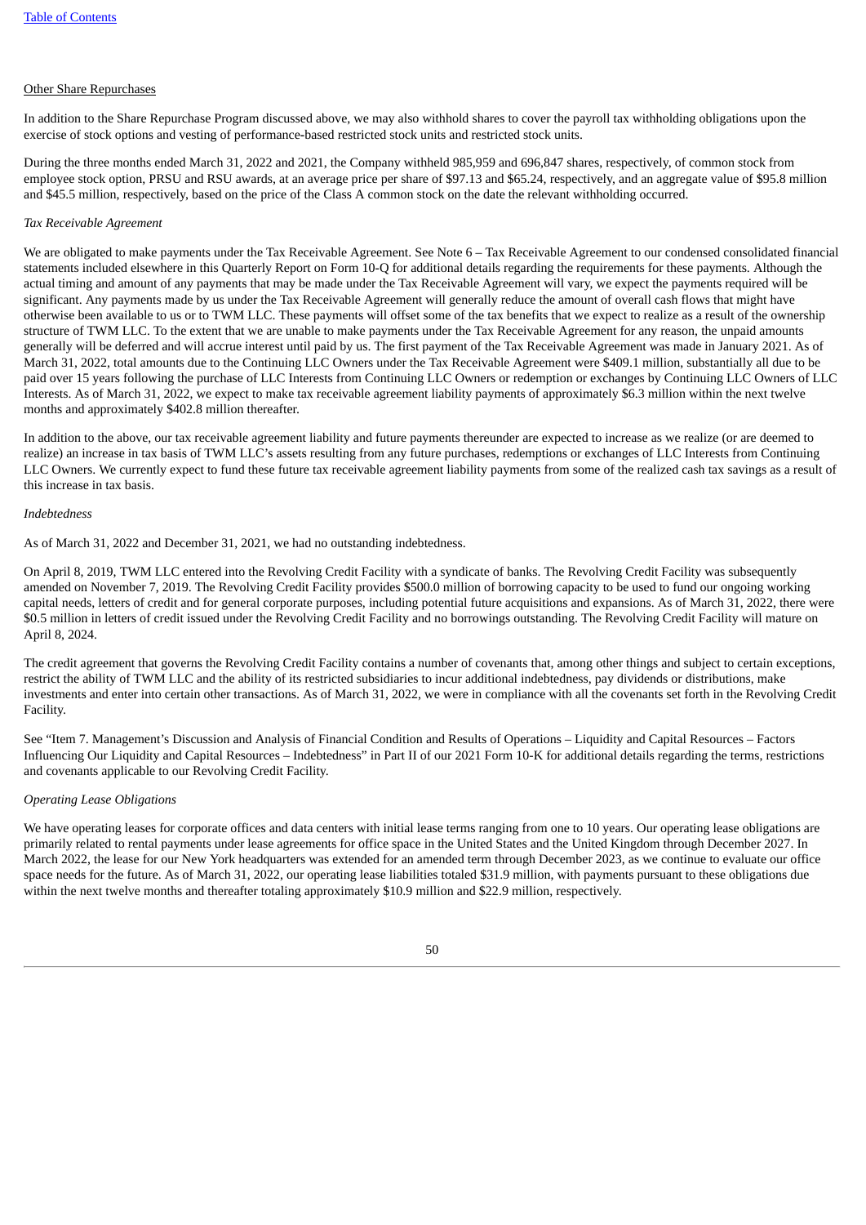# Other Share Repurchases

In addition to the Share Repurchase Program discussed above, we may also withhold shares to cover the payroll tax withholding obligations upon the exercise of stock options and vesting of performance**-**based restricted stock units and restricted stock units.

During the three months ended March 31, 2022 and 2021, the Company withheld 985,959 and 696,847 shares, respectively, of common stock from employee stock option, PRSU and RSU awards, at an average price per share of \$97.13 and \$65.24, respectively, and an aggregate value of \$95.8 million and \$45.5 million, respectively, based on the price of the Class A common stock on the date the relevant withholding occurred.

#### *Tax Receivable Agreement*

We are obligated to make payments under the Tax Receivable Agreement. See Note 6 – Tax Receivable Agreement to our condensed consolidated financial statements included elsewhere in this Quarterly Report on Form 10-Q for additional details regarding the requirements for these payments. Although the actual timing and amount of any payments that may be made under the Tax Receivable Agreement will vary, we expect the payments required will be significant. Any payments made by us under the Tax Receivable Agreement will generally reduce the amount of overall cash flows that might have otherwise been available to us or to TWM LLC. These payments will offset some of the tax benefits that we expect to realize as a result of the ownership structure of TWM LLC. To the extent that we are unable to make payments under the Tax Receivable Agreement for any reason, the unpaid amounts generally will be deferred and will accrue interest until paid by us. The first payment of the Tax Receivable Agreement was made in January 2021. As of March 31, 2022, total amounts due to the Continuing LLC Owners under the Tax Receivable Agreement were \$409.1 million, substantially all due to be paid over 15 years following the purchase of LLC Interests from Continuing LLC Owners or redemption or exchanges by Continuing LLC Owners of LLC Interests. As of March 31, 2022, we expect to make tax receivable agreement liability payments of approximately \$6.3 million within the next twelve months and approximately \$402.8 million thereafter.

In addition to the above, our tax receivable agreement liability and future payments thereunder are expected to increase as we realize (or are deemed to realize) an increase in tax basis of TWM LLC's assets resulting from any future purchases, redemptions or exchanges of LLC Interests from Continuing LLC Owners. We currently expect to fund these future tax receivable agreement liability payments from some of the realized cash tax savings as a result of this increase in tax basis.

#### *Indebtedness*

As of March 31, 2022 and December 31, 2021, we had no outstanding indebtedness.

On April 8, 2019, TWM LLC entered into the Revolving Credit Facility with a syndicate of banks. The Revolving Credit Facility was subsequently amended on November 7, 2019. The Revolving Credit Facility provides \$500.0 million of borrowing capacity to be used to fund our ongoing working capital needs, letters of credit and for general corporate purposes, including potential future acquisitions and expansions. As of March 31, 2022, there were \$0.5 million in letters of credit issued under the Revolving Credit Facility and no borrowings outstanding. The Revolving Credit Facility will mature on April 8, 2024.

The credit agreement that governs the Revolving Credit Facility contains a number of covenants that, among other things and subject to certain exceptions, restrict the ability of TWM LLC and the ability of its restricted subsidiaries to incur additional indebtedness, pay dividends or distributions, make investments and enter into certain other transactions. As of March 31, 2022, we were in compliance with all the covenants set forth in the Revolving Credit Facility.

See "Item 7. Management's Discussion and Analysis of Financial Condition and Results of Operations – Liquidity and Capital Resources – Factors Influencing Our Liquidity and Capital Resources – Indebtedness" in Part II of our 2021 Form 10-K for additional details regarding the terms, restrictions and covenants applicable to our Revolving Credit Facility.

#### *Operating Lease Obligations*

We have operating leases for corporate offices and data centers with initial lease terms ranging from one to 10 years. Our operating lease obligations are primarily related to rental payments under lease agreements for office space in the United States and the United Kingdom through December 2027. In March 2022, the lease for our New York headquarters was extended for an amended term through December 2023, as we continue to evaluate our office space needs for the future. As of March 31, 2022, our operating lease liabilities totaled \$31.9 million, with payments pursuant to these obligations due within the next twelve months and thereafter totaling approximately \$10.9 million and \$22.9 million, respectively.

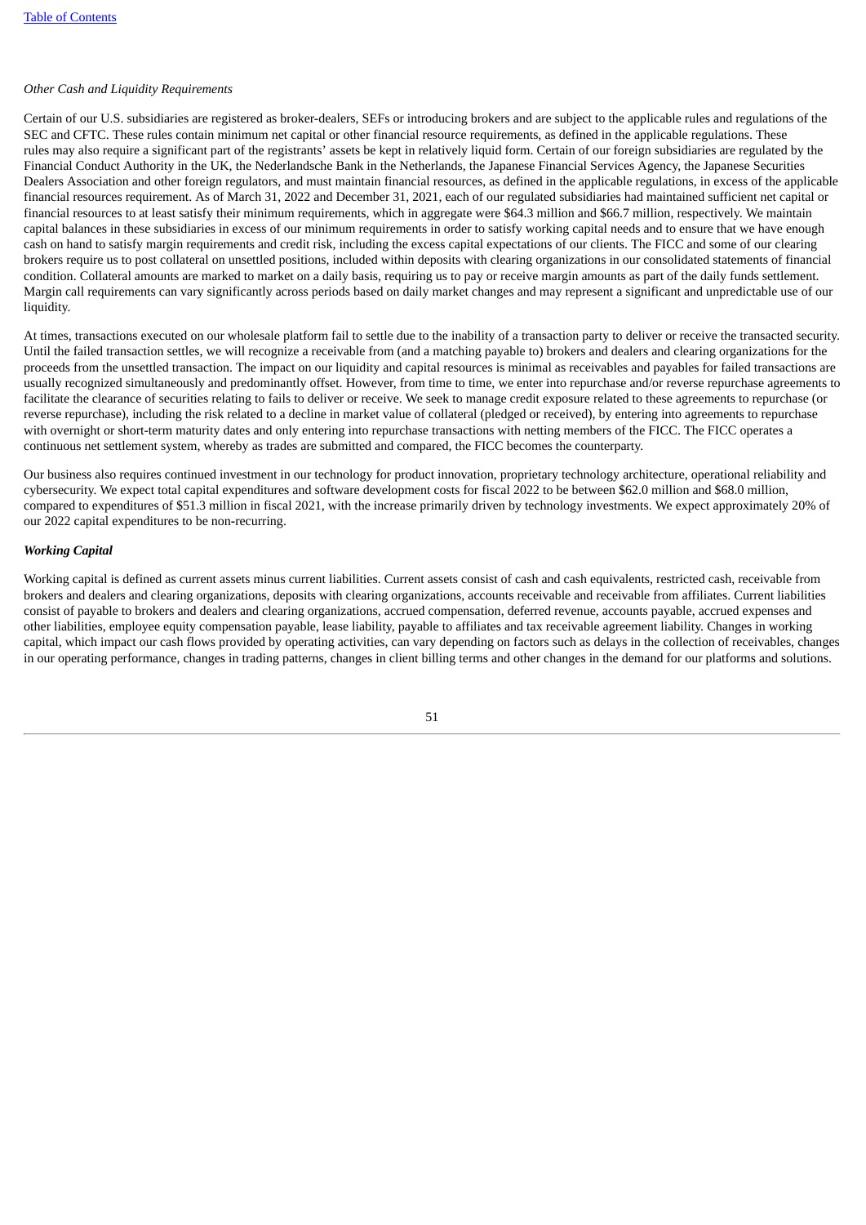# *Other Cash and Liquidity Requirements*

Certain of our U.S. subsidiaries are registered as broker-dealers, SEFs or introducing brokers and are subject to the applicable rules and regulations of the SEC and CFTC. These rules contain minimum net capital or other financial resource requirements, as defined in the applicable regulations. These rules may also require a significant part of the registrants' assets be kept in relatively liquid form. Certain of our foreign subsidiaries are regulated by the Financial Conduct Authority in the UK, the Nederlandsche Bank in the Netherlands, the Japanese Financial Services Agency, the Japanese Securities Dealers Association and other foreign regulators, and must maintain financial resources, as defined in the applicable regulations, in excess of the applicable financial resources requirement. As of March 31, 2022 and December 31, 2021, each of our regulated subsidiaries had maintained sufficient net capital or financial resources to at least satisfy their minimum requirements, which in aggregate were \$64.3 million and \$66.7 million, respectively. We maintain capital balances in these subsidiaries in excess of our minimum requirements in order to satisfy working capital needs and to ensure that we have enough cash on hand to satisfy margin requirements and credit risk, including the excess capital expectations of our clients. The FICC and some of our clearing brokers require us to post collateral on unsettled positions, included within deposits with clearing organizations in our consolidated statements of financial condition. Collateral amounts are marked to market on a daily basis, requiring us to pay or receive margin amounts as part of the daily funds settlement. Margin call requirements can vary significantly across periods based on daily market changes and may represent a significant and unpredictable use of our liquidity.

At times, transactions executed on our wholesale platform fail to settle due to the inability of a transaction party to deliver or receive the transacted security. Until the failed transaction settles, we will recognize a receivable from (and a matching payable to) brokers and dealers and clearing organizations for the proceeds from the unsettled transaction. The impact on our liquidity and capital resources is minimal as receivables and payables for failed transactions are usually recognized simultaneously and predominantly offset. However, from time to time, we enter into repurchase and/or reverse repurchase agreements to facilitate the clearance of securities relating to fails to deliver or receive. We seek to manage credit exposure related to these agreements to repurchase (or reverse repurchase), including the risk related to a decline in market value of collateral (pledged or received), by entering into agreements to repurchase with overnight or short-term maturity dates and only entering into repurchase transactions with netting members of the FICC. The FICC operates a continuous net settlement system, whereby as trades are submitted and compared, the FICC becomes the counterparty.

Our business also requires continued investment in our technology for product innovation, proprietary technology architecture, operational reliability and cybersecurity. We expect total capital expenditures and software development costs for fiscal 2022 to be between \$62.0 million and \$68.0 million, compared to expenditures of \$51.3 million in fiscal 2021, with the increase primarily driven by technology investments. We expect approximately 20% of our 2022 capital expenditures to be non**-**recurring.

### *Working Capital*

Working capital is defined as current assets minus current liabilities. Current assets consist of cash and cash equivalents, restricted cash, receivable from brokers and dealers and clearing organizations, deposits with clearing organizations, accounts receivable and receivable from affiliates. Current liabilities consist of payable to brokers and dealers and clearing organizations, accrued compensation, deferred revenue, accounts payable, accrued expenses and other liabilities, employee equity compensation payable, lease liability, payable to affiliates and tax receivable agreement liability. Changes in working capital, which impact our cash flows provided by operating activities, can vary depending on factors such as delays in the collection of receivables, changes in our operating performance, changes in trading patterns, changes in client billing terms and other changes in the demand for our platforms and solutions.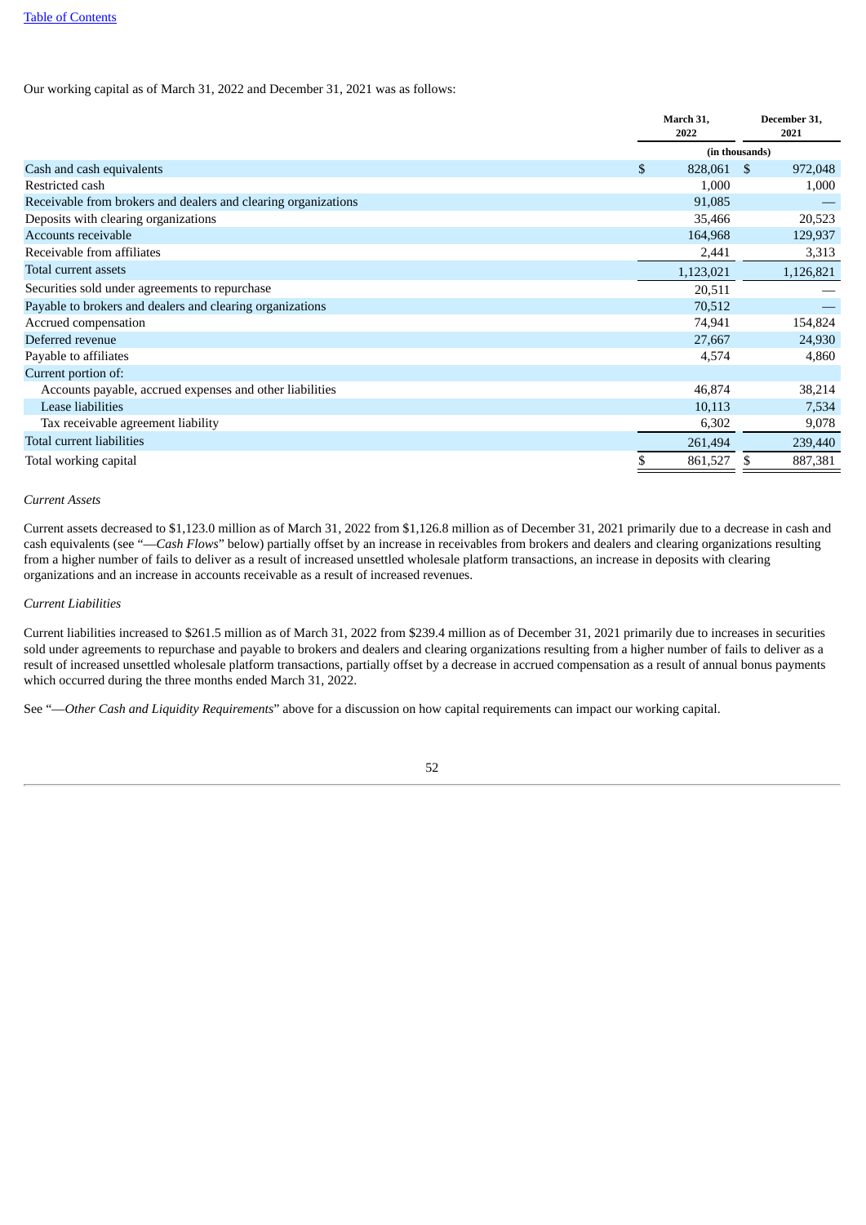Our working capital as of March 31, 2022 and December 31, 2021 was as follows:

|                                                                | March 31,<br>2022 |                | December 31,<br>2021 |           |
|----------------------------------------------------------------|-------------------|----------------|----------------------|-----------|
|                                                                |                   | (in thousands) |                      |           |
| Cash and cash equivalents                                      | \$                | 828,061 \$     |                      | 972,048   |
| Restricted cash                                                |                   | 1,000          |                      | 1,000     |
| Receivable from brokers and dealers and clearing organizations |                   | 91,085         |                      |           |
| Deposits with clearing organizations                           |                   | 35,466         |                      | 20,523    |
| Accounts receivable                                            |                   | 164,968        |                      | 129,937   |
| Receivable from affiliates                                     |                   | 2,441          |                      | 3,313     |
| Total current assets                                           |                   | 1,123,021      |                      | 1,126,821 |
| Securities sold under agreements to repurchase                 |                   | 20,511         |                      |           |
| Payable to brokers and dealers and clearing organizations      |                   | 70,512         |                      |           |
| Accrued compensation                                           |                   | 74,941         |                      | 154,824   |
| Deferred revenue                                               |                   | 27,667         |                      | 24,930    |
| Payable to affiliates                                          |                   | 4,574          |                      | 4,860     |
| Current portion of:                                            |                   |                |                      |           |
| Accounts payable, accrued expenses and other liabilities       |                   | 46,874         |                      | 38,214    |
| <b>Lease liabilities</b>                                       |                   | 10,113         |                      | 7,534     |
| Tax receivable agreement liability                             |                   | 6,302          |                      | 9,078     |
| Total current liabilities                                      |                   | 261,494        |                      | 239,440   |
| Total working capital                                          | \$                | 861,527        | S                    | 887,381   |

### *Current Assets*

Current assets decreased to \$1,123.0 million as of March 31, 2022 from \$1,126.8 million as of December 31, 2021 primarily due to a decrease in cash and cash equivalents (see "—*Cash Flows*" below) partially offset by an increase in receivables from brokers and dealers and clearing organizations resulting from a higher number of fails to deliver as a result of increased unsettled wholesale platform transactions, an increase in deposits with clearing organizations and an increase in accounts receivable as a result of increased revenues.

## *Current Liabilities*

Current liabilities increased to \$261.5 million as of March 31, 2022 from \$239.4 million as of December 31, 2021 primarily due to increases in securities sold under agreements to repurchase and payable to brokers and dealers and clearing organizations resulting from a higher number of fails to deliver as a result of increased unsettled wholesale platform transactions, partially offset by a decrease in accrued compensation as a result of annual bonus payments which occurred during the three months ended March 31, 2022.

See "—*Other Cash and Liquidity Requirements*" above for a discussion on how capital requirements can impact our working capital.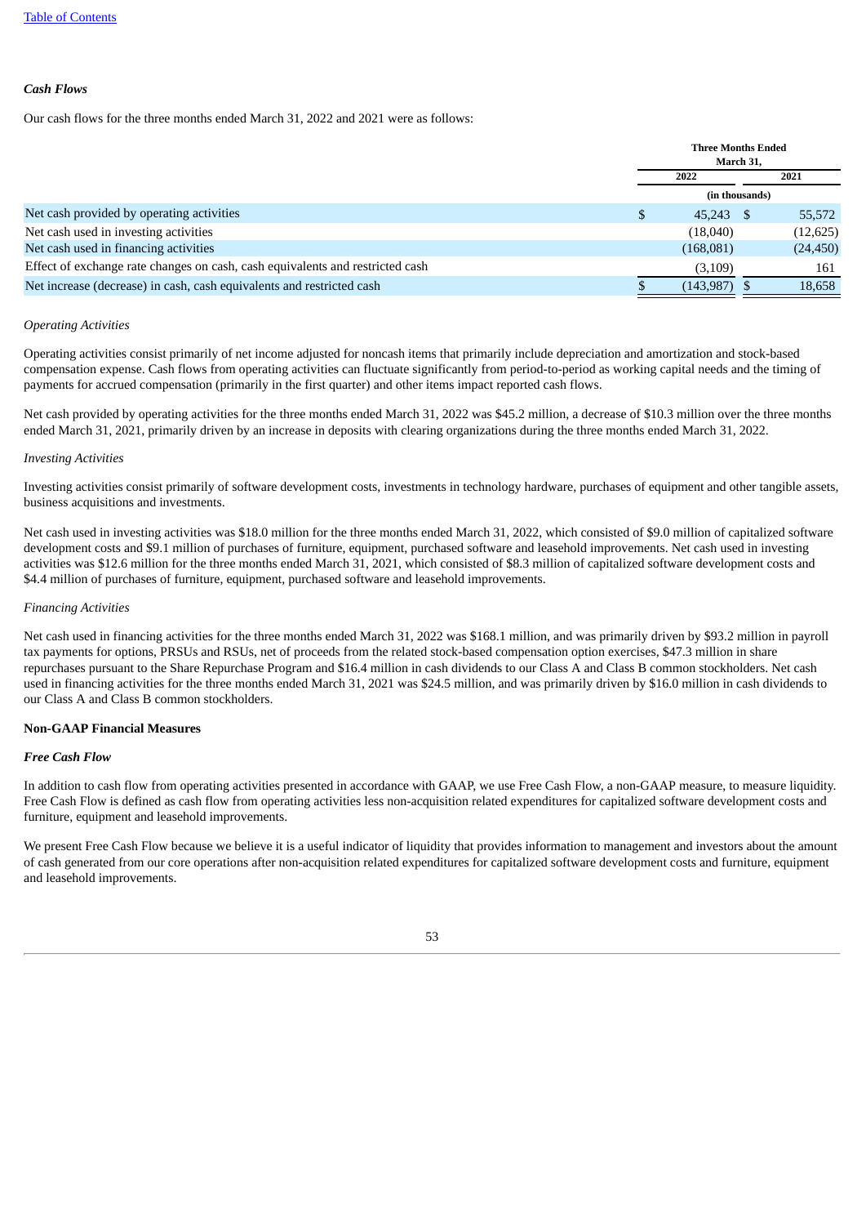## *Cash Flows*

Our cash flows for the three months ended March 31, 2022 and 2021 were as follows:

|                                                                               | <b>Three Months Ended</b><br>March 31. |                |                |           |
|-------------------------------------------------------------------------------|----------------------------------------|----------------|----------------|-----------|
|                                                                               | 2022                                   |                | 2021           |           |
|                                                                               |                                        |                | (in thousands) |           |
| Net cash provided by operating activities                                     |                                        | 45.243 \$      |                | 55,572    |
| Net cash used in investing activities                                         |                                        | (18,040)       |                | (12, 625) |
| Net cash used in financing activities                                         |                                        | (168,081)      |                | (24, 450) |
| Effect of exchange rate changes on cash, cash equivalents and restricted cash |                                        | (3, 109)       |                | 161       |
| Net increase (decrease) in cash, cash equivalents and restricted cash         |                                        | $(143,987)$ \$ |                | 18,658    |

### *Operating Activities*

Operating activities consist primarily of net income adjusted for noncash items that primarily include depreciation and amortization and stock-based compensation expense. Cash flows from operating activities can fluctuate significantly from period-to-period as working capital needs and the timing of payments for accrued compensation (primarily in the first quarter) and other items impact reported cash flows.

Net cash provided by operating activities for the three months ended March 31, 2022 was \$45.2 million, a decrease of \$10.3 million over the three months ended March 31, 2021, primarily driven by an increase in deposits with clearing organizations during the three months ended March 31, 2022.

#### *Investing Activities*

Investing activities consist primarily of software development costs, investments in technology hardware, purchases of equipment and other tangible assets, business acquisitions and investments.

Net cash used in investing activities was \$18.0 million for the three months ended March 31, 2022, which consisted of \$9.0 million of capitalized software development costs and \$9.1 million of purchases of furniture, equipment, purchased software and leasehold improvements. Net cash used in investing activities was \$12.6 million for the three months ended March 31, 2021, which consisted of \$8.3 million of capitalized software development costs and \$4.4 million of purchases of furniture, equipment, purchased software and leasehold improvements.

### *Financing Activities*

Net cash used in financing activities for the three months ended March 31, 2022 was \$168.1 million, and was primarily driven by \$93.2 million in payroll tax payments for options, PRSUs and RSUs, net of proceeds from the related stock-based compensation option exercises, \$47.3 million in share repurchases pursuant to the Share Repurchase Program and \$16.4 million in cash dividends to our Class A and Class B common stockholders. Net cash used in financing activities for the three months ended March 31, 2021 was \$24.5 million, and was primarily driven by \$16.0 million in cash dividends to our Class A and Class B common stockholders.

# **Non-GAAP Financial Measures**

### *Free Cash Flow*

In addition to cash flow from operating activities presented in accordance with GAAP, we use Free Cash Flow, a non-GAAP measure, to measure liquidity. Free Cash Flow is defined as cash flow from operating activities less non-acquisition related expenditures for capitalized software development costs and furniture, equipment and leasehold improvements.

We present Free Cash Flow because we believe it is a useful indicator of liquidity that provides information to management and investors about the amount of cash generated from our core operations after non-acquisition related expenditures for capitalized software development costs and furniture, equipment and leasehold improvements.

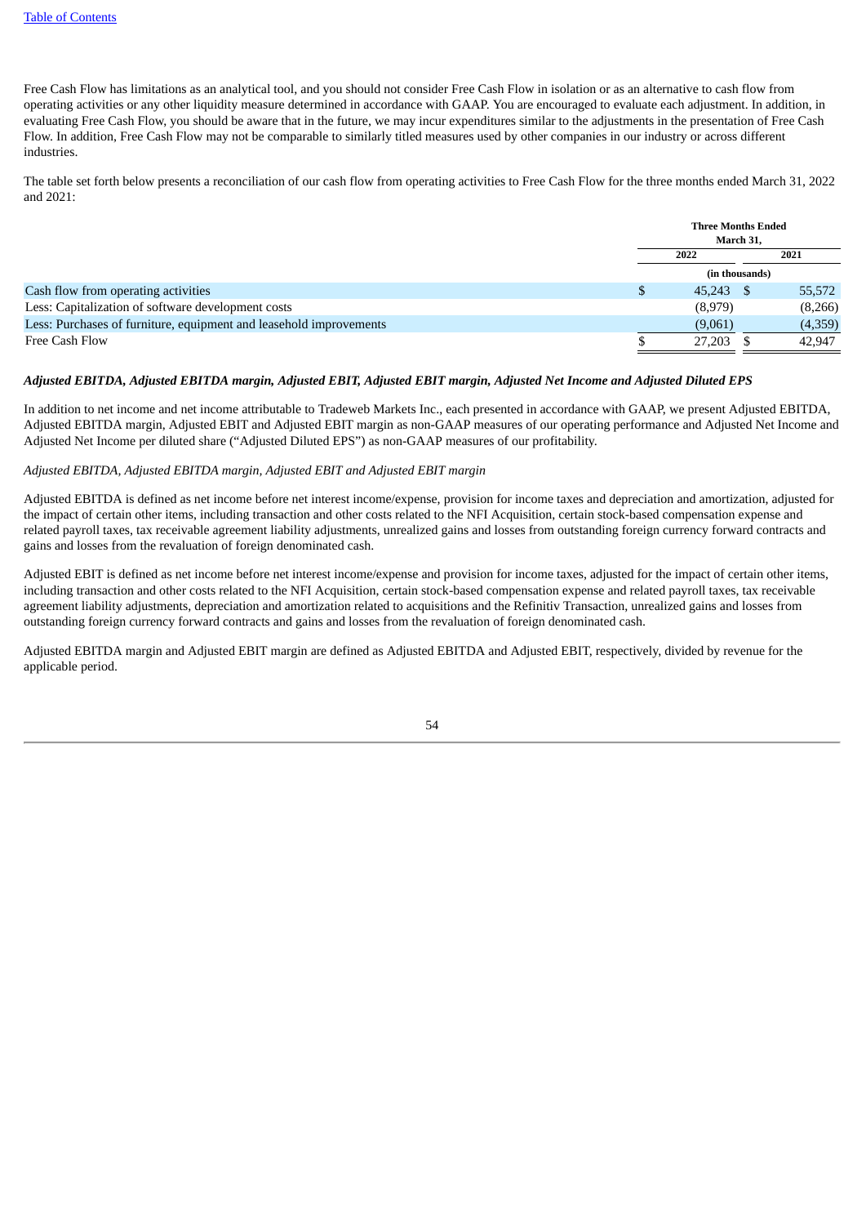Free Cash Flow has limitations as an analytical tool, and you should not consider Free Cash Flow in isolation or as an alternative to cash flow from operating activities or any other liquidity measure determined in accordance with GAAP. You are encouraged to evaluate each adjustment. In addition, in evaluating Free Cash Flow, you should be aware that in the future, we may incur expenditures similar to the adjustments in the presentation of Free Cash Flow. In addition, Free Cash Flow may not be comparable to similarly titled measures used by other companies in our industry or across different industries.

The table set forth below presents a reconciliation of our cash flow from operating activities to Free Cash Flow for the three months ended March 31, 2022 and 2021:

|                                                                    |      | <b>Three Months Ended</b><br>March 31. |      |         |  |
|--------------------------------------------------------------------|------|----------------------------------------|------|---------|--|
|                                                                    | 2022 |                                        | 2021 |         |  |
|                                                                    |      | (in thousands)                         |      |         |  |
| Cash flow from operating activities                                | \$   | 45.243 \$                              |      | 55,572  |  |
| Less: Capitalization of software development costs                 |      | (8,979)                                |      | (8,266) |  |
| Less: Purchases of furniture, equipment and leasehold improvements |      | (9,061)                                |      | (4,359) |  |
| Free Cash Flow                                                     |      | 27,203                                 |      | 42,947  |  |

# Adjusted EBITDA. Adjusted EBITDA marain. Adjusted EBIT. Adjusted EBIT marain. Adjusted Net Income and Adjusted Diluted EPS

In addition to net income and net income attributable to Tradeweb Markets Inc., each presented in accordance with GAAP, we present Adjusted EBITDA, Adjusted EBITDA margin, Adjusted EBIT and Adjusted EBIT margin as non-GAAP measures of our operating performance and Adjusted Net Income and Adjusted Net Income per diluted share ("Adjusted Diluted EPS") as non-GAAP measures of our profitability.

# *Adjusted EBITDA, Adjusted EBITDA margin, Adjusted EBIT and Adjusted EBIT margin*

Adjusted EBITDA is defined as net income before net interest income/expense, provision for income taxes and depreciation and amortization, adjusted for the impact of certain other items, including transaction and other costs related to the NFI Acquisition, certain stock-based compensation expense and related payroll taxes, tax receivable agreement liability adjustments, unrealized gains and losses from outstanding foreign currency forward contracts and gains and losses from the revaluation of foreign denominated cash.

Adjusted EBIT is defined as net income before net interest income/expense and provision for income taxes, adjusted for the impact of certain other items, including transaction and other costs related to the NFI Acquisition, certain stock-based compensation expense and related payroll taxes, tax receivable agreement liability adjustments, depreciation and amortization related to acquisitions and the Refinitiv Transaction, unrealized gains and losses from outstanding foreign currency forward contracts and gains and losses from the revaluation of foreign denominated cash.

Adjusted EBITDA margin and Adjusted EBIT margin are defined as Adjusted EBITDA and Adjusted EBIT, respectively, divided by revenue for the applicable period.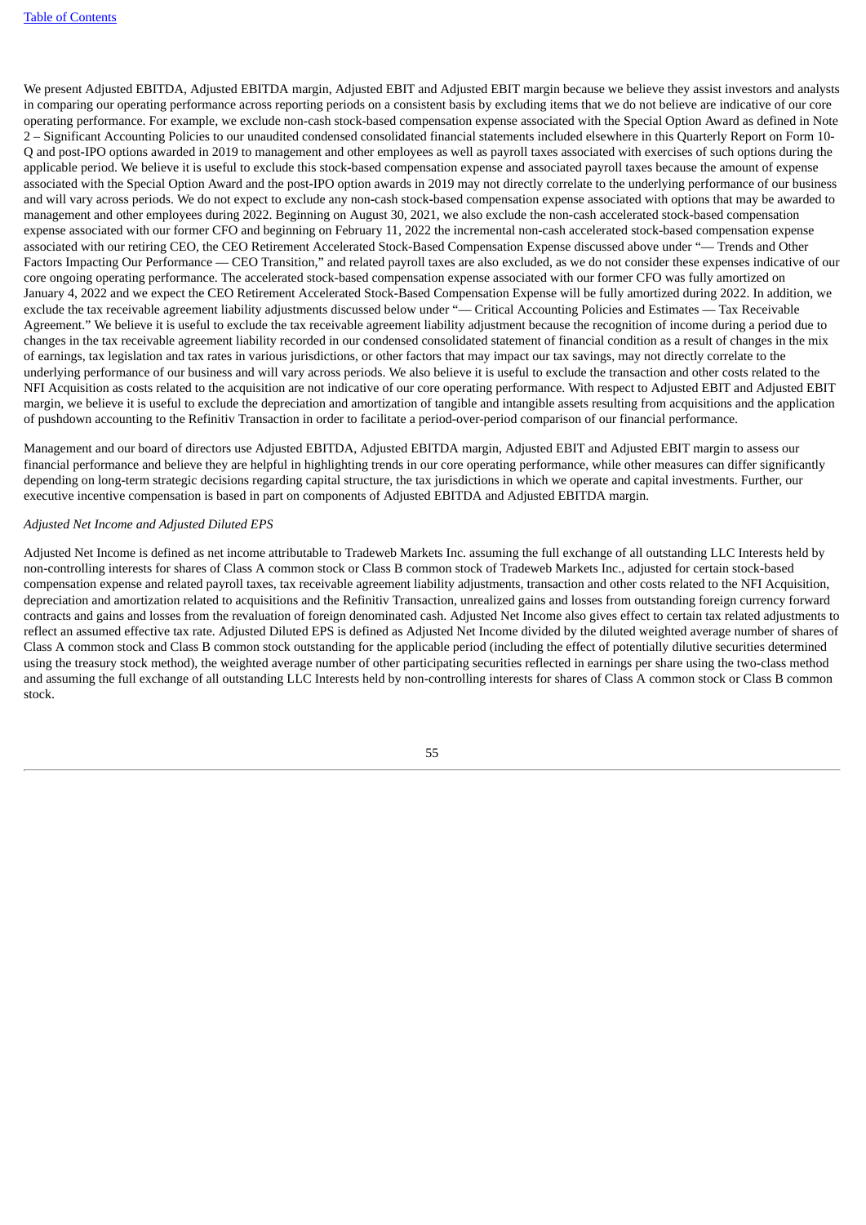We present Adjusted EBITDA, Adjusted EBITDA margin, Adjusted EBIT and Adjusted EBIT margin because we believe they assist investors and analysts in comparing our operating performance across reporting periods on a consistent basis by excluding items that we do not believe are indicative of our core operating performance. For example, we exclude non-cash stock-based compensation expense associated with the Special Option Award as defined in Note 2 – Significant Accounting Policies to our unaudited condensed consolidated financial statements included elsewhere in this Quarterly Report on Form 10- Q and post**-**IPO options awarded in 2019 to management and other employees as well as payroll taxes associated with exercises of such options during the applicable period. We believe it is useful to exclude this stock**-**based compensation expense and associated payroll taxes because the amount of expense associated with the Special Option Award and the post**-**IPO option awards in 2019 may not directly correlate to the underlying performance of our business and will vary across periods. We do not expect to exclude any non**-**cash stock**-**based compensation expense associated with options that may be awarded to management and other employees during 2022. Beginning on August 30, 2021, we also exclude the non**-**cash accelerated stock**-**based compensation expense associated with our former CFO and beginning on February 11, 2022 the incremental non-cash accelerated stock-based compensation expense associated with our retiring CEO, the CEO Retirement Accelerated Stock-Based Compensation Expense discussed above under "— Trends and Other Factors Impacting Our Performance — CEO Transition," and related payroll taxes are also excluded, as we do not consider these expenses indicative of our core ongoing operating performance. The accelerated stock-based compensation expense associated with our former CFO was fully amortized on January 4, 2022 and we expect the CEO Retirement Accelerated Stock-Based Compensation Expense will be fully amortized during 2022. In addition, we exclude the tax receivable agreement liability adjustments discussed below under "— Critical Accounting Policies and Estimates — Tax Receivable Agreement." We believe it is useful to exclude the tax receivable agreement liability adjustment because the recognition of income during a period due to changes in the tax receivable agreement liability recorded in our condensed consolidated statement of financial condition as a result of changes in the mix of earnings, tax legislation and tax rates in various jurisdictions, or other factors that may impact our tax savings, may not directly correlate to the underlying performance of our business and will vary across periods. We also believe it is useful to exclude the transaction and other costs related to the NFI Acquisition as costs related to the acquisition are not indicative of our core operating performance. With respect to Adjusted EBIT and Adjusted EBIT margin, we believe it is useful to exclude the depreciation and amortization of tangible and intangible assets resulting from acquisitions and the application of pushdown accounting to the Refinitiv Transaction in order to facilitate a period-over-period comparison of our financial performance.

Management and our board of directors use Adjusted EBITDA, Adjusted EBITDA margin, Adjusted EBIT and Adjusted EBIT margin to assess our financial performance and believe they are helpful in highlighting trends in our core operating performance, while other measures can differ significantly depending on long-term strategic decisions regarding capital structure, the tax jurisdictions in which we operate and capital investments. Further, our executive incentive compensation is based in part on components of Adjusted EBITDA and Adjusted EBITDA margin.

### *Adjusted Net Income and Adjusted Diluted EPS*

Adjusted Net Income is defined as net income attributable to Tradeweb Markets Inc. assuming the full exchange of all outstanding LLC Interests held by non-controlling interests for shares of Class A common stock or Class B common stock of Tradeweb Markets Inc., adjusted for certain stock-based compensation expense and related payroll taxes, tax receivable agreement liability adjustments, transaction and other costs related to the NFI Acquisition, depreciation and amortization related to acquisitions and the Refinitiv Transaction, unrealized gains and losses from outstanding foreign currency forward contracts and gains and losses from the revaluation of foreign denominated cash. Adjusted Net Income also gives effect to certain tax related adjustments to reflect an assumed effective tax rate. Adjusted Diluted EPS is defined as Adjusted Net Income divided by the diluted weighted average number of shares of Class A common stock and Class B common stock outstanding for the applicable period (including the effect of potentially dilutive securities determined using the treasury stock method), the weighted average number of other participating securities reflected in earnings per share using the two-class method and assuming the full exchange of all outstanding LLC Interests held by non-controlling interests for shares of Class A common stock or Class B common stock.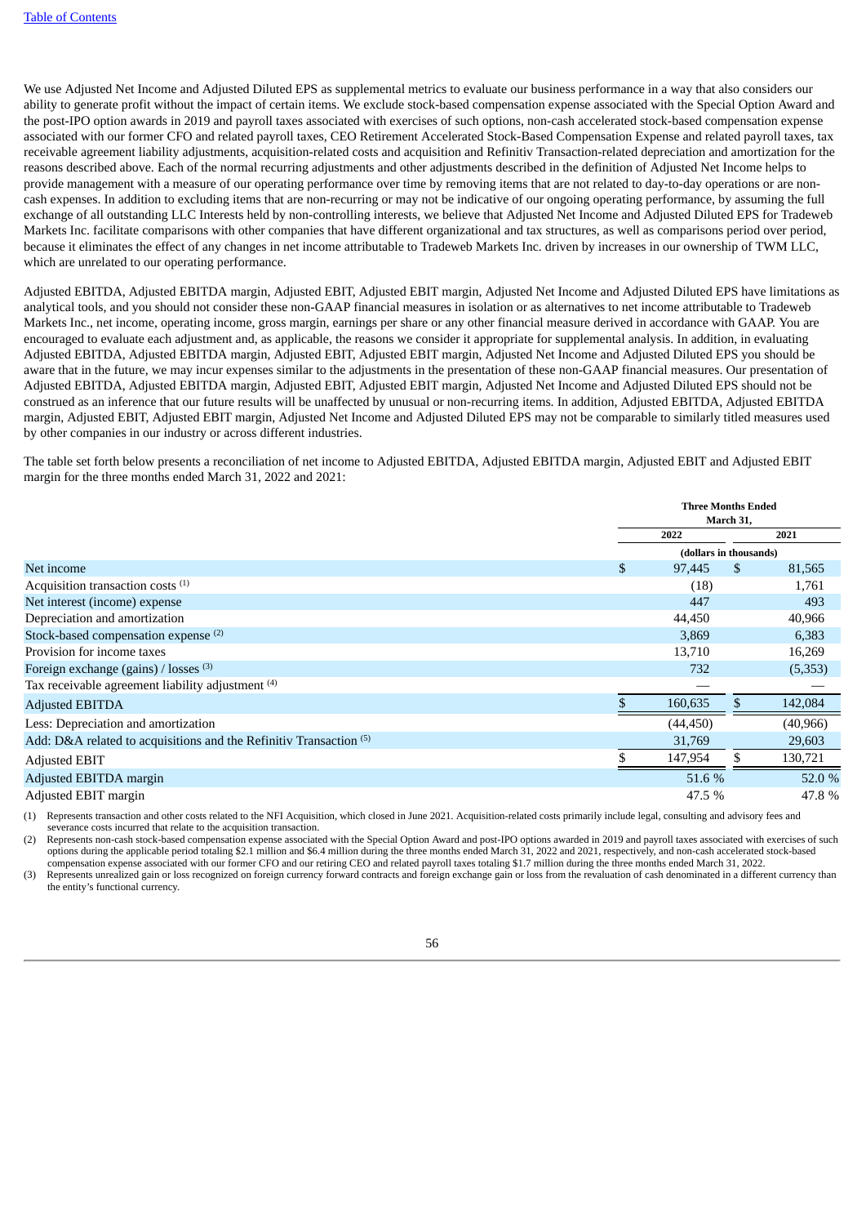We use Adjusted Net Income and Adjusted Diluted EPS as supplemental metrics to evaluate our business performance in a way that also considers our ability to generate profit without the impact of certain items. We exclude stock-based compensation expense associated with the Special Option Award and the post-IPO option awards in 2019 and payroll taxes associated with exercises of such options, non-cash accelerated stock-based compensation expense associated with our former CFO and related payroll taxes, CEO Retirement Accelerated Stock-Based Compensation Expense and related payroll taxes, tax receivable agreement liability adjustments, acquisition-related costs and acquisition and Refinitiv Transaction-related depreciation and amortization for the reasons described above. Each of the normal recurring adjustments and other adjustments described in the definition of Adjusted Net Income helps to provide management with a measure of our operating performance over time by removing items that are not related to day-to-day operations or are noncash expenses. In addition to excluding items that are non-recurring or may not be indicative of our ongoing operating performance, by assuming the full exchange of all outstanding LLC Interests held by non-controlling interests, we believe that Adjusted Net Income and Adjusted Diluted EPS for Tradeweb Markets Inc. facilitate comparisons with other companies that have different organizational and tax structures, as well as comparisons period over period, because it eliminates the effect of any changes in net income attributable to Tradeweb Markets Inc. driven by increases in our ownership of TWM LLC, which are unrelated to our operating performance.

Adjusted EBITDA, Adjusted EBITDA margin, Adjusted EBIT, Adjusted EBIT margin, Adjusted Net Income and Adjusted Diluted EPS have limitations as analytical tools, and you should not consider these non-GAAP financial measures in isolation or as alternatives to net income attributable to Tradeweb Markets Inc., net income, operating income, gross margin, earnings per share or any other financial measure derived in accordance with GAAP. You are encouraged to evaluate each adjustment and, as applicable, the reasons we consider it appropriate for supplemental analysis. In addition, in evaluating Adjusted EBITDA, Adjusted EBITDA margin, Adjusted EBIT, Adjusted EBIT margin, Adjusted Net Income and Adjusted Diluted EPS you should be aware that in the future, we may incur expenses similar to the adjustments in the presentation of these non-GAAP financial measures. Our presentation of Adjusted EBITDA, Adjusted EBITDA margin, Adjusted EBIT, Adjusted EBIT margin, Adjusted Net Income and Adjusted Diluted EPS should not be construed as an inference that our future results will be unaffected by unusual or non-recurring items. In addition, Adjusted EBITDA, Adjusted EBITDA margin, Adjusted EBIT, Adjusted EBIT margin, Adjusted Net Income and Adjusted Diluted EPS may not be comparable to similarly titled measures used by other companies in our industry or across different industries.

The table set forth below presents a reconciliation of net income to Adjusted EBITDA, Adjusted EBITDA margin, Adjusted EBIT and Adjusted EBIT margin for the three months ended March 31, 2022 and 2021:

|                                                                    | <b>Three Months Ended</b><br>March 31, |    |           |  |  |
|--------------------------------------------------------------------|----------------------------------------|----|-----------|--|--|
|                                                                    | 2022                                   |    | 2021      |  |  |
|                                                                    | (dollars in thousands)                 |    |           |  |  |
| Net income                                                         | \$<br>97.445                           | S  | 81,565    |  |  |
| Acquisition transaction costs (1)                                  | (18)                                   |    | 1,761     |  |  |
| Net interest (income) expense                                      | 447                                    |    | 493       |  |  |
| Depreciation and amortization                                      | 44,450                                 |    | 40,966    |  |  |
| Stock-based compensation expense <sup>(2)</sup>                    | 3,869                                  |    | 6,383     |  |  |
| Provision for income taxes                                         | 13,710                                 |    | 16,269    |  |  |
| Foreign exchange (gains) / losses $(3)$                            | 732                                    |    | (5,353)   |  |  |
| Tax receivable agreement liability adjustment (4)                  |                                        |    |           |  |  |
| <b>Adjusted EBITDA</b>                                             | 160,635                                | S. | 142,084   |  |  |
| Less: Depreciation and amortization                                | (44, 450)                              |    | (40, 966) |  |  |
| Add: D&A related to acquisitions and the Refinitiv Transaction (5) | 31,769                                 |    | 29,603    |  |  |
| <b>Adjusted EBIT</b>                                               | 147,954                                |    | 130,721   |  |  |
| Adjusted EBITDA margin                                             | 51.6 %                                 |    | 52.0 %    |  |  |
| Adjusted EBIT margin                                               | 47.5 %                                 |    | 47.8%     |  |  |

(1) Represents transaction and other costs related to the NFI Acquisition, which closed in June 2021. Acquisition-related costs primarily include legal, consulting and advisory fees and severance costs incurred that relate to the acquisition transaction.

Represents non-cash stock-based compensation expense associated with the Special Option Award and post-IPO options awarded in 2019 and payroll taxes associated with exercises of such options during the applicable period totaling \$2.1 million and \$6.4 million during the three months ended March 31, 2022 and 2021, respectively, and non-cash accelerated stock-based compensation expense associated with our former CFO and our retiring CEO and related payroll taxes totaling \$1.7 million during the three months ended March 31, 2022.

(3) Represents unrealized gain or loss recognized on foreign currency forward contracts and foreign exchange gain or loss from the revaluation of cash denominated in a different currency than the entity's functional currency.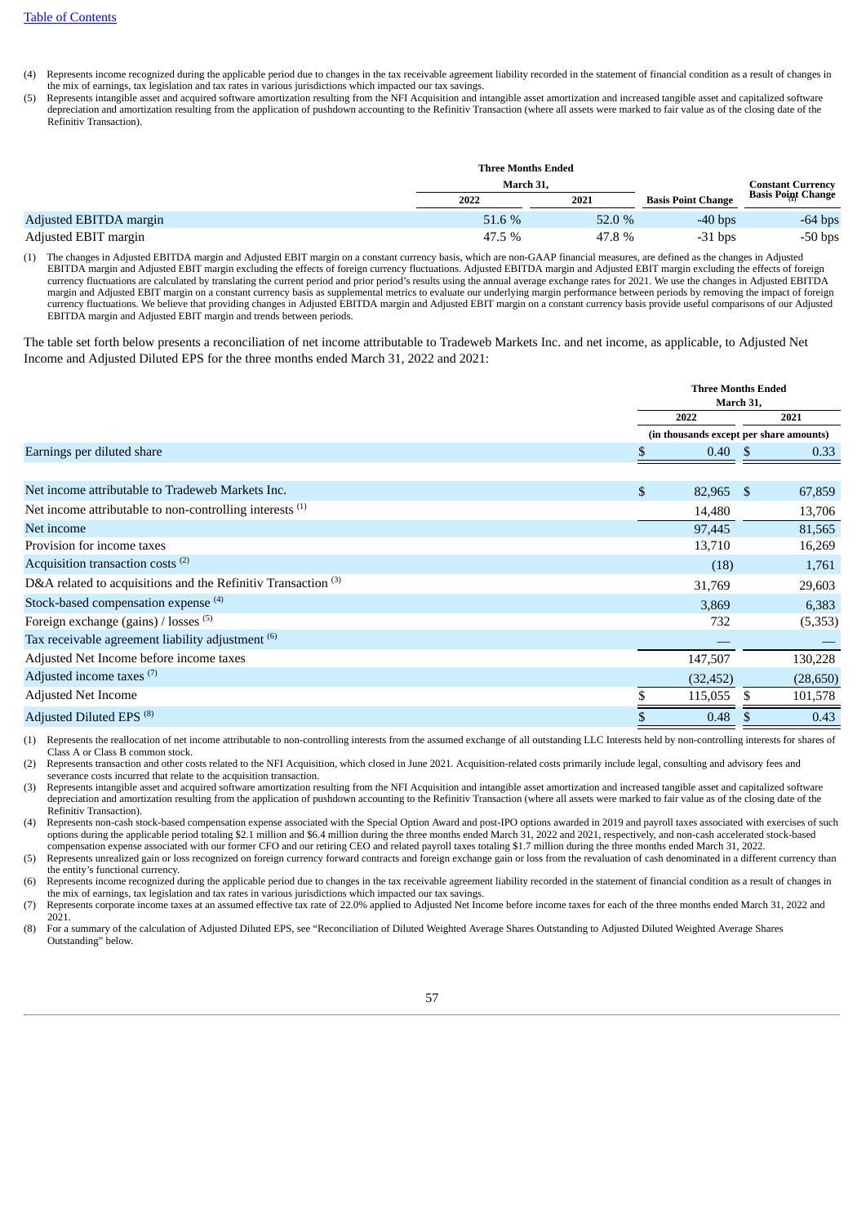- (4) Represents income recognized during the applicable period due to changes in the tax receivable agreement liability recorded in the statement of financial condition as a result of changes in the mix of earnings, tax legislation and tax rates in various jurisdictions which impacted our tax savings.
- (5) Represents intangible asset and acquired software amortization resulting from the NFI Acquisition and intangible asset amortization and increased tangible asset and capitalized software depreciation and amortization resulting from the application of pushdown accounting to the Refinitiv Transaction (where all assets were marked to fair value as of the closing date of the Refinitiv Transaction).

|                        | <b>Three Months Ended</b> |        |                           |                           |
|------------------------|---------------------------|--------|---------------------------|---------------------------|
|                        | March 31.                 |        |                           | <b>Constant Currency</b>  |
|                        | 2022                      | 2021   | <b>Basis Point Change</b> | <b>Basis Point Change</b> |
| Adjusted EBITDA margin | 51.6 %                    | 52.0 % | $-40$ bps                 | $-64$ bps                 |
| Adjusted EBIT margin   | 47.5 %                    | 47.8 % | $-31$ bps                 | $-50$ bps                 |

(1) The changes in Adjusted EBITDA margin and Adjusted EBIT margin on a constant currency basis, which are non-GAAP financial measures, are defined as the changes in Adjusted EBITDA margin and Adjusted EBIT margin excluding the effects of foreign currency fluctuations. Adjusted EBITDA margin and Adjusted EBIT margin excluding the effects of foreign currency fluctuations are calculated by translating the current period and prior period's results using the annual average exchange rates for 2021. We use the changes in Adjusted EBITDA margin and Adjusted EBIT margin on a constant currency basis as supplemental metrics to evaluate our underlying margin performance between periods by removing the impact of foreign currency fluctuations. We believe that providing changes in Adjusted EBITDA margin and Adjusted EBIT margin on a constant currency basis provide useful comparisons of our Adjusted EBITDA margin and Adjusted EBIT margin and trends between periods.

The table set forth below presents a reconciliation of net income attributable to Tradeweb Markets Inc. and net income, as applicable, to Adjusted Net Income and Adjusted Diluted EPS for the three months ended March 31, 2022 and 2021:

|                                                                          |           | <b>Three Months Ended</b><br>March 31,  |           |  |  |
|--------------------------------------------------------------------------|-----------|-----------------------------------------|-----------|--|--|
|                                                                          | 2022      |                                         | 2021      |  |  |
|                                                                          |           | (in thousands except per share amounts) |           |  |  |
| Earnings per diluted share                                               |           | $0.40 \quad$ \$                         | 0.33      |  |  |
|                                                                          |           |                                         |           |  |  |
| Net income attributable to Tradeweb Markets Inc.                         | \$        | 82,965 \$                               | 67,859    |  |  |
| Net income attributable to non-controlling interests <sup>(1)</sup>      | 14,480    |                                         | 13,706    |  |  |
| Net income                                                               | 97,445    |                                         | 81,565    |  |  |
| Provision for income taxes                                               | 13,710    |                                         | 16,269    |  |  |
| Acquisition transaction costs <sup>(2)</sup>                             |           | (18)                                    | 1,761     |  |  |
| D&A related to acquisitions and the Refinitiv Transaction <sup>(3)</sup> | 31,769    |                                         | 29,603    |  |  |
| Stock-based compensation expense <sup>(4)</sup>                          |           | 3,869                                   | 6,383     |  |  |
| Foreign exchange (gains) / losses $(5)$                                  |           | 732                                     | (5,353)   |  |  |
| Tax receivable agreement liability adjustment <sup>(6)</sup>             |           |                                         |           |  |  |
| Adjusted Net Income before income taxes                                  | 147,507   |                                         | 130,228   |  |  |
| Adjusted income taxes <sup>(7)</sup>                                     | (32, 452) |                                         | (28, 650) |  |  |
| <b>Adjusted Net Income</b>                                               | 115,055   |                                         | 101,578   |  |  |
| Adjusted Diluted EPS <sup>(8)</sup>                                      | S         | 0.48                                    | 0.43      |  |  |

(1) Represents the reallocation of net income attributable to non-controlling interests from the assumed exchange of all outstanding LLC Interests held by non-controlling interests for shares of Class A or Class B common stock.

(2) Represents transaction and other costs related to the NFI Acquisition, which closed in June 2021. Acquisition-related costs primarily include legal, consulting and advisory fees and severance costs incurred that relate to the acquisition transaction.

(3) Represents intangible asset and acquired software amortization resulting from the NFI Acquisition and intangible asset amortization and increased tangible asset and capitalized software depreciation and amortization resulting from the application of pushdown accounting to the Refinitiv Transaction (where all assets were marked to fair value as of the closing date of the Refinitiv Transaction).

(4) Represents non-cash stock-based compensation expense associated with the Special Option Award and post-IPO options awarded in 2019 and payroll taxes associated with exercises of such options during the applicable period totaling \$2.1 million and \$6.4 million during the three months ended March 31, 2022 and 2021, respectively, and non-cash accelerated stock-based compensation expense associated with our former CFO and our retiring CEO and related payroll taxes totaling \$1.7 million during the three months ended March 31, 2022.

(5) Represents unrealized gain or loss recognized on foreign currency forward contracts and foreign exchange gain or loss from the revaluation of cash denominated in a different currency than the entity's functional currency.

(6) Represents income recognized during the applicable period due to changes in the tax receivable agreement liability recorded in the statement of financial condition as a result of changes in the mix of earnings, tax legislation and tax rates in various jurisdictions which impacted our tax savings.

(7) Represents corporate income taxes at an assumed effective tax rate of 22.0% applied to Adjusted Net Income before income taxes for each of the three months ended March 31, 2022 and 2021.

<sup>For a</sup> summary of the calculation of Adjusted Diluted EPS, see "Reconciliation of Diluted Weighted Average Shares Outstanding to Adjusted Diluted Weighted Average Shares Outstanding" below.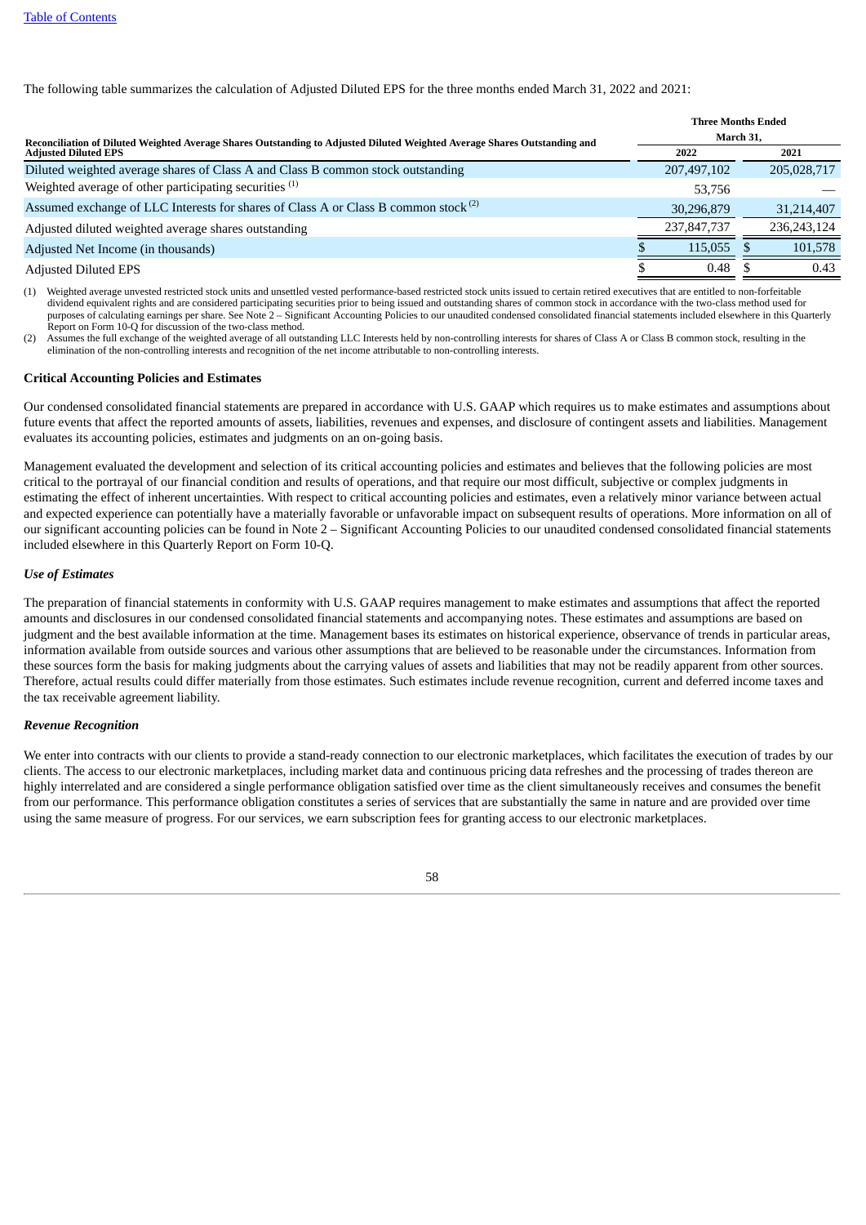The following table summarizes the calculation of Adjusted Diluted EPS for the three months ended March 31, 2022 and 2021:

|                                                                                                                           | <b>Three Months Ended</b> |             |           |             |
|---------------------------------------------------------------------------------------------------------------------------|---------------------------|-------------|-----------|-------------|
| Reconciliation of Diluted Weighted Average Shares Outstanding to Adjusted Diluted Weighted Average Shares Outstanding and |                           |             | March 31, |             |
| <b>Adjusted Diluted EPS</b>                                                                                               |                           | 2022        |           | 2021        |
| Diluted weighted average shares of Class A and Class B common stock outstanding                                           |                           | 207,497,102 |           | 205,028,717 |
| Weighted average of other participating securities $(1)$                                                                  |                           | 53.756      |           |             |
| Assumed exchange of LLC Interests for shares of Class A or Class B common stock <sup>(2)</sup>                            |                           | 30.296.879  |           | 31.214.407  |
| Adjusted diluted weighted average shares outstanding                                                                      |                           | 237,847,737 |           | 236.243.124 |
| Adjusted Net Income (in thousands)                                                                                        |                           | 115,055     |           | 101,578     |
| <b>Adjusted Diluted EPS</b>                                                                                               |                           | 0.48        |           | 0.43        |

(1) Weighted average unvested restricted stock units and unsettled vested performance-based restricted stock units issued to certain retired executives that are entitled to non-forfeitable dividend equivalent rights and are considered participating securities prior to being issued and outstanding shares of common stock in accordance with the two-class method used for purposes of calculating earnings per share. See Note 2 – Significant Accounting Policies to our unaudited condensed consolidated financial statements included elsewhere in this Quarterly Report on Form 10-Q for discussion of the two-class method.

Assumes the full exchange of the weighted average of all outstanding LLC Interests held by non-controlling interests for shares of Class A or Class B common stock, resulting in the elimination of the non-controlling interests and recognition of the net income attributable to non-controlling interests.

#### **Critical Accounting Policies and Estimates**

Our condensed consolidated financial statements are prepared in accordance with U.S. GAAP which requires us to make estimates and assumptions about future events that affect the reported amounts of assets, liabilities, revenues and expenses, and disclosure of contingent assets and liabilities. Management evaluates its accounting policies, estimates and judgments on an on-going basis.

Management evaluated the development and selection of its critical accounting policies and estimates and believes that the following policies are most critical to the portrayal of our financial condition and results of operations, and that require our most difficult, subjective or complex judgments in estimating the effect of inherent uncertainties. With respect to critical accounting policies and estimates, even a relatively minor variance between actual and expected experience can potentially have a materially favorable or unfavorable impact on subsequent results of operations. More information on all of our significant accounting policies can be found in Note 2 – Significant Accounting Policies to our unaudited condensed consolidated financial statements included elsewhere in this Quarterly Report on Form 10-Q.

### *Use of Estimates*

The preparation of financial statements in conformity with U.S. GAAP requires management to make estimates and assumptions that affect the reported amounts and disclosures in our condensed consolidated financial statements and accompanying notes. These estimates and assumptions are based on judgment and the best available information at the time. Management bases its estimates on historical experience, observance of trends in particular areas, information available from outside sources and various other assumptions that are believed to be reasonable under the circumstances. Information from these sources form the basis for making judgments about the carrying values of assets and liabilities that may not be readily apparent from other sources. Therefore, actual results could differ materially from those estimates. Such estimates include revenue recognition, current and deferred income taxes and the tax receivable agreement liability.

#### *Revenue Recognition*

We enter into contracts with our clients to provide a stand-ready connection to our electronic marketplaces, which facilitates the execution of trades by our clients. The access to our electronic marketplaces, including market data and continuous pricing data refreshes and the processing of trades thereon are highly interrelated and are considered a single performance obligation satisfied over time as the client simultaneously receives and consumes the benefit from our performance. This performance obligation constitutes a series of services that are substantially the same in nature and are provided over time using the same measure of progress. For our services, we earn subscription fees for granting access to our electronic marketplaces.

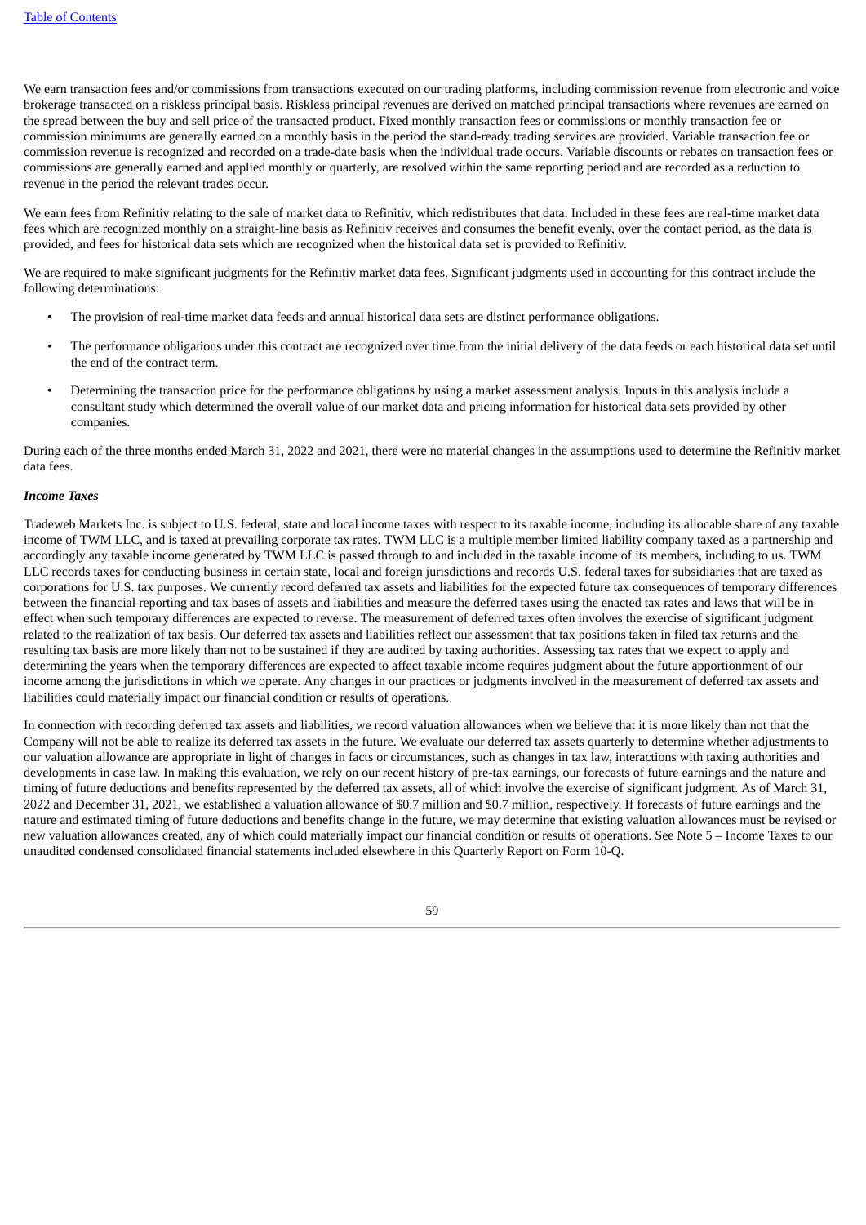We earn transaction fees and/or commissions from transactions executed on our trading platforms, including commission revenue from electronic and voice brokerage transacted on a riskless principal basis. Riskless principal revenues are derived on matched principal transactions where revenues are earned on the spread between the buy and sell price of the transacted product. Fixed monthly transaction fees or commissions or monthly transaction fee or commission minimums are generally earned on a monthly basis in the period the stand-ready trading services are provided. Variable transaction fee or commission revenue is recognized and recorded on a trade-date basis when the individual trade occurs. Variable discounts or rebates on transaction fees or commissions are generally earned and applied monthly or quarterly, are resolved within the same reporting period and are recorded as a reduction to revenue in the period the relevant trades occur.

We earn fees from Refinitiv relating to the sale of market data to Refinitiv, which redistributes that data. Included in these fees are real-time market data fees which are recognized monthly on a straight-line basis as Refinitiv receives and consumes the benefit evenly, over the contact period, as the data is provided, and fees for historical data sets which are recognized when the historical data set is provided to Refinitiv.

We are required to make significant judgments for the Refinitiv market data fees. Significant judgments used in accounting for this contract include the following determinations:

- The provision of real-time market data feeds and annual historical data sets are distinct performance obligations.
- The performance obligations under this contract are recognized over time from the initial delivery of the data feeds or each historical data set until the end of the contract term.
- Determining the transaction price for the performance obligations by using a market assessment analysis. Inputs in this analysis include a consultant study which determined the overall value of our market data and pricing information for historical data sets provided by other companies.

During each of the three months ended March 31, 2022 and 2021, there were no material changes in the assumptions used to determine the Refinitiv market data fees.

#### *Income Taxes*

Tradeweb Markets Inc. is subject to U.S. federal, state and local income taxes with respect to its taxable income, including its allocable share of any taxable income of TWM LLC, and is taxed at prevailing corporate tax rates. TWM LLC is a multiple member limited liability company taxed as a partnership and accordingly any taxable income generated by TWM LLC is passed through to and included in the taxable income of its members, including to us. TWM LLC records taxes for conducting business in certain state, local and foreign jurisdictions and records U.S. federal taxes for subsidiaries that are taxed as corporations for U.S. tax purposes. We currently record deferred tax assets and liabilities for the expected future tax consequences of temporary differences between the financial reporting and tax bases of assets and liabilities and measure the deferred taxes using the enacted tax rates and laws that will be in effect when such temporary differences are expected to reverse. The measurement of deferred taxes often involves the exercise of significant judgment related to the realization of tax basis. Our deferred tax assets and liabilities reflect our assessment that tax positions taken in filed tax returns and the resulting tax basis are more likely than not to be sustained if they are audited by taxing authorities. Assessing tax rates that we expect to apply and determining the years when the temporary differences are expected to affect taxable income requires judgment about the future apportionment of our income among the jurisdictions in which we operate. Any changes in our practices or judgments involved in the measurement of deferred tax assets and liabilities could materially impact our financial condition or results of operations.

In connection with recording deferred tax assets and liabilities, we record valuation allowances when we believe that it is more likely than not that the Company will not be able to realize its deferred tax assets in the future. We evaluate our deferred tax assets quarterly to determine whether adjustments to our valuation allowance are appropriate in light of changes in facts or circumstances, such as changes in tax law, interactions with taxing authorities and developments in case law. In making this evaluation, we rely on our recent history of pre-tax earnings, our forecasts of future earnings and the nature and timing of future deductions and benefits represented by the deferred tax assets, all of which involve the exercise of significant judgment. As of March 31, 2022 and December 31, 2021, we established a valuation allowance of \$0.7 million and \$0.7 million, respectively. If forecasts of future earnings and the nature and estimated timing of future deductions and benefits change in the future, we may determine that existing valuation allowances must be revised or new valuation allowances created, any of which could materially impact our financial condition or results of operations. See Note 5 – Income Taxes to our unaudited condensed consolidated financial statements included elsewhere in this Quarterly Report on Form 10-Q.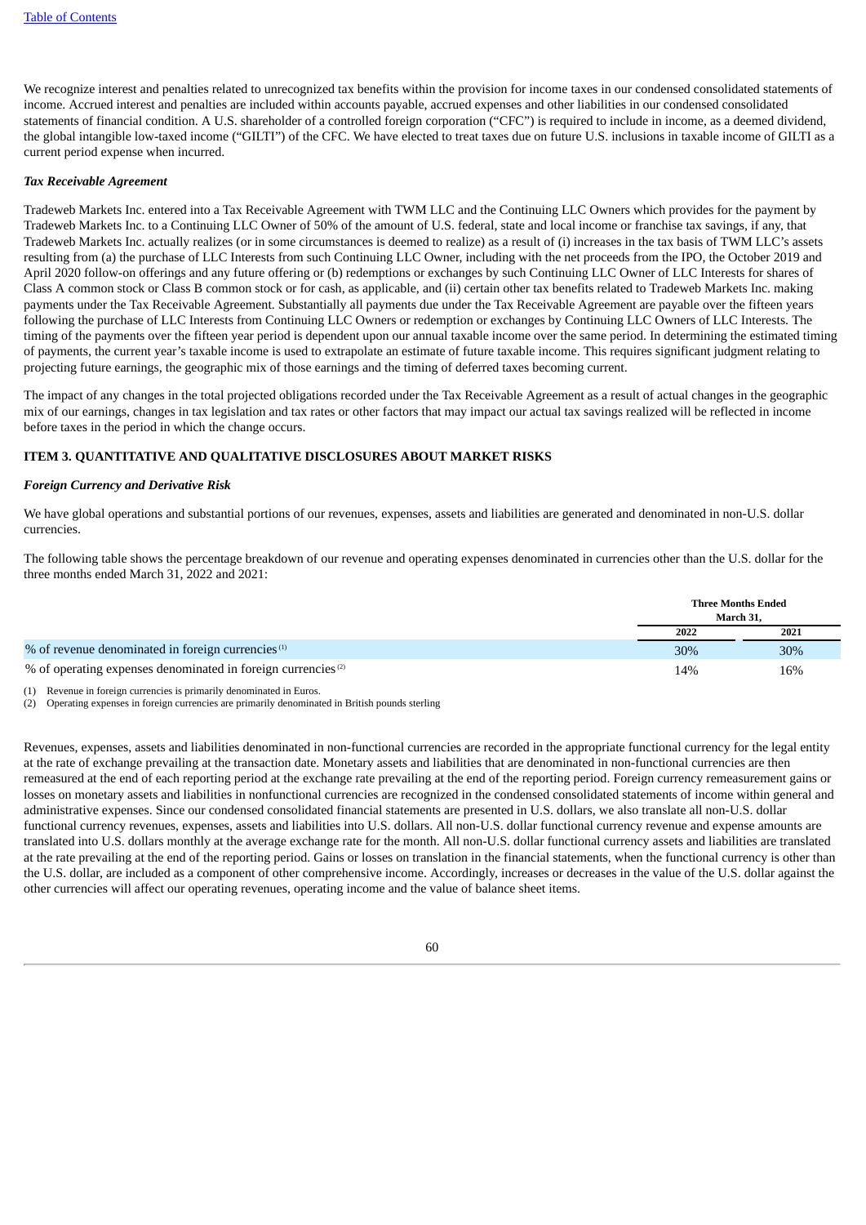We recognize interest and penalties related to unrecognized tax benefits within the provision for income taxes in our condensed consolidated statements of income. Accrued interest and penalties are included within accounts payable, accrued expenses and other liabilities in our condensed consolidated statements of financial condition. A U.S. shareholder of a controlled foreign corporation ("CFC") is required to include in income, as a deemed dividend, the global intangible low-taxed income ("GILTI") of the CFC. We have elected to treat taxes due on future U.S. inclusions in taxable income of GILTI as a current period expense when incurred.

### *Tax Receivable Agreement*

Tradeweb Markets Inc. entered into a Tax Receivable Agreement with TWM LLC and the Continuing LLC Owners which provides for the payment by Tradeweb Markets Inc. to a Continuing LLC Owner of 50% of the amount of U.S. federal, state and local income or franchise tax savings, if any, that Tradeweb Markets Inc. actually realizes (or in some circumstances is deemed to realize) as a result of (i) increases in the tax basis of TWM LLC's assets resulting from (a) the purchase of LLC Interests from such Continuing LLC Owner, including with the net proceeds from the IPO, the October 2019 and April 2020 follow-on offerings and any future offering or (b) redemptions or exchanges by such Continuing LLC Owner of LLC Interests for shares of Class A common stock or Class B common stock or for cash, as applicable, and (ii) certain other tax benefits related to Tradeweb Markets Inc. making payments under the Tax Receivable Agreement. Substantially all payments due under the Tax Receivable Agreement are payable over the fifteen years following the purchase of LLC Interests from Continuing LLC Owners or redemption or exchanges by Continuing LLC Owners of LLC Interests. The timing of the payments over the fifteen year period is dependent upon our annual taxable income over the same period. In determining the estimated timing of payments, the current year's taxable income is used to extrapolate an estimate of future taxable income. This requires significant judgment relating to projecting future earnings, the geographic mix of those earnings and the timing of deferred taxes becoming current.

The impact of any changes in the total projected obligations recorded under the Tax Receivable Agreement as a result of actual changes in the geographic mix of our earnings, changes in tax legislation and tax rates or other factors that may impact our actual tax savings realized will be reflected in income before taxes in the period in which the change occurs.

# <span id="page-59-0"></span>**ITEM 3. QUANTITATIVE AND QUALITATIVE DISCLOSURES ABOUT MARKET RISKS**

#### *Foreign Currency and Derivative Risk*

We have global operations and substantial portions of our revenues, expenses, assets and liabilities are generated and denominated in non-U.S. dollar currencies.

The following table shows the percentage breakdown of our revenue and operating expenses denominated in currencies other than the U.S. dollar for the three months ended March 31, 2022 and 2021:

|                                                                          |      | <b>Three Months Ended</b><br>March 31. |
|--------------------------------------------------------------------------|------|----------------------------------------|
|                                                                          | 2022 | 2021                                   |
| % of revenue denominated in foreign currencies <sup>(1)</sup>            | 30%  | 30%                                    |
| % of operating expenses denominated in foreign currencies <sup>(2)</sup> | 14%  | 16%                                    |

(1) Revenue in foreign currencies is primarily denominated in Euros.

(2) Operating expenses in foreign currencies are primarily denominated in British pounds sterling

Revenues, expenses, assets and liabilities denominated in non-functional currencies are recorded in the appropriate functional currency for the legal entity at the rate of exchange prevailing at the transaction date. Monetary assets and liabilities that are denominated in non-functional currencies are then remeasured at the end of each reporting period at the exchange rate prevailing at the end of the reporting period. Foreign currency remeasurement gains or losses on monetary assets and liabilities in nonfunctional currencies are recognized in the condensed consolidated statements of income within general and administrative expenses. Since our condensed consolidated financial statements are presented in U.S. dollars, we also translate all non-U.S. dollar functional currency revenues, expenses, assets and liabilities into U.S. dollars. All non-U.S. dollar functional currency revenue and expense amounts are translated into U.S. dollars monthly at the average exchange rate for the month. All non-U.S. dollar functional currency assets and liabilities are translated at the rate prevailing at the end of the reporting period. Gains or losses on translation in the financial statements, when the functional currency is other than the U.S. dollar, are included as a component of other comprehensive income. Accordingly, increases or decreases in the value of the U.S. dollar against the other currencies will affect our operating revenues, operating income and the value of balance sheet items.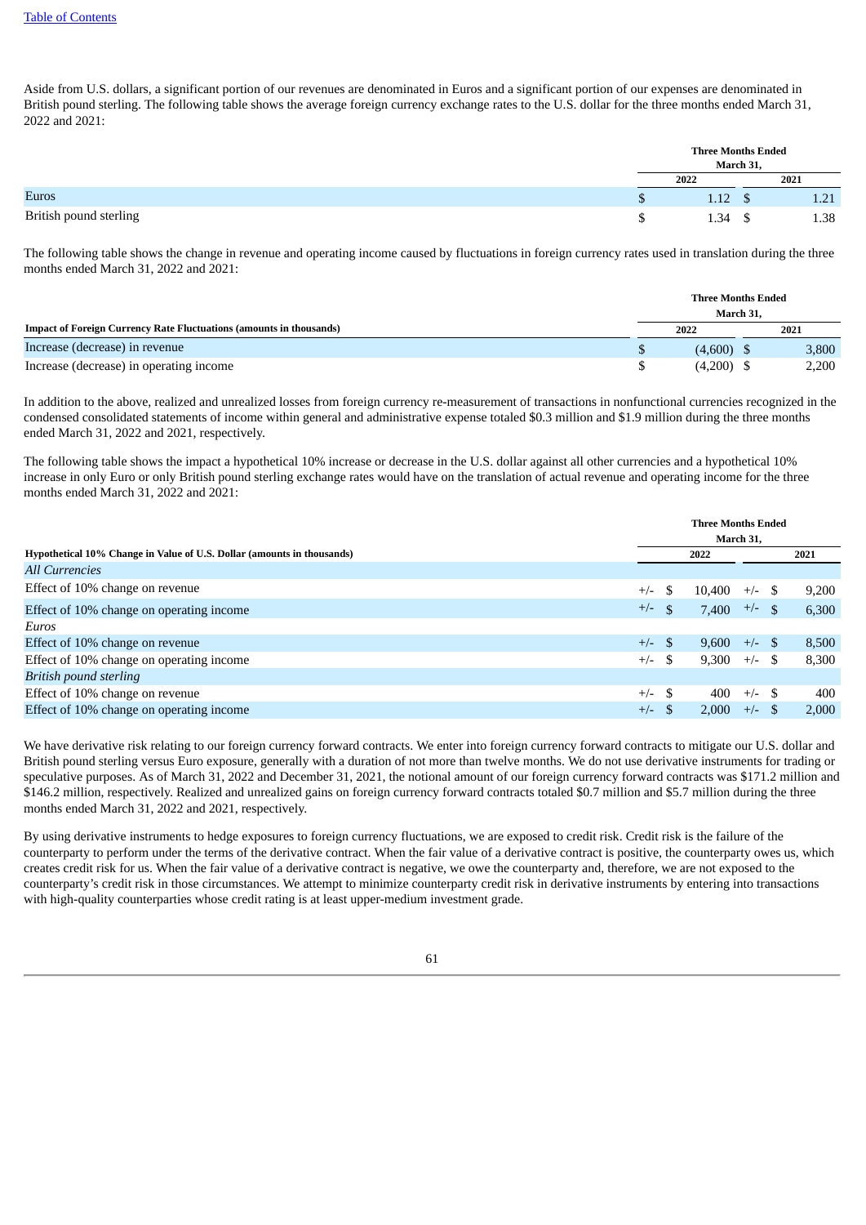Aside from U.S. dollars, a significant portion of our revenues are denominated in Euros and a significant portion of our expenses are denominated in British pound sterling. The following table shows the average foreign currency exchange rates to the U.S. dollar for the three months ended March 31, 2022 and 2021:

|                        | <b>Three Months Ended</b><br>March 31, |  |      |  |
|------------------------|----------------------------------------|--|------|--|
|                        | 2022                                   |  | 2021 |  |
| <b>Euros</b>           | 4.12                                   |  | 1.21 |  |
| British pound sterling | 1.34                                   |  | 1.38 |  |

The following table shows the change in revenue and operating income caused by fluctuations in foreign currency rates used in translation during the three months ended March 31, 2022 and 2021:

|                                                                            | <b>Three Months Ended</b> |         |      |       |
|----------------------------------------------------------------------------|---------------------------|---------|------|-------|
|                                                                            | March 31.                 |         |      |       |
| <b>Impact of Foreign Currency Rate Fluctuations (amounts in thousands)</b> | 2022                      |         | 2021 |       |
| Increase (decrease) in revenue                                             |                           | (4,600) |      | 3,800 |
| Increase (decrease) in operating income                                    |                           | (4,200) |      | 2,200 |

In addition to the above, realized and unrealized losses from foreign currency re-measurement of transactions in nonfunctional currencies recognized in the condensed consolidated statements of income within general and administrative expense totaled \$0.3 million and \$1.9 million during the three months ended March 31, 2022 and 2021, respectively.

The following table shows the impact a hypothetical 10% increase or decrease in the U.S. dollar against all other currencies and a hypothetical 10% increase in only Euro or only British pound sterling exchange rates would have on the translation of actual revenue and operating income for the three months ended March 31, 2022 and 2021:

|                                                                        | <b>Three Months Ended</b> |        |           |       |
|------------------------------------------------------------------------|---------------------------|--------|-----------|-------|
|                                                                        |                           |        | March 31, |       |
| Hypothetical 10% Change in Value of U.S. Dollar (amounts in thousands) |                           | 2022   |           | 2021  |
| <b>All Currencies</b>                                                  |                           |        |           |       |
| Effect of 10% change on revenue                                        | \$.<br>$+/-$              | 10.400 | $+/-$ \$  | 9,200 |
| Effect of 10% change on operating income                               | $+/-$<br>$\mathbf{\$}$    | 7.400  | $+/-$ \$  | 6,300 |
| Euros                                                                  |                           |        |           |       |
| Effect of 10% change on revenue                                        | - \$<br>$+/-$             | 9.600  | $+/-$ \$  | 8,500 |
| Effect of 10% change on operating income                               | - \$<br>$+/-$             | 9.300  | $+/-$ \$  | 8,300 |
| British pound sterling                                                 |                           |        |           |       |
| Effect of 10% change on revenue                                        | $+/-$ \$                  | 400    | $+/-$ \$  | 400   |
| Effect of 10% change on operating income                               | $+/-$                     | 2.000  | $+/-$ \$  | 2,000 |

We have derivative risk relating to our foreign currency forward contracts. We enter into foreign currency forward contracts to mitigate our U.S. dollar and British pound sterling versus Euro exposure, generally with a duration of not more than twelve months. We do not use derivative instruments for trading or speculative purposes. As of March 31, 2022 and December 31, 2021, the notional amount of our foreign currency forward contracts was \$171.2 million and \$146.2 million, respectively. Realized and unrealized gains on foreign currency forward contracts totaled \$0.7 million and \$5.7 million during the three months ended March 31, 2022 and 2021, respectively.

By using derivative instruments to hedge exposures to foreign currency fluctuations, we are exposed to credit risk. Credit risk is the failure of the counterparty to perform under the terms of the derivative contract. When the fair value of a derivative contract is positive, the counterparty owes us, which creates credit risk for us. When the fair value of a derivative contract is negative, we owe the counterparty and, therefore, we are not exposed to the counterparty's credit risk in those circumstances. We attempt to minimize counterparty credit risk in derivative instruments by entering into transactions with high-quality counterparties whose credit rating is at least upper-medium investment grade.

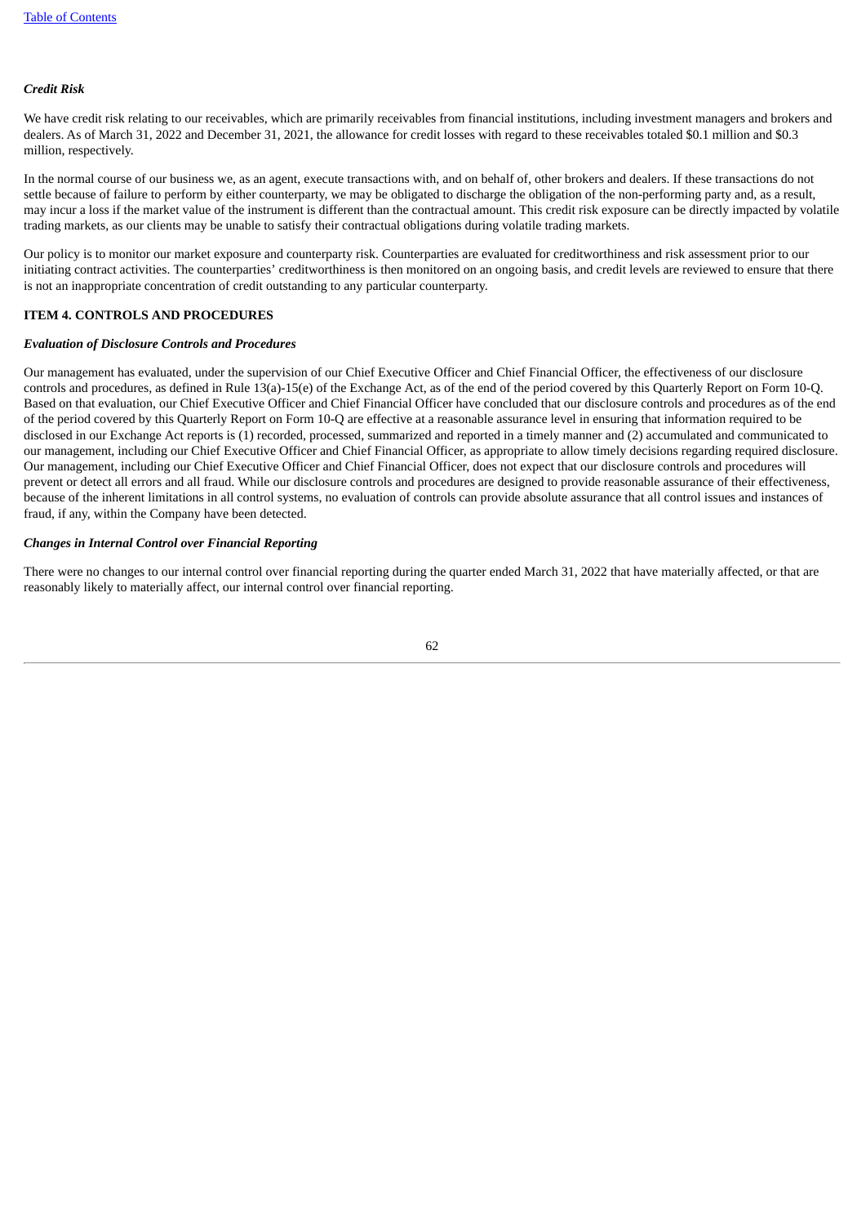## *Credit Risk*

We have credit risk relating to our receivables, which are primarily receivables from financial institutions, including investment managers and brokers and dealers. As of March 31, 2022 and December 31, 2021, the allowance for credit losses with regard to these receivables totaled \$0.1 million and \$0.3 million, respectively.

In the normal course of our business we, as an agent, execute transactions with, and on behalf of, other brokers and dealers. If these transactions do not settle because of failure to perform by either counterparty, we may be obligated to discharge the obligation of the non-performing party and, as a result, may incur a loss if the market value of the instrument is different than the contractual amount. This credit risk exposure can be directly impacted by volatile trading markets, as our clients may be unable to satisfy their contractual obligations during volatile trading markets.

Our policy is to monitor our market exposure and counterparty risk. Counterparties are evaluated for creditworthiness and risk assessment prior to our initiating contract activities. The counterparties' creditworthiness is then monitored on an ongoing basis, and credit levels are reviewed to ensure that there is not an inappropriate concentration of credit outstanding to any particular counterparty.

# <span id="page-61-0"></span>**ITEM 4. CONTROLS AND PROCEDURES**

#### *Evaluation of Disclosure Controls and Procedures*

Our management has evaluated, under the supervision of our Chief Executive Officer and Chief Financial Officer, the effectiveness of our disclosure controls and procedures, as defined in Rule 13(a)-15(e) of the Exchange Act, as of the end of the period covered by this Quarterly Report on Form 10-Q. Based on that evaluation, our Chief Executive Officer and Chief Financial Officer have concluded that our disclosure controls and procedures as of the end of the period covered by this Quarterly Report on Form 10‑Q are effective at a reasonable assurance level in ensuring that information required to be disclosed in our Exchange Act reports is (1) recorded, processed, summarized and reported in a timely manner and (2) accumulated and communicated to our management, including our Chief Executive Officer and Chief Financial Officer, as appropriate to allow timely decisions regarding required disclosure. Our management, including our Chief Executive Officer and Chief Financial Officer, does not expect that our disclosure controls and procedures will prevent or detect all errors and all fraud. While our disclosure controls and procedures are designed to provide reasonable assurance of their effectiveness, because of the inherent limitations in all control systems, no evaluation of controls can provide absolute assurance that all control issues and instances of fraud, if any, within the Company have been detected.

### *Changes in Internal Control over Financial Reporting*

<span id="page-61-1"></span>There were no changes to our internal control over financial reporting during the quarter ended March 31, 2022 that have materially affected, or that are reasonably likely to materially affect, our internal control over financial reporting.

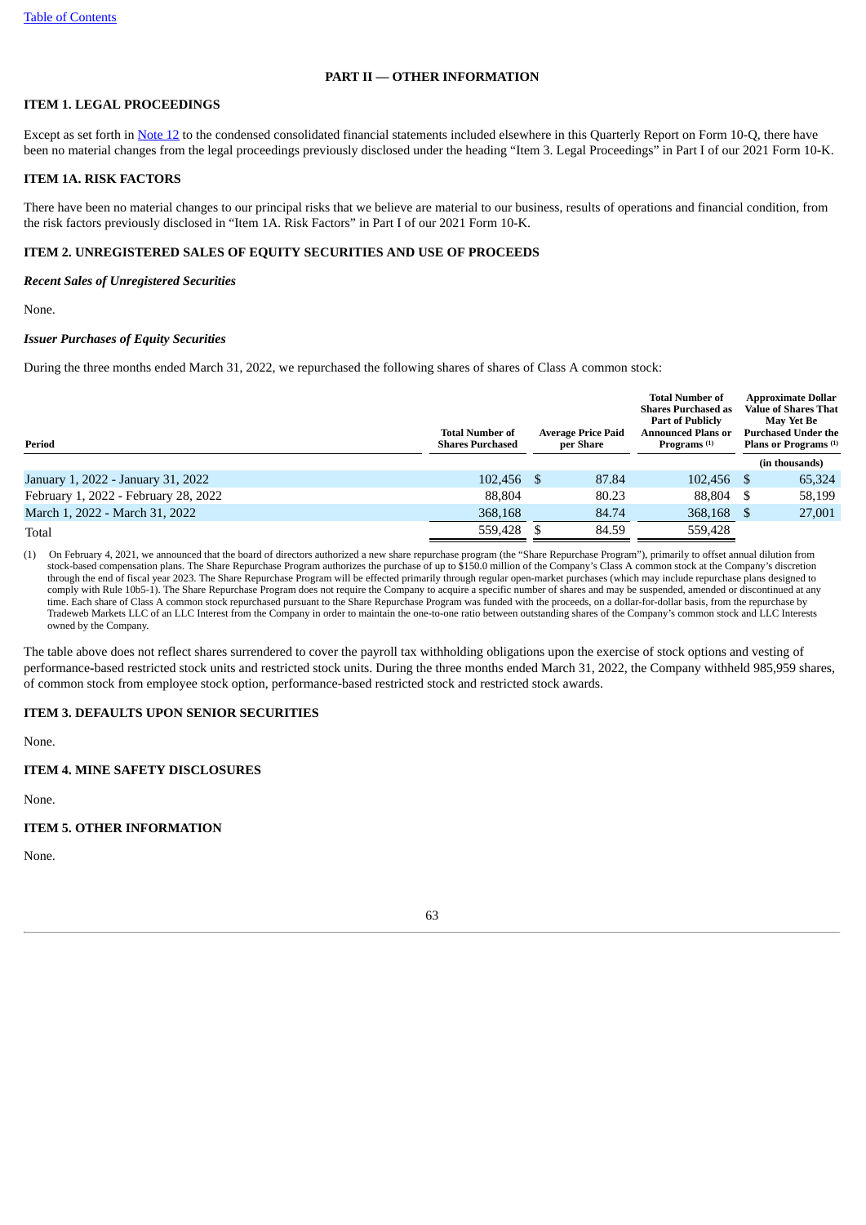# **PART II — OTHER INFORMATION**

# <span id="page-62-0"></span>**ITEM 1. LEGAL PROCEEDINGS**

Except as set forth in [Note](#page-31-0) 12 to the condensed consolidated financial statements included elsewhere in this Quarterly Report on Form 10-Q, there have been no material changes from the legal proceedings previously disclosed under the heading "Item 3. Legal Proceedings" in Part I of our 2021 Form 10-K.

# <span id="page-62-1"></span>**ITEM 1A. RISK FACTORS**

There have been no material changes to our principal risks that we believe are material to our business, results of operations and financial condition, from the risk factors previously disclosed in "Item 1A. Risk Factors" in Part I of our 2021 Form 10-K.

# <span id="page-62-2"></span>**ITEM 2. UNREGISTERED SALES OF EQUITY SECURITIES AND USE OF PROCEEDS**

### *Recent Sales of Unregistered Securities*

None.

### *Issuer Purchases of Equity Securities*

During the three months ended March 31, 2022, we repurchased the following shares of shares of Class A common stock:

| Period                               | <b>Total Number of</b><br><b>Shares Purchased</b> |    | <b>Average Price Paid</b><br>per Share | <b>Total Number of</b><br><b>Shares Purchased as</b><br><b>Part of Publicly</b><br><b>Announced Plans or</b><br>Programs $(1)$ |              | <b>Approximate Dollar</b><br><b>Value of Shares That</b><br>Mav Yet Be<br><b>Purchased Under the</b><br>Plans or Programs <sup>(1)</sup> |  |
|--------------------------------------|---------------------------------------------------|----|----------------------------------------|--------------------------------------------------------------------------------------------------------------------------------|--------------|------------------------------------------------------------------------------------------------------------------------------------------|--|
|                                      |                                                   |    |                                        |                                                                                                                                |              | (in thousands)                                                                                                                           |  |
| January 1, 2022 - January 31, 2022   | 102,456                                           | -S | 87.84                                  | 102,456 \$                                                                                                                     |              | 65,324                                                                                                                                   |  |
| February 1, 2022 - February 28, 2022 | 88,804                                            |    | 80.23                                  | 88.804                                                                                                                         | S            | 58.199                                                                                                                                   |  |
| March 1, 2022 - March 31, 2022       | 368,168                                           |    | 84.74                                  | 368,168                                                                                                                        | <sup>S</sup> | 27,001                                                                                                                                   |  |
| Total                                | 559.428                                           |    | 84.59                                  | 559,428                                                                                                                        |              |                                                                                                                                          |  |

(1) On February 4, 2021, we announced that the board of directors authorized a new share repurchase program (the "Share Repurchase Program"), primarily to offset annual dilution from stock-based compensation plans. The Share Repurchase Program authorizes the purchase of up to \$150.0 million of the Company's Class A common stock at the Company's discretion through the end of fiscal year 2023. The Share Repurchase Program will be effected primarily through regular open-market purchases (which may include repurchase plans designed to comply with Rule 10b5-1). The Share Repurchase Program does not require the Company to acquire a specific number of shares and may be suspended, amended or discontinued at any time. Each share of Class A common stock repurchased pursuant to the Share Repurchase Program was funded with the proceeds, on a dollar-for-dollar basis, from the repurchase by Tradeweb Markets LLC of an LLC Interest from the Company in order to maintain the one-to-one ratio between outstanding shares of the Company's common stock and LLC Interests owned by the Company.

The table above does not reflect shares surrendered to cover the payroll tax withholding obligations upon the exercise of stock options and vesting of performance**-**based restricted stock units and restricted stock units. During the three months ended March 31, 2022, the Company withheld 985,959 shares, of common stock from employee stock option, performance-based restricted stock and restricted stock awards.

# <span id="page-62-3"></span>**ITEM 3. DEFAULTS UPON SENIOR SECURITIES**

<span id="page-62-4"></span>None.

# **ITEM 4. MINE SAFETY DISCLOSURES**

<span id="page-62-5"></span>None.

# **ITEM 5. OTHER INFORMATION**

<span id="page-62-6"></span>None.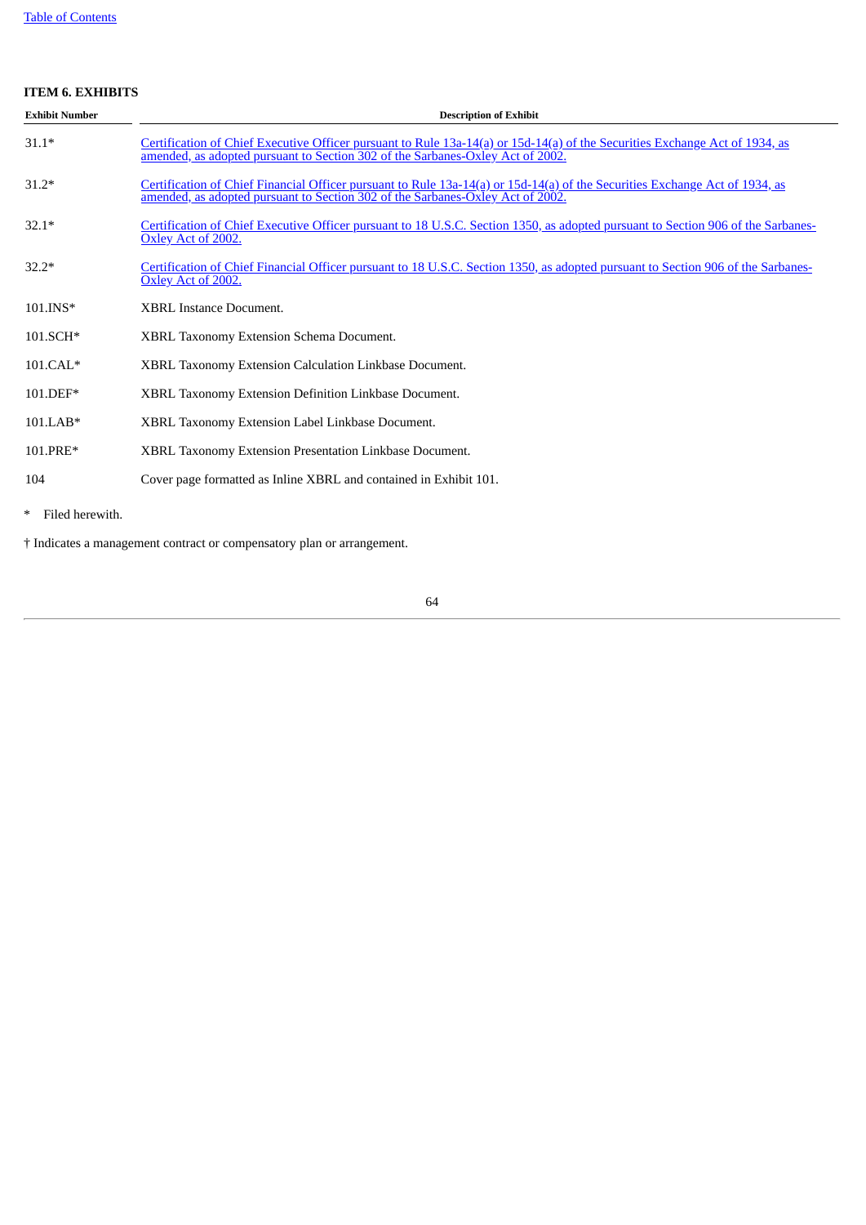# **ITEM 6. EXHIBITS**

| <b>Exhibit Number</b>     | <b>Description of Exhibit</b>                                                                                                                                                                                        |
|---------------------------|----------------------------------------------------------------------------------------------------------------------------------------------------------------------------------------------------------------------|
| $31.1*$                   | Certification of Chief Executive Officer pursuant to Rule 13a-14(a) or 15d-14(a) of the Securities Exchange Act of 1934, as amended, as adopted pursuant to Section 302 of the Sarbanes-Oxley Act of 2002.           |
| $31.2*$                   | <u>Certification of Chief Financial Officer pursuant to Rule 13a-14(a) or 15d-14(a) of the Securities Exchange Act of 1934, as</u><br>amended, as adopted pursuant to Section 302 of the Sarbanes-Oxley Act of 2002. |
| $32.1*$                   | Certification of Chief Executive Officer pursuant to 18 U.S.C. Section 1350, as adopted pursuant to Section 906 of the Sarbanes-<br>Oxley Act of 2002.                                                               |
| $32.2*$                   | Certification of Chief Financial Officer pursuant to 18 U.S.C. Section 1350, as adopted pursuant to Section 906 of the Sarbanes-<br>Oxley Act of 2002.                                                               |
| 101.INS*                  | <b>XBRL Instance Document.</b>                                                                                                                                                                                       |
| $101.SCH*$                | XBRL Taxonomy Extension Schema Document.                                                                                                                                                                             |
| $101.CAL*$                | XBRL Taxonomy Extension Calculation Linkbase Document.                                                                                                                                                               |
| $101.DEF*$                | XBRL Taxonomy Extension Definition Linkbase Document.                                                                                                                                                                |
| $101.LAB*$                | XBRL Taxonomy Extension Label Linkbase Document.                                                                                                                                                                     |
| 101.PRE*                  | XBRL Taxonomy Extension Presentation Linkbase Document.                                                                                                                                                              |
| 104                       | Cover page formatted as Inline XBRL and contained in Exhibit 101.                                                                                                                                                    |
| $\ast$<br>Filed herewith. |                                                                                                                                                                                                                      |

<span id="page-63-0"></span>† Indicates a management contract or compensatory plan or arrangement.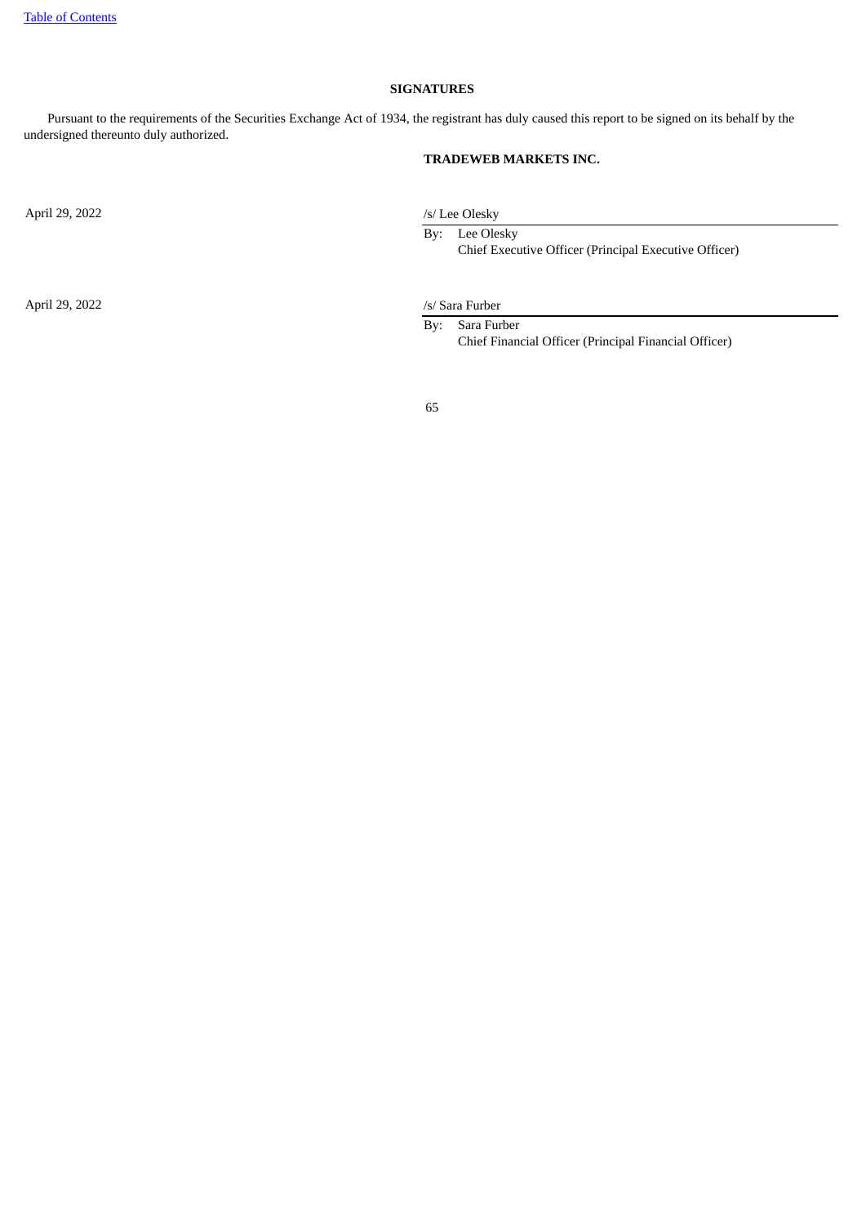[Tabl](#page-0-0)e of [Contents](#page-0-0)

# **SIGNATURES**

Pursuant to the requirements of the Securities Exchange Act of 1934, the registrant has duly caused this report to be signed on its behalf by the undersigned thereunto duly authorized.

# **TRADEWEB MARKETS INC.**

April 29, 2022 /s/ Lee Olesky

April 29, 2022 /s/ Sara Furber

By: Lee Olesky

Chief Executive Officer (Principal Executive Officer)

By: Sara Furber Chief Financial Officer (Principal Financial Officer)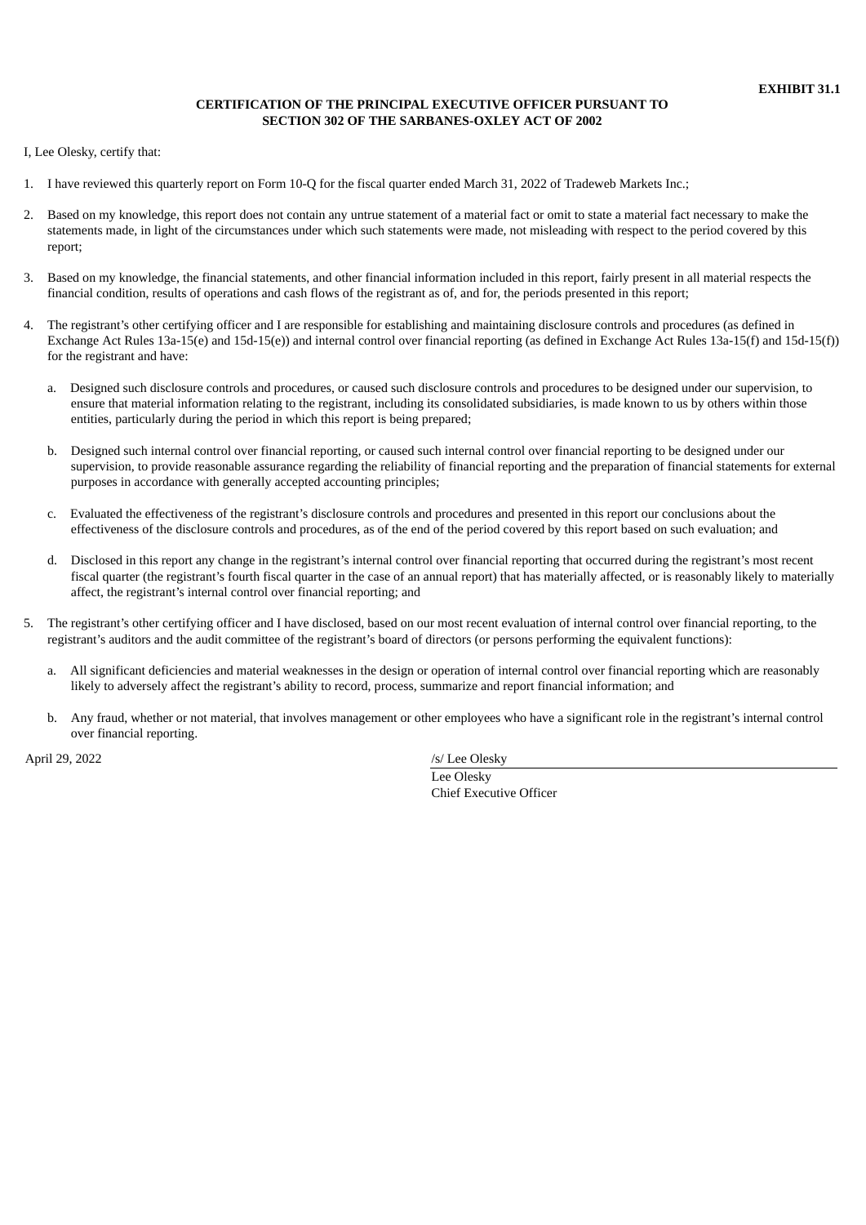# **CERTIFICATION OF THE PRINCIPAL EXECUTIVE OFFICER PURSUANT TO SECTION 302 OF THE SARBANES-OXLEY ACT OF 2002**

<span id="page-65-0"></span>I, Lee Olesky, certify that:

- 1. I have reviewed this quarterly report on Form 10-Q for the fiscal quarter ended March 31, 2022 of Tradeweb Markets Inc.;
- 2. Based on my knowledge, this report does not contain any untrue statement of a material fact or omit to state a material fact necessary to make the statements made, in light of the circumstances under which such statements were made, not misleading with respect to the period covered by this report;
- 3. Based on my knowledge, the financial statements, and other financial information included in this report, fairly present in all material respects the financial condition, results of operations and cash flows of the registrant as of, and for, the periods presented in this report;
- 4. The registrant's other certifying officer and I are responsible for establishing and maintaining disclosure controls and procedures (as defined in Exchange Act Rules 13a-15(e) and 15d-15(e)) and internal control over financial reporting (as defined in Exchange Act Rules 13a-15(f) and 15d-15(f)) for the registrant and have:
	- a. Designed such disclosure controls and procedures, or caused such disclosure controls and procedures to be designed under our supervision, to ensure that material information relating to the registrant, including its consolidated subsidiaries, is made known to us by others within those entities, particularly during the period in which this report is being prepared;
	- b. Designed such internal control over financial reporting, or caused such internal control over financial reporting to be designed under our supervision, to provide reasonable assurance regarding the reliability of financial reporting and the preparation of financial statements for external purposes in accordance with generally accepted accounting principles;
	- c. Evaluated the effectiveness of the registrant's disclosure controls and procedures and presented in this report our conclusions about the effectiveness of the disclosure controls and procedures, as of the end of the period covered by this report based on such evaluation; and
	- d. Disclosed in this report any change in the registrant's internal control over financial reporting that occurred during the registrant's most recent fiscal quarter (the registrant's fourth fiscal quarter in the case of an annual report) that has materially affected, or is reasonably likely to materially affect, the registrant's internal control over financial reporting; and
- 5. The registrant's other certifying officer and I have disclosed, based on our most recent evaluation of internal control over financial reporting, to the registrant's auditors and the audit committee of the registrant's board of directors (or persons performing the equivalent functions):
	- a. All significant deficiencies and material weaknesses in the design or operation of internal control over financial reporting which are reasonably likely to adversely affect the registrant's ability to record, process, summarize and report financial information; and
	- b. Any fraud, whether or not material, that involves management or other employees who have a significant role in the registrant's internal control over financial reporting.

April 29, 2022 /s/ Lee Olesky

Lee Olesky

Chief Executive Officer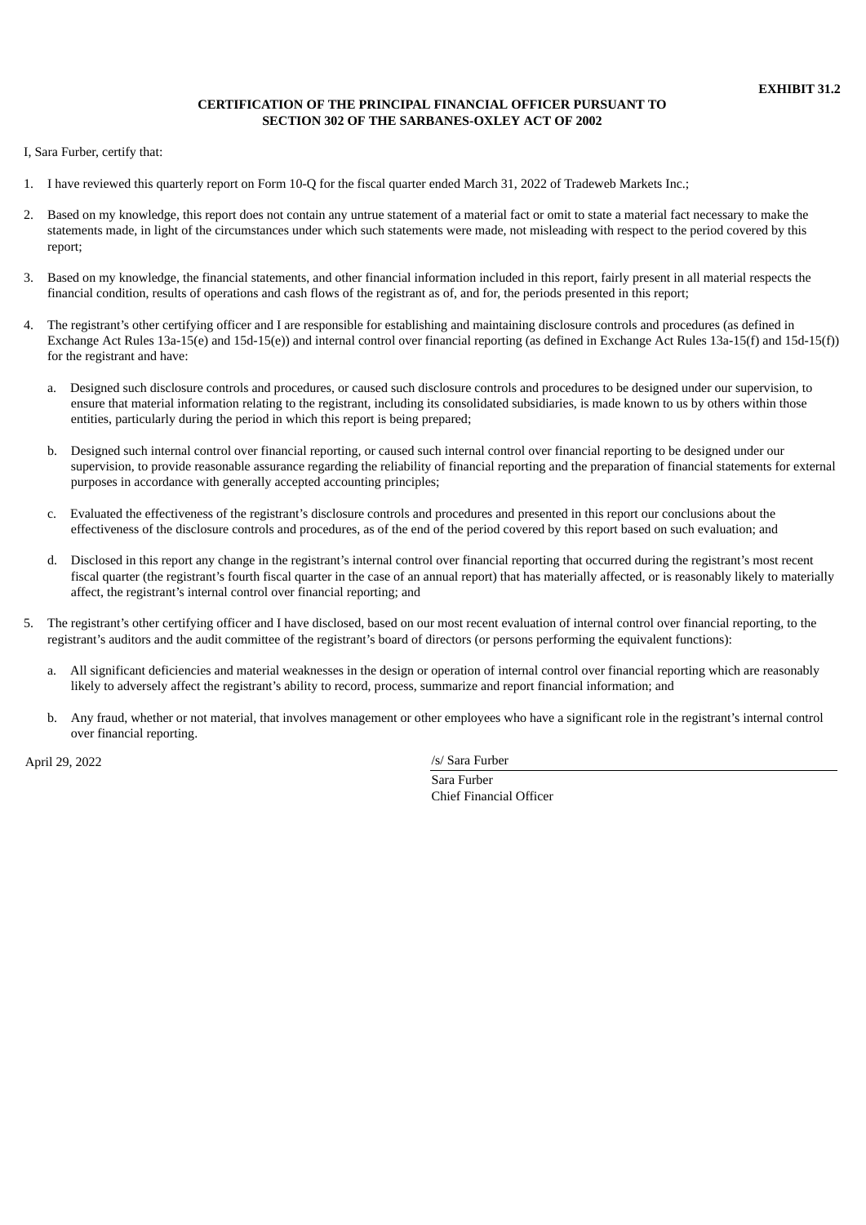# **CERTIFICATION OF THE PRINCIPAL FINANCIAL OFFICER PURSUANT TO SECTION 302 OF THE SARBANES-OXLEY ACT OF 2002**

<span id="page-66-0"></span>I, Sara Furber, certify that:

- 1. I have reviewed this quarterly report on Form 10-Q for the fiscal quarter ended March 31, 2022 of Tradeweb Markets Inc.;
- 2. Based on my knowledge, this report does not contain any untrue statement of a material fact or omit to state a material fact necessary to make the statements made, in light of the circumstances under which such statements were made, not misleading with respect to the period covered by this report;
- 3. Based on my knowledge, the financial statements, and other financial information included in this report, fairly present in all material respects the financial condition, results of operations and cash flows of the registrant as of, and for, the periods presented in this report;
- 4. The registrant's other certifying officer and I are responsible for establishing and maintaining disclosure controls and procedures (as defined in Exchange Act Rules 13a-15(e) and 15d-15(e)) and internal control over financial reporting (as defined in Exchange Act Rules 13a-15(f) and 15d-15(f)) for the registrant and have:
	- a. Designed such disclosure controls and procedures, or caused such disclosure controls and procedures to be designed under our supervision, to ensure that material information relating to the registrant, including its consolidated subsidiaries, is made known to us by others within those entities, particularly during the period in which this report is being prepared;
	- b. Designed such internal control over financial reporting, or caused such internal control over financial reporting to be designed under our supervision, to provide reasonable assurance regarding the reliability of financial reporting and the preparation of financial statements for external purposes in accordance with generally accepted accounting principles;
	- c. Evaluated the effectiveness of the registrant's disclosure controls and procedures and presented in this report our conclusions about the effectiveness of the disclosure controls and procedures, as of the end of the period covered by this report based on such evaluation; and
	- d. Disclosed in this report any change in the registrant's internal control over financial reporting that occurred during the registrant's most recent fiscal quarter (the registrant's fourth fiscal quarter in the case of an annual report) that has materially affected, or is reasonably likely to materially affect, the registrant's internal control over financial reporting; and
- 5. The registrant's other certifying officer and I have disclosed, based on our most recent evaluation of internal control over financial reporting, to the registrant's auditors and the audit committee of the registrant's board of directors (or persons performing the equivalent functions):
	- a. All significant deficiencies and material weaknesses in the design or operation of internal control over financial reporting which are reasonably likely to adversely affect the registrant's ability to record, process, summarize and report financial information; and
	- b. Any fraud, whether or not material, that involves management or other employees who have a significant role in the registrant's internal control over financial reporting.

April 29, 2022 /s/ Sara Furber

Sara Furber Chief Financial Officer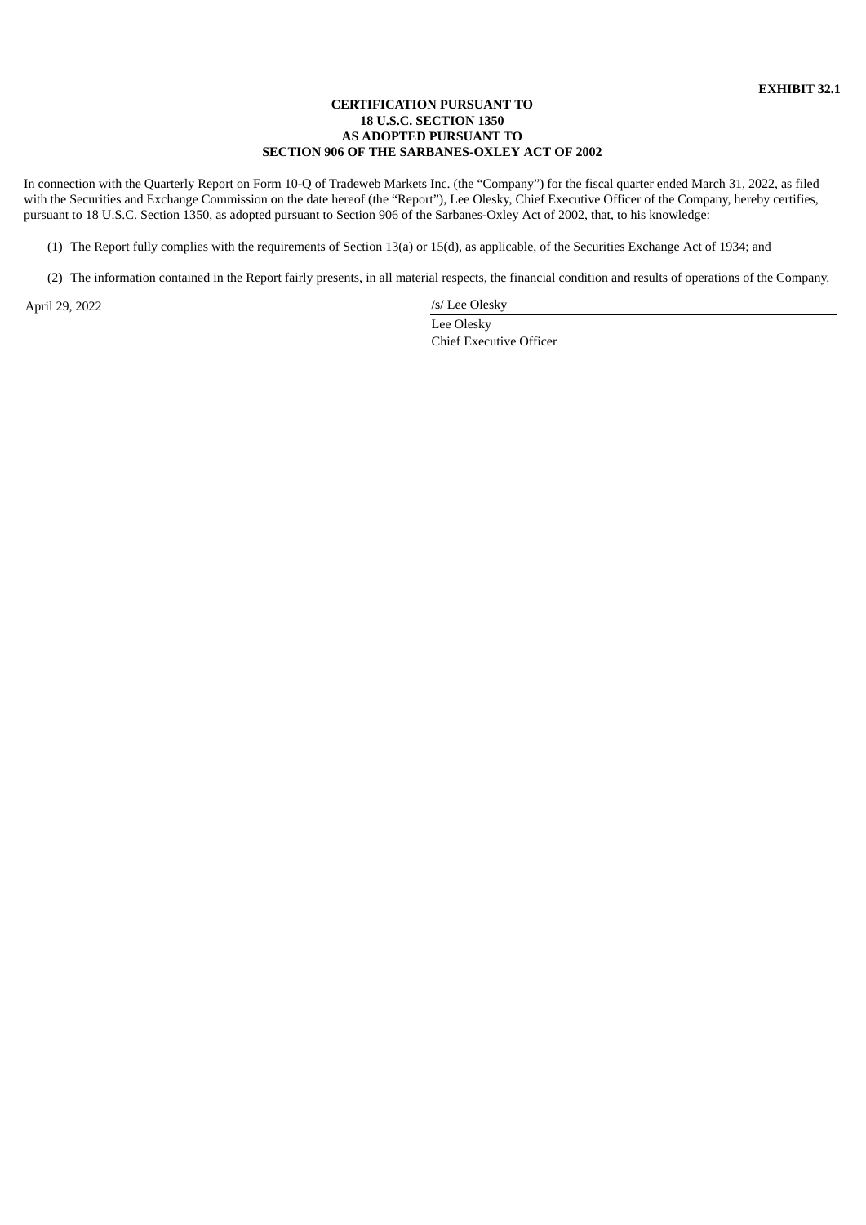# **CERTIFICATION PURSUANT TO 18 U.S.C. SECTION 1350 AS ADOPTED PURSUANT TO SECTION 906 OF THE SARBANES-OXLEY ACT OF 2002**

<span id="page-67-0"></span>In connection with the Quarterly Report on Form 10-Q of Tradeweb Markets Inc. (the "Company") for the fiscal quarter ended March 31, 2022, as filed with the Securities and Exchange Commission on the date hereof (the "Report"), Lee Olesky, Chief Executive Officer of the Company, hereby certifies, pursuant to 18 U.S.C. Section 1350, as adopted pursuant to Section 906 of the Sarbanes-Oxley Act of 2002, that, to his knowledge:

(1) The Report fully complies with the requirements of Section 13(a) or 15(d), as applicable, of the Securities Exchange Act of 1934; and

(2) The information contained in the Report fairly presents, in all material respects, the financial condition and results of operations of the Company.

April 29, 2022 /s/ Lee Olesky Lee Olesky

Chief Executive Officer